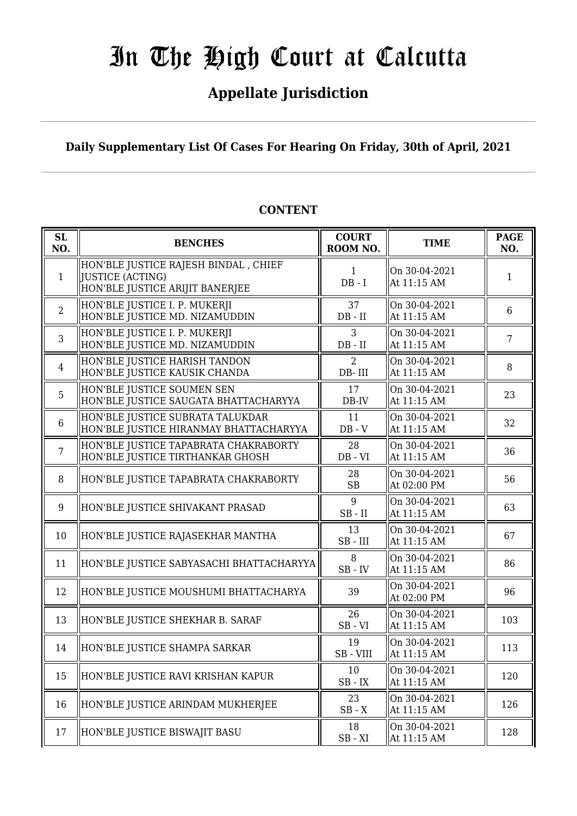# **Appellate Jurisdiction**

# **Daily Supplementary List Of Cases For Hearing On Friday, 30th of April, 2021**

| <b>SL</b><br>NO. | <b>BENCHES</b>                                                                                      | <b>COURT</b><br>ROOM NO.    | <b>TIME</b>                  | <b>PAGE</b><br>NO. |
|------------------|-----------------------------------------------------------------------------------------------------|-----------------------------|------------------------------|--------------------|
| $\mathbf{1}$     | HON'BLE JUSTICE RAJESH BINDAL , CHIEF<br><b>JUSTICE (ACTING)</b><br>HON'BLE JUSTICE ARIJIT BANERJEE | 1<br>$DB - I$               | On 30-04-2021<br>At 11:15 AM | 1                  |
| $\overline{2}$   | HON'BLE JUSTICE I. P. MUKERJI<br>HON'BLE JUSTICE MD. NIZAMUDDIN                                     | 37<br>$DB - II$             | On 30-04-2021<br>At 11:15 AM | 6                  |
| 3                | HON'BLE JUSTICE I. P. MUKERJI<br>HON'BLE JUSTICE MD. NIZAMUDDIN                                     | $\overline{3}$<br>$DB - II$ | On 30-04-2021<br>At 11:15 AM | $\overline{7}$     |
| $\overline{4}$   | HON'BLE JUSTICE HARISH TANDON<br>HON'BLE JUSTICE KAUSIK CHANDA                                      | $\overline{2}$<br>DB-III    | On 30-04-2021<br>At 11:15 AM | 8                  |
| 5                | HON'BLE JUSTICE SOUMEN SEN<br>HON'BLE JUSTICE SAUGATA BHATTACHARYYA                                 | 17<br>DB-IV                 | On 30-04-2021<br>At 11:15 AM | 23                 |
| 6                | HON'BLE JUSTICE SUBRATA TALUKDAR<br>HON'BLE JUSTICE HIRANMAY BHATTACHARYYA                          | 11<br>$DB - V$              | On 30-04-2021<br>At 11:15 AM | 32                 |
| $\overline{7}$   | HON'BLE JUSTICE TAPABRATA CHAKRABORTY<br>HON'BLE JUSTICE TIRTHANKAR GHOSH                           | 28<br>$DB - VI$             | On 30-04-2021<br>At 11:15 AM | 36                 |
| 8                | HON'BLE JUSTICE TAPABRATA CHAKRABORTY                                                               | 28<br><b>SB</b>             | On 30-04-2021<br>At 02:00 PM | 56                 |
| 9                | HON'BLE JUSTICE SHIVAKANT PRASAD                                                                    | 9<br>$SB$ - $II$            | On 30-04-2021<br>At 11:15 AM | 63                 |
| 10               | HON'BLE JUSTICE RAJASEKHAR MANTHA                                                                   | 13<br>$SB$ - $III$          | On 30-04-2021<br>At 11:15 AM | 67                 |
| 11               | HON'BLE JUSTICE SABYASACHI BHATTACHARYYA                                                            | 8<br>$SB$ - $IV$            | On 30-04-2021<br>At 11:15 AM | 86                 |
| 12               | HON'BLE JUSTICE MOUSHUMI BHATTACHARYA                                                               | 39                          | On 30-04-2021<br>At 02:00 PM | 96                 |
| 13               | HON'BLE JUSTICE SHEKHAR B. SARAF                                                                    | 26<br>$SB - VI$             | On 30-04-2021<br>At 11:15 AM | 103                |
| 14               | HON'BLE JUSTICE SHAMPA SARKAR                                                                       | 19<br>SB - VIII             | On 30-04-2021<br>At 11:15 AM | 113                |
| 15               | HON'BLE JUSTICE RAVI KRISHAN KAPUR                                                                  | 10<br>$SB$ - $IX$           | On 30-04-2021<br>At 11:15 AM | 120                |
| 16               | HON'BLE JUSTICE ARINDAM MUKHERJEE                                                                   | 23<br>$SB - X$              | On 30-04-2021<br>At 11:15 AM | 126                |
| 17               | HON'BLE JUSTICE BISWAJIT BASU                                                                       | 18<br>$SB - XI$             | On 30-04-2021<br>At 11:15 AM | 128                |

# **CONTENT**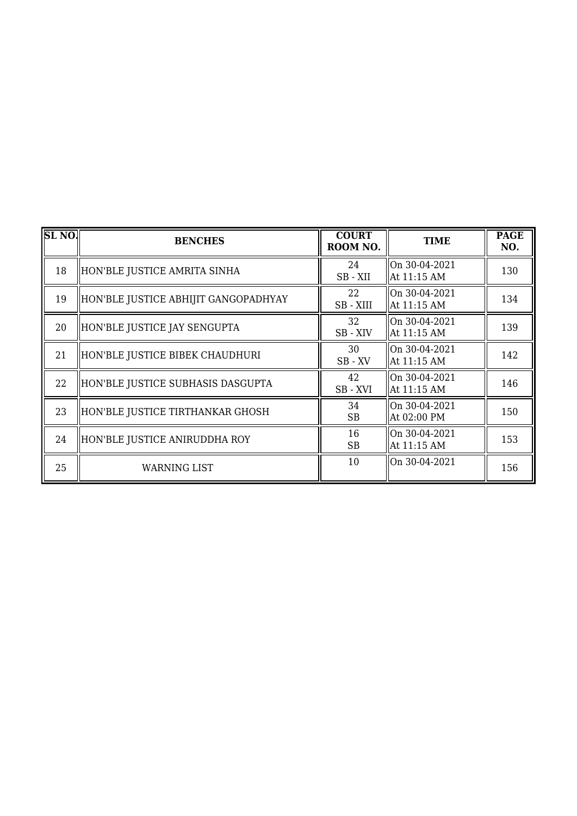| SL <sub>NO</sub> | <b>BENCHES</b>                       | <b>COURT</b><br>ROOM NO. | <b>TIME</b>                  | <b>PAGE</b><br>NO. |
|------------------|--------------------------------------|--------------------------|------------------------------|--------------------|
| 18               | HON'BLE JUSTICE AMRITA SINHA         | 24<br>SB-XII             | On 30-04-2021<br>At 11:15 AM | 130                |
| 19               | HON'BLE JUSTICE ABHIJIT GANGOPADHYAY | 22<br>SB-XIII            | On 30-04-2021<br>At 11:15 AM | 134                |
| 20               | HON'BLE JUSTICE JAY SENGUPTA         | 32<br>SB-XIV             | On 30-04-2021<br>At 11:15 AM | 139                |
| 21               | HON'BLE JUSTICE BIBEK CHAUDHURI      | 30<br>SB-XV              | On 30-04-2021<br>At 11:15 AM | 142                |
| 22               | HON'BLE JUSTICE SUBHASIS DASGUPTA    | 42<br>SB-XVI             | On 30-04-2021<br>At 11:15 AM | 146                |
| 23               | HON'BLE JUSTICE TIRTHANKAR GHOSH     | 34<br><b>SB</b>          | On 30-04-2021<br>At 02:00 PM | 150                |
| 24               | HON'BLE JUSTICE ANIRUDDHA ROY        | 16<br><b>SB</b>          | On 30-04-2021<br>At 11:15 AM | 153                |
| 25               | WARNING LIST                         | 10                       | On 30-04-2021                | 156                |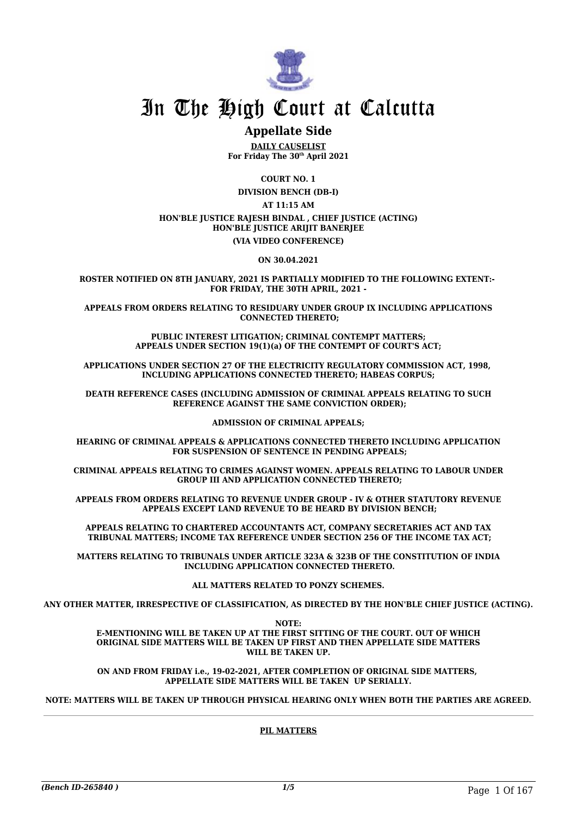

# **Appellate Side**

**DAILY CAUSELIST For Friday The 30th April 2021**

**COURT NO. 1 DIVISION BENCH (DB-I) AT 11:15 AM HON'BLE JUSTICE RAJESH BINDAL , CHIEF JUSTICE (ACTING) HON'BLE JUSTICE ARIJIT BANERJEE (VIA VIDEO CONFERENCE)**

**ON 30.04.2021**

**ROSTER NOTIFIED ON 8TH JANUARY, 2021 IS PARTIALLY MODIFIED TO THE FOLLOWING EXTENT:- FOR FRIDAY, THE 30TH APRIL, 2021 -**

**APPEALS FROM ORDERS RELATING TO RESIDUARY UNDER GROUP IX INCLUDING APPLICATIONS CONNECTED THERETO;**

> **PUBLIC INTEREST LITIGATION; CRIMINAL CONTEMPT MATTERS; APPEALS UNDER SECTION 19(1)(a) OF THE CONTEMPT OF COURT'S ACT;**

**APPLICATIONS UNDER SECTION 27 OF THE ELECTRICITY REGULATORY COMMISSION ACT, 1998, INCLUDING APPLICATIONS CONNECTED THERETO; HABEAS CORPUS;**

**DEATH REFERENCE CASES (INCLUDING ADMISSION OF CRIMINAL APPEALS RELATING TO SUCH REFERENCE AGAINST THE SAME CONVICTION ORDER);**

**ADMISSION OF CRIMINAL APPEALS;**

**HEARING OF CRIMINAL APPEALS & APPLICATIONS CONNECTED THERETO INCLUDING APPLICATION FOR SUSPENSION OF SENTENCE IN PENDING APPEALS;**

**CRIMINAL APPEALS RELATING TO CRIMES AGAINST WOMEN. APPEALS RELATING TO LABOUR UNDER GROUP III AND APPLICATION CONNECTED THERETO;**

**APPEALS FROM ORDERS RELATING TO REVENUE UNDER GROUP - IV & OTHER STATUTORY REVENUE APPEALS EXCEPT LAND REVENUE TO BE HEARD BY DIVISION BENCH;**

**APPEALS RELATING TO CHARTERED ACCOUNTANTS ACT, COMPANY SECRETARIES ACT AND TAX TRIBUNAL MATTERS; INCOME TAX REFERENCE UNDER SECTION 256 OF THE INCOME TAX ACT;**

**MATTERS RELATING TO TRIBUNALS UNDER ARTICLE 323A & 323B OF THE CONSTITUTION OF INDIA INCLUDING APPLICATION CONNECTED THERETO.**

**ALL MATTERS RELATED TO PONZY SCHEMES.**

**ANY OTHER MATTER, IRRESPECTIVE OF CLASSIFICATION, AS DIRECTED BY THE HON'BLE CHIEF JUSTICE (ACTING).**

**NOTE:**

**E-MENTIONING WILL BE TAKEN UP AT THE FIRST SITTING OF THE COURT. OUT OF WHICH ORIGINAL SIDE MATTERS WILL BE TAKEN UP FIRST AND THEN APPELLATE SIDE MATTERS WILL BE TAKEN UP.**

**ON AND FROM FRIDAY i.e., 19-02-2021, AFTER COMPLETION OF ORIGINAL SIDE MATTERS, APPELLATE SIDE MATTERS WILL BE TAKEN UP SERIALLY.**

**NOTE: MATTERS WILL BE TAKEN UP THROUGH PHYSICAL HEARING ONLY WHEN BOTH THE PARTIES ARE AGREED.**

**PIL MATTERS**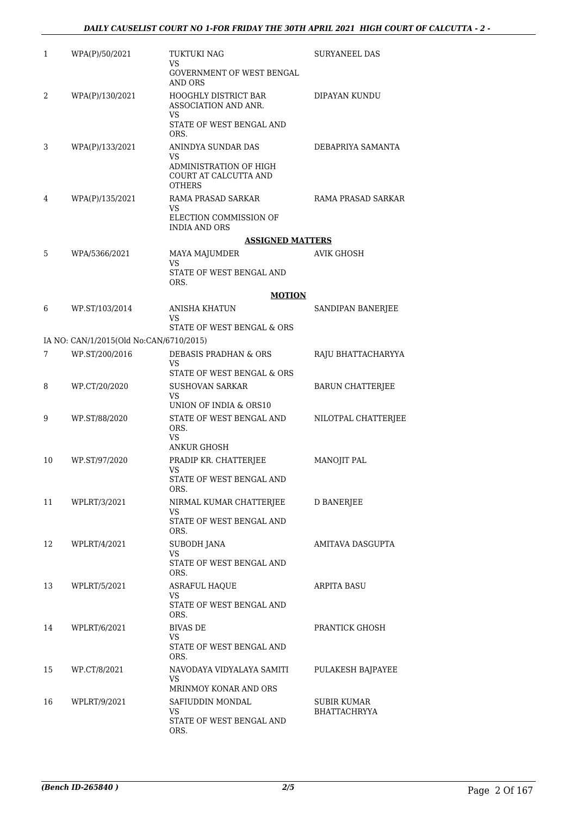| $\mathbf{1}$ | WPA(P)/50/2021                          | TUKTUKI NAG<br>VS.                                                          | SURYANEEL DAS               |
|--------------|-----------------------------------------|-----------------------------------------------------------------------------|-----------------------------|
|              |                                         | GOVERNMENT OF WEST BENGAL<br>AND ORS                                        |                             |
| 2            | WPA(P)/130/2021                         | <b>HOOGHLY DISTRICT BAR</b><br>ASSOCIATION AND ANR.<br>VS.                  | DIPAYAN KUNDU               |
|              |                                         | STATE OF WEST BENGAL AND<br>ORS.                                            |                             |
| 3            | WPA(P)/133/2021                         | ANINDYA SUNDAR DAS<br>VS<br>ADMINISTRATION OF HIGH<br>COURT AT CALCUTTA AND | DEBAPRIYA SAMANTA           |
|              |                                         | <b>OTHERS</b>                                                               |                             |
| 4            | WPA(P)/135/2021                         | RAMA PRASAD SARKAR<br>VS<br>ELECTION COMMISSION OF                          | RAMA PRASAD SARKAR          |
|              |                                         | <b>INDIA AND ORS</b><br><b>ASSIGNED MATTERS</b>                             |                             |
| 5            | WPA/5366/2021                           | MAYA MAJUMDER                                                               | <b>AVIK GHOSH</b>           |
|              |                                         | VS<br>STATE OF WEST BENGAL AND<br>ORS.                                      |                             |
|              |                                         | <b>MOTION</b>                                                               |                             |
| 6            | WP.ST/103/2014                          | <b>ANISHA KHATUN</b><br>VS                                                  | SANDIPAN BANERJEE           |
|              |                                         | STATE OF WEST BENGAL & ORS                                                  |                             |
|              | IA NO: CAN/1/2015(Old No:CAN/6710/2015) |                                                                             |                             |
| 7            | WP.ST/200/2016                          | DEBASIS PRADHAN & ORS<br>VS                                                 | RAJU BHATTACHARYYA          |
|              |                                         | STATE OF WEST BENGAL & ORS                                                  |                             |
| 8            | WP.CT/20/2020                           | <b>SUSHOVAN SARKAR</b><br>VS<br>UNION OF INDIA & ORS10                      | <b>BARUN CHATTERJEE</b>     |
| 9            | WP.ST/88/2020                           | STATE OF WEST BENGAL AND<br>ORS.<br>VS                                      | NILOTPAL CHATTERJEE         |
|              |                                         | <b>ANKUR GHOSH</b>                                                          |                             |
| 10           | WP.ST/97/2020                           | PRADIP KR. CHATTERJEE<br>VS                                                 | MANOJIT PAL                 |
|              |                                         | STATE OF WEST BENGAL AND<br>ORS.                                            |                             |
| 11           | WPLRT/3/2021                            | NIRMAL KUMAR CHATTERJEE<br>VS                                               | <b>D BANERJEE</b>           |
|              |                                         | STATE OF WEST BENGAL AND<br>ORS.                                            |                             |
| 12           | WPLRT/4/2021                            | <b>SUBODH JANA</b><br>VS                                                    | AMITAVA DASGUPTA            |
|              |                                         | STATE OF WEST BENGAL AND<br>ORS.                                            |                             |
| 13           | WPLRT/5/2021                            | <b>ASRAFUL HAOUE</b>                                                        | ARPITA BASU                 |
|              |                                         | VS<br>STATE OF WEST BENGAL AND<br>ORS.                                      |                             |
| 14           | WPLRT/6/2021                            | <b>BIVAS DE</b><br>VS                                                       | PRANTICK GHOSH              |
|              |                                         | STATE OF WEST BENGAL AND<br>ORS.                                            |                             |
| 15           | WP.CT/8/2021                            | NAVODAYA VIDYALAYA SAMITI<br>VS                                             | PULAKESH BAJPAYEE           |
|              |                                         | MRINMOY KONAR AND ORS                                                       |                             |
| 16           | WPLRT/9/2021                            | SAFIUDDIN MONDAL<br>VS                                                      | SUBIR KUMAR<br>BHATTACHRYYA |
|              |                                         | STATE OF WEST BENGAL AND<br>ORS.                                            |                             |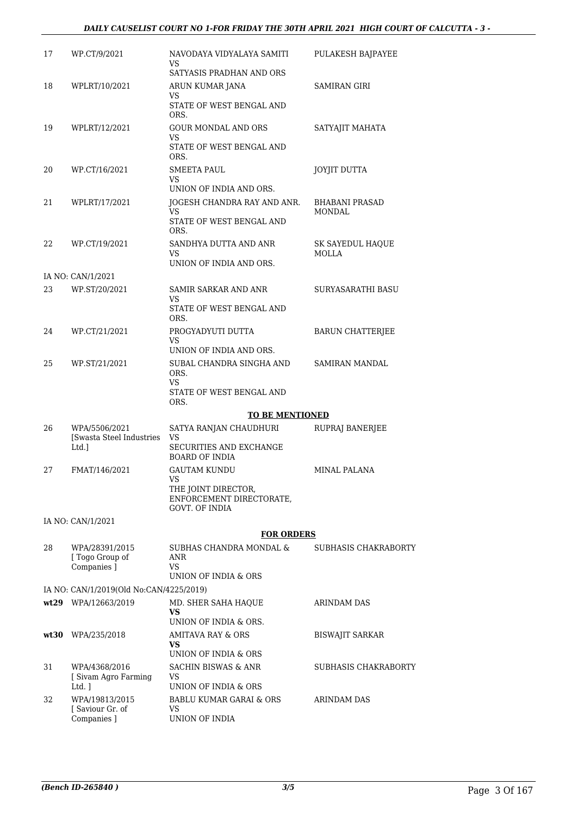## *DAILY CAUSELIST COURT NO 1-FOR FRIDAY THE 30TH APRIL 2021 HIGH COURT OF CALCUTTA - 3 -*

| 17 | WP.CT/9/2021                                        | NAVODAYA VIDYALAYA SAMITI<br>VS                                                  | PULAKESH BAJPAYEE                |
|----|-----------------------------------------------------|----------------------------------------------------------------------------------|----------------------------------|
| 18 | WPLRT/10/2021                                       | SATYASIS PRADHAN AND ORS<br>ARUN KUMAR JANA                                      | SAMIRAN GIRI                     |
|    |                                                     | VS<br>STATE OF WEST BENGAL AND<br>ORS.                                           |                                  |
| 19 | WPLRT/12/2021                                       | <b>GOUR MONDAL AND ORS</b><br>VS<br>STATE OF WEST BENGAL AND<br>ORS.             | SATYAJIT MAHATA                  |
| 20 | WP.CT/16/2021                                       | SMEETA PAUL<br>VS<br>UNION OF INDIA AND ORS.                                     | JOYJIT DUTTA                     |
| 21 | WPLRT/17/2021                                       | JOGESH CHANDRA RAY AND ANR.<br>VS.<br>STATE OF WEST BENGAL AND                   | <b>BHABANI PRASAD</b><br>MONDAL  |
| 22 | WP.CT/19/2021                                       | ORS.<br>SANDHYA DUTTA AND ANR<br>VS<br>UNION OF INDIA AND ORS.                   | SK SAYEDUL HAQUE<br><b>MOLLA</b> |
|    | IA NO: CAN/1/2021                                   |                                                                                  |                                  |
| 23 | WP.ST/20/2021                                       | SAMIR SARKAR AND ANR<br>VS.                                                      | SURYASARATHI BASU                |
|    |                                                     | STATE OF WEST BENGAL AND<br>ORS.                                                 |                                  |
| 24 | WP.CT/21/2021                                       | PROGYADYUTI DUTTA<br>VS<br>UNION OF INDIA AND ORS.                               | <b>BARUN CHATTERJEE</b>          |
| 25 | WP.ST/21/2021                                       | SUBAL CHANDRA SINGHA AND<br>ORS.<br>VS                                           | SAMIRAN MANDAL                   |
|    |                                                     | STATE OF WEST BENGAL AND<br>ORS.                                                 |                                  |
|    |                                                     | <b>TO BE MENTIONED</b>                                                           |                                  |
| 26 | WPA/5506/2021<br>[Swasta Steel Industries]<br>Ltd.] | SATYA RANJAN CHAUDHURI<br>VS<br>SECURITIES AND EXCHANGE<br><b>BOARD OF INDIA</b> | RUPRAJ BANERJEE                  |
| 27 | FMAT/146/2021                                       | <b>GAUTAM KUNDU</b><br>VS                                                        | <b>MINAL PALANA</b>              |
|    |                                                     | THE JOINT DIRECTOR,<br>ENFORCEMENT DIRECTORATE,<br>GOVT. OF INDIA                |                                  |
|    | IA NO: CAN/1/2021                                   |                                                                                  |                                  |
|    |                                                     | <b>FOR ORDERS</b>                                                                |                                  |
| 28 | WPA/28391/2015<br>[Togo Group of<br>Companies ]     | SUBHAS CHANDRA MONDAL &<br>ANR<br>VS.                                            | SUBHASIS CHAKRABORTY             |
|    |                                                     | UNION OF INDIA & ORS                                                             |                                  |
|    | IA NO: CAN/1/2019(Old No:CAN/4225/2019)             |                                                                                  |                                  |
|    | wt29 WPA/12663/2019                                 | MD. SHER SAHA HAQUE<br>VS<br>UNION OF INDIA & ORS.                               | <b>ARINDAM DAS</b>               |
|    | $wt30$ WPA/235/2018                                 | AMITAVA RAY & ORS<br>VS<br>UNION OF INDIA & ORS                                  | <b>BISWAJIT SARKAR</b>           |
| 31 | WPA/4368/2016<br>[ Sivam Agro Farming<br>Ltd. 1     | SACHIN BISWAS & ANR<br>VS<br>UNION OF INDIA & ORS                                | SUBHASIS CHAKRABORTY             |
| 32 | WPA/19813/2015<br>[Saviour Gr. of<br>Companies ]    | BABLU KUMAR GARAI & ORS<br>VS<br>UNION OF INDIA                                  | ARINDAM DAS                      |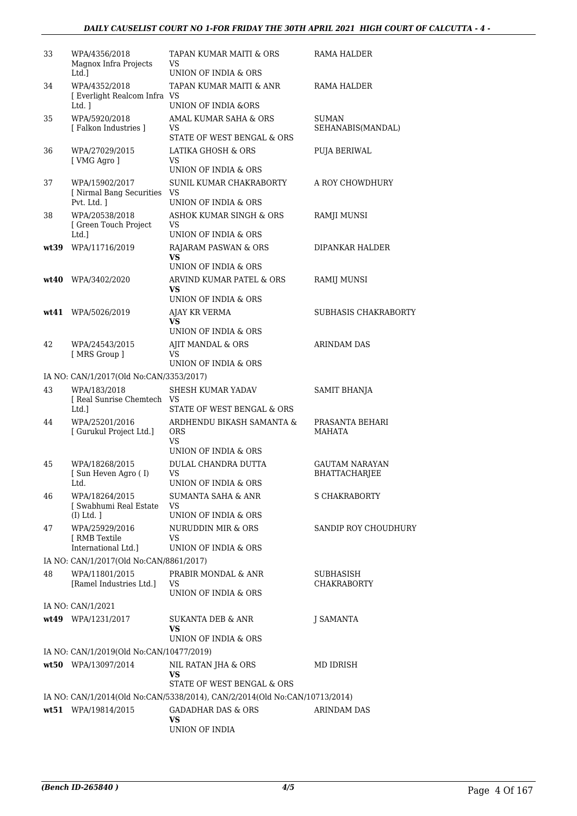| 33   | WPA/4356/2018<br>Magnox Infra Projects<br>Ltd.]            | TAPAN KUMAR MAITI & ORS<br>VS<br>UNION OF INDIA & ORS                      | RAMA HALDER                       |
|------|------------------------------------------------------------|----------------------------------------------------------------------------|-----------------------------------|
| 34   | WPA/4352/2018<br>[ Everlight Realcom Infra VS<br>Ltd. 1    | TAPAN KUMAR MAITI & ANR<br><b>UNION OF INDIA &amp;ORS</b>                  | RAMA HALDER                       |
| 35   | WPA/5920/2018<br>[ Falkon Industries ]                     | AMAL KUMAR SAHA & ORS<br>VS<br>STATE OF WEST BENGAL & ORS                  | <b>SUMAN</b><br>SEHANABIS(MANDAL) |
| 36   | WPA/27029/2015<br>[ VMG Agro ]                             | LATIKA GHOSH & ORS<br>VS<br>UNION OF INDIA & ORS                           | <b>PUJA BERIWAL</b>               |
| 37   | WPA/15902/2017<br>[ Nirmal Bang Securities<br>Pvt. Ltd. ]  | SUNIL KUMAR CHAKRABORTY<br>VS<br>UNION OF INDIA & ORS                      | A ROY CHOWDHURY                   |
| 38   | WPA/20538/2018<br>[ Green Touch Project<br>Ltd.]           | ASHOK KUMAR SINGH & ORS<br>VS<br>UNION OF INDIA & ORS                      | RAMJI MUNSI                       |
| wt39 | WPA/11716/2019                                             | RAJARAM PASWAN & ORS<br>VS.<br>UNION OF INDIA & ORS                        | DIPANKAR HALDER                   |
| wt40 | WPA/3402/2020                                              | ARVIND KUMAR PATEL & ORS<br>VS.<br>UNION OF INDIA & ORS                    | RAMIJ MUNSI                       |
|      | wt41 WPA/5026/2019                                         | AJAY KR VERMA<br>VS<br>UNION OF INDIA & ORS                                | SUBHASIS CHAKRABORTY              |
| 42   | WPA/24543/2015<br>[ MRS Group ]                            | AJIT MANDAL & ORS<br>VS<br>UNION OF INDIA & ORS                            | <b>ARINDAM DAS</b>                |
|      | IA NO: CAN/1/2017(Old No:CAN/3353/2017)                    |                                                                            |                                   |
| 43   | WPA/183/2018<br>[ Real Sunrise Chemtech VS<br>Ltd.]        | SHESH KUMAR YADAV<br>STATE OF WEST BENGAL & ORS                            | SAMIT BHANJA                      |
| 44   | WPA/25201/2016<br>[ Gurukul Project Ltd.]                  | ARDHENDU BIKASH SAMANTA &<br><b>ORS</b><br>VS<br>UNION OF INDIA & ORS      | PRASANTA BEHARI<br>MAHATA         |
| 45   | WPA/18268/2015<br>[ Sun Heven Agro (I)<br>Ltd.             | DULAL CHANDRA DUTTA<br>VS<br>UNION OF INDIA & ORS                          | GAUTAM NARAYAN<br>BHATTACHARJEE   |
| 46   | WPA/18264/2015<br>[ Swabhumi Real Estate<br>$(I)$ Ltd. $]$ | SUMANTA SAHA & ANR<br>VS<br>UNION OF INDIA & ORS                           | S CHAKRABORTY                     |
| 47   | WPA/25929/2016<br>[ RMB Textile<br>International Ltd.]     | <b>NURUDDIN MIR &amp; ORS</b><br>VS<br>UNION OF INDIA & ORS                | SANDIP ROY CHOUDHURY              |
|      | IA NO: CAN/1/2017(Old No:CAN/8861/2017)                    |                                                                            |                                   |
| 48   | WPA/11801/2015<br>[Ramel Industries Ltd.]                  | PRABIR MONDAL & ANR<br>VS<br>UNION OF INDIA & ORS                          | SUBHASISH<br><b>CHAKRABORTY</b>   |
|      | IA NO: CAN/1/2021                                          |                                                                            |                                   |
|      | wt49 WPA/1231/2017                                         | SUKANTA DEB & ANR<br>VS<br>UNION OF INDIA & ORS                            | J SAMANTA                         |
|      | IA NO: CAN/1/2019(Old No:CAN/10477/2019)                   |                                                                            |                                   |
|      | wt50 WPA/13097/2014                                        | NIL RATAN JHA & ORS<br>VS<br>STATE OF WEST BENGAL & ORS                    | MD IDRISH                         |
|      |                                                            | IA NO: CAN/1/2014(Old No:CAN/5338/2014), CAN/2/2014(Old No:CAN/10713/2014) |                                   |
|      | wt51 WPA/19814/2015                                        | <b>GADADHAR DAS &amp; ORS</b><br><b>VS</b><br>UNION OF INDIA               | ARINDAM DAS                       |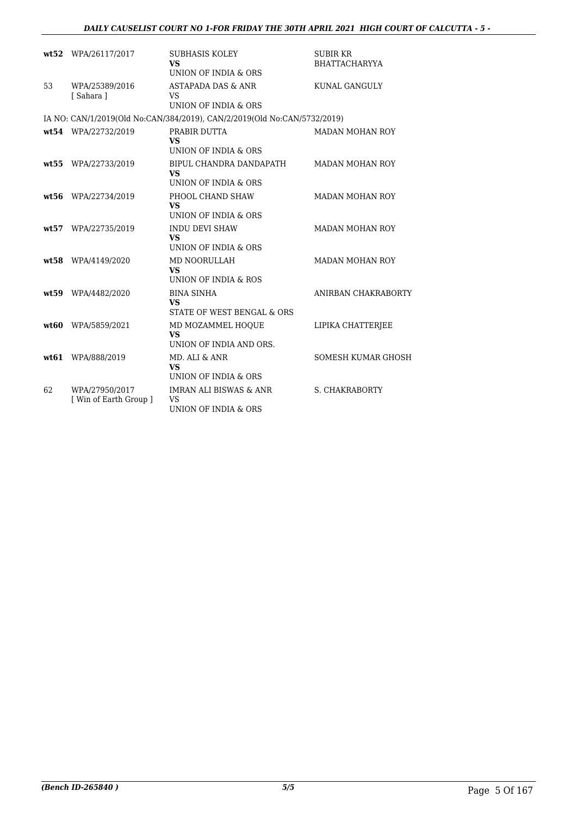## *DAILY CAUSELIST COURT NO 1-FOR FRIDAY THE 30TH APRIL 2021 HIGH COURT OF CALCUTTA - 5 -*

|       | wt52 WPA/26117/2017                      | <b>SUBHASIS KOLEY</b><br><b>VS</b><br>UNION OF INDIA & ORS                           | <b>SUBIR KR</b><br><b>BHATTACHARYYA</b> |
|-------|------------------------------------------|--------------------------------------------------------------------------------------|-----------------------------------------|
| 53    | WPA/25389/2016<br>[Sahara]               | <b>ASTAPADA DAS &amp; ANR</b><br>VS.<br><b>UNION OF INDIA &amp; ORS</b>              | KUNAL GANGULY                           |
|       |                                          | IA NO: CAN/1/2019(Old No:CAN/384/2019), CAN/2/2019(Old No:CAN/5732/2019)             |                                         |
|       | wt54 WPA/22732/2019                      | PRABIR DUTTA<br><b>VS</b>                                                            | <b>MADAN MOHAN ROY</b>                  |
| wt:55 | WPA/22733/2019                           | UNION OF INDIA & ORS<br>BIPUL CHANDRA DANDAPATH<br><b>VS</b><br>UNION OF INDIA & ORS | <b>MADAN MOHAN ROY</b>                  |
|       | wt56 WPA/22734/2019                      | PHOOL CHAND SHAW<br><b>VS</b><br>UNION OF INDIA & ORS                                | <b>MADAN MOHAN ROY</b>                  |
|       | wt57 WPA/22735/2019                      | <b>INDU DEVI SHAW</b><br><b>VS</b><br>UNION OF INDIA & ORS                           | <b>MADAN MOHAN ROY</b>                  |
|       | wt58 WPA/4149/2020                       | MD NOORULLAH<br>VS.<br>UNION OF INDIA & ROS                                          | <b>MADAN MOHAN ROY</b>                  |
| wt.59 | WPA/4482/2020                            | <b>BINA SINHA</b><br>VS<br>STATE OF WEST BENGAL & ORS                                | ANIRBAN CHAKRABORTY                     |
|       | wt60 WPA/5859/2021                       | MD MOZAMMEL HOOUE<br><b>VS</b><br>UNION OF INDIA AND ORS.                            | LIPIKA CHATTERJEE                       |
| wt.61 | WPA/888/2019                             | MD. ALI & ANR<br>VS<br>UNION OF INDIA & ORS                                          | SOMESH KUMAR GHOSH                      |
| 62    | WPA/27950/2017<br>[ Win of Earth Group ] | <b>IMRAN ALI BISWAS &amp; ANR</b><br><b>VS</b><br>UNION OF INDIA & ORS               | <b>S. CHAKRABORTY</b>                   |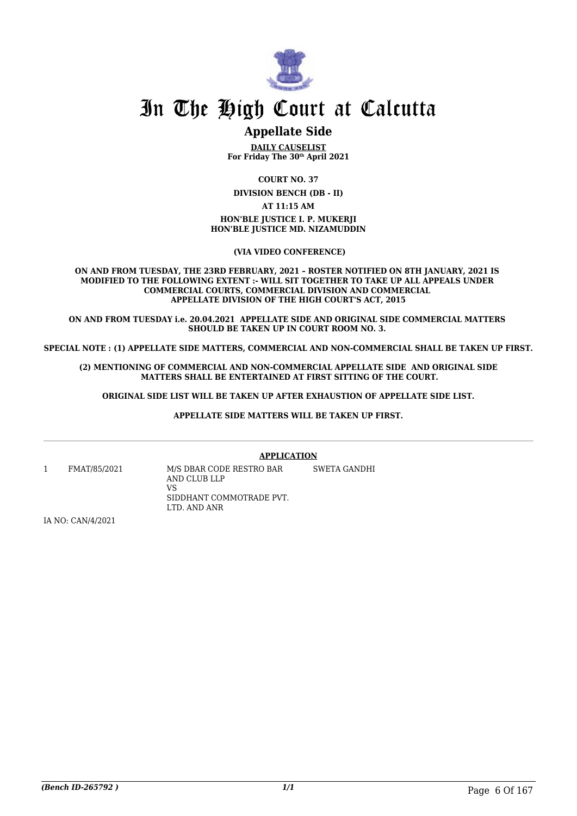

# **Appellate Side**

**DAILY CAUSELIST For Friday The 30th April 2021**

**COURT NO. 37**

**DIVISION BENCH (DB - II)**

**AT 11:15 AM**

**HON'BLE JUSTICE I. P. MUKERJI HON'BLE JUSTICE MD. NIZAMUDDIN**

 **(VIA VIDEO CONFERENCE)**

**ON AND FROM TUESDAY, THE 23RD FEBRUARY, 2021 – ROSTER NOTIFIED ON 8TH JANUARY, 2021 IS MODIFIED TO THE FOLLOWING EXTENT :- WILL SIT TOGETHER TO TAKE UP ALL APPEALS UNDER COMMERCIAL COURTS, COMMERCIAL DIVISION AND COMMERCIAL APPELLATE DIVISION OF THE HIGH COURT'S ACT, 2015**

**ON AND FROM TUESDAY i.e. 20.04.2021 APPELLATE SIDE AND ORIGINAL SIDE COMMERCIAL MATTERS SHOULD BE TAKEN UP IN COURT ROOM NO. 3.** 

**SPECIAL NOTE : (1) APPELLATE SIDE MATTERS, COMMERCIAL AND NON-COMMERCIAL SHALL BE TAKEN UP FIRST.**

**(2) MENTIONING OF COMMERCIAL AND NON-COMMERCIAL APPELLATE SIDE AND ORIGINAL SIDE MATTERS SHALL BE ENTERTAINED AT FIRST SITTING OF THE COURT.**

 **ORIGINAL SIDE LIST WILL BE TAKEN UP AFTER EXHAUSTION OF APPELLATE SIDE LIST.** 

**APPELLATE SIDE MATTERS WILL BE TAKEN UP FIRST.**

**APPLICATION**

SWETA GANDHI

1 FMAT/85/2021 M/S DBAR CODE RESTRO BAR

AND CLUB LLP VS SIDDHANT COMMOTRADE PVT. LTD. AND ANR

IA NO: CAN/4/2021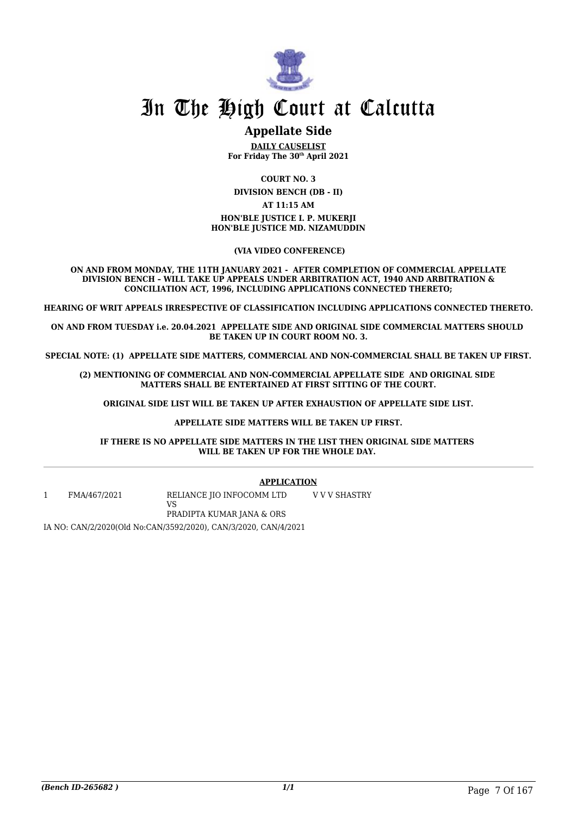

# **Appellate Side**

**DAILY CAUSELIST For Friday The 30th April 2021**

**COURT NO. 3**

**DIVISION BENCH (DB - II)**

**AT 11:15 AM**

**HON'BLE JUSTICE I. P. MUKERJI HON'BLE JUSTICE MD. NIZAMUDDIN**

 **(VIA VIDEO CONFERENCE)**

**ON AND FROM MONDAY, THE 11TH JANUARY 2021 - AFTER COMPLETION OF COMMERCIAL APPELLATE DIVISION BENCH – WILL TAKE UP APPEALS UNDER ARBITRATION ACT, 1940 AND ARBITRATION & CONCILIATION ACT, 1996, INCLUDING APPLICATIONS CONNECTED THERETO;**

**HEARING OF WRIT APPEALS IRRESPECTIVE OF CLASSIFICATION INCLUDING APPLICATIONS CONNECTED THERETO.**

**ON AND FROM TUESDAY i.e. 20.04.2021 APPELLATE SIDE AND ORIGINAL SIDE COMMERCIAL MATTERS SHOULD BE TAKEN UP IN COURT ROOM NO. 3.**

**SPECIAL NOTE: (1) APPELLATE SIDE MATTERS, COMMERCIAL AND NON-COMMERCIAL SHALL BE TAKEN UP FIRST.**

**(2) MENTIONING OF COMMERCIAL AND NON-COMMERCIAL APPELLATE SIDE AND ORIGINAL SIDE MATTERS SHALL BE ENTERTAINED AT FIRST SITTING OF THE COURT.**

 **ORIGINAL SIDE LIST WILL BE TAKEN UP AFTER EXHAUSTION OF APPELLATE SIDE LIST.** 

#### **APPELLATE SIDE MATTERS WILL BE TAKEN UP FIRST.**

**IF THERE IS NO APPELLATE SIDE MATTERS IN THE LIST THEN ORIGINAL SIDE MATTERS WILL BE TAKEN UP FOR THE WHOLE DAY.** 

#### **APPLICATION**

1 FMA/467/2021 RELIANCE JIO INFOCOMM LTD VS PRADIPTA KUMAR JANA & ORS V V V SHASTRY

IA NO: CAN/2/2020(Old No:CAN/3592/2020), CAN/3/2020, CAN/4/2021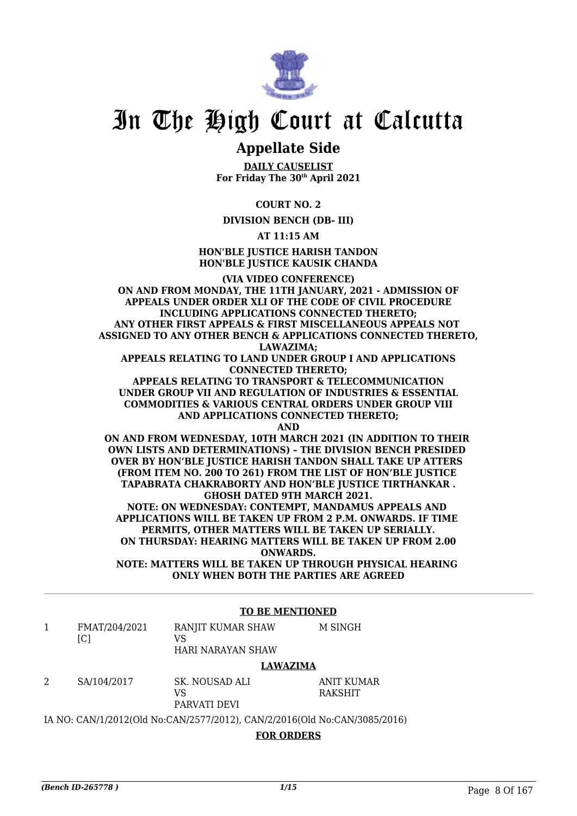

# **Appellate Side**

**DAILY CAUSELIST For Friday The 30th April 2021**

**COURT NO. 2**

**DIVISION BENCH (DB- III)**

**AT 11:15 AM**

**HON'BLE JUSTICE HARISH TANDON HON'BLE JUSTICE KAUSIK CHANDA**

**(VIA VIDEO CONFERENCE) ON AND FROM MONDAY, THE 11TH JANUARY, 2021 - ADMISSION OF APPEALS UNDER ORDER XLI OF THE CODE OF CIVIL PROCEDURE INCLUDING APPLICATIONS CONNECTED THERETO; ANY OTHER FIRST APPEALS & FIRST MISCELLANEOUS APPEALS NOT ASSIGNED TO ANY OTHER BENCH & APPLICATIONS CONNECTED THERETO, LAWAZIMA; APPEALS RELATING TO LAND UNDER GROUP I AND APPLICATIONS**

**CONNECTED THERETO;**

**APPEALS RELATING TO TRANSPORT & TELECOMMUNICATION UNDER GROUP VII AND REGULATION OF INDUSTRIES & ESSENTIAL COMMODITIES & VARIOUS CENTRAL ORDERS UNDER GROUP VIII AND APPLICATIONS CONNECTED THERETO;**

**AND**

**ON AND FROM WEDNESDAY, 10TH MARCH 2021 (IN ADDITION TO THEIR OWN LISTS AND DETERMINATIONS) – THE DIVISION BENCH PRESIDED OVER BY HON'BLE JUSTICE HARISH TANDON SHALL TAKE UP ATTERS (FROM ITEM NO. 200 TO 261) FROM THE LIST OF HON'BLE JUSTICE TAPABRATA CHAKRABORTY AND HON'BLE JUSTICE TIRTHANKAR . GHOSH DATED 9TH MARCH 2021.**

**NOTE: ON WEDNESDAY: CONTEMPT, MANDAMUS APPEALS AND APPLICATIONS WILL BE TAKEN UP FROM 2 P.M. ONWARDS. IF TIME PERMITS, OTHER MATTERS WILL BE TAKEN UP SERIALLY. ON THURSDAY: HEARING MATTERS WILL BE TAKEN UP FROM 2.00 ONWARDS.**

**NOTE: MATTERS WILL BE TAKEN UP THROUGH PHYSICAL HEARING ONLY WHEN BOTH THE PARTIES ARE AGREED**

## **TO BE MENTIONED**

1 FMAT/204/2021  $[CI]$ RANJIT KUMAR SHAW VS HARI NARAYAN SHAW M SINGH

#### **LAWAZIMA**

2 SA/104/2017 SK. NOUSAD ALI VS PARVATI DEVI ANIT KUMAR RAKSHIT

IA NO: CAN/1/2012(Old No:CAN/2577/2012), CAN/2/2016(Old No:CAN/3085/2016)

## **FOR ORDERS**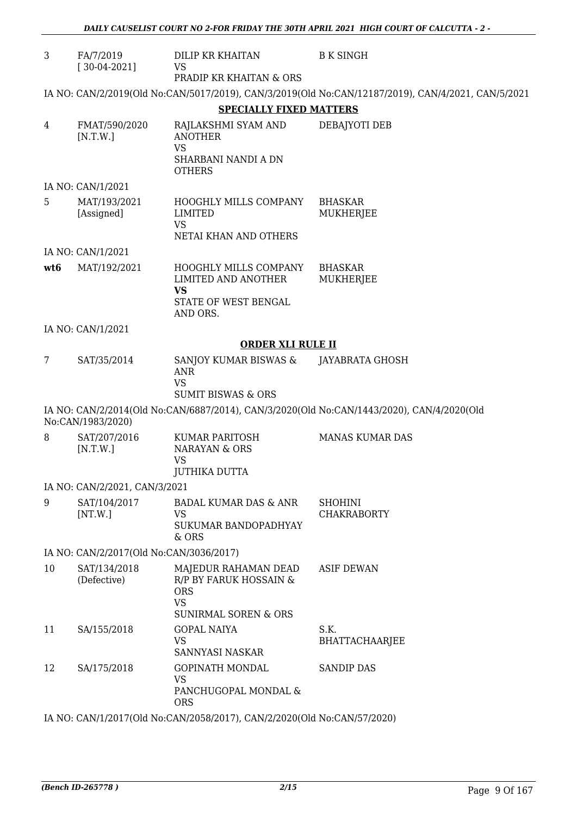| 3               | FA/7/2019<br>$[30-04-2021]$             | DILIP KR KHAITAN<br><b>VS</b>                                                                                | <b>B K SINGH</b>                                                                                   |
|-----------------|-----------------------------------------|--------------------------------------------------------------------------------------------------------------|----------------------------------------------------------------------------------------------------|
|                 |                                         | PRADIP KR KHAITAN & ORS                                                                                      |                                                                                                    |
|                 |                                         |                                                                                                              | IA NO: CAN/2/2019(Old No:CAN/5017/2019), CAN/3/2019(Old No:CAN/12187/2019), CAN/4/2021, CAN/5/2021 |
|                 |                                         | <b>SPECIALLY FIXED MATTERS</b>                                                                               |                                                                                                    |
| 4               | FMAT/590/2020<br>[N.T.W.]               | RAJLAKSHMI SYAM AND<br><b>ANOTHER</b><br><b>VS</b><br>SHARBANI NANDI A DN<br><b>OTHERS</b>                   | DEBAJYOTI DEB                                                                                      |
|                 | IA NO: CAN/1/2021                       |                                                                                                              |                                                                                                    |
| 5               | MAT/193/2021<br>[Assigned]              | HOOGHLY MILLS COMPANY<br><b>LIMITED</b><br><b>VS</b><br>NETAI KHAN AND OTHERS                                | <b>BHASKAR</b><br>MUKHERJEE                                                                        |
|                 | IA NO: CAN/1/2021                       |                                                                                                              |                                                                                                    |
| wt <sub>6</sub> | MAT/192/2021                            | HOOGHLY MILLS COMPANY<br>LIMITED AND ANOTHER<br><b>VS</b><br>STATE OF WEST BENGAL                            | <b>BHASKAR</b><br><b>MUKHERJEE</b>                                                                 |
|                 |                                         | AND ORS.                                                                                                     |                                                                                                    |
|                 | IA NO: CAN/1/2021                       | <b>ORDER XLI RULE II</b>                                                                                     |                                                                                                    |
|                 | SAT/35/2014                             |                                                                                                              |                                                                                                    |
| 7               |                                         | SANJOY KUMAR BISWAS &<br><b>ANR</b><br><b>VS</b><br><b>SUMIT BISWAS &amp; ORS</b>                            | JAYABRATA GHOSH                                                                                    |
|                 | No:CAN/1983/2020)                       |                                                                                                              | IA NO: CAN/2/2014(Old No:CAN/6887/2014), CAN/3/2020(Old No:CAN/1443/2020), CAN/4/2020(Old          |
| 8               | SAT/207/2016<br>[N.T.W.]                | KUMAR PARITOSH<br><b>NARAYAN &amp; ORS</b><br>VS<br><b>JUTHIKA DUTTA</b>                                     | <b>MANAS KUMAR DAS</b>                                                                             |
|                 | IA NO: CAN/2/2021, CAN/3/2021           |                                                                                                              |                                                                                                    |
| 9               | SAT/104/2017<br>[NT.W.]                 | BADAL KUMAR DAS & ANR<br><b>VS</b><br>SUKUMAR BANDOPADHYAY<br>& ORS                                          | <b>SHOHINI</b><br><b>CHAKRABORTY</b>                                                               |
|                 | IA NO: CAN/2/2017(Old No:CAN/3036/2017) |                                                                                                              |                                                                                                    |
| 10              | SAT/134/2018<br>(Defective)             | MAJEDUR RAHAMAN DEAD<br>R/P BY FARUK HOSSAIN &<br><b>ORS</b><br><b>VS</b><br><b>SUNIRMAL SOREN &amp; ORS</b> | <b>ASIF DEWAN</b>                                                                                  |
| 11              | SA/155/2018                             | <b>GOPAL NAIYA</b><br>VS.<br>SANNYASI NASKAR                                                                 | S.K.<br><b>BHATTACHAARJEE</b>                                                                      |
| 12              | SA/175/2018                             | <b>GOPINATH MONDAL</b><br><b>VS</b><br>PANCHUGOPAL MONDAL &<br><b>ORS</b>                                    | <b>SANDIP DAS</b>                                                                                  |

IA NO: CAN/1/2017(Old No:CAN/2058/2017), CAN/2/2020(Old No:CAN/57/2020)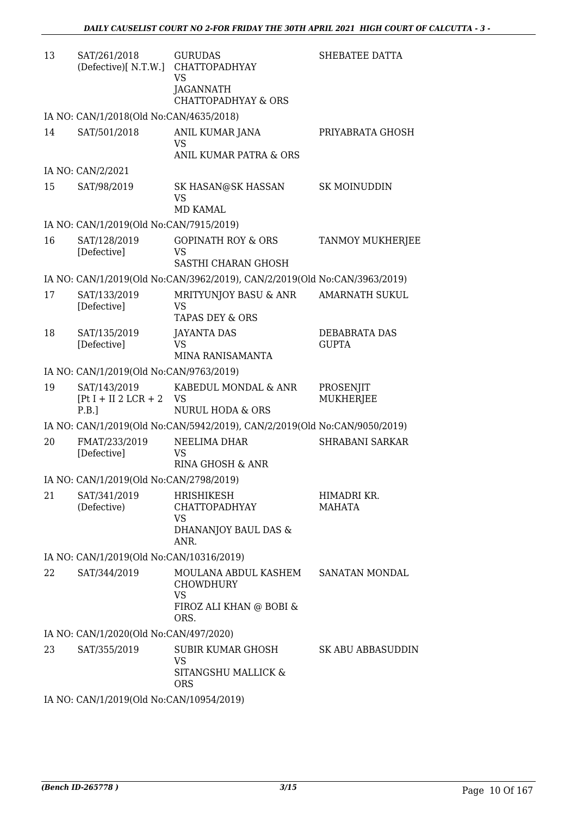| 13 | SAT/261/2018<br>(Defective)[N.T.W.]             | <b>GURUDAS</b><br><b>CHATTOPADHYAY</b><br><b>VS</b><br>JAGANNATH                         | SHEBATEE DATTA                |
|----|-------------------------------------------------|------------------------------------------------------------------------------------------|-------------------------------|
|    |                                                 | <b>CHATTOPADHYAY &amp; ORS</b>                                                           |                               |
|    | IA NO: CAN/1/2018(Old No:CAN/4635/2018)         |                                                                                          |                               |
| 14 | SAT/501/2018                                    | ANIL KUMAR JANA<br>VS<br><b>ANIL KUMAR PATRA &amp; ORS</b>                               | PRIYABRATA GHOSH              |
|    | IA NO: CAN/2/2021                               |                                                                                          |                               |
| 15 | SAT/98/2019                                     | SK HASAN@SK HASSAN<br><b>VS</b><br>MD KAMAL                                              | <b>SK MOINUDDIN</b>           |
|    | IA NO: CAN/1/2019(Old No:CAN/7915/2019)         |                                                                                          |                               |
| 16 | SAT/128/2019<br>[Defective]                     | <b>GOPINATH ROY &amp; ORS</b><br>VS                                                      | <b>TANMOY MUKHERJEE</b>       |
|    |                                                 | SASTHI CHARAN GHOSH                                                                      |                               |
|    |                                                 | IA NO: CAN/1/2019(Old No:CAN/3962/2019), CAN/2/2019(Old No:CAN/3963/2019)                |                               |
| 17 | SAT/133/2019<br>[Defective]                     | MRITYUNJOY BASU & ANR<br><b>VS</b><br><b>TAPAS DEY &amp; ORS</b>                         | <b>AMARNATH SUKUL</b>         |
| 18 | SAT/135/2019<br>[Defective]                     | <b>JAYANTA DAS</b><br>VS<br>MINA RANISAMANTA                                             | DEBABRATA DAS<br><b>GUPTA</b> |
|    | IA NO: CAN/1/2019(Old No:CAN/9763/2019)         |                                                                                          |                               |
| 19 | SAT/143/2019<br>$[Pt I + II 2 LCR + 2]$<br>P.B. | KABEDUL MONDAL & ANR<br>VS<br><b>NURUL HODA &amp; ORS</b>                                | PROSENJIT<br>MUKHERJEE        |
|    |                                                 | IA NO: CAN/1/2019(Old No:CAN/5942/2019), CAN/2/2019(Old No:CAN/9050/2019)                |                               |
| 20 | FMAT/233/2019<br>[Defective]                    | NEELIMA DHAR<br>VS<br>RINA GHOSH & ANR                                                   | <b>SHRABANI SARKAR</b>        |
|    | IA NO: CAN/1/2019(Old No:CAN/2798/2019)         |                                                                                          |                               |
| 21 | SAT/341/2019<br>(Defective)                     | HRISHIKESH<br><b>CHATTOPADHYAY</b><br>VS<br>DHANANJOY BAUL DAS &<br>ANR.                 | HIMADRI KR.<br>MAHATA         |
|    | IA NO: CAN/1/2019(Old No:CAN/10316/2019)        |                                                                                          |                               |
| 22 | SAT/344/2019                                    | MOULANA ABDUL KASHEM<br><b>CHOWDHURY</b><br><b>VS</b><br>FIROZ ALI KHAN @ BOBI &<br>ORS. | SANATAN MONDAL                |
|    | IA NO: CAN/1/2020(Old No:CAN/497/2020)          |                                                                                          |                               |
| 23 | SAT/355/2019                                    | SUBIR KUMAR GHOSH<br><b>VS</b><br>SITANGSHU MALLICK &<br><b>ORS</b>                      | <b>SK ABU ABBASUDDIN</b>      |
|    | IA NO: CAN/1/2019(Old No:CAN/10954/2019)        |                                                                                          |                               |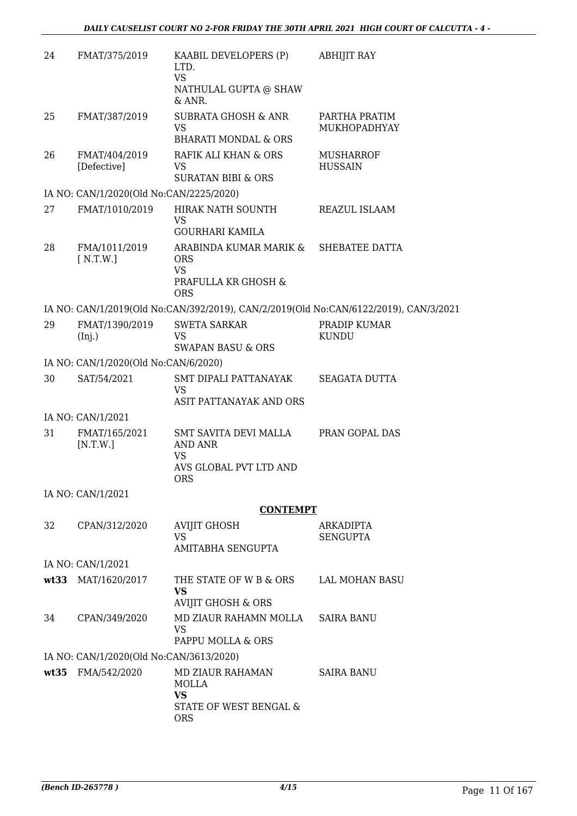| 24   | FMAT/375/2019                           | KAABIL DEVELOPERS (P)<br>LTD.<br><b>VS</b><br>NATHULAL GUPTA @ SHAW<br>$&$ ANR. | <b>ABHIJIT RAY</b>                                                                   |
|------|-----------------------------------------|---------------------------------------------------------------------------------|--------------------------------------------------------------------------------------|
| 25   | FMAT/387/2019                           | <b>SUBRATA GHOSH &amp; ANR</b><br><b>VS</b><br><b>BHARATI MONDAL &amp; ORS</b>  | PARTHA PRATIM<br>MUKHOPADHYAY                                                        |
| 26   | FMAT/404/2019<br>[Defective]            | RAFIK ALI KHAN & ORS<br><b>VS</b><br><b>SURATAN BIBI &amp; ORS</b>              | <b>MUSHARROF</b><br><b>HUSSAIN</b>                                                   |
|      | IA NO: CAN/1/2020(Old No:CAN/2225/2020) |                                                                                 |                                                                                      |
| 27   | FMAT/1010/2019                          | HIRAK NATH SOUNTH<br>VS<br>GOURHARI KAMILA                                      | REAZUL ISLAAM                                                                        |
| 28   | FMA/1011/2019<br>[N.T.W.]               | ARABINDA KUMAR MARIK &<br><b>ORS</b><br><b>VS</b><br>PRAFULLA KR GHOSH &        | SHEBATEE DATTA                                                                       |
|      |                                         | <b>ORS</b>                                                                      |                                                                                      |
|      |                                         |                                                                                 | IA NO: CAN/1/2019(Old No:CAN/392/2019), CAN/2/2019(Old No:CAN/6122/2019), CAN/3/2021 |
| 29   | FMAT/1390/2019                          | <b>SWETA SARKAR</b>                                                             | PRADIP KUMAR                                                                         |
|      | (Inj.)                                  | <b>VS</b><br><b>SWAPAN BASU &amp; ORS</b>                                       | <b>KUNDU</b>                                                                         |
|      | IA NO: CAN/1/2020(Old No:CAN/6/2020)    |                                                                                 |                                                                                      |
| 30   | SAT/54/2021                             | SMT DIPALI PATTANAYAK                                                           | <b>SEAGATA DUTTA</b>                                                                 |
|      |                                         | <b>VS</b><br>ASIT PATTANAYAK AND ORS                                            |                                                                                      |
|      | IA NO: CAN/1/2021                       |                                                                                 |                                                                                      |
| 31   | FMAT/165/2021<br>[N.T.W.]               | <b>SMT SAVITA DEVI MALLA</b><br>AND ANR<br>VS                                   | PRAN GOPAL DAS                                                                       |
|      |                                         | AVS GLOBAL PVT LTD AND<br><b>ORS</b>                                            |                                                                                      |
|      | IA NO: CAN/1/2021                       |                                                                                 |                                                                                      |
|      |                                         | <b>CONTEMPT</b>                                                                 |                                                                                      |
| 32   | CPAN/312/2020                           | <b>AVIJIT GHOSH</b>                                                             | ARKADIPTA                                                                            |
|      |                                         | <b>VS</b><br>AMITABHA SENGUPTA                                                  | <b>SENGUPTA</b>                                                                      |
|      | IA NO: CAN/1/2021                       |                                                                                 |                                                                                      |
| wt33 | MAT/1620/2017                           | THE STATE OF W B & ORS                                                          | <b>LAL MOHAN BASU</b>                                                                |
|      |                                         | <b>VS</b><br><b>AVIJIT GHOSH &amp; ORS</b>                                      |                                                                                      |
| 34   | CPAN/349/2020                           | MD ZIAUR RAHAMN MOLLA<br><b>VS</b><br>PAPPU MOLLA & ORS                         | <b>SAIRA BANU</b>                                                                    |
|      | IA NO: CAN/1/2020(Old No:CAN/3613/2020) |                                                                                 |                                                                                      |
| wt35 | FMA/542/2020                            | MD ZIAUR RAHAMAN                                                                | <b>SAIRA BANU</b>                                                                    |
|      |                                         | MOLLA<br><b>VS</b>                                                              |                                                                                      |
|      |                                         | STATE OF WEST BENGAL &<br><b>ORS</b>                                            |                                                                                      |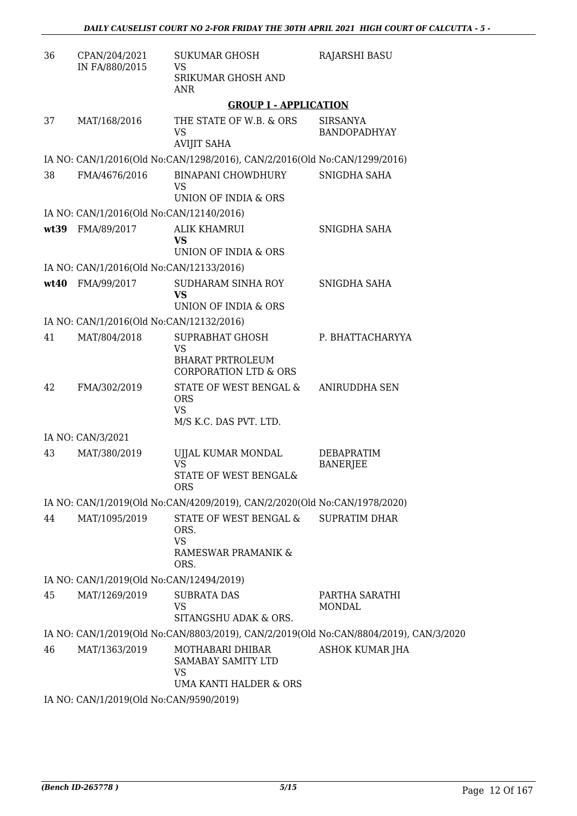| 36 | CPAN/204/2021                            | <b>SUKUMAR GHOSH</b>                                                                 | <b>RAJARSHI BASU</b>                                                                  |
|----|------------------------------------------|--------------------------------------------------------------------------------------|---------------------------------------------------------------------------------------|
|    | IN FA/880/2015                           | <b>VS</b><br>SRIKUMAR GHOSH AND<br><b>ANR</b>                                        |                                                                                       |
|    |                                          | <b>GROUP I - APPLICATION</b>                                                         |                                                                                       |
| 37 | MAT/168/2016                             | THE STATE OF W.B. & ORS<br>VS<br><b>AVIJIT SAHA</b>                                  | <b>SIRSANYA</b><br><b>BANDOPADHYAY</b>                                                |
|    |                                          | IA NO: CAN/1/2016(Old No:CAN/1298/2016), CAN/2/2016(Old No:CAN/1299/2016)            |                                                                                       |
| 38 | FMA/4676/2016                            | <b>BINAPANI CHOWDHURY</b><br><b>VS</b><br>UNION OF INDIA & ORS                       | SNIGDHA SAHA                                                                          |
|    | IA NO: CAN/1/2016(Old No:CAN/12140/2016) |                                                                                      |                                                                                       |
|    | wt39 FMA/89/2017                         | <b>ALIK KHAMRUI</b><br><b>VS</b><br>UNION OF INDIA & ORS                             | SNIGDHA SAHA                                                                          |
|    | IA NO: CAN/1/2016(Old No:CAN/12133/2016) |                                                                                      |                                                                                       |
|    | wt40 FMA/99/2017                         | SUDHARAM SINHA ROY<br><b>VS</b><br>UNION OF INDIA & ORS                              | SNIGDHA SAHA                                                                          |
|    | IA NO: CAN/1/2016(Old No:CAN/12132/2016) |                                                                                      |                                                                                       |
| 41 | MAT/804/2018                             | SUPRABHAT GHOSH<br>VS<br><b>BHARAT PRTROLEUM</b><br><b>CORPORATION LTD &amp; ORS</b> | P. BHATTACHARYYA                                                                      |
| 42 | FMA/302/2019                             | STATE OF WEST BENGAL &<br><b>ORS</b><br><b>VS</b><br>M/S K.C. DAS PVT. LTD.          | ANIRUDDHA SEN                                                                         |
|    | IA NO: CAN/3/2021                        |                                                                                      |                                                                                       |
| 43 | MAT/380/2019                             | UJJAL KUMAR MONDAL<br><b>VS</b><br>STATE OF WEST BENGAL&<br><b>ORS</b>               | <b>DEBAPRATIM</b><br><b>BANERJEE</b>                                                  |
|    |                                          | IA NO: CAN/1/2019(Old No:CAN/4209/2019), CAN/2/2020(Old No:CAN/1978/2020)            |                                                                                       |
| 44 | MAT/1095/2019                            | STATE OF WEST BENGAL &<br>ORS.<br><b>VS</b><br>RAMESWAR PRAMANIK &<br>ORS.           | <b>SUPRATIM DHAR</b>                                                                  |
|    | IA NO: CAN/1/2019(Old No:CAN/12494/2019) |                                                                                      |                                                                                       |
| 45 | MAT/1269/2019                            | <b>SUBRATA DAS</b><br><b>VS</b><br>SITANGSHU ADAK & ORS.                             | PARTHA SARATHI<br>MONDAL                                                              |
|    |                                          |                                                                                      | IA NO: CAN/1/2019(Old No:CAN/8803/2019), CAN/2/2019(Old No:CAN/8804/2019), CAN/3/2020 |
| 46 | MAT/1363/2019                            | MOTHABARI DHIBAR<br>SAMABAY SAMITY LTD<br><b>VS</b><br>UMA KANTI HALDER & ORS        | <b>ASHOK KUMAR JHA</b>                                                                |
|    | IA NO: CAN/1/2019(Old No:CAN/9590/2019)  |                                                                                      |                                                                                       |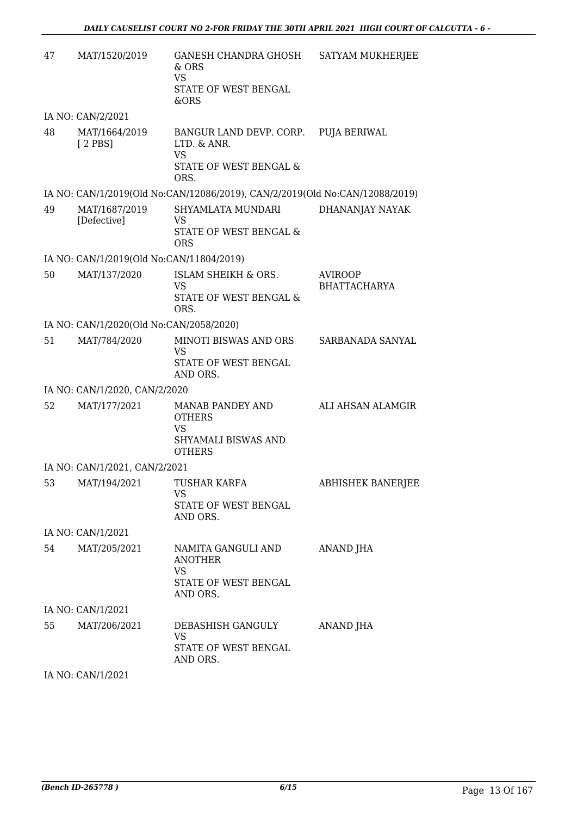| 47 | MAT/1520/2019                            | GANESH CHANDRA GHOSH SATYAM MUKHERJEE<br>$&$ ORS<br><b>VS</b><br>STATE OF WEST BENGAL<br>&ORS      |                                       |
|----|------------------------------------------|----------------------------------------------------------------------------------------------------|---------------------------------------|
|    | IA NO: CAN/2/2021                        |                                                                                                    |                                       |
| 48 | MAT/1664/2019<br>$[2$ PBS]               | BANGUR LAND DEVP. CORP. PUJA BERIWAL<br>LTD. & ANR.<br><b>VS</b><br>STATE OF WEST BENGAL &<br>ORS. |                                       |
|    |                                          | IA NO: CAN/1/2019(Old No:CAN/12086/2019), CAN/2/2019(Old No:CAN/12088/2019)                        |                                       |
| 49 | MAT/1687/2019<br>[Defective]             | SHYAMLATA MUNDARI<br>VS<br>STATE OF WEST BENGAL &<br><b>ORS</b>                                    | DHANANJAY NAYAK                       |
|    | IA NO: CAN/1/2019(Old No:CAN/11804/2019) |                                                                                                    |                                       |
| 50 | MAT/137/2020                             | ISLAM SHEIKH & ORS.<br><b>VS</b><br>STATE OF WEST BENGAL &<br>ORS.                                 | <b>AVIROOP</b><br><b>BHATTACHARYA</b> |
|    | IA NO: CAN/1/2020(Old No:CAN/2058/2020)  |                                                                                                    |                                       |
| 51 | MAT/784/2020                             | MINOTI BISWAS AND ORS<br><b>VS</b><br>STATE OF WEST BENGAL<br>AND ORS.                             | SARBANADA SANYAL                      |
|    | IA NO: CAN/1/2020, CAN/2/2020            |                                                                                                    |                                       |
| 52 | MAT/177/2021                             | MANAB PANDEY AND<br><b>OTHERS</b><br><b>VS</b><br>SHYAMALI BISWAS AND<br><b>OTHERS</b>             | ALI AHSAN ALAMGIR                     |
|    | IA NO: CAN/1/2021, CAN/2/2021            |                                                                                                    |                                       |
|    | 53 MAT/194/2021 TUSHAR KARFA             | VS.<br>STATE OF WEST BENGAL<br>AND ORS.                                                            | <b>ABHISHEK BANERJEE</b>              |
|    | IA NO: CAN/1/2021                        |                                                                                                    |                                       |
| 54 | MAT/205/2021                             | NAMITA GANGULI AND<br><b>ANOTHER</b><br><b>VS</b><br>STATE OF WEST BENGAL<br>AND ORS.              | ANAND JHA                             |
|    | IA NO: CAN/1/2021                        |                                                                                                    |                                       |
| 55 | MAT/206/2021                             | DEBASHISH GANGULY<br><b>VS</b><br>STATE OF WEST BENGAL<br>AND ORS.                                 | ANAND JHA                             |

IA NO: CAN/1/2021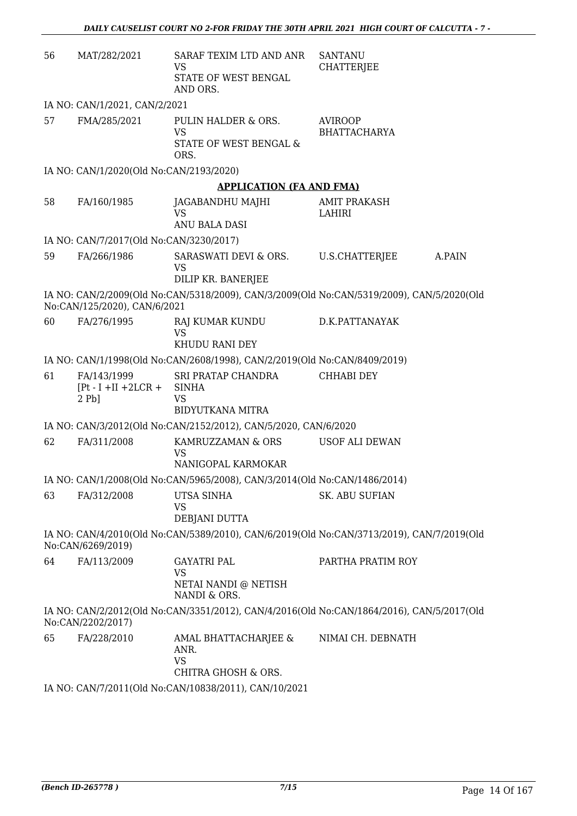| 56 | MAT/282/2021                                      | SARAF TEXIM LTD AND ANR<br>VS<br>STATE OF WEST BENGAL<br>AND ORS.                                         | <b>SANTANU</b><br><b>CHATTERJEE</b>   |        |
|----|---------------------------------------------------|-----------------------------------------------------------------------------------------------------------|---------------------------------------|--------|
|    | IA NO: CAN/1/2021, CAN/2/2021                     |                                                                                                           |                                       |        |
| 57 | FMA/285/2021                                      | PULIN HALDER & ORS.<br><b>VS</b><br><b>STATE OF WEST BENGAL &amp;</b><br>ORS.                             | <b>AVIROOP</b><br><b>BHATTACHARYA</b> |        |
|    | IA NO: CAN/1/2020(Old No:CAN/2193/2020)           |                                                                                                           |                                       |        |
|    |                                                   | <b>APPLICATION (FA AND FMA)</b>                                                                           |                                       |        |
| 58 | FA/160/1985                                       | JAGABANDHU MAJHI<br><b>VS</b><br>ANU BALA DASI                                                            | <b>AMIT PRAKASH</b><br>LAHIRI         |        |
|    | IA NO: CAN/7/2017(Old No:CAN/3230/2017)           |                                                                                                           |                                       |        |
| 59 | FA/266/1986                                       | SARASWATI DEVI & ORS.<br><b>VS</b><br>DILIP KR. BANERJEE                                                  | U.S.CHATTERJEE                        | A.PAIN |
|    | No:CAN/125/2020), CAN/6/2021                      | IA NO: CAN/2/2009(Old No:CAN/5318/2009), CAN/3/2009(Old No:CAN/5319/2009), CAN/5/2020(Old                 |                                       |        |
| 60 | FA/276/1995                                       | RAJ KUMAR KUNDU<br><b>VS</b><br>KHUDU RANI DEY                                                            | D.K.PATTANAYAK                        |        |
|    |                                                   | IA NO: CAN/1/1998(Old No:CAN/2608/1998), CAN/2/2019(Old No:CAN/8409/2019)                                 |                                       |        |
| 61 | FA/143/1999<br>$[Pt - I + II + 2LCR +$<br>$2Pb$ ] | SRI PRATAP CHANDRA<br><b>SINHA</b><br><b>VS</b><br><b>BIDYUTKANA MITRA</b>                                | <b>CHHABI DEY</b>                     |        |
|    |                                                   | IA NO: CAN/3/2012(Old No:CAN/2152/2012), CAN/5/2020, CAN/6/2020                                           |                                       |        |
| 62 | FA/311/2008                                       | KAMRUZZAMAN & ORS<br>VS<br>NANIGOPAL KARMOKAR                                                             | <b>USOF ALI DEWAN</b>                 |        |
|    |                                                   | IA NO: CAN/1/2008(Old No:CAN/5965/2008), CAN/3/2014(Old No:CAN/1486/2014)                                 |                                       |        |
| 63 | FA/312/2008                                       | UTSA SINHA<br>VS<br>DEBJANI DUTTA                                                                         | <b>SK. ABU SUFIAN</b>                 |        |
|    | No:CAN/6269/2019)                                 | IA NO: CAN/4/2010(Old No:CAN/5389/2010), CAN/6/2019(Old No:CAN/3713/2019), CAN/7/2019(Old                 |                                       |        |
| 64 | FA/113/2009                                       | <b>GAYATRI PAL</b><br><b>VS</b><br>NETAI NANDI @ NETISH                                                   | PARTHA PRATIM ROY                     |        |
|    | No:CAN/2202/2017)                                 | NANDI & ORS.<br>IA NO: CAN/2/2012(Old No:CAN/3351/2012), CAN/4/2016(Old No:CAN/1864/2016), CAN/5/2017(Old |                                       |        |
| 65 | FA/228/2010                                       | AMAL BHATTACHARJEE &<br>ANR.<br><b>VS</b><br>CHITRA GHOSH & ORS.                                          | NIMAI CH. DEBNATH                     |        |
|    |                                                   | IA NO: CAN/7/2011(Old No:CAN/10838/2011), CAN/10/2021                                                     |                                       |        |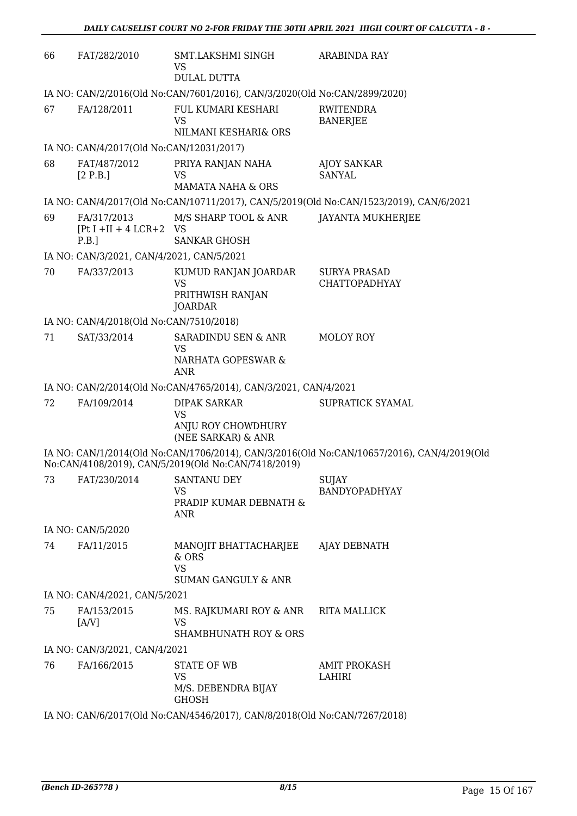| 66 | FAT/282/2010                                | SMT.LAKSHMI SINGH<br>VS                                                      | ARABINDA RAY                                                                               |
|----|---------------------------------------------|------------------------------------------------------------------------------|--------------------------------------------------------------------------------------------|
|    |                                             | <b>DULAL DUTTA</b>                                                           |                                                                                            |
|    |                                             | IA NO: CAN/2/2016(Old No:CAN/7601/2016), CAN/3/2020(Old No:CAN/2899/2020)    |                                                                                            |
| 67 | FA/128/2011                                 | FUL KUMARI KESHARI<br><b>VS</b>                                              | <b>RWITENDRA</b><br><b>BANERJEE</b>                                                        |
|    |                                             | NILMANI KESHARI& ORS                                                         |                                                                                            |
| 68 | IA NO: CAN/4/2017(Old No:CAN/12031/2017)    |                                                                              |                                                                                            |
|    | FAT/487/2012<br>[2 P.B.]                    | PRIYA RANJAN NAHA<br>VS<br><b>MAMATA NAHA &amp; ORS</b>                      | <b>AJOY SANKAR</b><br><b>SANYAL</b>                                                        |
|    |                                             |                                                                              | IA NO: CAN/4/2017(Old No:CAN/10711/2017), CAN/5/2019(Old No:CAN/1523/2019), CAN/6/2021     |
| 69 | FA/317/2013<br>$[Pt I + II + 4 LCR + 2 VS]$ | M/S SHARP TOOL & ANR                                                         | <b>JAYANTA MUKHERJEE</b>                                                                   |
|    | P.B.                                        | <b>SANKAR GHOSH</b>                                                          |                                                                                            |
|    | IA NO: CAN/3/2021, CAN/4/2021, CAN/5/2021   |                                                                              |                                                                                            |
| 70 | FA/337/2013                                 | KUMUD RANJAN JOARDAR<br><b>VS</b>                                            | <b>SURYA PRASAD</b><br><b>CHATTOPADHYAY</b>                                                |
|    |                                             | PRITHWISH RANJAN<br><b>JOARDAR</b>                                           |                                                                                            |
|    | IA NO: CAN/4/2018(Old No:CAN/7510/2018)     |                                                                              |                                                                                            |
| 71 | SAT/33/2014                                 | SARADINDU SEN & ANR<br><b>VS</b><br>NARHATA GOPESWAR &<br><b>ANR</b>         | <b>MOLOY ROY</b>                                                                           |
|    |                                             | IA NO: CAN/2/2014(Old No:CAN/4765/2014), CAN/3/2021, CAN/4/2021              |                                                                                            |
| 72 | FA/109/2014                                 | <b>DIPAK SARKAR</b><br><b>VS</b><br>ANJU ROY CHOWDHURY<br>(NEE SARKAR) & ANR | SUPRATICK SYAMAL                                                                           |
|    |                                             | No:CAN/4108/2019), CAN/5/2019(Old No:CAN/7418/2019)                          | IA NO: CAN/1/2014(Old No:CAN/1706/2014), CAN/3/2016(Old No:CAN/10657/2016), CAN/4/2019(Old |
|    | 73 FAT/230/2014 SANTANU DEY                 | <b>VS</b><br>PRADIP KUMAR DEBNATH &<br><b>ANR</b>                            | SUJAY<br>BANDYOPADHYAY                                                                     |
|    | IA NO: CAN/5/2020                           |                                                                              |                                                                                            |
| 74 | FA/11/2015                                  | MANOJIT BHATTACHARJEE AJAY DEBNATH<br>& ORS<br><b>VS</b>                     |                                                                                            |
|    |                                             | <b>SUMAN GANGULY &amp; ANR</b>                                               |                                                                                            |
|    | IA NO: CAN/4/2021, CAN/5/2021               |                                                                              |                                                                                            |
| 75 | FA/153/2015<br>[AY]                         | MS. RAJKUMARI ROY & ANR<br>VS                                                | <b>RITA MALLICK</b>                                                                        |
|    |                                             | <b>SHAMBHUNATH ROY &amp; ORS</b>                                             |                                                                                            |
|    | IA NO: CAN/3/2021, CAN/4/2021               |                                                                              |                                                                                            |
| 76 | FA/166/2015                                 | <b>STATE OF WB</b><br>VS<br>M/S. DEBENDRA BIJAY<br><b>GHOSH</b>              | <b>AMIT PROKASH</b><br>LAHIRI                                                              |
|    |                                             | IA NO: CAN/6/2017(Old No:CAN/4546/2017), CAN/8/2018(Old No:CAN/7267/2018)    |                                                                                            |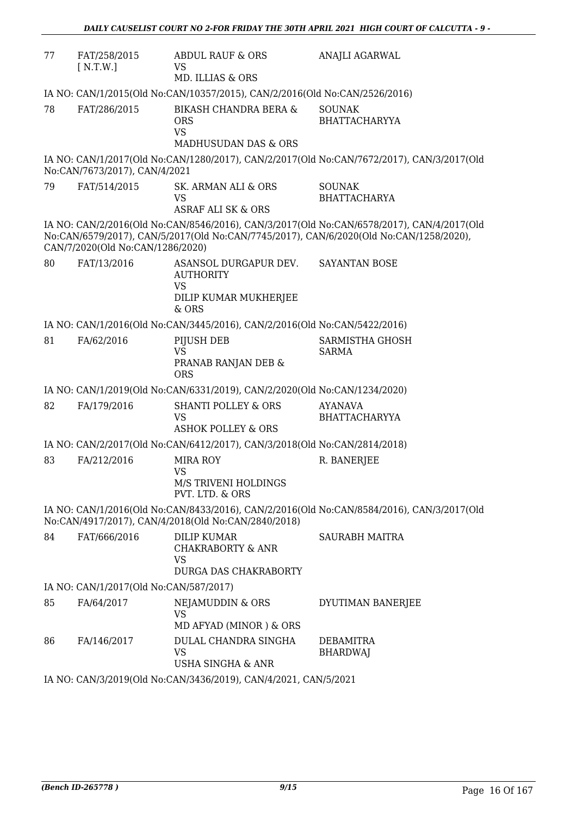| 77 | FAT/258/2015<br>[ N.T.W.]                                                  | <b>ABDUL RAUF &amp; ORS</b><br>VS<br>MD. ILLIAS & ORS                                    | ANAJLI AGARWAL                                                                                                                                                                      |  |
|----|----------------------------------------------------------------------------|------------------------------------------------------------------------------------------|-------------------------------------------------------------------------------------------------------------------------------------------------------------------------------------|--|
|    | IA NO: CAN/1/2015(Old No:CAN/10357/2015), CAN/2/2016(Old No:CAN/2526/2016) |                                                                                          |                                                                                                                                                                                     |  |
| 78 | FAT/286/2015                                                               | BIKASH CHANDRA BERA &<br><b>ORS</b><br><b>VS</b><br>MADHUSUDAN DAS & ORS                 | <b>SOUNAK</b><br><b>BHATTACHARYYA</b>                                                                                                                                               |  |
|    | No:CAN/7673/2017), CAN/4/2021                                              |                                                                                          | IA NO: CAN/1/2017(Old No:CAN/1280/2017), CAN/2/2017(Old No:CAN/7672/2017), CAN/3/2017(Old                                                                                           |  |
| 79 | FAT/514/2015                                                               | SK. ARMAN ALI & ORS<br><b>VS</b><br><b>ASRAF ALI SK &amp; ORS</b>                        | <b>SOUNAK</b><br><b>BHATTACHARYA</b>                                                                                                                                                |  |
|    | CAN/7/2020(Old No:CAN/1286/2020)                                           |                                                                                          | IA NO: CAN/2/2016(Old No:CAN/8546/2016), CAN/3/2017(Old No:CAN/6578/2017), CAN/4/2017(Old<br>No:CAN/6579/2017), CAN/5/2017(Old No:CAN/7745/2017), CAN/6/2020(Old No:CAN/1258/2020), |  |
| 80 | FAT/13/2016                                                                | ASANSOL DURGAPUR DEV.<br><b>AUTHORITY</b><br><b>VS</b>                                   | SAYANTAN BOSE                                                                                                                                                                       |  |
|    |                                                                            | DILIP KUMAR MUKHERJEE<br>$&$ ORS                                                         |                                                                                                                                                                                     |  |
|    |                                                                            | IA NO: CAN/1/2016(Old No:CAN/3445/2016), CAN/2/2016(Old No:CAN/5422/2016)                |                                                                                                                                                                                     |  |
| 81 | FA/62/2016                                                                 | PIJUSH DEB<br><b>VS</b><br>PRANAB RANJAN DEB &<br><b>ORS</b>                             | SARMISTHA GHOSH<br><b>SARMA</b>                                                                                                                                                     |  |
|    |                                                                            | IA NO: CAN/1/2019(Old No:CAN/6331/2019), CAN/2/2020(Old No:CAN/1234/2020)                |                                                                                                                                                                                     |  |
| 82 | FA/179/2016                                                                | <b>SHANTI POLLEY &amp; ORS</b><br><b>VS</b><br><b>ASHOK POLLEY &amp; ORS</b>             | <b>AYANAVA</b><br><b>BHATTACHARYYA</b>                                                                                                                                              |  |
|    |                                                                            | IA NO: CAN/2/2017(Old No:CAN/6412/2017), CAN/3/2018(Old No:CAN/2814/2018)                |                                                                                                                                                                                     |  |
| 83 | FA/212/2016                                                                | <b>MIRA ROY</b><br><b>VS</b>                                                             | R. BANERJEE                                                                                                                                                                         |  |
|    |                                                                            | M/S TRIVENI HOLDINGS<br>PVT. LTD. & ORS                                                  |                                                                                                                                                                                     |  |
|    |                                                                            | No:CAN/4917/2017), CAN/4/2018(Old No:CAN/2840/2018)                                      | IA NO: CAN/1/2016(Old No:CAN/8433/2016), CAN/2/2016(Old No:CAN/8584/2016), CAN/3/2017(Old                                                                                           |  |
| 84 | FAT/666/2016                                                               | <b>DILIP KUMAR</b><br><b>CHAKRABORTY &amp; ANR</b><br><b>VS</b><br>DURGA DAS CHAKRABORTY | <b>SAURABH MAITRA</b>                                                                                                                                                               |  |
|    | IA NO: CAN/1/2017(Old No:CAN/587/2017)                                     |                                                                                          |                                                                                                                                                                                     |  |
| 85 | FA/64/2017                                                                 | NEJAMUDDIN & ORS<br><b>VS</b><br>MD AFYAD (MINOR) & ORS                                  | DYUTIMAN BANERJEE                                                                                                                                                                   |  |
| 86 | FA/146/2017                                                                | DULAL CHANDRA SINGHA<br>VS<br>USHA SINGHA & ANR                                          | <b>DEBAMITRA</b><br><b>BHARDWAJ</b>                                                                                                                                                 |  |
|    |                                                                            | IA NO: CAN/3/2019(Old No:CAN/3436/2019), CAN/4/2021, CAN/5/2021                          |                                                                                                                                                                                     |  |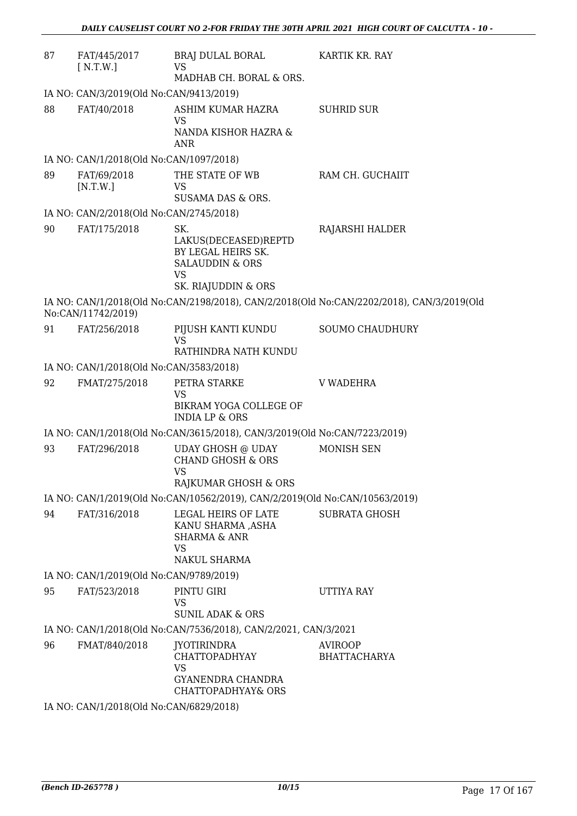| 87 | FAT/445/2017<br>[ N.T.W.]               | BRAJ DULAL BORAL<br>VS<br>MADHAB CH. BORAL & ORS.                                                                   | KARTIK KR. RAY                                                                            |  |  |
|----|-----------------------------------------|---------------------------------------------------------------------------------------------------------------------|-------------------------------------------------------------------------------------------|--|--|
|    | IA NO: CAN/3/2019(Old No:CAN/9413/2019) |                                                                                                                     |                                                                                           |  |  |
| 88 | FAT/40/2018                             | ASHIM KUMAR HAZRA<br><b>VS</b><br>NANDA KISHOR HAZRA &<br><b>ANR</b>                                                | <b>SUHRID SUR</b>                                                                         |  |  |
|    | IA NO: CAN/1/2018(Old No:CAN/1097/2018) |                                                                                                                     |                                                                                           |  |  |
| 89 | FAT/69/2018<br>[N.T.W.]                 | THE STATE OF WB<br>VS<br>SUSAMA DAS & ORS.                                                                          | RAM CH. GUCHAIIT                                                                          |  |  |
|    | IA NO: CAN/2/2018(Old No:CAN/2745/2018) |                                                                                                                     |                                                                                           |  |  |
| 90 | FAT/175/2018                            | SK.<br>LAKUS(DECEASED)REPTD<br>BY LEGAL HEIRS SK.<br><b>SALAUDDIN &amp; ORS</b><br><b>VS</b><br>SK. RIAJUDDIN & ORS | RAJARSHI HALDER                                                                           |  |  |
|    | No:CAN/11742/2019)                      |                                                                                                                     | IA NO: CAN/1/2018(Old No:CAN/2198/2018), CAN/2/2018(Old No:CAN/2202/2018), CAN/3/2019(Old |  |  |
| 91 | FAT/256/2018                            | PIJUSH KANTI KUNDU<br><b>VS</b><br>RATHINDRA NATH KUNDU                                                             | <b>SOUMO CHAUDHURY</b>                                                                    |  |  |
|    | IA NO: CAN/1/2018(Old No:CAN/3583/2018) |                                                                                                                     |                                                                                           |  |  |
| 92 | FMAT/275/2018                           | PETRA STARKE<br><b>VS</b><br>BIKRAM YOGA COLLEGE OF<br><b>INDIA LP &amp; ORS</b>                                    | V WADEHRA                                                                                 |  |  |
|    |                                         | IA NO: CAN/1/2018(Old No:CAN/3615/2018), CAN/3/2019(Old No:CAN/7223/2019)                                           |                                                                                           |  |  |
| 93 | FAT/296/2018                            | UDAY GHOSH @ UDAY<br><b>CHAND GHOSH &amp; ORS</b><br><b>VS</b><br>RAJKUMAR GHOSH & ORS                              | <b>MONISH SEN</b>                                                                         |  |  |
|    |                                         | IA NO: CAN/1/2019(Old No:CAN/10562/2019), CAN/2/2019(Old No:CAN/10563/2019)                                         |                                                                                           |  |  |
| 94 | FAT/316/2018                            | LEGAL HEIRS OF LATE<br>KANU SHARMA ,ASHA<br><b>SHARMA &amp; ANR</b><br><b>VS</b><br><b>NAKUL SHARMA</b>             | <b>SUBRATA GHOSH</b>                                                                      |  |  |
|    | IA NO: CAN/1/2019(Old No:CAN/9789/2019) |                                                                                                                     |                                                                                           |  |  |
| 95 | FAT/523/2018                            | PINTU GIRI<br>VS<br><b>SUNIL ADAK &amp; ORS</b>                                                                     | UTTIYA RAY                                                                                |  |  |
|    |                                         | IA NO: CAN/1/2018(Old No:CAN/7536/2018), CAN/2/2021, CAN/3/2021                                                     |                                                                                           |  |  |
| 96 | FMAT/840/2018                           | JYOTIRINDRA<br><b>CHATTOPADHYAY</b><br><b>VS</b><br>GYANENDRA CHANDRA<br><b>CHATTOPADHYAY&amp; ORS</b>              | AVIROOP<br><b>BHATTACHARYA</b>                                                            |  |  |
|    | IA NO: CAN/1/2018(Old No:CAN/6829/2018) |                                                                                                                     |                                                                                           |  |  |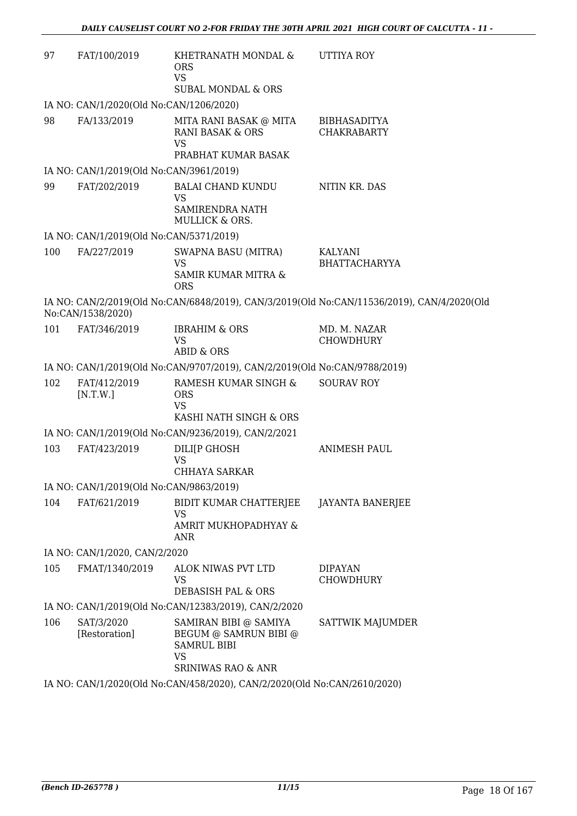| 97  | FAT/100/2019                            | KHETRANATH MONDAL &<br><b>ORS</b><br><b>VS</b><br><b>SUBAL MONDAL &amp; ORS</b>                                    | UTTIYA ROY                                                                                 |
|-----|-----------------------------------------|--------------------------------------------------------------------------------------------------------------------|--------------------------------------------------------------------------------------------|
|     | IA NO: CAN/1/2020(Old No:CAN/1206/2020) |                                                                                                                    |                                                                                            |
| 98  | FA/133/2019                             | MITA RANI BASAK @ MITA<br><b>RANI BASAK &amp; ORS</b><br><b>VS</b>                                                 | <b>BIBHASADITYA</b><br><b>CHAKRABARTY</b>                                                  |
|     |                                         | PRABHAT KUMAR BASAK                                                                                                |                                                                                            |
|     | IA NO: CAN/1/2019(Old No:CAN/3961/2019) |                                                                                                                    |                                                                                            |
| 99  | FAT/202/2019                            | <b>BALAI CHAND KUNDU</b><br><b>VS</b><br>SAMIRENDRA NATH<br>MULLICK & ORS.                                         | NITIN KR. DAS                                                                              |
|     | IA NO: CAN/1/2019(Old No:CAN/5371/2019) |                                                                                                                    |                                                                                            |
| 100 | FA/227/2019                             | <b>SWAPNA BASU (MITRA)</b><br><b>VS</b><br>SAMIR KUMAR MITRA &<br><b>ORS</b>                                       | KALYANI<br><b>BHATTACHARYYA</b>                                                            |
|     | No:CAN/1538/2020)                       |                                                                                                                    | IA NO: CAN/2/2019(Old No:CAN/6848/2019), CAN/3/2019(Old No:CAN/11536/2019), CAN/4/2020(Old |
| 101 | FAT/346/2019                            | <b>IBRAHIM &amp; ORS</b><br><b>VS</b><br><b>ABID &amp; ORS</b>                                                     | MD. M. NAZAR<br><b>CHOWDHURY</b>                                                           |
|     |                                         | IA NO: CAN/1/2019(Old No:CAN/9707/2019), CAN/2/2019(Old No:CAN/9788/2019)                                          |                                                                                            |
| 102 | FAT/412/2019<br>[N.T.W.]                | RAMESH KUMAR SINGH &<br><b>ORS</b><br><b>VS</b><br>KASHI NATH SINGH & ORS                                          | <b>SOURAV ROY</b>                                                                          |
|     |                                         | IA NO: CAN/1/2019(Old No:CAN/9236/2019), CAN/2/2021                                                                |                                                                                            |
| 103 | FAT/423/2019                            | DILI[P GHOSH<br><b>VS</b>                                                                                          | <b>ANIMESH PAUL</b>                                                                        |
|     | IA NO: CAN/1/2019(Old No:CAN/9863/2019) | <b>CHHAYA SARKAR</b>                                                                                               |                                                                                            |
| 104 | FAT/621/2019                            | BIDIT KUMAR CHATTERJEE                                                                                             | <b>JAYANTA BANERJEE</b>                                                                    |
|     |                                         | <b>VS</b><br>AMRIT MUKHOPADHYAY &<br>ANR                                                                           |                                                                                            |
|     | IA NO: CAN/1/2020, CAN/2/2020           |                                                                                                                    |                                                                                            |
| 105 | FMAT/1340/2019                          | ALOK NIWAS PVT LTD<br><b>VS</b>                                                                                    | <b>DIPAYAN</b><br><b>CHOWDHURY</b>                                                         |
|     |                                         | <b>DEBASISH PAL &amp; ORS</b>                                                                                      |                                                                                            |
|     |                                         | IA NO: CAN/1/2019(Old No:CAN/12383/2019), CAN/2/2020                                                               |                                                                                            |
| 106 | SAT/3/2020<br>[Restoration]             | SAMIRAN BIBI @ SAMIYA<br>BEGUM @ SAMRUN BIBI @<br><b>SAMRUL BIBI</b><br><b>VS</b><br><b>SRINIWAS RAO &amp; ANR</b> | SATTWIK MAJUMDER                                                                           |
|     |                                         | IA NO: CAN/1/2020(Old No:CAN/458/2020), CAN/2/2020(Old No:CAN/2610/2020)                                           |                                                                                            |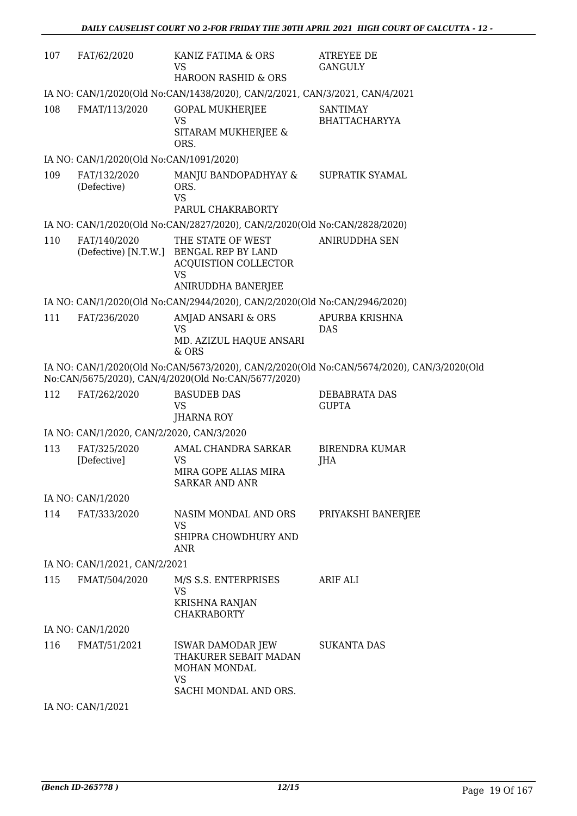| 107 | FAT/62/2020                               | KANIZ FATIMA & ORS<br>VS<br>HAROON RASHID & ORS                                                                         | <b>ATREYEE DE</b><br><b>GANGULY</b>                                                       |
|-----|-------------------------------------------|-------------------------------------------------------------------------------------------------------------------------|-------------------------------------------------------------------------------------------|
|     |                                           | IA NO: CAN/1/2020(Old No:CAN/1438/2020), CAN/2/2021, CAN/3/2021, CAN/4/2021                                             |                                                                                           |
| 108 | FMAT/113/2020                             | <b>GOPAL MUKHERJEE</b><br>VS<br>SITARAM MUKHERJEE &<br>ORS.                                                             | <b>SANTIMAY</b><br><b>BHATTACHARYYA</b>                                                   |
|     | IA NO: CAN/1/2020(Old No:CAN/1091/2020)   |                                                                                                                         |                                                                                           |
| 109 | FAT/132/2020<br>(Defective)               | MANJU BANDOPADHYAY &<br>ORS.<br><b>VS</b>                                                                               | SUPRATIK SYAMAL                                                                           |
|     |                                           | PARUL CHAKRABORTY                                                                                                       |                                                                                           |
|     |                                           | IA NO: CAN/1/2020(Old No:CAN/2827/2020), CAN/2/2020(Old No:CAN/2828/2020)                                               |                                                                                           |
| 110 | FAT/140/2020                              | THE STATE OF WEST<br>(Defective) [N.T.W.] BENGAL REP BY LAND<br>ACQUISTION COLLECTOR<br><b>VS</b><br>ANIRUDDHA BANERJEE | <b>ANIRUDDHA SEN</b>                                                                      |
|     |                                           | IA NO: CAN/1/2020(Old No:CAN/2944/2020), CAN/2/2020(Old No:CAN/2946/2020)                                               |                                                                                           |
| 111 | FAT/236/2020                              | AMJAD ANSARI & ORS<br><b>VS</b><br>MD. AZIZUL HAQUE ANSARI<br>& ORS                                                     | APURBA KRISHNA<br><b>DAS</b>                                                              |
|     |                                           | No:CAN/5675/2020), CAN/4/2020(Old No:CAN/5677/2020)                                                                     | IA NO: CAN/1/2020(Old No:CAN/5673/2020), CAN/2/2020(Old No:CAN/5674/2020), CAN/3/2020(Old |
| 112 | FAT/262/2020                              | <b>BASUDEB DAS</b><br><b>VS</b><br><b>JHARNA ROY</b>                                                                    | DEBABRATA DAS<br><b>GUPTA</b>                                                             |
|     | IA NO: CAN/1/2020, CAN/2/2020, CAN/3/2020 |                                                                                                                         |                                                                                           |
| 113 | FAT/325/2020<br>[Defective]               | AMAL CHANDRA SARKAR<br><b>VS</b><br>MIRA GOPE ALIAS MIRA<br><b>SARKAR AND ANR</b>                                       | <b>BIRENDRA KUMAR</b><br>JHA                                                              |
|     | IA NO: CAN/1/2020                         |                                                                                                                         |                                                                                           |
| 114 | FAT/333/2020                              | NASIM MONDAL AND ORS<br><b>VS</b><br>SHIPRA CHOWDHURY AND<br>ANR                                                        | PRIYAKSHI BANERJEE                                                                        |
|     | IA NO: CAN/1/2021, CAN/2/2021             |                                                                                                                         |                                                                                           |
| 115 | FMAT/504/2020                             | M/S S.S. ENTERPRISES<br>VS<br>KRISHNA RANJAN<br><b>CHAKRABORTY</b>                                                      | ARIF ALI                                                                                  |
|     | IA NO: CAN/1/2020                         |                                                                                                                         |                                                                                           |
| 116 | FMAT/51/2021                              | ISWAR DAMODAR JEW<br>THAKURER SEBAIT MADAN<br>MOHAN MONDAL<br><b>VS</b><br>SACHI MONDAL AND ORS.                        | <b>SUKANTA DAS</b>                                                                        |
|     | IA NO: CAN/1/2021                         |                                                                                                                         |                                                                                           |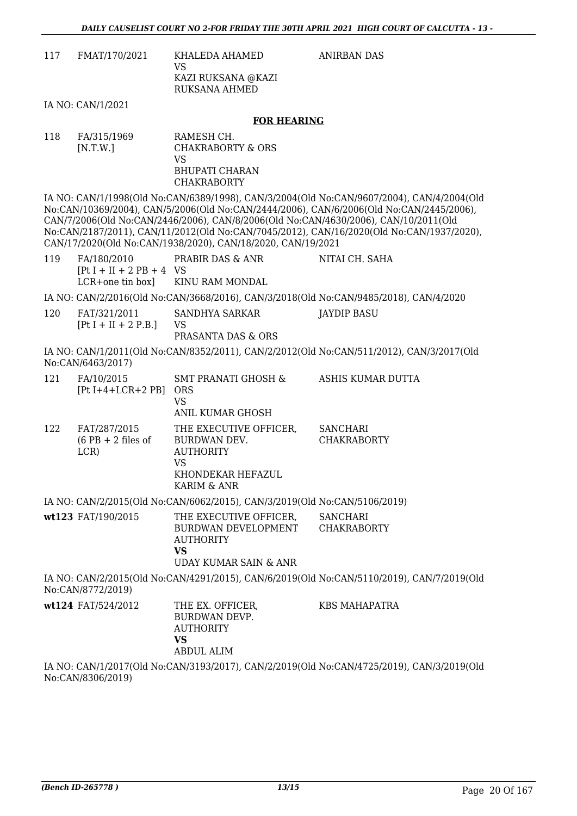ANIRBAN DAS

| 117 | FMAT/170/2021 | KHALEDA AHAMED<br>VS<br>KAZI RUKSANA @KAZI<br>RUKSANA AHMED |
|-----|---------------|-------------------------------------------------------------|
|     |               |                                                             |

IA NO: CAN/1/2021

#### **FOR HEARING**

| 118 | FA/315/1969 | RAMESH CH.         |
|-----|-------------|--------------------|
|     | [N.T.W.]    | CHAKRABORTY & ORS  |
|     |             | VS.                |
|     |             | BHUPATI CHARAN     |
|     |             | <b>CHAKRABORTY</b> |

IA NO: CAN/1/1998(Old No:CAN/6389/1998), CAN/3/2004(Old No:CAN/9607/2004), CAN/4/2004(Old No:CAN/10369/2004), CAN/5/2006(Old No:CAN/2444/2006), CAN/6/2006(Old No:CAN/2445/2006), CAN/7/2006(Old No:CAN/2446/2006), CAN/8/2006(Old No:CAN/4630/2006), CAN/10/2011(Old No:CAN/2187/2011), CAN/11/2012(Old No:CAN/7045/2012), CAN/16/2020(Old No:CAN/1937/2020), CAN/17/2020(Old No:CAN/1938/2020), CAN/18/2020, CAN/19/2021

| 119 | FA/180/2010<br>$[Pt I + II + 2 PB + 4 VS]$ | PRABIR DAS & ANR                                                                      | NITAI CH. SAHA |  |
|-----|--------------------------------------------|---------------------------------------------------------------------------------------|----------------|--|
|     |                                            | LCR+one tin box KINU RAM MONDAL                                                       |                |  |
|     |                                            | IA NO: CAN/2/2016(Old No:CAN/3668/2016), CAN/3/2018(Old No:CAN/9485/2018), CAN/4/2020 |                |  |
| 120 | FAT/321/2011                               | SANDHYA SARKAR                                                                        | JAYDIP BASU    |  |

 $[Pt I + II + 2 P.B.]$ VS PRASANTA DAS & ORS IA NO: CAN/1/2011(Old No:CAN/8352/2011), CAN/2/2012(Old No:CAN/511/2012), CAN/3/2017(Old

No:CAN/6463/2017)

| 121 | FA/10/2015<br>$[Pt I+4+LCR+2 PB]$            | <b>SMT PRANATI GHOSH &amp;</b><br><b>ORS</b><br>VS<br>ANIL KUMAR GHOSH                               | ASHIS KUMAR DUTTA                     |
|-----|----------------------------------------------|------------------------------------------------------------------------------------------------------|---------------------------------------|
| 122 | FAT/287/2015<br>$(6$ PB + 2 files of<br>LCR) | THE EXECUTIVE OFFICER,<br>BURDWAN DEV.<br><b>AUTHORITY</b><br>VS<br>KHONDEKAR HEFAZUL<br>KARIM & ANR | <b>SANCHARI</b><br><b>CHAKRABORTY</b> |

IA NO: CAN/2/2015(Old No:CAN/6062/2015), CAN/3/2019(Old No:CAN/5106/2019)

| wt123 FAT/190/2015 | THE EXECUTIVE OFFICER.<br>BURDWAN DEVELOPMENT<br>AUTHORITY<br>VS | SANCHARI<br>CHAKRABORTY |
|--------------------|------------------------------------------------------------------|-------------------------|
|                    | UDAY KUMAR SAIN & ANR                                            |                         |

IA NO: CAN/2/2015(Old No:CAN/4291/2015), CAN/6/2019(Old No:CAN/5110/2019), CAN/7/2019(Old No:CAN/8772/2019)

| <b>wt124</b> FAT/524/2012 | THE EX. OFFICER.<br>BURDWAN DEVP.<br>AUTHORITY<br>VS | KBS MAHAPATRA |
|---------------------------|------------------------------------------------------|---------------|
|                           | ABDUL ALIM                                           |               |

IA NO: CAN/1/2017(Old No:CAN/3193/2017), CAN/2/2019(Old No:CAN/4725/2019), CAN/3/2019(Old No:CAN/8306/2019)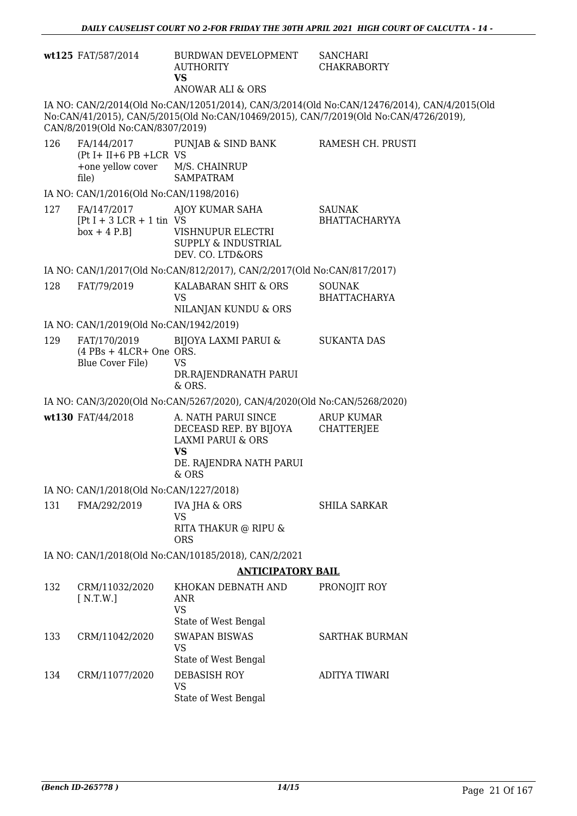|                          | wt125 FAT/587/2014                                            | BURDWAN DEVELOPMENT<br><b>AUTHORITY</b><br><b>VS</b><br>ANOWAR ALI & ORS                                                       | <b>SANCHARI</b><br><b>CHAKRABORTY</b>                                                                                                                                                |
|--------------------------|---------------------------------------------------------------|--------------------------------------------------------------------------------------------------------------------------------|--------------------------------------------------------------------------------------------------------------------------------------------------------------------------------------|
|                          | CAN/8/2019(Old No:CAN/8307/2019)                              |                                                                                                                                | IA NO: CAN/2/2014(Old No:CAN/12051/2014), CAN/3/2014(Old No:CAN/12476/2014), CAN/4/2015(Old<br>No:CAN/41/2015), CAN/5/2015(Old No:CAN/10469/2015), CAN/7/2019(Old No:CAN/4726/2019), |
| 126                      | $(Pt I + II + 6 PB + LCR VS)$<br>+one yellow cover<br>file)   | FA/144/2017 PUNJAB & SIND BANK<br>M/S. CHAINRUP<br><b>SAMPATRAM</b>                                                            | RAMESH CH. PRUSTI                                                                                                                                                                    |
|                          | IA NO: CAN/1/2016(Old No:CAN/1198/2016)                       |                                                                                                                                |                                                                                                                                                                                      |
| 127                      | FA/147/2017<br>$[Pt I + 3 LCR + 1 tin VS]$<br>$box + 4 P.B]$  | AJOY KUMAR SAHA<br>VISHNUPUR ELECTRI<br><b>SUPPLY &amp; INDUSTRIAL</b><br>DEV. CO. LTD&ORS                                     | <b>SAUNAK</b><br><b>BHATTACHARYYA</b>                                                                                                                                                |
|                          |                                                               | IA NO: CAN/1/2017(Old No:CAN/812/2017), CAN/2/2017(Old No:CAN/817/2017)                                                        |                                                                                                                                                                                      |
| 128                      | FAT/79/2019                                                   | KALABARAN SHIT & ORS<br><b>VS</b><br>NILANJAN KUNDU & ORS                                                                      | <b>SOUNAK</b><br><b>BHATTACHARYA</b>                                                                                                                                                 |
|                          | IA NO: CAN/1/2019(Old No:CAN/1942/2019)                       |                                                                                                                                |                                                                                                                                                                                      |
| 129                      | FAT/170/2019<br>$(4$ PBs + 4LCR+ One ORS.<br>Blue Cover File) | <b>BIJOYA LAXMI PARUI &amp;</b><br><b>VS</b><br>DR.RAJENDRANATH PARUI<br>& ORS.                                                | <b>SUKANTA DAS</b>                                                                                                                                                                   |
|                          |                                                               | IA NO: CAN/3/2020(Old No:CAN/5267/2020), CAN/4/2020(Old No:CAN/5268/2020)                                                      |                                                                                                                                                                                      |
|                          | wt130 FAT/44/2018                                             | A. NATH PARUI SINCE<br>DECEASD REP. BY BIJOYA<br><b>LAXMI PARUI &amp; ORS</b><br><b>VS</b><br>DE. RAJENDRA NATH PARUI<br>& ORS | <b>ARUP KUMAR</b><br><b>CHATTERJEE</b>                                                                                                                                               |
|                          | IA NO: CAN/1/2018(Old No:CAN/1227/2018)                       |                                                                                                                                |                                                                                                                                                                                      |
| 131                      | FMA/292/2019                                                  | <b>IVA JHA &amp; ORS</b>                                                                                                       | <b>SHILA SARKAR</b>                                                                                                                                                                  |
|                          |                                                               | <b>VS</b><br>RITA THAKUR @ RIPU &<br><b>ORS</b>                                                                                |                                                                                                                                                                                      |
|                          |                                                               | IA NO: CAN/1/2018(Old No:CAN/10185/2018), CAN/2/2021                                                                           |                                                                                                                                                                                      |
| <b>ANTICIPATORY BAIL</b> |                                                               |                                                                                                                                |                                                                                                                                                                                      |
| 132                      | CRM/11032/2020<br>[ N.T.W.]                                   | KHOKAN DEBNATH AND<br>ANR<br><b>VS</b><br>State of West Bengal                                                                 | PRONOJIT ROY                                                                                                                                                                         |
| 133                      | CRM/11042/2020                                                | <b>SWAPAN BISWAS</b><br><b>VS</b><br>State of West Bengal                                                                      | <b>SARTHAK BURMAN</b>                                                                                                                                                                |
| 134                      | CRM/11077/2020                                                | DEBASISH ROY<br><b>VS</b>                                                                                                      | <b>ADITYA TIWARI</b>                                                                                                                                                                 |

State of West Bengal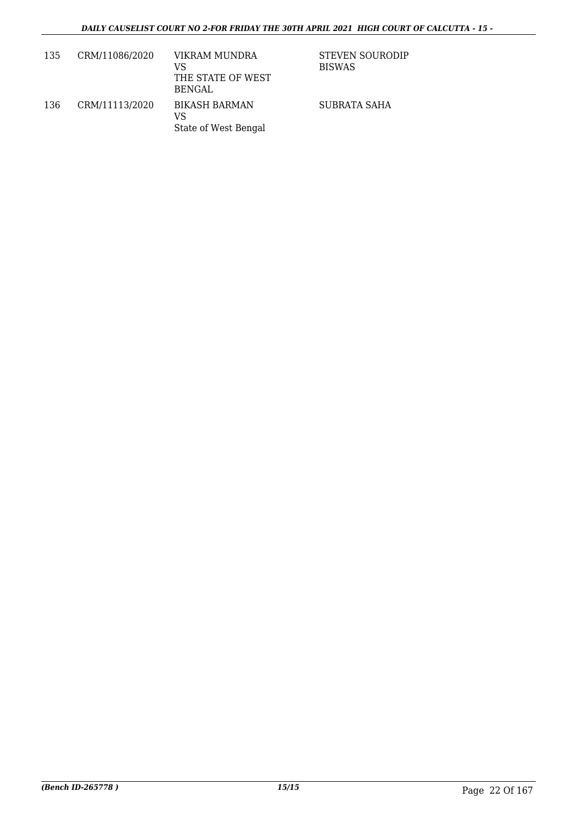| 135 | CRM/11086/2020 | VIKRAM MUNDRA<br>VS<br>THE STATE OF WEST<br>BENGAL | STEVEN SOURODIP<br><b>BISWAS</b> |
|-----|----------------|----------------------------------------------------|----------------------------------|
| 136 | CRM/11113/2020 | <b>BIKASH BARMAN</b><br>VS<br>State of West Bengal | SUBRATA SAHA                     |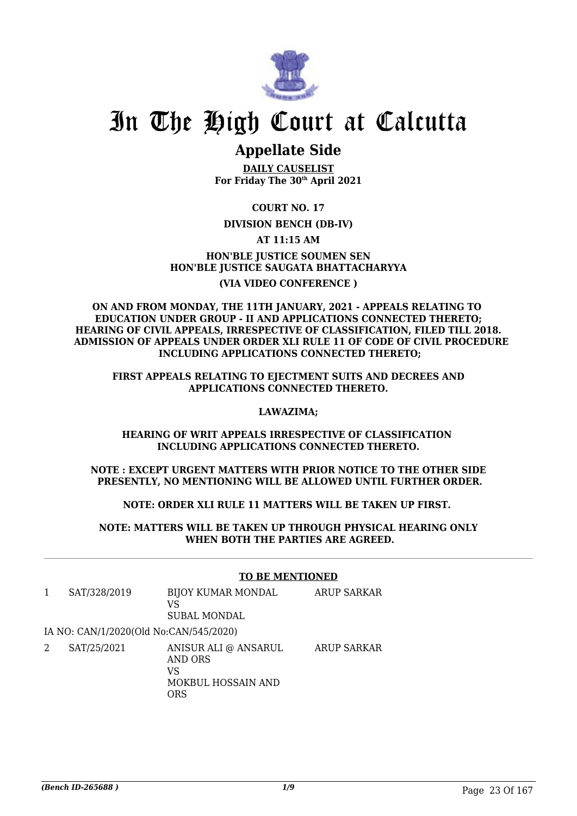

# **Appellate Side**

**DAILY CAUSELIST For Friday The 30th April 2021**

**COURT NO. 17**

## **DIVISION BENCH (DB-IV)**

**AT 11:15 AM**

**HON'BLE JUSTICE SOUMEN SEN HON'BLE JUSTICE SAUGATA BHATTACHARYYA (VIA VIDEO CONFERENCE )**

## **ON AND FROM MONDAY, THE 11TH JANUARY, 2021 - APPEALS RELATING TO EDUCATION UNDER GROUP - II AND APPLICATIONS CONNECTED THERETO; HEARING OF CIVIL APPEALS, IRRESPECTIVE OF CLASSIFICATION, FILED TILL 2018. ADMISSION OF APPEALS UNDER ORDER XLI RULE 11 OF CODE OF CIVIL PROCEDURE INCLUDING APPLICATIONS CONNECTED THERETO;**

**FIRST APPEALS RELATING TO EJECTMENT SUITS AND DECREES AND APPLICATIONS CONNECTED THERETO.**

## **LAWAZIMA;**

**HEARING OF WRIT APPEALS IRRESPECTIVE OF CLASSIFICATION INCLUDING APPLICATIONS CONNECTED THERETO.**

**NOTE : EXCEPT URGENT MATTERS WITH PRIOR NOTICE TO THE OTHER SIDE PRESENTLY, NO MENTIONING WILL BE ALLOWED UNTIL FURTHER ORDER.**

**NOTE: ORDER XLI RULE 11 MATTERS WILL BE TAKEN UP FIRST.** 

**NOTE: MATTERS WILL BE TAKEN UP THROUGH PHYSICAL HEARING ONLY WHEN BOTH THE PARTIES ARE AGREED.**

## **TO BE MENTIONED**

| 1 | SAT/328/2019                           | <b>BIJOY KUMAR MONDAL</b><br>VS<br><b>SUBAL MONDAL</b>             | <b>ARUP SARKAR</b> |
|---|----------------------------------------|--------------------------------------------------------------------|--------------------|
|   | IA NO: CAN/1/2020(Old No:CAN/545/2020) |                                                                    |                    |
| 2 | SAT/25/2021                            | ANISUR ALI @ ANSARUL<br>AND ORS<br>VS<br>MOKBUL HOSSAIN AND<br>ORS | <b>ARUP SARKAR</b> |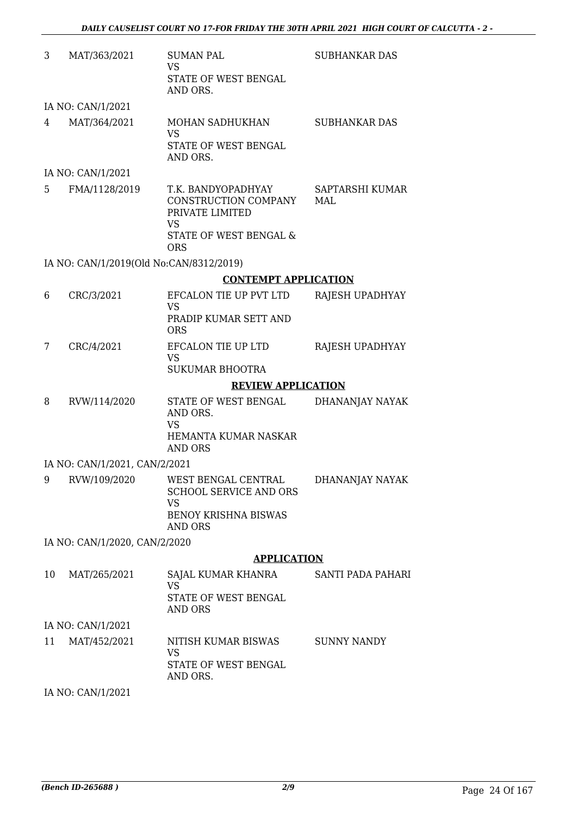| 3  | MAT/363/2021                            | <b>SUMAN PAL</b><br><b>VS</b><br>STATE OF WEST BENGAL<br>AND ORS.                                                      | <b>SUBHANKAR DAS</b>     |
|----|-----------------------------------------|------------------------------------------------------------------------------------------------------------------------|--------------------------|
|    | IA NO: CAN/1/2021                       |                                                                                                                        |                          |
| 4  | MAT/364/2021                            | MOHAN SADHUKHAN<br><b>VS</b><br>STATE OF WEST BENGAL<br>AND ORS.                                                       | <b>SUBHANKAR DAS</b>     |
|    | IA NO: CAN/1/2021                       |                                                                                                                        |                          |
| 5  | FMA/1128/2019                           | T.K. BANDYOPADHYAY<br>CONSTRUCTION COMPANY<br>PRIVATE LIMITED<br>VS<br><b>STATE OF WEST BENGAL &amp;</b><br><b>ORS</b> | SAPTARSHI KUMAR<br>MAL   |
|    | IA NO: CAN/1/2019(Old No:CAN/8312/2019) |                                                                                                                        |                          |
|    |                                         | <b>CONTEMPT APPLICATION</b>                                                                                            |                          |
| 6  | CRC/3/2021                              | EFCALON TIE UP PVT LTD<br><b>VS</b><br>PRADIP KUMAR SETT AND<br><b>ORS</b>                                             | RAJESH UPADHYAY          |
| 7  | CRC/4/2021                              | EFCALON TIE UP LTD<br><b>VS</b><br><b>SUKUMAR BHOOTRA</b>                                                              | RAJESH UPADHYAY          |
|    |                                         | <b>REVIEW APPLICATION</b>                                                                                              |                          |
| 8  | RVW/114/2020                            | STATE OF WEST BENGAL<br>AND ORS.<br><b>VS</b><br>HEMANTA KUMAR NASKAR<br><b>AND ORS</b>                                | DHANANJAY NAYAK          |
|    | IA NO: CAN/1/2021, CAN/2/2021           |                                                                                                                        |                          |
| 9  | RVW/109/2020                            | WEST BENGAL CENTRAL<br><b>SCHOOL SERVICE AND ORS</b><br><b>VS</b><br><b>BENOY KRISHNA BISWAS</b>                       | DHANANJAY NAYAK          |
|    |                                         | <b>AND ORS</b>                                                                                                         |                          |
|    | IA NO: CAN/1/2020, CAN/2/2020           |                                                                                                                        |                          |
|    |                                         | <b>APPLICATION</b>                                                                                                     |                          |
| 10 | MAT/265/2021                            | SAJAL KUMAR KHANRA<br><b>VS</b><br>STATE OF WEST BENGAL<br><b>AND ORS</b>                                              | <b>SANTI PADA PAHARI</b> |
|    | IA NO: CAN/1/2021                       |                                                                                                                        |                          |
| 11 | MAT/452/2021                            | NITISH KUMAR BISWAS<br><b>VS</b><br>STATE OF WEST BENGAL<br>AND ORS.                                                   | <b>SUNNY NANDY</b>       |

IA NO: CAN/1/2021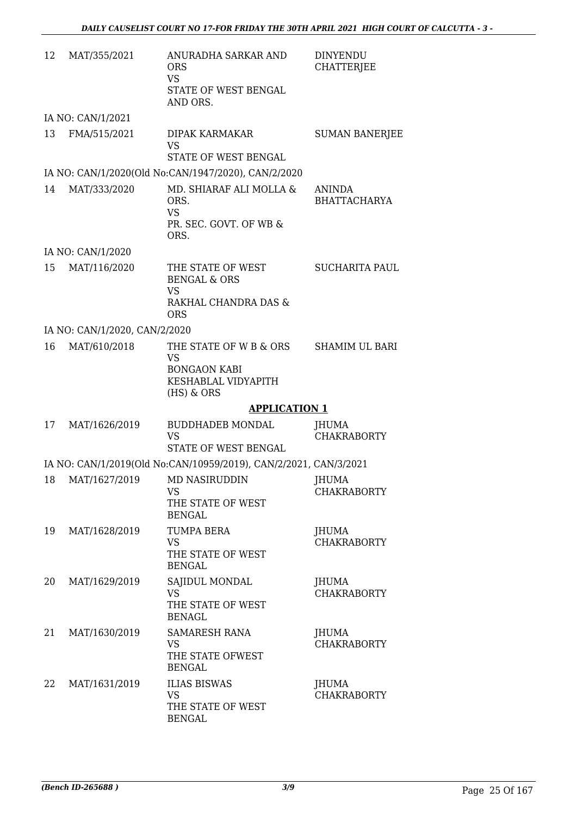| 12 | MAT/355/2021                   | ANURADHA SARKAR AND<br><b>ORS</b><br><b>VS</b><br>STATE OF WEST BENGAL<br>AND ORS.              | <b>DINYENDU</b><br><b>CHATTERJEE</b> |
|----|--------------------------------|-------------------------------------------------------------------------------------------------|--------------------------------------|
|    | IA NO: CAN/1/2021              |                                                                                                 |                                      |
| 13 | FMA/515/2021                   | DIPAK KARMAKAR<br><b>VS</b><br>STATE OF WEST BENGAL                                             | <b>SUMAN BANERJEE</b>                |
|    |                                | IA NO: CAN/1/2020(Old No:CAN/1947/2020), CAN/2/2020                                             |                                      |
| 14 | MAT/333/2020                   | MD. SHIARAF ALI MOLLA &<br>ORS.<br><b>VS</b><br>PR. SEC. GOVT. OF WB &<br>ORS.                  | <b>ANINDA</b><br><b>BHATTACHARYA</b> |
|    | IA NO: CAN/1/2020              |                                                                                                 |                                      |
| 15 | MAT/116/2020                   | THE STATE OF WEST<br><b>BENGAL &amp; ORS</b><br><b>VS</b><br>RAKHAL CHANDRA DAS &<br><b>ORS</b> | <b>SUCHARITA PAUL</b>                |
|    | IA NO: CAN/1/2020, CAN/2/2020  |                                                                                                 |                                      |
| 16 | MAT/610/2018                   | THE STATE OF W B & ORS<br>VS<br><b>BONGAON KABI</b><br>KESHABLAL VIDYAPITH<br>$(HS)$ & ORS      | <b>SHAMIM UL BARI</b>                |
|    |                                | <b>APPLICATION 1</b>                                                                            |                                      |
| 17 | MAT/1626/2019                  | <b>BUDDHADEB MONDAL</b><br><b>VS</b><br>STATE OF WEST BENGAL                                    | JHUMA<br><b>CHAKRABORTY</b>          |
|    |                                | IA NO: CAN/1/2019(Old No:CAN/10959/2019), CAN/2/2021, CAN/3/2021                                |                                      |
|    | 18 MAT/1627/2019 MD NASIRUDDIN | VS.<br>THE STATE OF WEST<br><b>BENGAL</b>                                                       | JHUMA<br><b>CHAKRABORTY</b>          |
| 19 | MAT/1628/2019                  | TUMPA BERA<br><b>VS</b><br>THE STATE OF WEST<br><b>BENGAL</b>                                   | JHUMA<br><b>CHAKRABORTY</b>          |
| 20 | MAT/1629/2019                  | SAJIDUL MONDAL<br>VS.<br>THE STATE OF WEST<br><b>BENAGL</b>                                     | JHUMA<br><b>CHAKRABORTY</b>          |
| 21 | MAT/1630/2019                  | <b>SAMARESH RANA</b><br><b>VS</b><br>THE STATE OFWEST<br><b>BENGAL</b>                          | <b>JHUMA</b><br><b>CHAKRABORTY</b>   |
| 22 | MAT/1631/2019                  | <b>ILIAS BISWAS</b><br><b>VS</b><br>THE STATE OF WEST<br><b>BENGAL</b>                          | JHUMA<br><b>CHAKRABORTY</b>          |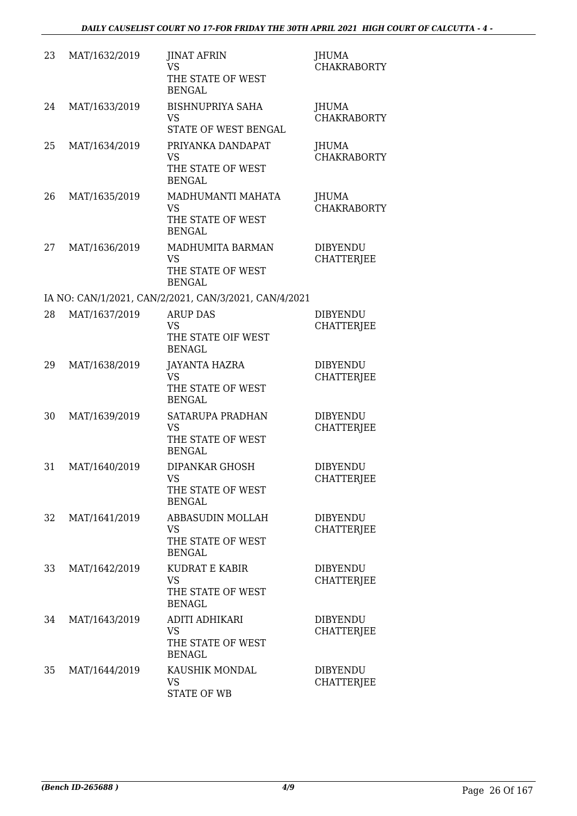| 23 | MAT/1632/2019 | <b>JINAT AFRIN</b><br><b>VS</b><br>THE STATE OF WEST<br><b>BENGAL</b>         | JHUMA<br><b>CHAKRABORTY</b>          |
|----|---------------|-------------------------------------------------------------------------------|--------------------------------------|
| 24 | MAT/1633/2019 | <b>BISHNUPRIYA SAHA</b><br><b>VS</b><br>STATE OF WEST BENGAL                  | JHUMA<br><b>CHAKRABORTY</b>          |
| 25 | MAT/1634/2019 | PRIYANKA DANDAPAT<br><b>VS</b><br>THE STATE OF WEST<br><b>BENGAL</b>          | <b>JHUMA</b><br><b>CHAKRABORTY</b>   |
| 26 | MAT/1635/2019 | MADHUMANTI MAHATA<br>VS<br>THE STATE OF WEST<br><b>BENGAL</b>                 | <b>JHUMA</b><br><b>CHAKRABORTY</b>   |
| 27 | MAT/1636/2019 | MADHUMITA BARMAN<br>VS<br>THE STATE OF WEST<br><b>BENGAL</b>                  | <b>DIBYENDU</b><br><b>CHATTERJEE</b> |
|    |               | IA NO: CAN/1/2021, CAN/2/2021, CAN/3/2021, CAN/4/2021                         |                                      |
| 28 | MAT/1637/2019 | <b>ARUP DAS</b><br>VS                                                         | <b>DIBYENDU</b><br><b>CHATTERJEE</b> |
|    |               | THE STATE OIF WEST<br><b>BENAGL</b>                                           |                                      |
| 29 | MAT/1638/2019 | <b>JAYANTA HAZRA</b><br>VS<br>THE STATE OF WEST<br><b>BENGAL</b>              | <b>DIBYENDU</b><br><b>CHATTERJEE</b> |
| 30 | MAT/1639/2019 | SATARUPA PRADHAN<br>VS<br>THE STATE OF WEST<br><b>BENGAL</b>                  | <b>DIBYENDU</b><br><b>CHATTERJEE</b> |
| 31 | MAT/1640/2019 | <b>DIPANKAR GHOSH</b><br>VS FOR STRUMP.<br>THE STATE OF WEST<br><b>BENGAL</b> | <b>DIBYENDU</b><br><b>CHATTERJEE</b> |
| 32 | MAT/1641/2019 | ABBASUDIN MOLLAH<br>VS.<br>THE STATE OF WEST<br><b>BENGAL</b>                 | <b>DIBYENDU</b><br><b>CHATTERJEE</b> |
| 33 | MAT/1642/2019 | <b>KUDRAT E KABIR</b><br><b>VS</b><br>THE STATE OF WEST<br><b>BENAGL</b>      | <b>DIBYENDU</b><br><b>CHATTERJEE</b> |
| 34 | MAT/1643/2019 | ADITI ADHIKARI<br>VS<br>THE STATE OF WEST<br><b>BENAGL</b>                    | <b>DIBYENDU</b><br><b>CHATTERJEE</b> |
| 35 | MAT/1644/2019 | KAUSHIK MONDAL<br><b>VS</b><br><b>STATE OF WB</b>                             | <b>DIBYENDU</b><br><b>CHATTERJEE</b> |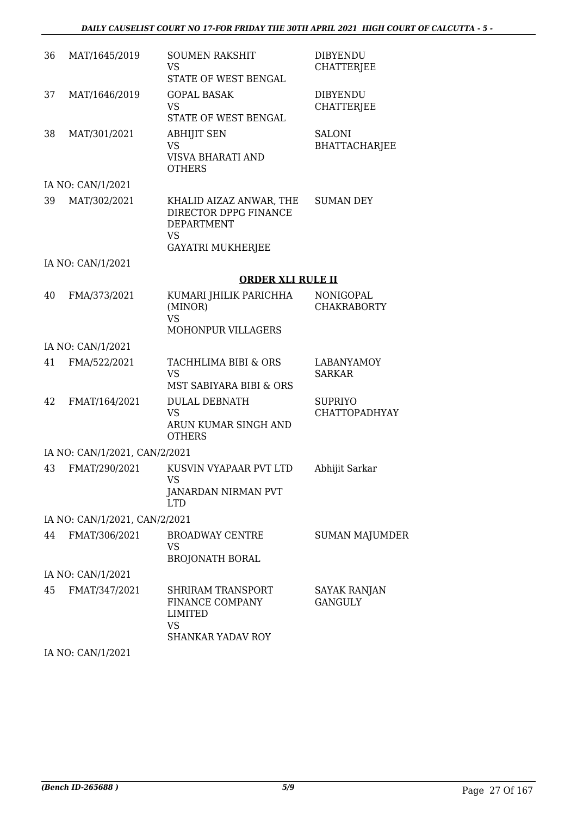| 36 | MAT/1645/2019                 | <b>SOUMEN RAKSHIT</b><br><b>VS</b>                                                                             | <b>DIBYENDU</b><br><b>CHATTERJEE</b>   |
|----|-------------------------------|----------------------------------------------------------------------------------------------------------------|----------------------------------------|
|    |                               | STATE OF WEST BENGAL                                                                                           |                                        |
| 37 | MAT/1646/2019                 | <b>GOPAL BASAK</b><br><b>VS</b><br>STATE OF WEST BENGAL                                                        | <b>DIBYENDU</b><br><b>CHATTERJEE</b>   |
| 38 | MAT/301/2021                  | <b>ABHIJIT SEN</b><br><b>VS</b><br><b>VISVA BHARATI AND</b><br><b>OTHERS</b>                                   | <b>SALONI</b><br><b>BHATTACHARJEE</b>  |
|    | IA NO: CAN/1/2021             |                                                                                                                |                                        |
| 39 | MAT/302/2021                  | KHALID AIZAZ ANWAR, THE<br>DIRECTOR DPPG FINANCE<br><b>DEPARTMENT</b><br><b>VS</b><br><b>GAYATRI MUKHERJEE</b> | <b>SUMAN DEY</b>                       |
|    | IA NO: CAN/1/2021             |                                                                                                                |                                        |
|    |                               | <b>ORDER XLI RULE II</b>                                                                                       |                                        |
| 40 | FMA/373/2021                  | KUMARI JHILIK PARICHHA<br>(MINOR)<br><b>VS</b>                                                                 | NONIGOPAL<br><b>CHAKRABORTY</b>        |
|    |                               | MOHONPUR VILLAGERS                                                                                             |                                        |
|    | IA NO: CAN/1/2021             |                                                                                                                |                                        |
| 41 | FMA/522/2021                  | TACHHLIMA BIBI & ORS<br><b>VS</b><br>MST SABIYARA BIBI & ORS                                                   | <b>LABANYAMOY</b><br><b>SARKAR</b>     |
| 42 | FMAT/164/2021                 | <b>DULAL DEBNATH</b><br><b>VS</b><br>ARUN KUMAR SINGH AND<br><b>OTHERS</b>                                     | <b>SUPRIYO</b><br><b>CHATTOPADHYAY</b> |
|    | IA NO: CAN/1/2021, CAN/2/2021 |                                                                                                                |                                        |
| 43 | FMAT/290/2021                 | KUSVIN VYAPAAR PVT LTD<br>VS<br>JANARDAN NIRMAN PVT<br><b>LTD</b>                                              | Abhijit Sarkar                         |
|    | IA NO: CAN/1/2021, CAN/2/2021 |                                                                                                                |                                        |
| 44 | FMAT/306/2021                 | <b>BROADWAY CENTRE</b><br>VS<br><b>BROJONATH BORAL</b>                                                         | <b>SUMAN MAJUMDER</b>                  |
|    | IA NO: CAN/1/2021             |                                                                                                                |                                        |
| 45 | FMAT/347/2021                 | <b>SHRIRAM TRANSPORT</b><br>FINANCE COMPANY<br>LIMITED<br><b>VS</b><br><b>SHANKAR YADAV ROY</b>                | SAYAK RANJAN<br><b>GANGULY</b>         |

IA NO: CAN/1/2021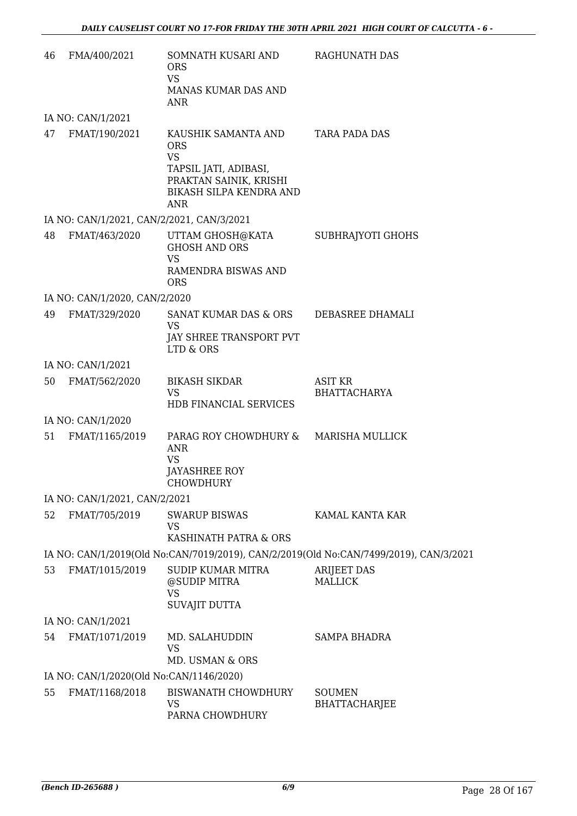| 46 | FMA/400/2021                              | SOMNATH KUSARI AND<br><b>ORS</b><br><b>VS</b><br>MANAS KUMAR DAS AND<br><b>ANR</b>                                                  | RAGHUNATH DAS                                                                         |
|----|-------------------------------------------|-------------------------------------------------------------------------------------------------------------------------------------|---------------------------------------------------------------------------------------|
|    | IA NO: CAN/1/2021                         |                                                                                                                                     |                                                                                       |
| 47 | FMAT/190/2021                             | KAUSHIK SAMANTA AND<br><b>ORS</b><br><b>VS</b><br>TAPSIL JATI, ADIBASI,<br>PRAKTAN SAINIK, KRISHI<br>BIKASH SILPA KENDRA AND<br>ANR | TARA PADA DAS                                                                         |
|    | IA NO: CAN/1/2021, CAN/2/2021, CAN/3/2021 |                                                                                                                                     |                                                                                       |
| 48 |                                           | FMAT/463/2020 UTTAM GHOSH@KATA<br><b>GHOSH AND ORS</b><br><b>VS</b>                                                                 | SUBHRAJYOTI GHOHS                                                                     |
|    |                                           | <b>RAMENDRA BISWAS AND</b><br><b>ORS</b>                                                                                            |                                                                                       |
|    | IA NO: CAN/1/2020, CAN/2/2020             |                                                                                                                                     |                                                                                       |
| 49 | FMAT/329/2020                             | SANAT KUMAR DAS & ORS<br><b>VS</b>                                                                                                  | DEBASREE DHAMALI                                                                      |
|    |                                           | JAY SHREE TRANSPORT PVT<br>LTD & ORS                                                                                                |                                                                                       |
|    | IA NO: CAN/1/2021                         |                                                                                                                                     |                                                                                       |
| 50 | FMAT/562/2020                             | <b>BIKASH SIKDAR</b><br><b>VS</b><br>HDB FINANCIAL SERVICES                                                                         | ASIT KR<br><b>BHATTACHARYA</b>                                                        |
|    | IA NO: CAN/1/2020                         |                                                                                                                                     |                                                                                       |
| 51 | FMAT/1165/2019                            | PARAG ROY CHOWDHURY & MARISHA MULLICK<br><b>ANR</b><br><b>VS</b><br><b>JAYASHREE ROY</b><br>CHOWDHURY                               |                                                                                       |
|    | IA NO: CAN/1/2021, CAN/2/2021             |                                                                                                                                     |                                                                                       |
| 52 | FMAT/705/2019                             | <b>SWARUP BISWAS</b><br><b>VS</b>                                                                                                   | KAMAL KANTA KAR                                                                       |
|    |                                           | KASHINATH PATRA & ORS                                                                                                               |                                                                                       |
|    |                                           |                                                                                                                                     | IA NO: CAN/1/2019(Old No:CAN/7019/2019), CAN/2/2019(Old No:CAN/7499/2019), CAN/3/2021 |
| 53 | FMAT/1015/2019                            | <b>SUDIP KUMAR MITRA</b><br>@SUDIP MITRA<br><b>VS</b>                                                                               | <b>ARIJEET DAS</b><br><b>MALLICK</b>                                                  |
|    |                                           | <b>SUVAJIT DUTTA</b>                                                                                                                |                                                                                       |
|    | IA NO: CAN/1/2021                         |                                                                                                                                     |                                                                                       |
| 54 | FMAT/1071/2019                            | MD. SALAHUDDIN<br><b>VS</b><br>MD. USMAN & ORS                                                                                      | <b>SAMPA BHADRA</b>                                                                   |
|    | IA NO: CAN/1/2020(Old No:CAN/1146/2020)   |                                                                                                                                     |                                                                                       |
| 55 | FMAT/1168/2018                            | <b>BISWANATH CHOWDHURY</b><br><b>VS</b><br>PARNA CHOWDHURY                                                                          | <b>SOUMEN</b><br><b>BHATTACHARJEE</b>                                                 |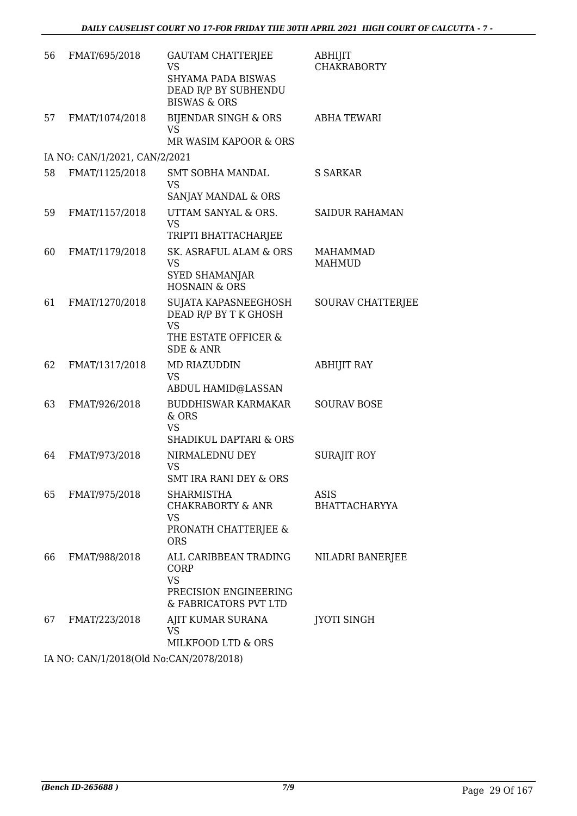| 56 | FMAT/695/2018                           | <b>GAUTAM CHATTERJEE</b><br><b>VS</b><br>SHYAMA PADA BISWAS<br>DEAD R/P BY SUBHENDU<br><b>BISWAS &amp; ORS</b> | ABHIJIT<br><b>CHAKRABORTY</b>    |
|----|-----------------------------------------|----------------------------------------------------------------------------------------------------------------|----------------------------------|
| 57 | FMAT/1074/2018                          | BIJENDAR SINGH & ORS<br>VS<br>MR WASIM KAPOOR & ORS                                                            | <b>ABHA TEWARI</b>               |
|    | IA NO: CAN/1/2021, CAN/2/2021           |                                                                                                                |                                  |
| 58 | FMAT/1125/2018                          | <b>SMT SOBHA MANDAL</b><br><b>VS</b><br>SANJAY MANDAL & ORS                                                    | <b>S SARKAR</b>                  |
| 59 | FMAT/1157/2018                          | UTTAM SANYAL & ORS.<br><b>VS</b><br>TRIPTI BHATTACHARJEE                                                       | <b>SAIDUR RAHAMAN</b>            |
| 60 | FMAT/1179/2018                          | SK. ASRAFUL ALAM & ORS<br><b>VS</b><br><b>SYED SHAMANJAR</b><br><b>HOSNAIN &amp; ORS</b>                       | <b>MAHAMMAD</b><br><b>MAHMUD</b> |
| 61 | FMAT/1270/2018                          | SUJATA KAPASNEEGHOSH<br>DEAD R/P BY T K GHOSH<br><b>VS</b><br>THE ESTATE OFFICER &<br><b>SDE &amp; ANR</b>     | <b>SOURAV CHATTERJEE</b>         |
| 62 | FMAT/1317/2018                          | MD RIAZUDDIN<br><b>VS</b><br>ABDUL HAMID@LASSAN                                                                | <b>ABHIJIT RAY</b>               |
| 63 | FMAT/926/2018                           | <b>BUDDHISWAR KARMAKAR</b><br>& ORS<br><b>VS</b><br>SHADIKUL DAPTARI & ORS                                     | <b>SOURAV BOSE</b>               |
| 64 | FMAT/973/2018                           | NIRMALEDNU DEY<br><b>VS</b><br>SMT IRA RANI DEY & ORS                                                          | <b>SURAJIT ROY</b>               |
| 65 | FMAT/975/2018                           | <b>SHARMISTHA</b><br>CHAKRABORTY & ANR<br>VS<br>PRONATH CHATTERJEE &                                           | ASIS<br><b>BHATTACHARYYA</b>     |
| 66 | FMAT/988/2018                           | <b>ORS</b><br>ALL CARIBBEAN TRADING<br>CORP<br><b>VS</b><br>PRECISION ENGINEERING                              | NILADRI BANERJEE                 |
| 67 | FMAT/223/2018                           | & FABRICATORS PVT LTD<br>AJIT KUMAR SURANA<br>VS<br>MILKFOOD LTD & ORS                                         | <b>JYOTI SINGH</b>               |
|    | IA NO CANILIZO 10(OLI No CANIZOTO 2010) |                                                                                                                |                                  |

IA NO: CAN/1/2018(Old No:CAN/2078/2018)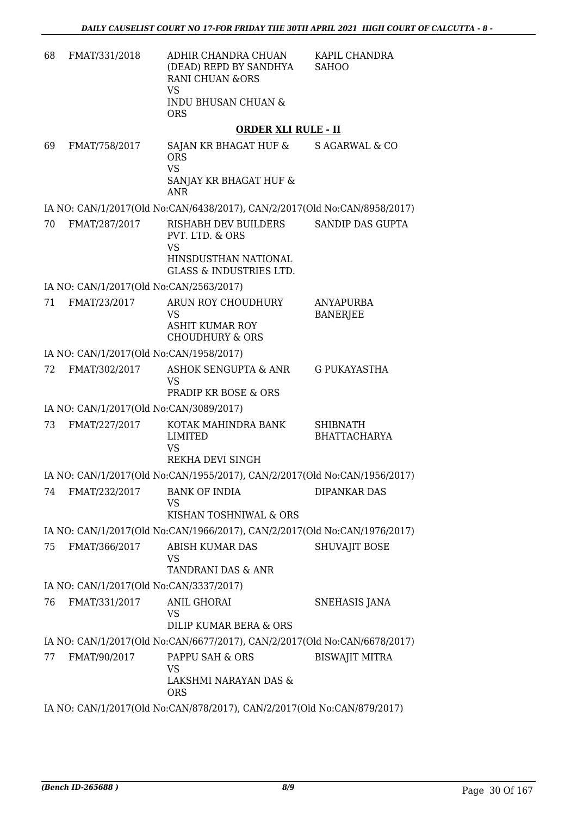| 68 | FMAT/331/2018                                                           | ADHIR CHANDRA CHUAN<br>(DEAD) REPD BY SANDHYA<br><b>RANI CHUAN &amp;ORS</b><br><b>VS</b><br><b>INDU BHUSAN CHUAN &amp;</b><br><b>ORS</b> | KAPIL CHANDRA<br><b>SAHOO</b>          |  |
|----|-------------------------------------------------------------------------|------------------------------------------------------------------------------------------------------------------------------------------|----------------------------------------|--|
|    |                                                                         | <b>ORDER XLI RULE - II</b>                                                                                                               |                                        |  |
| 69 | FMAT/758/2017                                                           | SAJAN KR BHAGAT HUF & S AGARWAL & CO<br><b>ORS</b><br><b>VS</b><br>SANJAY KR BHAGAT HUF &                                                |                                        |  |
|    |                                                                         | <b>ANR</b>                                                                                                                               |                                        |  |
|    |                                                                         | IA NO: CAN/1/2017(Old No:CAN/6438/2017), CAN/2/2017(Old No:CAN/8958/2017)                                                                |                                        |  |
| 70 | FMAT/287/2017                                                           | RISHABH DEV BUILDERS<br>PVT. LTD. & ORS<br><b>VS</b><br>HINSDUSTHAN NATIONAL<br><b>GLASS &amp; INDUSTRIES LTD.</b>                       | SANDIP DAS GUPTA                       |  |
|    | IA NO: CAN/1/2017(Old No:CAN/2563/2017)                                 |                                                                                                                                          |                                        |  |
| 71 | FMAT/23/2017                                                            | ARUN ROY CHOUDHURY<br><b>VS</b><br><b>ASHIT KUMAR ROY</b><br><b>CHOUDHURY &amp; ORS</b>                                                  | <b>ANYAPURBA</b><br><b>BANERJEE</b>    |  |
|    | IA NO: CAN/1/2017(Old No:CAN/1958/2017)                                 |                                                                                                                                          |                                        |  |
| 72 | FMAT/302/2017                                                           | ASHOK SENGUPTA & ANR<br><b>VS</b><br><b>PRADIP KR BOSE &amp; ORS</b>                                                                     | <b>G PUKAYASTHA</b>                    |  |
|    | IA NO: CAN/1/2017(Old No:CAN/3089/2017)                                 |                                                                                                                                          |                                        |  |
| 73 | FMAT/227/2017                                                           | KOTAK MAHINDRA BANK<br><b>LIMITED</b><br><b>VS</b><br>REKHA DEVI SINGH                                                                   | <b>SHIBNATH</b><br><b>BHATTACHARYA</b> |  |
|    |                                                                         | IA NO: CAN/1/2017(Old No:CAN/1955/2017), CAN/2/2017(Old No:CAN/1956/2017)                                                                |                                        |  |
| 74 | FMAT/232/2017                                                           | <b>BANK OF INDIA</b><br><b>VS</b><br>KISHAN TOSHNIWAL & ORS                                                                              | <b>DIPANKAR DAS</b>                    |  |
|    |                                                                         | IA NO: CAN/1/2017(Old No:CAN/1966/2017), CAN/2/2017(Old No:CAN/1976/2017)                                                                |                                        |  |
| 75 | FMAT/366/2017                                                           | ABISH KUMAR DAS<br><b>VS</b><br>TANDRANI DAS & ANR                                                                                       | <b>SHUVAJIT BOSE</b>                   |  |
|    | IA NO: CAN/1/2017(Old No:CAN/3337/2017)                                 |                                                                                                                                          |                                        |  |
| 76 | FMAT/331/2017                                                           | <b>ANIL GHORAI</b><br><b>VS</b><br>DILIP KUMAR BERA & ORS                                                                                | SNEHASIS JANA                          |  |
|    |                                                                         | IA NO: CAN/1/2017(Old No:CAN/6677/2017), CAN/2/2017(Old No:CAN/6678/2017)                                                                |                                        |  |
| 77 | FMAT/90/2017                                                            | PAPPU SAH & ORS<br><b>VS</b><br>LAKSHMI NARAYAN DAS &<br><b>ORS</b>                                                                      | <b>BISWAJIT MITRA</b>                  |  |
|    | IA NO: CAN/1/2017(Old No:CAN/878/2017), CAN/2/2017(Old No:CAN/879/2017) |                                                                                                                                          |                                        |  |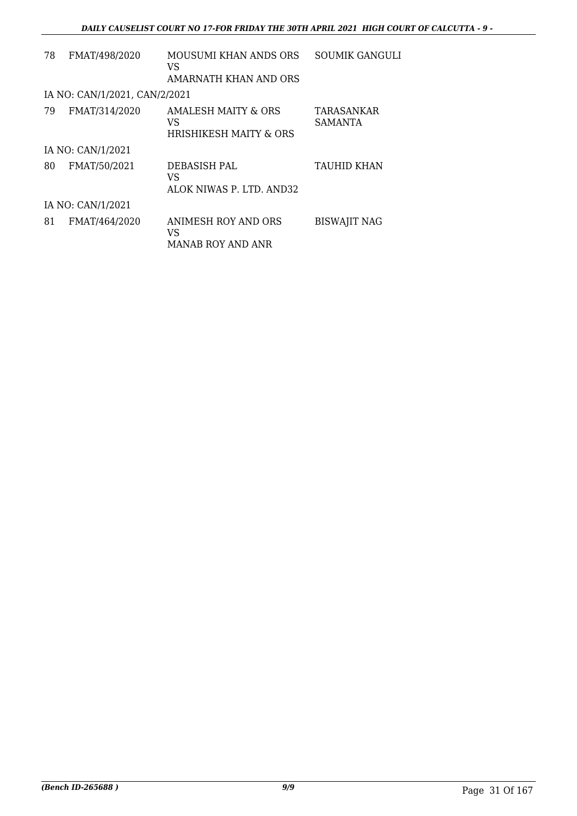| 78 | FMAT/498/2020                 | MOUSUMI KHAN ANDS ORS<br>VS.                                               | <b>SOUMIK GANGULI</b> |
|----|-------------------------------|----------------------------------------------------------------------------|-----------------------|
|    |                               | AMARNATH KHAN AND ORS                                                      |                       |
|    | IA NO: CAN/1/2021, CAN/2/2021 |                                                                            |                       |
| 79 | FMAT/314/2020                 | <b>AMALESH MAITY &amp; ORS</b><br>VS.<br><b>HRISHIKESH MAITY &amp; ORS</b> | TARASANKAR<br>SAMANTA |
|    | IA NO: CAN/1/2021             |                                                                            |                       |
| 80 | FMAT/50/2021                  | DEBASISH PAL<br>VS<br>ALOK NIWAS P. LTD. AND32                             | <b>TAUHID KHAN</b>    |
|    | IA NO: CAN/1/2021             |                                                                            |                       |
| 81 | FMAT/464/2020                 | ANIMESH ROY AND ORS<br>VS<br><b>MANAB ROY AND ANR</b>                      | <b>BISWAJIT NAG</b>   |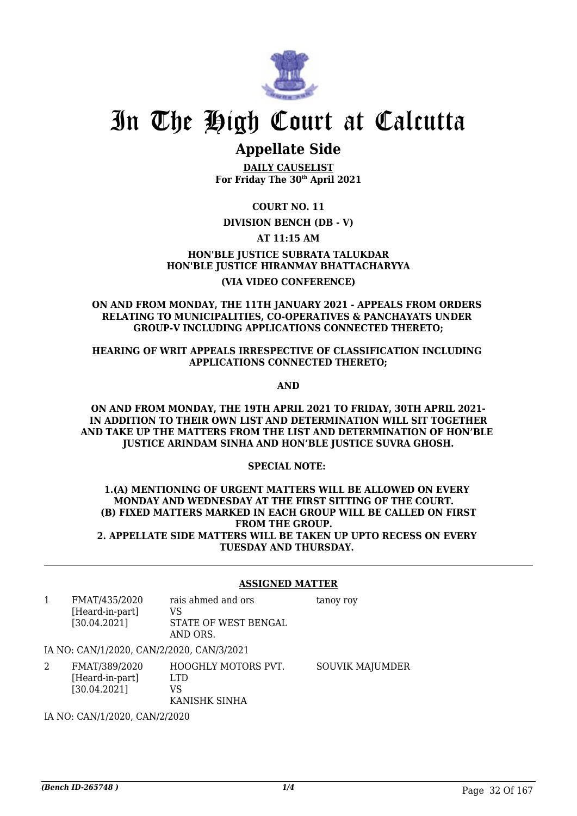

# **Appellate Side**

**DAILY CAUSELIST For Friday The 30th April 2021**

**COURT NO. 11**

## **DIVISION BENCH (DB - V)**

## **AT 11:15 AM**

**HON'BLE JUSTICE SUBRATA TALUKDAR HON'BLE JUSTICE HIRANMAY BHATTACHARYYA (VIA VIDEO CONFERENCE)**

### **ON AND FROM MONDAY, THE 11TH JANUARY 2021 - APPEALS FROM ORDERS RELATING TO MUNICIPALITIES, CO-OPERATIVES & PANCHAYATS UNDER GROUP-V INCLUDING APPLICATIONS CONNECTED THERETO;**

## **HEARING OF WRIT APPEALS IRRESPECTIVE OF CLASSIFICATION INCLUDING APPLICATIONS CONNECTED THERETO;**

**AND**

### **ON AND FROM MONDAY, THE 19TH APRIL 2021 TO FRIDAY, 30TH APRIL 2021- IN ADDITION TO THEIR OWN LIST AND DETERMINATION WILL SIT TOGETHER AND TAKE UP THE MATTERS FROM THE LIST AND DETERMINATION OF HON'BLE JUSTICE ARINDAM SINHA AND HON'BLE JUSTICE SUVRA GHOSH.**

## **SPECIAL NOTE:**

#### **1.(A) MENTIONING OF URGENT MATTERS WILL BE ALLOWED ON EVERY MONDAY AND WEDNESDAY AT THE FIRST SITTING OF THE COURT. (B) FIXED MATTERS MARKED IN EACH GROUP WILL BE CALLED ON FIRST FROM THE GROUP. 2. APPELLATE SIDE MATTERS WILL BE TAKEN UP UPTO RECESS ON EVERY TUESDAY AND THURSDAY.**

## **ASSIGNED MATTER**

1 FMAT/435/2020 [Heard-in-part] [30.04.2021] rais ahmed and ors VS STATE OF WEST BENGAL AND ORS. tanoy roy

IA NO: CAN/1/2020, CAN/2/2020, CAN/3/2021

2 FMAT/389/2020 [Heard-in-part] [30.04.2021] HOOGHLY MOTORS PVT. LTD VS KANISHK SINHA SOUVIK MAJUMDER

IA NO: CAN/1/2020, CAN/2/2020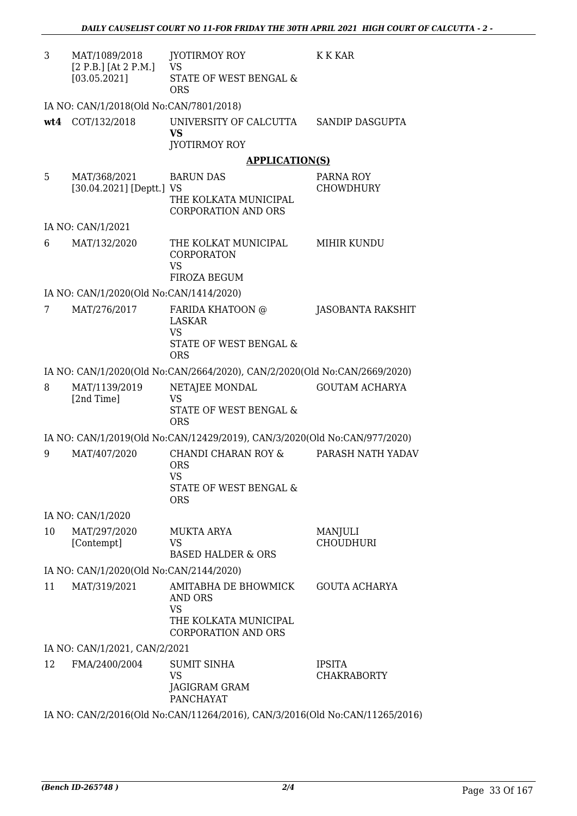| 3   | MAT/1089/2018<br>$[2 P.B.]$ [At 2 P.M.] | JYOTIRMOY ROY<br><b>VS</b>                                                                          | <b>K K KAR</b>                      |
|-----|-----------------------------------------|-----------------------------------------------------------------------------------------------------|-------------------------------------|
|     | [03.05.2021]                            | STATE OF WEST BENGAL &<br><b>ORS</b>                                                                |                                     |
|     | IA NO: CAN/1/2018(Old No:CAN/7801/2018) |                                                                                                     |                                     |
| wt4 | COT/132/2018                            | UNIVERSITY OF CALCUTTA<br><b>VS</b><br>JYOTIRMOY ROY                                                | SANDIP DASGUPTA                     |
|     |                                         | <b>APPLICATION(S)</b>                                                                               |                                     |
| 5   | MAT/368/2021                            | <b>BARUN DAS</b>                                                                                    | PARNA ROY                           |
|     | [30.04.2021] [Deptt.] VS                | THE KOLKATA MUNICIPAL<br><b>CORPORATION AND ORS</b>                                                 | <b>CHOWDHURY</b>                    |
|     | IA NO: CAN/1/2021                       |                                                                                                     |                                     |
| 6   | MAT/132/2020                            | THE KOLKAT MUNICIPAL<br><b>CORPORATON</b><br><b>VS</b><br>FIROZA BEGUM                              | MIHIR KUNDU                         |
|     | IA NO: CAN/1/2020(Old No:CAN/1414/2020) |                                                                                                     |                                     |
| 7   | MAT/276/2017                            | FARIDA KHATOON @<br><b>LASKAR</b><br><b>VS</b><br>STATE OF WEST BENGAL &                            | JASOBANTA RAKSHIT                   |
|     |                                         | <b>ORS</b>                                                                                          |                                     |
|     |                                         | IA NO: CAN/1/2020(Old No:CAN/2664/2020), CAN/2/2020(Old No:CAN/2669/2020)                           |                                     |
| 8   | MAT/1139/2019<br>[2nd Time]             | NETAJEE MONDAL<br><b>VS</b><br>STATE OF WEST BENGAL &<br><b>ORS</b>                                 | <b>GOUTAM ACHARYA</b>               |
|     |                                         | IA NO: CAN/1/2019(Old No:CAN/12429/2019), CAN/3/2020(Old No:CAN/977/2020)                           |                                     |
| 9   | MAT/407/2020                            | CHANDI CHARAN ROY &<br><b>ORS</b><br>VS<br>STATE OF WEST BENGAL &<br><b>ORS</b>                     | PARASH NATH YADAV                   |
|     | IA NO: CAN/1/2020                       |                                                                                                     |                                     |
| 10  | MAT/297/2020<br>[Contempt]              | <b>MUKTA ARYA</b><br><b>VS</b><br><b>BASED HALDER &amp; ORS</b>                                     | MANJULI<br><b>CHOUDHURI</b>         |
|     | IA NO: CAN/1/2020(Old No:CAN/2144/2020) |                                                                                                     |                                     |
| 11  | MAT/319/2021                            | AMITABHA DE BHOWMICK<br>AND ORS<br><b>VS</b><br>THE KOLKATA MUNICIPAL<br><b>CORPORATION AND ORS</b> | <b>GOUTA ACHARYA</b>                |
|     | IA NO: CAN/1/2021, CAN/2/2021           |                                                                                                     |                                     |
| 12  | FMA/2400/2004                           | <b>SUMIT SINHA</b><br><b>VS</b><br>JAGIGRAM GRAM<br><b>PANCHAYAT</b>                                | <b>IPSITA</b><br><b>CHAKRABORTY</b> |
|     |                                         | IA NO: CAN/2/2016(Old No:CAN/11264/2016), CAN/3/2016(Old No:CAN/11265/2016)                         |                                     |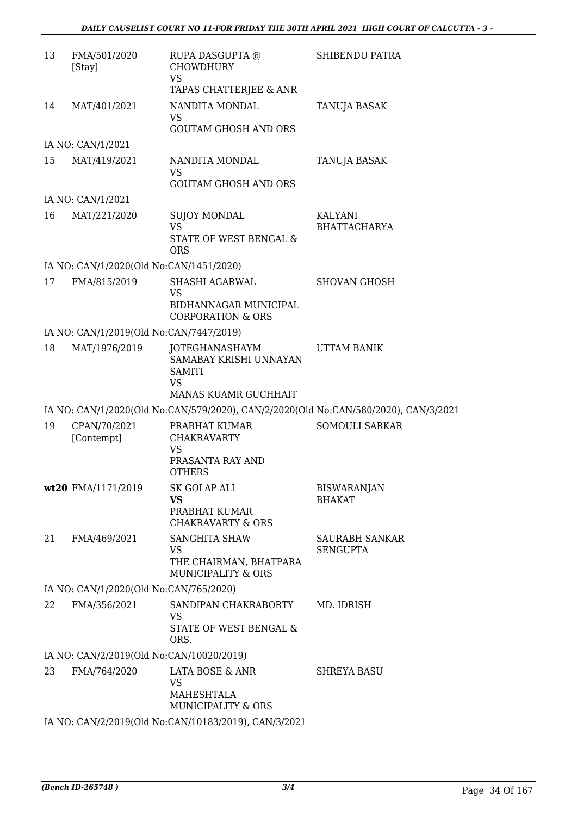| 13 | FMA/501/2020<br>[Stay]                   | RUPA DASGUPTA @<br><b>CHOWDHURY</b><br><b>VS</b>                                               | SHIBENDU PATRA                                                                      |
|----|------------------------------------------|------------------------------------------------------------------------------------------------|-------------------------------------------------------------------------------------|
|    |                                          | TAPAS CHATTERJEE & ANR                                                                         |                                                                                     |
| 14 | MAT/401/2021                             | NANDITA MONDAL<br><b>VS</b>                                                                    | TANUJA BASAK                                                                        |
|    |                                          | <b>GOUTAM GHOSH AND ORS</b>                                                                    |                                                                                     |
|    | IA NO: CAN/1/2021                        |                                                                                                |                                                                                     |
| 15 | MAT/419/2021                             | NANDITA MONDAL<br><b>VS</b><br><b>GOUTAM GHOSH AND ORS</b>                                     | TANUJA BASAK                                                                        |
|    | IA NO: CAN/1/2021                        |                                                                                                |                                                                                     |
|    |                                          |                                                                                                |                                                                                     |
| 16 | MAT/221/2020                             | SUJOY MONDAL<br>VS.                                                                            | KALYANI<br><b>BHATTACHARYA</b>                                                      |
|    |                                          | STATE OF WEST BENGAL &<br><b>ORS</b>                                                           |                                                                                     |
|    | IA NO: CAN/1/2020(Old No:CAN/1451/2020)  |                                                                                                |                                                                                     |
| 17 | FMA/815/2019                             | SHASHI AGARWAL<br><b>VS</b><br><b>BIDHANNAGAR MUNICIPAL</b><br><b>CORPORATION &amp; ORS</b>    | <b>SHOVAN GHOSH</b>                                                                 |
|    | IA NO: CAN/1/2019(Old No:CAN/7447/2019)  |                                                                                                |                                                                                     |
| 18 | MAT/1976/2019                            | JOTEGHANASHAYM<br>SAMABAY KRISHI UNNAYAN<br><b>SAMITI</b><br><b>VS</b><br>MANAS KUAMR GUCHHAIT | <b>UTTAM BANIK</b>                                                                  |
|    |                                          |                                                                                                |                                                                                     |
|    |                                          |                                                                                                | IA NO: CAN/1/2020(Old No:CAN/579/2020), CAN/2/2020(Old No:CAN/580/2020), CAN/3/2021 |
| 19 | CPAN/70/2021<br>[Contempt]               | PRABHAT KUMAR<br><b>CHAKRAVARTY</b><br><b>VS</b><br>PRASANTA RAY AND<br><b>OTHERS</b>          | <b>SOMOULI SARKAR</b>                                                               |
|    | wt20 FMA/1171/2019                       | SK GOLAP ALI                                                                                   | <b>BISWARANJAN</b>                                                                  |
|    |                                          | <b>VS</b><br>PRABHAT KUMAR<br><b>CHAKRAVARTY &amp; ORS</b>                                     | <b>BHAKAT</b>                                                                       |
| 21 | FMA/469/2021                             | SANGHITA SHAW<br><b>VS</b><br>THE CHAIRMAN, BHATPARA<br><b>MUNICIPALITY &amp; ORS</b>          | SAURABH SANKAR<br><b>SENGUPTA</b>                                                   |
|    | IA NO: CAN/1/2020(Old No:CAN/765/2020)   |                                                                                                |                                                                                     |
| 22 | FMA/356/2021                             | SANDIPAN CHAKRABORTY<br><b>VS</b>                                                              | MD. IDRISH                                                                          |
|    |                                          | STATE OF WEST BENGAL &<br>ORS.                                                                 |                                                                                     |
|    | IA NO: CAN/2/2019(Old No:CAN/10020/2019) |                                                                                                |                                                                                     |
| 23 | FMA/764/2020                             | LATA BOSE & ANR<br><b>VS</b>                                                                   | <b>SHREYA BASU</b>                                                                  |
|    |                                          | MAHESHTALA<br>MUNICIPALITY & ORS                                                               |                                                                                     |
|    |                                          | IA NO: CAN/2/2019(Old No:CAN/10183/2019), CAN/3/2021                                           |                                                                                     |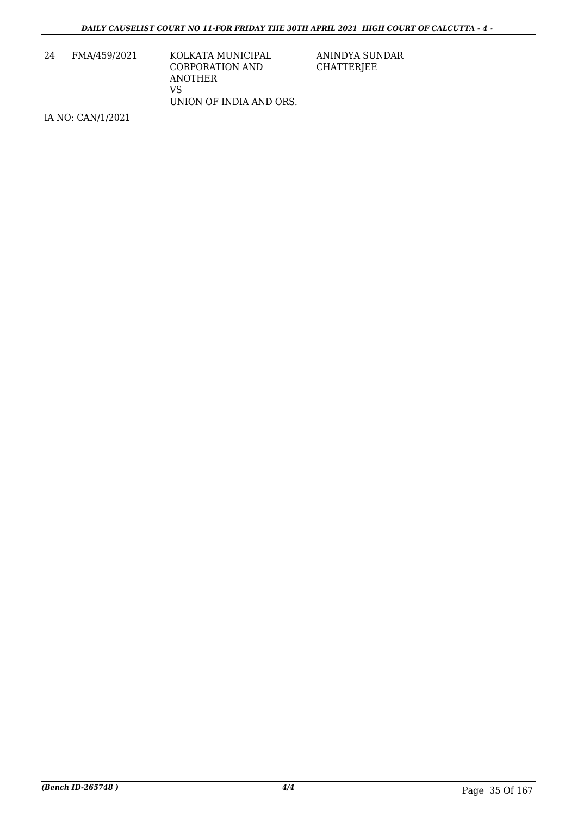| KOLKATA MUNICIPAL       |
|-------------------------|
| CORPORATION AND         |
|                         |
|                         |
| UNION OF INDIA AND ORS. |
|                         |

IA NO: CAN/1/2021

ANINDYA SUNDAR CHATTERJEE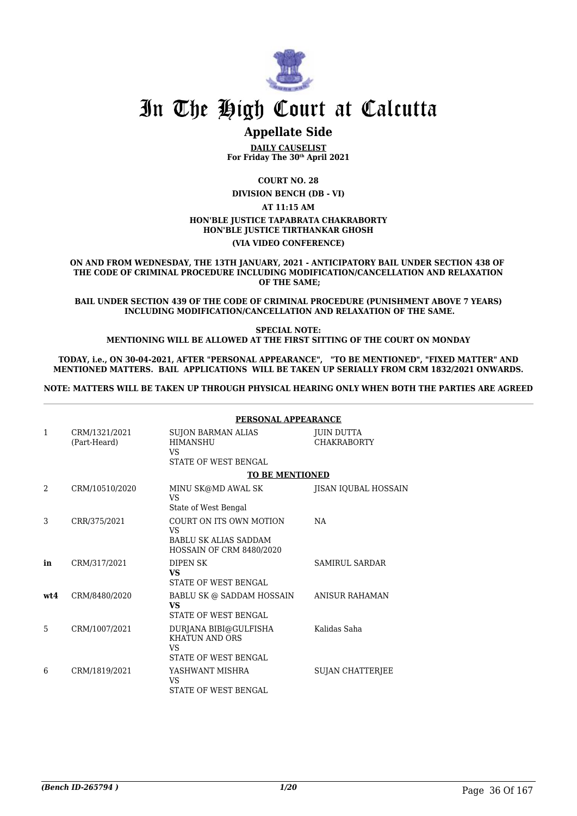

# **Appellate Side**

**DAILY CAUSELIST For Friday The 30th April 2021**

**COURT NO. 28**

**DIVISION BENCH (DB - VI) AT 11:15 AM HON'BLE JUSTICE TAPABRATA CHAKRABORTY HON'BLE JUSTICE TIRTHANKAR GHOSH (VIA VIDEO CONFERENCE)**

**ON AND FROM WEDNESDAY, THE 13TH JANUARY, 2021 - ANTICIPATORY BAIL UNDER SECTION 438 OF THE CODE OF CRIMINAL PROCEDURE INCLUDING MODIFICATION/CANCELLATION AND RELAXATION OF THE SAME;**

**BAIL UNDER SECTION 439 OF THE CODE OF CRIMINAL PROCEDURE (PUNISHMENT ABOVE 7 YEARS) INCLUDING MODIFICATION/CANCELLATION AND RELAXATION OF THE SAME.**

**SPECIAL NOTE: MENTIONING WILL BE ALLOWED AT THE FIRST SITTING OF THE COURT ON MONDAY**

**TODAY, i.e., ON 30-04-2021, AFTER "PERSONAL APPEARANCE", "TO BE MENTIONED", "FIXED MATTER" AND MENTIONED MATTERS. BAIL APPLICATIONS WILL BE TAKEN UP SERIALLY FROM CRM 1832/2021 ONWARDS.** 

**NOTE: MATTERS WILL BE TAKEN UP THROUGH PHYSICAL HEARING ONLY WHEN BOTH THE PARTIES ARE AGREED**

|              |                               | PERSONAL APPEARANCE                                                                        |                                  |
|--------------|-------------------------------|--------------------------------------------------------------------------------------------|----------------------------------|
| $\mathbf{1}$ | CRM/1321/2021<br>(Part-Heard) | <b>SUJON BARMAN ALIAS</b><br><b>HIMANSHU</b><br>VS.<br><b>STATE OF WEST BENGAL</b>         | JUIN DUTTA<br><b>CHAKRABORTY</b> |
|              |                               | <b>TO BE MENTIONED</b>                                                                     |                                  |
| 2            | CRM/10510/2020                | MINU SK@MD AWAL SK<br>VS.<br>State of West Bengal                                          | JISAN IQUBAL HOSSAIN             |
| 3            | CRR/375/2021                  | COURT ON ITS OWN MOTION<br>VS.<br><b>BABLU SK ALIAS SADDAM</b><br>HOSSAIN OF CRM 8480/2020 | <b>NA</b>                        |
| in           | CRM/317/2021                  | <b>DIPEN SK</b><br><b>VS</b><br><b>STATE OF WEST BENGAL</b>                                | SAMIRUL SARDAR                   |
| wt4          | CRM/8480/2020                 | BABLU SK @ SADDAM HOSSAIN<br>VS.<br><b>STATE OF WEST BENGAL</b>                            | ANISUR RAHAMAN                   |
| 5            | CRM/1007/2021                 | DURJANA BIBI@GULFISHA<br><b>KHATUN AND ORS</b><br>VS.<br><b>STATE OF WEST BENGAL</b>       | Kalidas Saha                     |
| 6            | CRM/1819/2021                 | YASHWANT MISHRA<br>VS.<br>STATE OF WEST BENGAL                                             | <b>SUJAN CHATTERJEE</b>          |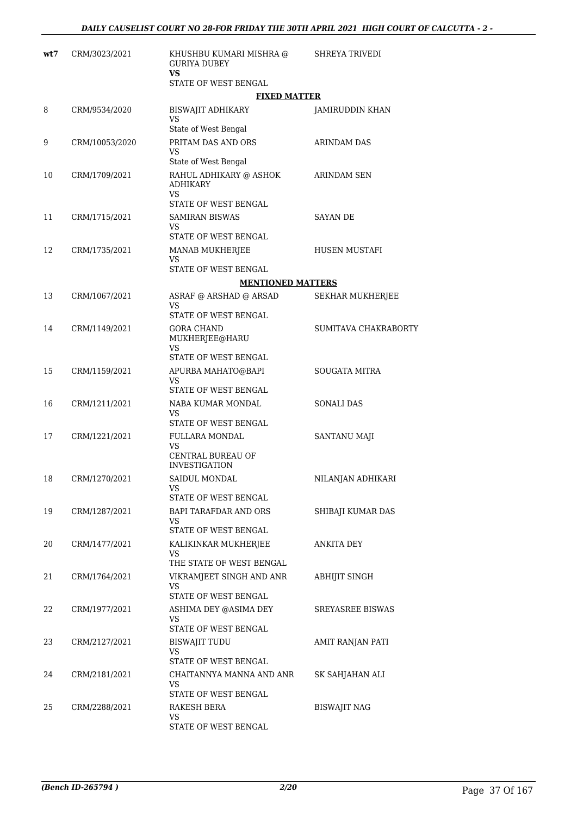| wt7 | CRM/3023/2021  | KHUSHBU KUMARI MISHRA @<br><b>GURIYA DUBEY</b><br><b>VS</b>              | <b>SHREYA TRIVEDI</b>   |
|-----|----------------|--------------------------------------------------------------------------|-------------------------|
|     |                | STATE OF WEST BENGAL                                                     |                         |
|     |                | <b>FIXED MATTER</b>                                                      |                         |
| 8   | CRM/9534/2020  | BISWAJIT ADHIKARY<br>VS<br>State of West Bengal                          | <b>JAMIRUDDIN KHAN</b>  |
| 9   | CRM/10053/2020 | PRITAM DAS AND ORS<br>VS<br>State of West Bengal                         | <b>ARINDAM DAS</b>      |
| 10  | CRM/1709/2021  | RAHUL ADHIKARY @ ASHOK<br><b>ADHIKARY</b><br>VS<br>STATE OF WEST BENGAL  | ARINDAM SEN             |
| 11  | CRM/1715/2021  | <b>SAMIRAN BISWAS</b><br>VS.<br>STATE OF WEST BENGAL                     | <b>SAYAN DE</b>         |
| 12  | CRM/1735/2021  | MANAB MUKHERJEE<br><b>VS</b><br>STATE OF WEST BENGAL                     | HUSEN MUSTAFI           |
|     |                |                                                                          |                         |
|     |                | <b>MENTIONED MATTERS</b>                                                 |                         |
| 13  | CRM/1067/2021  | ASRAF @ ARSHAD @ ARSAD<br>VS<br>STATE OF WEST BENGAL                     | <b>SEKHAR MUKHERJEE</b> |
| 14  | CRM/1149/2021  | <b>GORA CHAND</b><br>MUKHERJEE@HARU<br><b>VS</b><br>STATE OF WEST BENGAL | SUMITAVA CHAKRABORTY    |
| 15  | CRM/1159/2021  | APURBA MAHATO@BAPI<br>VS<br>STATE OF WEST BENGAL                         | <b>SOUGATA MITRA</b>    |
| 16  | CRM/1211/2021  | NABA KUMAR MONDAL<br>VS<br>STATE OF WEST BENGAL                          | <b>SONALI DAS</b>       |
| 17  | CRM/1221/2021  | <b>FULLARA MONDAL</b><br>VS<br>CENTRAL BUREAU OF<br><b>INVESTIGATION</b> | SANTANU MAJI            |
| 18  | CRM/1270/2021  | SAIDUL MONDAL<br>VS<br>STATE OF WEST BENGAL                              | NILANJAN ADHIKARI       |
| 19  | CRM/1287/2021  | BAPI TARAFDAR AND ORS<br>VS<br>STATE OF WEST BENGAL                      | SHIBAJI KUMAR DAS       |
| 20  | CRM/1477/2021  | KALIKINKAR MUKHERJEE<br>VS<br>THE STATE OF WEST BENGAL                   | ANKITA DEY              |
| 21  | CRM/1764/2021  | VIKRAMJEET SINGH AND ANR<br>VS<br>STATE OF WEST BENGAL                   | ABHIJIT SINGH           |
| 22  | CRM/1977/2021  | ASHIMA DEY @ASIMA DEY<br>VS<br>STATE OF WEST BENGAL                      | SREYASREE BISWAS        |
| 23  | CRM/2127/2021  | <b>BISWAJIT TUDU</b><br><b>VS</b><br>STATE OF WEST BENGAL                | AMIT RANJAN PATI        |
| 24  | CRM/2181/2021  | CHAITANNYA MANNA AND ANR<br>VS<br>STATE OF WEST BENGAL                   | SK SAHJAHAN ALI         |
| 25  | CRM/2288/2021  | RAKESH BERA<br>VS<br>STATE OF WEST BENGAL                                | BISWAJIT NAG            |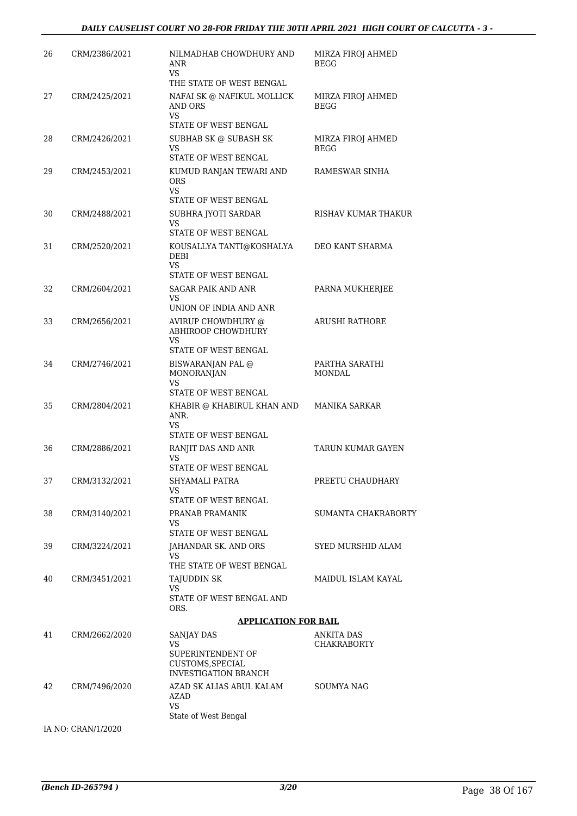| 26 | CRM/2386/2021 | NILMADHAB CHOWDHURY AND<br>ANR<br>VS.                      | MIRZA FIROJ AHMED<br><b>BEGG</b> |
|----|---------------|------------------------------------------------------------|----------------------------------|
|    |               | THE STATE OF WEST BENGAL                                   |                                  |
| 27 | CRM/2425/2021 | NAFAI SK @ NAFIKUL MOLLICK<br>AND ORS<br>VS                | MIRZA FIROJ AHMED<br><b>BEGG</b> |
|    |               | STATE OF WEST BENGAL                                       |                                  |
| 28 | CRM/2426/2021 | SUBHAB SK @ SUBASH SK<br><b>VS</b><br>STATE OF WEST BENGAL | MIRZA FIROJ AHMED<br><b>BEGG</b> |
| 29 | CRM/2453/2021 | KUMUD RANJAN TEWARI AND<br><b>ORS</b><br><b>VS</b>         | RAMESWAR SINHA                   |
|    |               | STATE OF WEST BENGAL                                       |                                  |
| 30 | CRM/2488/2021 | SUBHRA JYOTI SARDAR<br><b>VS</b><br>STATE OF WEST BENGAL   | RISHAV KUMAR THAKUR              |
| 31 | CRM/2520/2021 | KOUSALLYA TANTI@KOSHALYA<br><b>DEBI</b><br><b>VS</b>       | DEO KANT SHARMA                  |
|    |               | STATE OF WEST BENGAL                                       |                                  |
| 32 | CRM/2604/2021 | <b>SAGAR PAIK AND ANR</b><br>VS                            | PARNA MUKHERJEE                  |
|    |               | UNION OF INDIA AND ANR                                     |                                  |
| 33 | CRM/2656/2021 | AVIRUP CHOWDHURY @<br><b>ABHIROOP CHOWDHURY</b>            | <b>ARUSHI RATHORE</b>            |
|    |               | <b>VS</b><br>STATE OF WEST BENGAL                          |                                  |
| 34 | CRM/2746/2021 | BISWARANJAN PAL @<br><b>MONORANJAN</b>                     | PARTHA SARATHI<br><b>MONDAL</b>  |
|    |               | VS<br>STATE OF WEST BENGAL                                 |                                  |
| 35 | CRM/2804/2021 | KHABIR @ KHABIRUL KHAN AND<br>ANR.                         | MANIKA SARKAR                    |
|    |               | VS<br>STATE OF WEST BENGAL                                 |                                  |
| 36 | CRM/2886/2021 | RANJIT DAS AND ANR<br>VS                                   | TARUN KUMAR GAYEN                |
|    |               | STATE OF WEST BENGAL                                       |                                  |
| 37 | CRM/3132/2021 | SHYAMALI PATRA<br>VS<br>STATE OF WEST BENGAL               | PREETU CHAUDHARY                 |
| 38 | CRM/3140/2021 | PRANAB PRAMANIK                                            | SUMANTA CHAKRABORTY              |
|    |               | VS                                                         |                                  |
|    |               | STATE OF WEST BENGAL                                       |                                  |
| 39 | CRM/3224/2021 | JAHANDAR SK. AND ORS<br>VS.<br>THE STATE OF WEST BENGAL    | SYED MURSHID ALAM                |
| 40 | CRM/3451/2021 | TAJUDDIN SK<br>VS.                                         | MAIDUL ISLAM KAYAL               |
|    |               | STATE OF WEST BENGAL AND<br>ORS.                           |                                  |
|    |               | <b>APPLICATION FOR BAIL</b>                                |                                  |
| 41 | CRM/2662/2020 | SANJAY DAS                                                 | <b>ANKITA DAS</b>                |
|    |               | VS<br>SUPERINTENDENT OF                                    | <b>CHAKRABORTY</b>               |
|    |               | CUSTOMS, SPECIAL<br><b>INVESTIGATION BRANCH</b>            |                                  |
| 42 | CRM/7496/2020 | AZAD SK ALIAS ABUL KALAM<br><b>AZAD</b>                    | SOUMYA NAG                       |
|    |               | <b>VS</b><br>State of West Bengal                          |                                  |

IA NO: CRAN/1/2020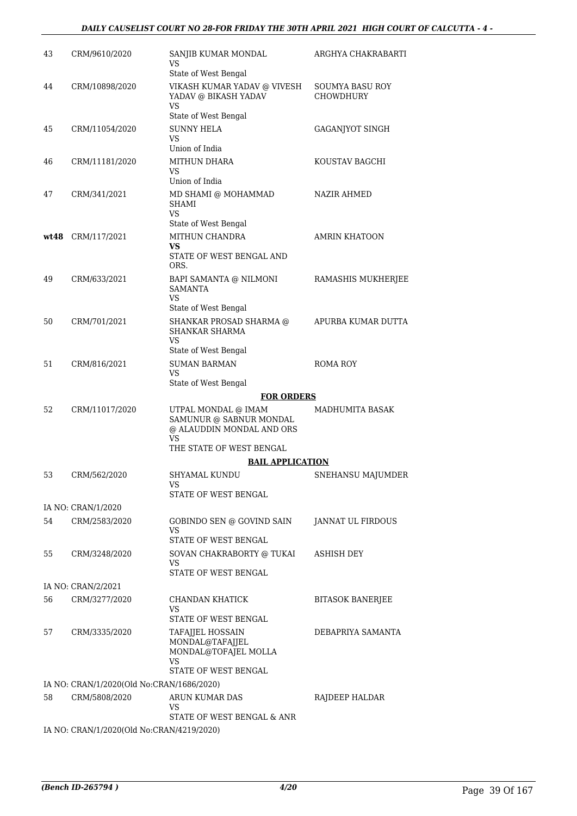| 43 | CRM/9610/2020                             | SANJIB KUMAR MONDAL<br>VS                                                         | ARGHYA CHAKRABARTI                  |
|----|-------------------------------------------|-----------------------------------------------------------------------------------|-------------------------------------|
|    |                                           | State of West Bengal                                                              |                                     |
| 44 | CRM/10898/2020                            | VIKASH KUMAR YADAV @ VIVESH<br>YADAV @ BIKASH YADAV<br>VS                         | SOUMYA BASU ROY<br><b>CHOWDHURY</b> |
|    |                                           | State of West Bengal                                                              |                                     |
| 45 | CRM/11054/2020                            | <b>SUNNY HELA</b><br>VS                                                           | GAGANJYOT SINGH                     |
|    |                                           | Union of India                                                                    |                                     |
| 46 | CRM/11181/2020                            | <b>MITHUN DHARA</b><br>VS.<br>Union of India                                      | KOUSTAV BAGCHI                      |
|    |                                           |                                                                                   |                                     |
| 47 | CRM/341/2021                              | MD SHAMI @ MOHAMMAD<br>SHAMI<br>VS.                                               | NAZIR AHMED                         |
|    |                                           | State of West Bengal                                                              |                                     |
|    | $wt48$ CRM/117/2021                       | MITHUN CHANDRA<br>VS.                                                             | <b>AMRIN KHATOON</b>                |
|    |                                           | STATE OF WEST BENGAL AND<br>ORS.                                                  |                                     |
| 49 | CRM/633/2021                              | BAPI SAMANTA @ NILMONI<br><b>SAMANTA</b><br>VS                                    | RAMASHIS MUKHERJEE                  |
|    |                                           | State of West Bengal                                                              |                                     |
| 50 | CRM/701/2021                              | SHANKAR PROSAD SHARMA @<br><b>SHANKAR SHARMA</b><br>VS.                           | APURBA KUMAR DUTTA                  |
|    |                                           | State of West Bengal                                                              |                                     |
| 51 | CRM/816/2021                              | <b>SUMAN BARMAN</b>                                                               | ROMA ROY                            |
|    |                                           | VS                                                                                |                                     |
|    |                                           | State of West Bengal                                                              |                                     |
|    |                                           | <b>FOR ORDERS</b>                                                                 |                                     |
| 52 | CRM/11017/2020                            | UTPAL MONDAL @ IMAM<br>SAMUNUR @ SABNUR MONDAL<br>@ ALAUDDIN MONDAL AND ORS<br>VS | MADHUMITA BASAK                     |
|    |                                           | THE STATE OF WEST BENGAL                                                          |                                     |
|    |                                           | <b>BAIL APPLICATION</b>                                                           |                                     |
| 53 | CRM/562/2020                              | SHYAMAL KUNDU<br>VS                                                               | SNEHANSU MAJUMDER                   |
|    |                                           | STATE OF WEST BENGAL                                                              |                                     |
|    | IA NO: CRAN/1/2020                        |                                                                                   |                                     |
| 54 | CRM/2583/2020                             | GOBINDO SEN @ GOVIND SAIN<br>VS                                                   | JANNAT UL FIRDOUS                   |
|    |                                           | STATE OF WEST BENGAL                                                              |                                     |
| 55 | CRM/3248/2020                             | SOVAN CHAKRABORTY @ TUKAI<br>VS<br>STATE OF WEST BENGAL                           | <b>ASHISH DEY</b>                   |
|    |                                           |                                                                                   |                                     |
|    | IA NO: CRAN/2/2021                        |                                                                                   |                                     |
| 56 | CRM/3277/2020                             | CHANDAN KHATICK<br>VS<br>STATE OF WEST BENGAL                                     | <b>BITASOK BANERJEE</b>             |
| 57 | CRM/3335/2020                             | TAFAJJEL HOSSAIN                                                                  | DEBAPRIYA SAMANTA                   |
|    |                                           | MONDAL@TAFAJJEL<br>MONDAL@TOFAJEL MOLLA<br>VS                                     |                                     |
|    |                                           | STATE OF WEST BENGAL                                                              |                                     |
|    | IA NO: CRAN/1/2020(Old No:CRAN/1686/2020) |                                                                                   |                                     |
| 58 | CRM/5808/2020                             | ARUN KUMAR DAS<br>VS                                                              | RAJDEEP HALDAR                      |
|    |                                           | STATE OF WEST BENGAL & ANR                                                        |                                     |
|    | IA NO: CRAN/1/2020(Old No:CRAN/4219/2020) |                                                                                   |                                     |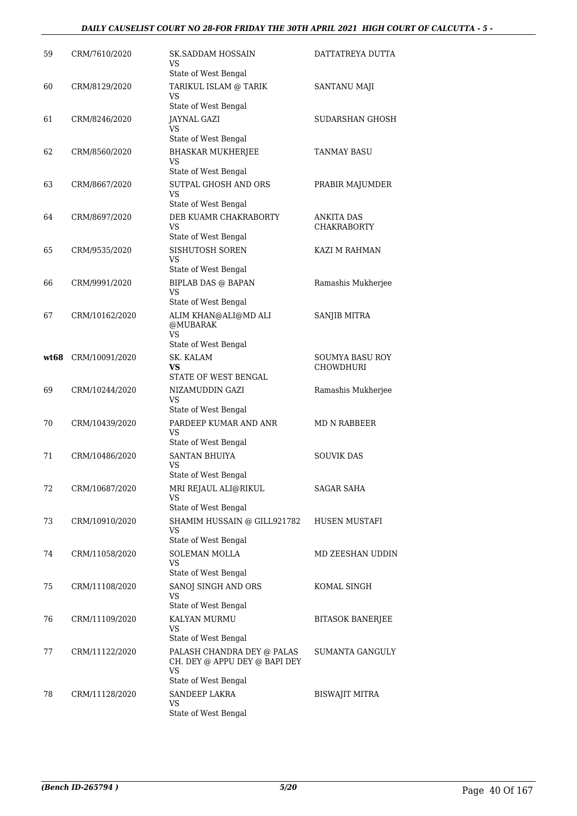#### *DAILY CAUSELIST COURT NO 28-FOR FRIDAY THE 30TH APRIL 2021 HIGH COURT OF CALCUTTA - 5 -*

| 59   | CRM/7610/2020  | <b>SK.SADDAM HOSSAIN</b><br>VS.<br>State of West Bengal                                          | DATTATREYA DUTTA                    |
|------|----------------|--------------------------------------------------------------------------------------------------|-------------------------------------|
| 60   | CRM/8129/2020  | TARIKUL ISLAM @ TARIK<br>VS.                                                                     | SANTANU MAJI                        |
| 61   | CRM/8246/2020  | State of West Bengal<br>JAYNAL GAZI<br>VS                                                        | SUDARSHAN GHOSH                     |
| 62   | CRM/8560/2020  | State of West Bengal<br><b>BHASKAR MUKHERJEE</b><br>VS.                                          | TANMAY BASU                         |
| 63   | CRM/8667/2020  | State of West Bengal<br>SUTPAL GHOSH AND ORS<br>VS.                                              | PRABIR MAJUMDER                     |
| 64   | CRM/8697/2020  | State of West Bengal<br>DEB KUAMR CHAKRABORTY<br>VS                                              | ANKITA DAS<br><b>CHAKRABORTY</b>    |
| 65   | CRM/9535/2020  | State of West Bengal<br>SISHUTOSH SOREN<br>VS.                                                   | KAZI M RAHMAN                       |
| 66   | CRM/9991/2020  | State of West Bengal<br><b>BIPLAB DAS @ BAPAN</b><br>VS                                          | Ramashis Mukherjee                  |
| 67   | CRM/10162/2020 | State of West Bengal<br>ALIM KHAN@ALI@MD ALI<br>@MUBARAK<br>VS.                                  | <b>SANJIB MITRA</b>                 |
|      |                | State of West Bengal                                                                             |                                     |
| wt68 | CRM/10091/2020 | SK. KALAM<br>VS<br>STATE OF WEST BENGAL                                                          | <b>SOUMYA BASU ROY</b><br>CHOWDHURI |
| 69   | CRM/10244/2020 | NIZAMUDDIN GAZI<br>VS.<br>State of West Bengal                                                   | Ramashis Mukherjee                  |
| 70   | CRM/10439/2020 | PARDEEP KUMAR AND ANR<br>VS.<br>State of West Bengal                                             | MD N RABBEER                        |
| 71   | CRM/10486/2020 | <b>SANTAN BHUIYA</b><br>VS<br>State of West Bengal                                               | <b>SOUVIK DAS</b>                   |
| 72   | CRM/10687/2020 | MRI REJAUL ALI@RIKUL<br>VS                                                                       | <b>SAGAR SAHA</b>                   |
| 73   | CRM/10910/2020 | State of West Bengal<br>SHAMIM HUSSAIN @ GILL921782<br>VS<br>State of West Bengal                | HUSEN MUSTAFI                       |
| 74   | CRM/11058/2020 | <b>SOLEMAN MOLLA</b><br>VS                                                                       | MD ZEESHAN UDDIN                    |
| 75   | CRM/11108/2020 | State of West Bengal<br>SANOJ SINGH AND ORS<br>VS.                                               | KOMAL SINGH                         |
| 76   | CRM/11109/2020 | State of West Bengal<br>KALYAN MURMU<br>VS                                                       | <b>BITASOK BANERJEE</b>             |
| 77   | CRM/11122/2020 | State of West Bengal<br>PALASH CHANDRA DEY @ PALAS<br>CH. DEY @ APPU DEY @ BAPI DEY<br><b>VS</b> | SUMANTA GANGULY                     |
| 78   | CRM/11128/2020 | State of West Bengal<br>SANDEEP LAKRA<br>VS<br>State of West Bengal                              | <b>BISWAJIT MITRA</b>               |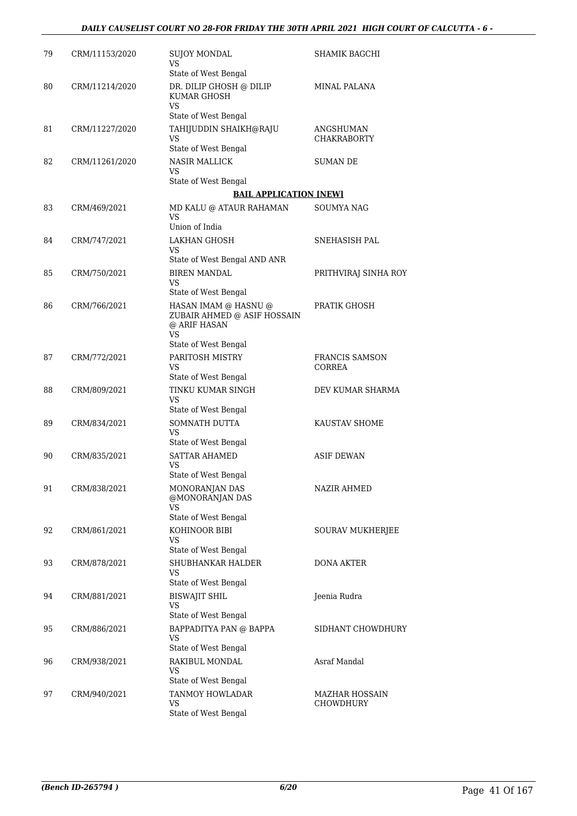| 79 | CRM/11153/2020 | SUJOY MONDAL<br>VS.                                                   | SHAMIK BAGCHI            |
|----|----------------|-----------------------------------------------------------------------|--------------------------|
| 80 | CRM/11214/2020 | State of West Bengal<br>DR. DILIP GHOSH @ DILIP<br><b>KUMAR GHOSH</b> | MINAL PALANA             |
|    |                | VS.<br>State of West Bengal                                           |                          |
| 81 | CRM/11227/2020 | TAHIJUDDIN SHAIKH@RAJU                                                | ANGSHUMAN                |
|    |                | VS                                                                    | <b>CHAKRABORTY</b>       |
|    |                | State of West Bengal                                                  |                          |
| 82 | CRM/11261/2020 | <b>NASIR MALLICK</b><br>VS.                                           | <b>SUMAN DE</b>          |
|    |                | State of West Bengal                                                  |                          |
|    |                | <b>BAIL APPLICATION [NEW]</b>                                         |                          |
| 83 | CRM/469/2021   | MD KALU @ ATAUR RAHAMAN<br>VS                                         | SOUMYA NAG               |
|    |                | Union of India                                                        |                          |
| 84 | CRM/747/2021   | <b>LAKHAN GHOSH</b><br>VS.                                            | SNEHASISH PAL            |
|    |                | State of West Bengal AND ANR                                          |                          |
| 85 | CRM/750/2021   | <b>BIREN MANDAL</b><br>VS                                             | PRITHVIRAJ SINHA ROY     |
|    |                | State of West Bengal                                                  |                          |
| 86 | CRM/766/2021   | HASAN IMAM @ HASNU @<br>ZUBAIR AHMED @ ASIF HOSSAIN<br>@ ARIF HASAN   | PRATIK GHOSH             |
|    |                | VS.<br>State of West Bengal                                           |                          |
|    |                |                                                                       |                          |
| 87 | CRM/772/2021   | PARITOSH MISTRY<br>VS.<br>State of West Bengal                        | FRANCIS SAMSON<br>CORREA |
| 88 | CRM/809/2021   | TINKU KUMAR SINGH                                                     | DEV KUMAR SHARMA         |
|    |                | VS.<br>State of West Bengal                                           |                          |
| 89 | CRM/834/2021   | SOMNATH DUTTA                                                         | KAUSTAV SHOME            |
|    |                | VS.<br>State of West Bengal                                           |                          |
| 90 | CRM/835/2021   | <b>SATTAR AHAMED</b>                                                  | <b>ASIF DEWAN</b>        |
|    |                | VS.<br>State of West Bengal                                           |                          |
| 91 | CRM/838/2021   | MONORANJAN DAS                                                        | <b>NAZIR AHMED</b>       |
|    |                | @MONORANJAN DAS<br><b>VS</b>                                          |                          |
|    |                | State of West Bengal                                                  |                          |
| 92 | CRM/861/2021   | KOHINOOR BIBI<br>VS                                                   | SOURAV MUKHERJEE         |
|    |                | State of West Bengal                                                  |                          |
| 93 | CRM/878/2021   | SHUBHANKAR HALDER<br>VS                                               | DONA AKTER               |
|    |                | State of West Bengal                                                  |                          |
| 94 | CRM/881/2021   | <b>BISWAJIT SHIL</b><br>VS<br>State of West Bengal                    | Jeenia Rudra             |
|    |                |                                                                       |                          |
| 95 | CRM/886/2021   | BAPPADITYA PAN @ BAPPA<br>VS<br>State of West Bengal                  | SIDHANT CHOWDHURY        |
| 96 | CRM/938/2021   | RAKIBUL MONDAL                                                        | Asraf Mandal             |
|    |                | VS<br>State of West Bengal                                            |                          |
| 97 | CRM/940/2021   | TANMOY HOWLADAR                                                       | <b>MAZHAR HOSSAIN</b>    |
|    |                | VS<br>State of West Bengal                                            | <b>CHOWDHURY</b>         |
|    |                |                                                                       |                          |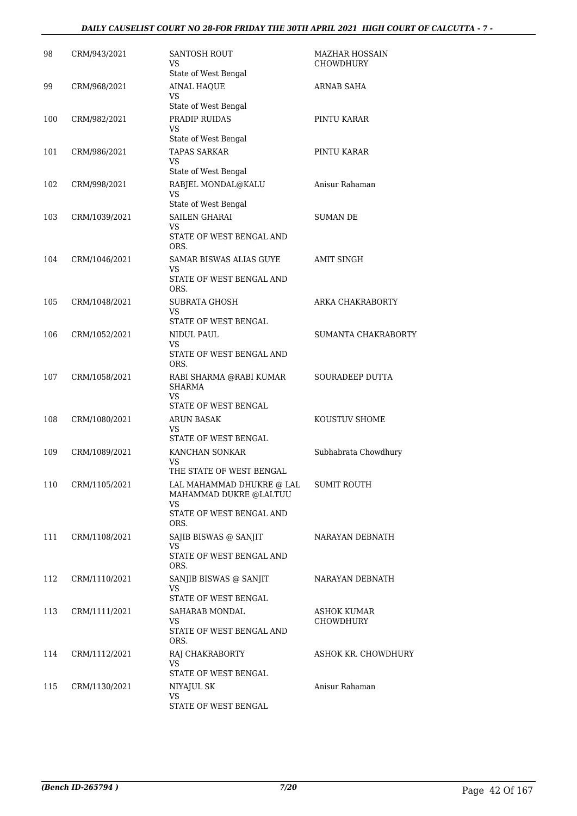#### *DAILY CAUSELIST COURT NO 28-FOR FRIDAY THE 30TH APRIL 2021 HIGH COURT OF CALCUTTA - 7 -*

| 98  | CRM/943/2021  | <b>SANTOSH ROUT</b><br>VS<br>State of West Bengal                                              | MAZHAR HOSSAIN<br><b>CHOWDHURY</b>     |
|-----|---------------|------------------------------------------------------------------------------------------------|----------------------------------------|
| 99  | CRM/968/2021  | <b>AINAL HAQUE</b><br>VS<br>State of West Bengal                                               | ARNAB SAHA                             |
| 100 | CRM/982/2021  | PRADIP RUIDAS<br>VS<br>State of West Bengal                                                    | PINTU KARAR                            |
| 101 | CRM/986/2021  | <b>TAPAS SARKAR</b><br>VS<br>State of West Bengal                                              | PINTU KARAR                            |
| 102 | CRM/998/2021  | RABJEL MONDAL@KALU<br>VS                                                                       | Anisur Rahaman                         |
| 103 | CRM/1039/2021 | State of West Bengal<br><b>SAILEN GHARAI</b><br>VS<br>STATE OF WEST BENGAL AND<br>ORS.         | <b>SUMAN DE</b>                        |
| 104 | CRM/1046/2021 | SAMAR BISWAS ALIAS GUYE<br>VS<br>STATE OF WEST BENGAL AND<br>ORS.                              | <b>AMIT SINGH</b>                      |
| 105 | CRM/1048/2021 | SUBRATA GHOSH<br>VS<br>STATE OF WEST BENGAL                                                    | ARKA CHAKRABORTY                       |
| 106 | CRM/1052/2021 | NIDUL PAUL<br>VS<br>STATE OF WEST BENGAL AND<br>ORS.                                           | SUMANTA CHAKRABORTY                    |
| 107 | CRM/1058/2021 | RABI SHARMA @RABI KUMAR<br><b>SHARMA</b><br>VS<br>STATE OF WEST BENGAL                         | SOURADEEP DUTTA                        |
| 108 | CRM/1080/2021 | ARUN BASAK<br>VS<br>STATE OF WEST BENGAL                                                       | KOUSTUV SHOME                          |
| 109 | CRM/1089/2021 | KANCHAN SONKAR<br>VS<br>THE STATE OF WEST BENGAL                                               | Subhabrata Chowdhury                   |
| 110 | CRM/1105/2021 | LAL MAHAMMAD DHUKRE @ LAL<br>MAHAMMAD DUKRE @LALTUU<br>VS.<br>STATE OF WEST BENGAL AND<br>ORS. | <b>SUMIT ROUTH</b>                     |
| 111 | CRM/1108/2021 | SAJIB BISWAS @ SANJIT<br>VS.<br>STATE OF WEST BENGAL AND<br>ORS.                               | NARAYAN DEBNATH                        |
| 112 | CRM/1110/2021 | SANJIB BISWAS @ SANJIT<br>VS<br>STATE OF WEST BENGAL                                           | NARAYAN DEBNATH                        |
| 113 | CRM/1111/2021 | SAHARAB MONDAL<br>VS.<br>STATE OF WEST BENGAL AND<br>ORS.                                      | <b>ASHOK KUMAR</b><br><b>CHOWDHURY</b> |
| 114 | CRM/1112/2021 | RAJ CHAKRABORTY<br>VS<br>STATE OF WEST BENGAL                                                  | ASHOK KR. CHOWDHURY                    |
| 115 | CRM/1130/2021 | NIYAJUL SK<br>VS<br>STATE OF WEST BENGAL                                                       | Anisur Rahaman                         |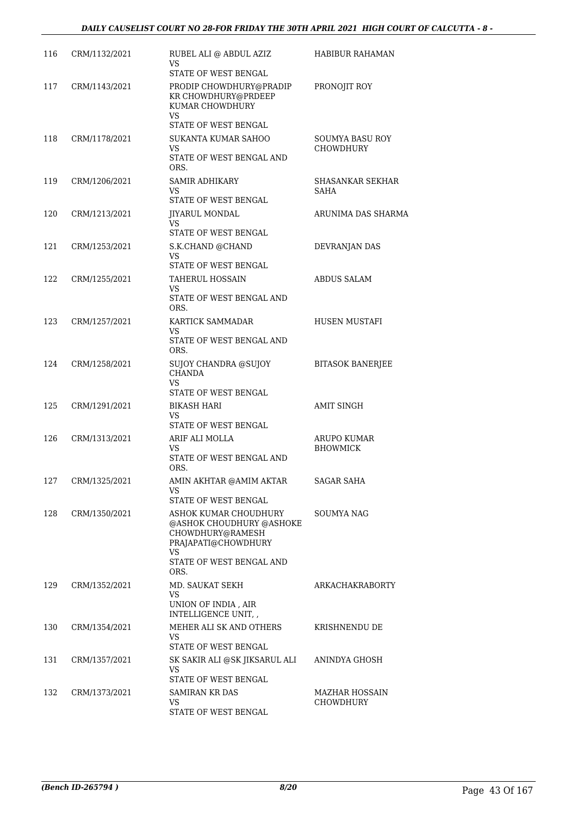| 116 | CRM/1132/2021     | RUBEL ALI @ ABDUL AZIZ<br>VS<br>STATE OF WEST BENGAL                                                                                   | HABIBUR RAHAMAN                            |
|-----|-------------------|----------------------------------------------------------------------------------------------------------------------------------------|--------------------------------------------|
| 117 | CRM/1143/2021     | PRODIP CHOWDHURY@PRADIP<br>KR CHOWDHURY@PRDEEP<br>KUMAR CHOWDHURY<br><b>VS</b>                                                         | PRONOJIT ROY                               |
| 118 | CRM/1178/2021     | STATE OF WEST BENGAL<br>SUKANTA KUMAR SAHOO<br>VS.<br>STATE OF WEST BENGAL AND<br>ORS.                                                 | <b>SOUMYA BASU ROY</b><br><b>CHOWDHURY</b> |
| 119 | CRM/1206/2021     | <b>SAMIR ADHIKARY</b><br>VS<br>STATE OF WEST BENGAL                                                                                    | SHASANKAR SEKHAR<br>SAHA                   |
| 120 | CRM/1213/2021     | JIYARUL MONDAL<br>VS.<br>STATE OF WEST BENGAL                                                                                          | ARUNIMA DAS SHARMA                         |
| 121 | CRM/1253/2021     | S.K.CHAND @CHAND<br>VS<br>STATE OF WEST BENGAL                                                                                         | DEVRANJAN DAS                              |
| 122 | CRM/1255/2021     | TAHERUL HOSSAIN<br>VS<br>STATE OF WEST BENGAL AND<br>ORS.                                                                              | <b>ABDUS SALAM</b>                         |
| 123 | CRM/1257/2021     | KARTICK SAMMADAR<br>VS<br>STATE OF WEST BENGAL AND<br>ORS.                                                                             | HUSEN MUSTAFI                              |
| 124 | CRM/1258/2021     | <b>SUJOY CHANDRA @SUJOY</b><br><b>CHANDA</b><br><b>VS</b><br>STATE OF WEST BENGAL                                                      | <b>BITASOK BANERJEE</b>                    |
| 125 | CRM/1291/2021     | BIKASH HARI<br>VS<br>STATE OF WEST BENGAL                                                                                              | <b>AMIT SINGH</b>                          |
| 126 | CRM/1313/2021     | ARIF ALI MOLLA<br>VS.<br>STATE OF WEST BENGAL AND<br>ORS.                                                                              | <b>ARUPO KUMAR</b><br><b>BHOWMICK</b>      |
|     | 127 CRM/1325/2021 | AMIN AKHTAR @AMIM AKTAR<br>VS.<br>STATE OF WEST BENGAL                                                                                 | SAGAR SAHA                                 |
| 128 | CRM/1350/2021     | ASHOK KUMAR CHOUDHURY<br>@ASHOK CHOUDHURY @ASHOKE<br>CHOWDHURY@RAMESH<br>PRAJAPATI@CHOWDHURY<br>VS<br>STATE OF WEST BENGAL AND<br>ORS. | SOUMYA NAG                                 |
| 129 | CRM/1352/2021     | MD. SAUKAT SEKH<br>VS.<br>UNION OF INDIA, AIR<br>INTELLIGENCE UNIT, ,                                                                  | ARKACHAKRABORTY                            |
| 130 | CRM/1354/2021     | MEHER ALI SK AND OTHERS<br>VS.<br>STATE OF WEST BENGAL                                                                                 | KRISHNENDU DE                              |
| 131 | CRM/1357/2021     | SK SAKIR ALI @SK JIKSARUL ALI<br>VS.<br>STATE OF WEST BENGAL                                                                           | ANINDYA GHOSH                              |
| 132 | CRM/1373/2021     | SAMIRAN KR DAS<br>VS.<br>STATE OF WEST BENGAL                                                                                          | MAZHAR HOSSAIN<br><b>CHOWDHURY</b>         |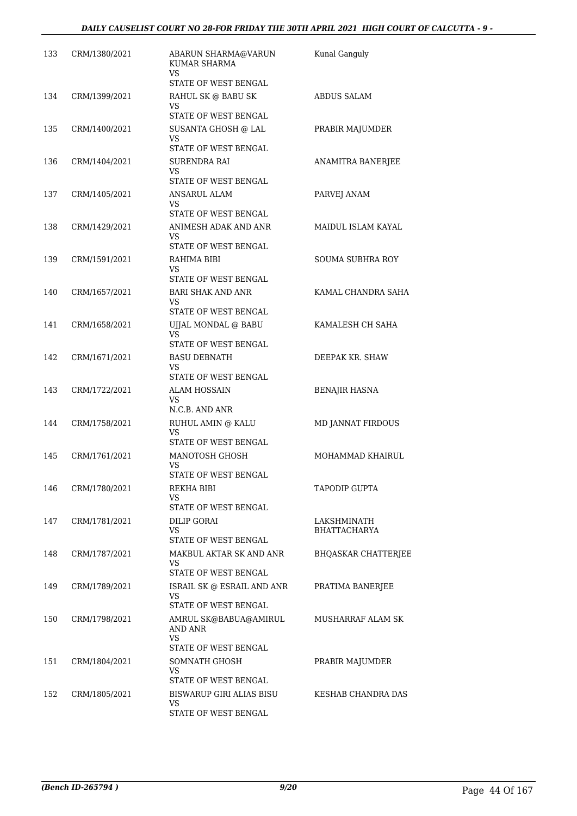| 133 | CRM/1380/2021 | ABARUN SHARMA@VARUN<br><b>KUMAR SHARMA</b><br>VS.      | Kunal Ganguly              |
|-----|---------------|--------------------------------------------------------|----------------------------|
|     |               | STATE OF WEST BENGAL                                   |                            |
| 134 | CRM/1399/2021 | RAHUL SK @ BABU SK<br>VS                               | <b>ABDUS SALAM</b>         |
|     |               | STATE OF WEST BENGAL                                   |                            |
| 135 | CRM/1400/2021 | SUSANTA GHOSH @ LAL<br>VS.<br>STATE OF WEST BENGAL     | PRABIR MAJUMDER            |
| 136 | CRM/1404/2021 | SURENDRA RAI                                           | ANAMITRA BANERJEE          |
|     |               | VS.<br>STATE OF WEST BENGAL                            |                            |
| 137 | CRM/1405/2021 | ANSARUL ALAM<br>VS.                                    | PARVEJ ANAM                |
|     |               | STATE OF WEST BENGAL                                   |                            |
| 138 | CRM/1429/2021 | ANIMESH ADAK AND ANR<br>VS.                            | MAIDUL ISLAM KAYAL         |
|     |               | STATE OF WEST BENGAL                                   |                            |
| 139 | CRM/1591/2021 | RAHIMA BIBI<br>VS                                      | <b>SOUMA SUBHRA ROY</b>    |
|     |               | STATE OF WEST BENGAL                                   |                            |
| 140 | CRM/1657/2021 | <b>BARI SHAK AND ANR</b><br>VS.                        | KAMAL CHANDRA SAHA         |
|     |               | STATE OF WEST BENGAL                                   |                            |
| 141 | CRM/1658/2021 | UJJAL MONDAL @ BABU<br>VS<br>STATE OF WEST BENGAL      | KAMALESH CH SAHA           |
| 142 | CRM/1671/2021 | <b>BASU DEBNATH</b>                                    | DEEPAK KR. SHAW            |
|     |               | VS                                                     |                            |
|     |               | STATE OF WEST BENGAL                                   |                            |
| 143 | CRM/1722/2021 | ALAM HOSSAIN<br>VS.<br>N.C.B. AND ANR                  | <b>BENAJIR HASNA</b>       |
| 144 | CRM/1758/2021 | RUHUL AMIN @ KALU                                      | MD JANNAT FIRDOUS          |
|     |               | <b>VS</b><br>STATE OF WEST BENGAL                      |                            |
| 145 | CRM/1761/2021 | MANOTOSH GHOSH                                         | MOHAMMAD KHAIRUL           |
|     |               | VS                                                     |                            |
|     |               | STATE OF WEST BENGAL<br>REKHA BIBI                     | <b>TAPODIP GUPTA</b>       |
| 146 | CRM/1780/2021 | VS<br>STATE OF WEST BENGAL                             |                            |
| 147 | CRM/1781/2021 | DILIP GORAI                                            | LAKSHMINATH                |
|     |               | VS                                                     | <b>BHATTACHARYA</b>        |
|     |               | STATE OF WEST BENGAL                                   |                            |
| 148 | CRM/1787/2021 | MAKBUL AKTAR SK AND ANR<br>VS.<br>STATE OF WEST BENGAL | <b>BHQASKAR CHATTERJEE</b> |
| 149 | CRM/1789/2021 | ISRAIL SK @ ESRAIL AND ANR                             | PRATIMA BANERJEE           |
|     |               | VS.<br>STATE OF WEST BENGAL                            |                            |
| 150 | CRM/1798/2021 | AMRUL SK@BABUA@AMIRUL<br>AND ANR                       | MUSHARRAF ALAM SK          |
|     |               | VS.<br>STATE OF WEST BENGAL                            |                            |
| 151 | CRM/1804/2021 | SOMNATH GHOSH                                          | PRABIR MAJUMDER            |
|     |               | VS                                                     |                            |
|     |               | STATE OF WEST BENGAL                                   |                            |
| 152 | CRM/1805/2021 | BISWARUP GIRI ALIAS BISU<br>VS.                        | KESHAB CHANDRA DAS         |
|     |               | STATE OF WEST BENGAL                                   |                            |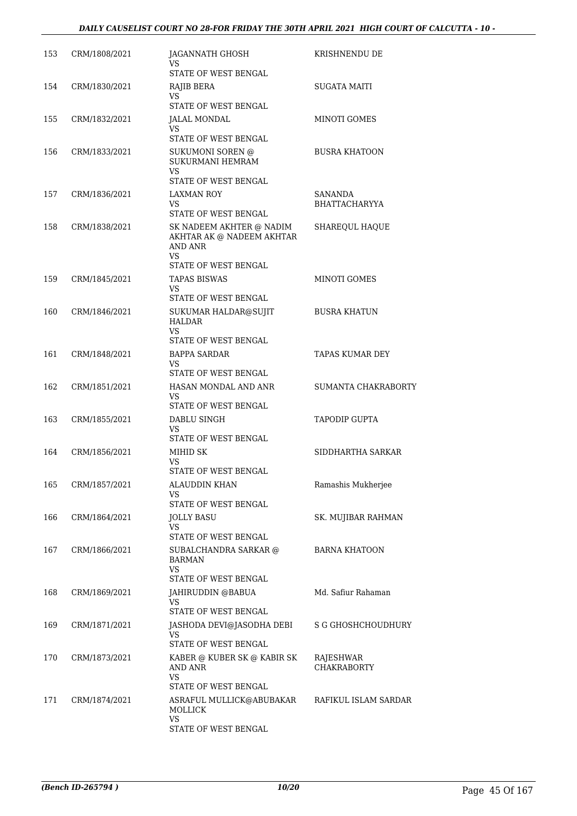| 153 | CRM/1808/2021 | JAGANNATH GHOSH<br>VS                              | KRISHNENDU DE                   |
|-----|---------------|----------------------------------------------------|---------------------------------|
|     |               | STATE OF WEST BENGAL                               |                                 |
| 154 | CRM/1830/2021 | RAJIB BERA<br>VS<br>STATE OF WEST BENGAL           | SUGATA MAITI                    |
| 155 | CRM/1832/2021 | JALAL MONDAL                                       | MINOTI GOMES                    |
|     |               | VS                                                 |                                 |
|     |               | STATE OF WEST BENGAL                               |                                 |
| 156 | CRM/1833/2021 | SUKUMONI SOREN @<br><b>SUKURMANI HEMRAM</b><br>VS. | <b>BUSRA KHATOON</b>            |
|     |               | <b>STATE OF WEST BENGAL</b>                        |                                 |
| 157 | CRM/1836/2021 | LAXMAN ROY<br>VS.<br>STATE OF WEST BENGAL          | SANANDA<br><b>BHATTACHARYYA</b> |
| 158 | CRM/1838/2021 | SK NADEEM AKHTER @ NADIM                           | SHAREQUL HAQUE                  |
|     |               | AKHTAR AK @ NADEEM AKHTAR<br>AND ANR<br><b>VS</b>  |                                 |
|     |               | STATE OF WEST BENGAL                               |                                 |
| 159 | CRM/1845/2021 | <b>TAPAS BISWAS</b><br>VS<br>STATE OF WEST BENGAL  | <b>MINOTI GOMES</b>             |
| 160 | CRM/1846/2021 | SUKUMAR HALDAR@SUJIT                               | <b>BUSRA KHATUN</b>             |
|     |               | HALDAR<br>VS                                       |                                 |
|     |               | STATE OF WEST BENGAL                               |                                 |
| 161 | CRM/1848/2021 | <b>BAPPA SARDAR</b><br>VS<br>STATE OF WEST BENGAL  | TAPAS KUMAR DEY                 |
| 162 | CRM/1851/2021 | HASAN MONDAL AND ANR                               | SUMANTA CHAKRABORTY             |
|     |               | VS<br>STATE OF WEST BENGAL                         |                                 |
| 163 | CRM/1855/2021 | DABLU SINGH                                        | <b>TAPODIP GUPTA</b>            |
|     |               | VS                                                 |                                 |
|     |               | STATE OF WEST BENGAL                               |                                 |
| 164 | CRM/1856/2021 | MIHID SK<br>VS.                                    | SIDDHARTHA SARKAR               |
|     |               | STATE OF WEST BENGAL                               |                                 |
| 165 | CRM/1857/2021 | ALAUDDIN KHAN<br>VS                                | Ramashis Mukherjee              |
|     |               | STATE OF WEST BENGAL                               |                                 |
| 166 | CRM/1864/2021 | JOLLY BASU<br>VS.                                  | SK. MUJIBAR RAHMAN              |
|     |               | STATE OF WEST BENGAL                               |                                 |
| 167 | CRM/1866/2021 | SUBALCHANDRA SARKAR @<br>BARMAN<br>VS.             | <b>BARNA KHATOON</b>            |
|     |               | STATE OF WEST BENGAL                               |                                 |
| 168 | CRM/1869/2021 | JAHIRUDDIN @BABUA<br>VS<br>STATE OF WEST BENGAL    | Md. Safiur Rahaman              |
| 169 | CRM/1871/2021 | JASHODA DEVI@JASODHA DEBI                          | S G GHOSHCHOUDHURY              |
|     |               | VS<br>STATE OF WEST BENGAL                         |                                 |
| 170 | CRM/1873/2021 | KABER @ KUBER SK @ KABIR SK                        | RAJESHWAR                       |
|     |               | AND ANR<br>VS.<br>STATE OF WEST BENGAL             | CHAKRABORTY                     |
| 171 | CRM/1874/2021 | ASRAFUL MULLICK@ABUBAKAR                           | RAFIKUL ISLAM SARDAR            |
|     |               | MOLLICK<br>VS.                                     |                                 |
|     |               | STATE OF WEST BENGAL                               |                                 |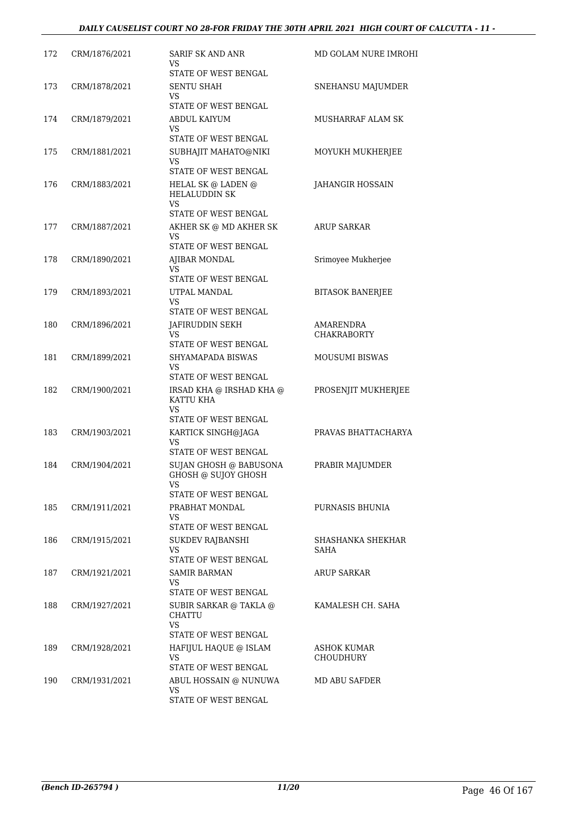| 172 | CRM/1876/2021 | SARIF SK AND ANR<br><b>VS</b><br>STATE OF WEST BENGAL | MD GOLAM NURE IMROHI            |
|-----|---------------|-------------------------------------------------------|---------------------------------|
| 173 | CRM/1878/2021 | <b>SENTU SHAH</b><br>VS                               | SNEHANSU MAJUMDER               |
|     |               | STATE OF WEST BENGAL                                  |                                 |
| 174 | CRM/1879/2021 | ABDUL KAIYUM<br>VS<br>STATE OF WEST BENGAL            | MUSHARRAF ALAM SK               |
| 175 | CRM/1881/2021 | SUBHAJIT MAHATO@NIKI<br>VS                            | MOYUKH MUKHERJEE                |
|     |               | STATE OF WEST BENGAL                                  |                                 |
| 176 | CRM/1883/2021 | HELAL SK @ LADEN @<br><b>HELALUDDIN SK</b><br>VS      | JAHANGIR HOSSAIN                |
|     |               | STATE OF WEST BENGAL                                  |                                 |
| 177 | CRM/1887/2021 | AKHER SK @ MD AKHER SK<br>VS<br>STATE OF WEST BENGAL  | <b>ARUP SARKAR</b>              |
| 178 |               |                                                       |                                 |
|     | CRM/1890/2021 | AJIBAR MONDAL<br>VS<br>STATE OF WEST BENGAL           | Srimoyee Mukherjee              |
| 179 | CRM/1893/2021 | UTPAL MANDAL                                          | <b>BITASOK BANERJEE</b>         |
|     |               | VS<br>STATE OF WEST BENGAL                            |                                 |
| 180 | CRM/1896/2021 | JAFIRUDDIN SEKH                                       | <b>AMARENDRA</b>                |
|     |               | VS<br>STATE OF WEST BENGAL                            | <b>CHAKRABORTY</b>              |
| 181 | CRM/1899/2021 | SHYAMAPADA BISWAS<br>VS<br>STATE OF WEST BENGAL       | <b>MOUSUMI BISWAS</b>           |
| 182 | CRM/1900/2021 | IRSAD KHA @ IRSHAD KHA @<br>KATTU KHA<br>VS           | PROSENJIT MUKHERJEE             |
|     |               | STATE OF WEST BENGAL                                  |                                 |
| 183 | CRM/1903/2021 | KARTICK SINGH@JAGA<br>VS                              | PRAVAS BHATTACHARYA             |
|     |               | STATE OF WEST BENGAL                                  |                                 |
| 184 | CRM/1904/2021 | SUJAN GHOSH @ BABUSONA<br>GHOSH @ SUJOY GHOSH<br>VS   | PRABIR MAJUMDER                 |
|     |               | STATE OF WEST BENGAL                                  |                                 |
| 185 | CRM/1911/2021 | PRABHAT MONDAL<br>VS                                  | PURNASIS BHUNIA                 |
|     |               | STATE OF WEST BENGAL                                  |                                 |
| 186 | CRM/1915/2021 | <b>SUKDEV RAJBANSHI</b><br>VS                         | SHASHANKA SHEKHAR<br>SAHA       |
|     |               | STATE OF WEST BENGAL                                  |                                 |
| 187 | CRM/1921/2021 | SAMIR BARMAN<br>VS<br>STATE OF WEST BENGAL            | <b>ARUP SARKAR</b>              |
| 188 | CRM/1927/2021 | SUBIR SARKAR @ TAKLA @                                | KAMALESH CH. SAHA               |
|     |               | CHATTU<br>VS.                                         |                                 |
|     |               | STATE OF WEST BENGAL                                  |                                 |
| 189 | CRM/1928/2021 | HAFIJUL HAQUE @ ISLAM<br>VS<br>STATE OF WEST BENGAL   | ASHOK KUMAR<br><b>CHOUDHURY</b> |
| 190 | CRM/1931/2021 |                                                       | <b>MD ABU SAFDER</b>            |
|     |               | ABUL HOSSAIN @ NUNUWA<br>VS.<br>STATE OF WEST BENGAL  |                                 |
|     |               |                                                       |                                 |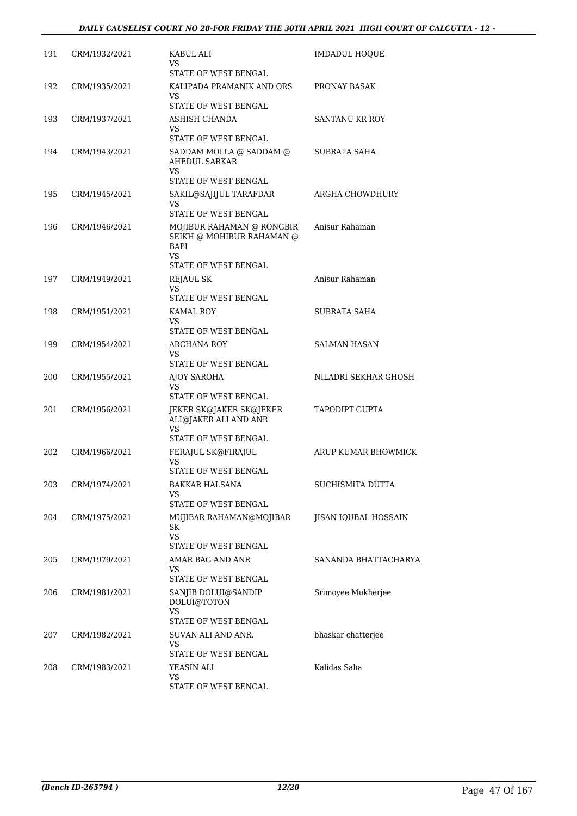| 191 | CRM/1932/2021 | KABUL ALI<br>VS.                                                                                    | <b>IMDADUL HOQUE</b>    |
|-----|---------------|-----------------------------------------------------------------------------------------------------|-------------------------|
| 192 | CRM/1935/2021 | STATE OF WEST BENGAL<br>KALIPADA PRAMANIK AND ORS                                                   | PRONAY BASAK            |
|     |               | VS.<br>STATE OF WEST BENGAL                                                                         |                         |
| 193 | CRM/1937/2021 | ASHISH CHANDA                                                                                       | SANTANU KR ROY          |
|     |               | VS<br>STATE OF WEST BENGAL                                                                          |                         |
| 194 | CRM/1943/2021 | SADDAM MOLLA @ SADDAM @<br>AHEDUL SARKAR<br>VS.<br>STATE OF WEST BENGAL                             | SUBRATA SAHA            |
| 195 | CRM/1945/2021 | SAKIL@SAJIJUL TARAFDAR                                                                              | ARGHA CHOWDHURY         |
|     |               | VS.<br>STATE OF WEST BENGAL                                                                         |                         |
| 196 | CRM/1946/2021 | MOJIBUR RAHAMAN @ RONGBIR<br>SEIKH @ MOHIBUR RAHAMAN @<br>BAPI<br><b>VS</b><br>STATE OF WEST BENGAL | Anisur Rahaman          |
| 197 | CRM/1949/2021 | <b>REJAUL SK</b>                                                                                    | Anisur Rahaman          |
|     |               | VS.<br>STATE OF WEST BENGAL                                                                         |                         |
| 198 | CRM/1951/2021 | <b>KAMAL ROY</b><br>VS.<br>STATE OF WEST BENGAL                                                     | SUBRATA SAHA            |
| 199 | CRM/1954/2021 | ARCHANA ROY                                                                                         | SALMAN HASAN            |
|     |               | VS.<br>STATE OF WEST BENGAL                                                                         |                         |
| 200 | CRM/1955/2021 | AJOY SAROHA<br>VS<br>STATE OF WEST BENGAL                                                           | NILADRI SEKHAR GHOSH    |
| 201 | CRM/1956/2021 | JEKER SK@JAKER SK@JEKER<br>ALI@JAKER ALI AND ANR<br>VS.<br>STATE OF WEST BENGAL                     | TAPODIPT GUPTA          |
| 202 | CRM/1966/2021 | FERAJUL SK@FIRAJUL                                                                                  | ARUP KUMAR BHOWMICK     |
|     |               | VS.<br>STATE OF WEST BENGAL                                                                         |                         |
| 203 | CRM/1974/2021 | <b>BAKKAR HALSANA</b><br>VS                                                                         | <b>SUCHISMITA DUTTA</b> |
| 204 | CRM/1975/2021 | STATE OF WEST BENGAL<br>MUJIBAR RAHAMAN@MOJIBAR                                                     | JISAN IQUBAL HOSSAIN    |
|     |               | SK<br><b>VS</b><br>STATE OF WEST BENGAL                                                             |                         |
| 205 | CRM/1979/2021 | AMAR BAG AND ANR                                                                                    | SANANDA BHATTACHARYA    |
|     |               | VS.<br>STATE OF WEST BENGAL                                                                         |                         |
| 206 | CRM/1981/2021 | SANJIB DOLUI@SANDIP<br>DOLUI@TOTON<br>VS.                                                           | Srimoyee Mukherjee      |
|     |               | STATE OF WEST BENGAL                                                                                |                         |
| 207 | CRM/1982/2021 | SUVAN ALI AND ANR.<br>VS<br>STATE OF WEST BENGAL                                                    | bhaskar chatterjee      |
| 208 | CRM/1983/2021 | YEASIN ALI                                                                                          | Kalidas Saha            |
|     |               | VS.<br>STATE OF WEST BENGAL                                                                         |                         |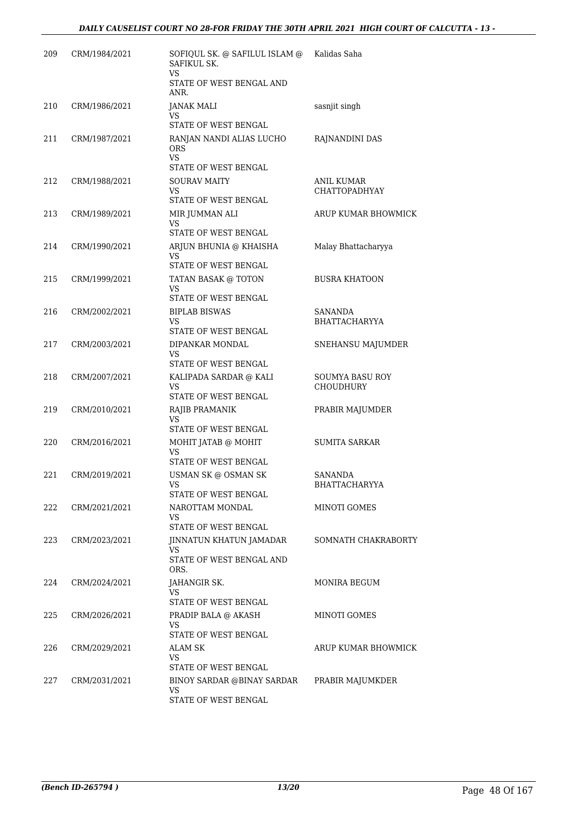| 209 | CRM/1984/2021 | SOFIQUL SK. @ SAFILUL ISLAM @<br>SAFIKUL SK.<br><b>VS</b><br>STATE OF WEST BENGAL AND | Kalidas Saha                               |
|-----|---------------|---------------------------------------------------------------------------------------|--------------------------------------------|
|     |               | ANR.                                                                                  |                                            |
| 210 | CRM/1986/2021 | JANAK MALI<br>VS.                                                                     | sasnjit singh                              |
|     |               | STATE OF WEST BENGAL                                                                  |                                            |
| 211 | CRM/1987/2021 | RANJAN NANDI ALIAS LUCHO<br><b>ORS</b><br>VS.<br>STATE OF WEST BENGAL                 | RAJNANDINI DAS                             |
| 212 | CRM/1988/2021 | <b>SOURAV MAITY</b><br>VS<br>STATE OF WEST BENGAL                                     | ANIL KUMAR<br><b>CHATTOPADHYAY</b>         |
| 213 | CRM/1989/2021 | MIR JUMMAN ALI<br>VS                                                                  | ARUP KUMAR BHOWMICK                        |
| 214 | CRM/1990/2021 | STATE OF WEST BENGAL<br>ARJUN BHUNIA @ KHAISHA<br>VS.<br>STATE OF WEST BENGAL         | Malay Bhattacharyya                        |
| 215 | CRM/1999/2021 | TATAN BASAK @ TOTON<br><b>VS</b><br>STATE OF WEST BENGAL                              | <b>BUSRA KHATOON</b>                       |
| 216 | CRM/2002/2021 | <b>BIPLAB BISWAS</b><br>VS<br>STATE OF WEST BENGAL                                    | SANANDA<br><b>BHATTACHARYYA</b>            |
| 217 | CRM/2003/2021 | DIPANKAR MONDAL<br>VS<br>STATE OF WEST BENGAL                                         | SNEHANSU MAJUMDER                          |
| 218 | CRM/2007/2021 | KALIPADA SARDAR @ KALI<br><b>VS</b><br>STATE OF WEST BENGAL                           | <b>SOUMYA BASU ROY</b><br><b>CHOUDHURY</b> |
| 219 | CRM/2010/2021 | RAJIB PRAMANIK<br>VS<br>STATE OF WEST BENGAL                                          | PRABIR MAJUMDER                            |
| 220 | CRM/2016/2021 | MOHIT JATAB @ MOHIT<br>VS<br>STATE OF WEST BENGAL                                     | SUMITA SARKAR                              |
| 221 | CRM/2019/2021 | USMAN SK @ OSMAN SK<br>VS<br>STATE OF WEST BENGAL                                     | SANANDA<br>BHATTACHARYYA                   |
| 222 | CRM/2021/2021 | NAROTTAM MONDAL<br>VS.<br>STATE OF WEST BENGAL                                        | MINOTI GOMES                               |
| 223 | CRM/2023/2021 | JINNATUN KHATUN JAMADAR<br>VS.<br>STATE OF WEST BENGAL AND<br>ORS.                    | SOMNATH CHAKRABORTY                        |
| 224 | CRM/2024/2021 | JAHANGIR SK.<br>VS<br>STATE OF WEST BENGAL                                            | MONIRA BEGUM                               |
| 225 | CRM/2026/2021 | PRADIP BALA @ AKASH<br>VS<br>STATE OF WEST BENGAL                                     | MINOTI GOMES                               |
| 226 | CRM/2029/2021 | ALAM SK<br>VS<br>STATE OF WEST BENGAL                                                 | ARUP KUMAR BHOWMICK                        |
| 227 | CRM/2031/2021 | BINOY SARDAR @BINAY SARDAR<br>VS.<br>STATE OF WEST BENGAL                             | PRABIR MAJUMKDER                           |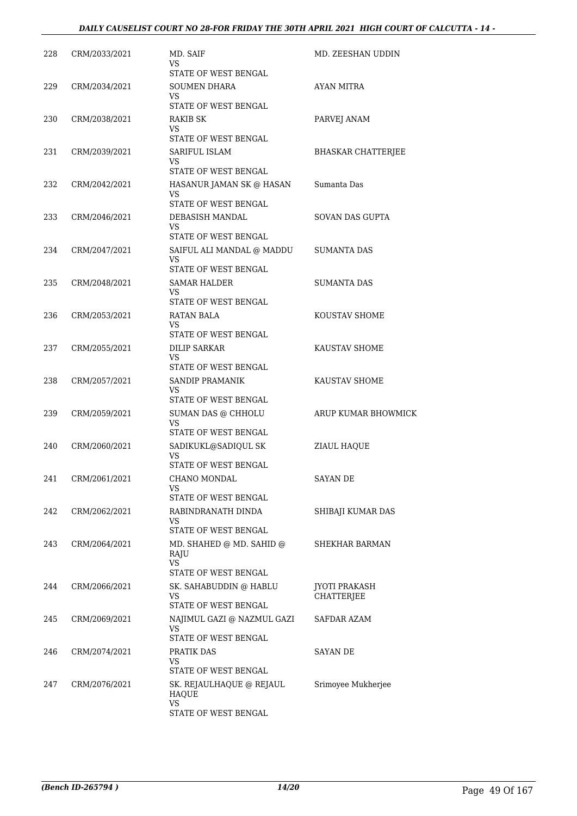| 228 | CRM/2033/2021 | MD. SAIF<br>VS.<br>STATE OF WEST BENGAL                                       | MD. ZEESHAN UDDIN                  |
|-----|---------------|-------------------------------------------------------------------------------|------------------------------------|
| 229 | CRM/2034/2021 | <b>SOUMEN DHARA</b><br>VS.                                                    | AYAN MITRA                         |
| 230 | CRM/2038/2021 | STATE OF WEST BENGAL<br>RAKIB SK<br>VS                                        | PARVEJ ANAM                        |
| 231 | CRM/2039/2021 | STATE OF WEST BENGAL<br><b>SARIFUL ISLAM</b><br>VS<br>STATE OF WEST BENGAL    | <b>BHASKAR CHATTERJEE</b>          |
| 232 | CRM/2042/2021 | HASANUR JAMAN SK @ HASAN<br>VS.<br>STATE OF WEST BENGAL                       | Sumanta Das                        |
| 233 | CRM/2046/2021 | DEBASISH MANDAL<br>VS<br>STATE OF WEST BENGAL                                 | <b>SOVAN DAS GUPTA</b>             |
| 234 | CRM/2047/2021 | SAIFUL ALI MANDAL @ MADDU<br>VS.<br>STATE OF WEST BENGAL                      | SUMANTA DAS                        |
| 235 | CRM/2048/2021 | <b>SAMAR HALDER</b><br>VS<br>STATE OF WEST BENGAL                             | <b>SUMANTA DAS</b>                 |
| 236 | CRM/2053/2021 | RATAN BALA<br>VS<br>STATE OF WEST BENGAL                                      | KOUSTAV SHOME                      |
| 237 | CRM/2055/2021 | <b>DILIP SARKAR</b><br>VS.<br>STATE OF WEST BENGAL                            | KAUSTAV SHOME                      |
| 238 | CRM/2057/2021 | SANDIP PRAMANIK<br>VS<br>STATE OF WEST BENGAL                                 | KAUSTAV SHOME                      |
| 239 | CRM/2059/2021 | SUMAN DAS @ CHHOLU<br>VS<br>STATE OF WEST BENGAL                              | ARUP KUMAR BHOWMICK                |
| 240 | CRM/2060/2021 | SADIKUKL@SADIQUL SK<br>VS<br>STATE OF WEST BENGAL                             | ZIAUL HAQUE                        |
| 241 | CRM/2061/2021 | CHANO MONDAL<br>VS<br>STATE OF WEST BENGAL                                    | SAYAN DE                           |
| 242 | CRM/2062/2021 | RABINDRANATH DINDA<br>VS<br>STATE OF WEST BENGAL                              | SHIBAJI KUMAR DAS                  |
| 243 | CRM/2064/2021 | MD. SHAHED @ MD. SAHID @<br>RAJU<br><b>VS</b>                                 | <b>SHEKHAR BARMAN</b>              |
| 244 | CRM/2066/2021 | STATE OF WEST BENGAL<br>SK. SAHABUDDIN @ HABLU<br>VS.<br>STATE OF WEST BENGAL | <b>JYOTI PRAKASH</b><br>CHATTERJEE |
| 245 | CRM/2069/2021 | NAJIMUL GAZI @ NAZMUL GAZI<br>VS.<br>STATE OF WEST BENGAL                     | SAFDAR AZAM                        |
| 246 | CRM/2074/2021 | PRATIK DAS<br>VS.<br>STATE OF WEST BENGAL                                     | SAYAN DE                           |
| 247 | CRM/2076/2021 | SK. REJAULHAQUE @ REJAUL<br><b>HAQUE</b><br>VS<br>STATE OF WEST BENGAL        | Srimoyee Mukherjee                 |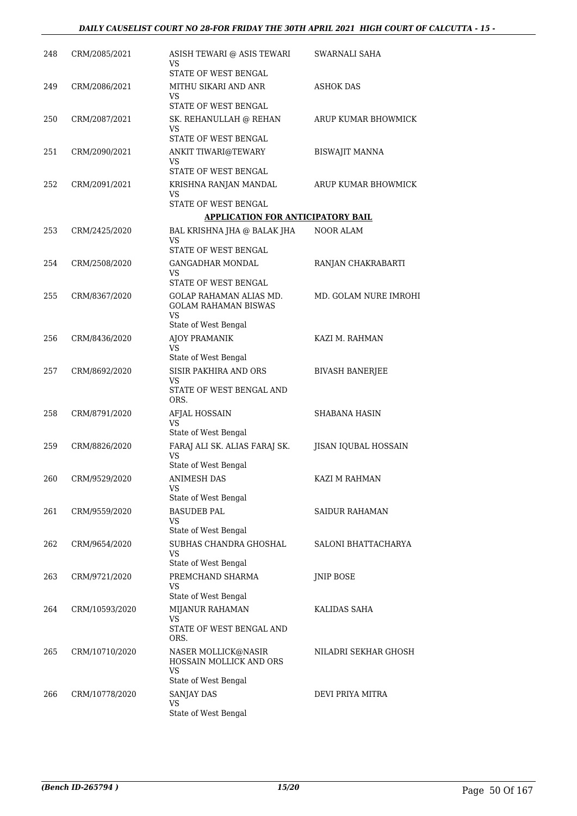| 248 | CRM/2085/2021  | ASISH TEWARI @ ASIS TEWARI<br>VS                                    | SWARNALI SAHA          |
|-----|----------------|---------------------------------------------------------------------|------------------------|
|     |                | STATE OF WEST BENGAL                                                |                        |
| 249 | CRM/2086/2021  | MITHU SIKARI AND ANR<br>VS                                          | <b>ASHOK DAS</b>       |
|     |                | STATE OF WEST BENGAL                                                |                        |
| 250 | CRM/2087/2021  | SK. REHANULLAH @ REHAN<br>VS                                        | ARUP KUMAR BHOWMICK    |
|     |                | STATE OF WEST BENGAL                                                |                        |
| 251 | CRM/2090/2021  | ANKIT TIWARI@TEWARY<br>VS<br>STATE OF WEST BENGAL                   | <b>BISWAJIT MANNA</b>  |
| 252 | CRM/2091/2021  | KRISHNA RANJAN MANDAL                                               | ARUP KUMAR BHOWMICK    |
|     |                | VS                                                                  |                        |
|     |                | STATE OF WEST BENGAL                                                |                        |
|     |                | <b>APPLICATION FOR ANTICIPATORY BAIL</b>                            |                        |
| 253 | CRM/2425/2020  | BAL KRISHNA JHA @ BALAK JHA                                         | NOOR ALAM              |
|     |                | VS<br>STATE OF WEST BENGAL                                          |                        |
| 254 | CRM/2508/2020  | GANGADHAR MONDAL                                                    | RANJAN CHAKRABARTI     |
|     |                | VS                                                                  |                        |
|     |                | STATE OF WEST BENGAL                                                |                        |
| 255 | CRM/8367/2020  | GOLAP RAHAMAN ALIAS MD.<br><b>GOLAM RAHAMAN BISWAS</b><br><b>VS</b> | MD. GOLAM NURE IMROHI  |
|     |                | State of West Bengal                                                |                        |
| 256 | CRM/8436/2020  | AJOY PRAMANIK<br><b>VS</b>                                          | KAZI M. RAHMAN         |
|     |                | State of West Bengal                                                |                        |
| 257 | CRM/8692/2020  | SISIR PAKHIRA AND ORS<br>VS                                         | <b>BIVASH BANERJEE</b> |
|     |                | STATE OF WEST BENGAL AND<br>ORS.                                    |                        |
| 258 | CRM/8791/2020  | AFJAL HOSSAIN                                                       | SHABANA HASIN          |
|     |                | VS<br>State of West Bengal                                          |                        |
| 259 | CRM/8826/2020  | FARAJ ALI SK. ALIAS FARAJ SK.                                       | JISAN IQUBAL HOSSAIN   |
|     |                | VS<br>State of West Bengal                                          |                        |
| 260 | CRM/9529/2020  | ANIMESH DAS                                                         | KAZI M RAHMAN          |
|     |                | VS<br>State of West Bengal                                          |                        |
| 261 | CRM/9559/2020  | <b>BASUDEB PAL</b>                                                  | SAIDUR RAHAMAN         |
|     |                | <b>VS</b>                                                           |                        |
|     |                | State of West Bengal                                                |                        |
| 262 | CRM/9654/2020  | SUBHAS CHANDRA GHOSHAL<br><b>VS</b>                                 | SALONI BHATTACHARYA    |
|     |                | State of West Bengal                                                |                        |
| 263 | CRM/9721/2020  | PREMCHAND SHARMA<br>VS<br>State of West Bengal                      | JNIP BOSE              |
| 264 | CRM/10593/2020 | MIJANUR RAHAMAN                                                     | KALIDAS SAHA           |
|     |                | VS                                                                  |                        |
|     |                | STATE OF WEST BENGAL AND<br>ORS.                                    |                        |
| 265 | CRM/10710/2020 | NASER MOLLICK@NASIR<br>HOSSAIN MOLLICK AND ORS<br>VS                | NILADRI SEKHAR GHOSH   |
|     |                | State of West Bengal                                                |                        |
| 266 | CRM/10778/2020 | SANJAY DAS<br><b>VS</b>                                             | DEVI PRIYA MITRA       |
|     |                | State of West Bengal                                                |                        |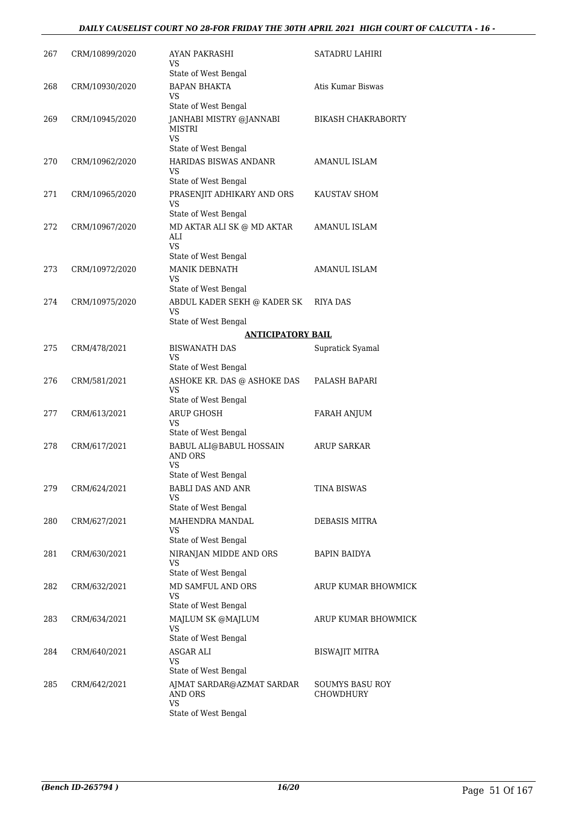| 267 | CRM/10899/2020 | AYAN PAKRASHI<br>VS<br>State of West Bengal                                                              | SATADRU LAHIRI                      |
|-----|----------------|----------------------------------------------------------------------------------------------------------|-------------------------------------|
| 268 | CRM/10930/2020 | <b>BAPAN BHAKTA</b><br>VS                                                                                | Atis Kumar Biswas                   |
| 269 | CRM/10945/2020 | State of West Bengal<br>JANHABI MISTRY @JANNABI<br>MISTRI<br>VS                                          | <b>BIKASH CHAKRABORTY</b>           |
|     |                | State of West Bengal                                                                                     |                                     |
| 270 | CRM/10962/2020 | HARIDAS BISWAS ANDANR<br><b>VS</b><br>State of West Bengal                                               | AMANUL ISLAM                        |
| 271 | CRM/10965/2020 | PRASENJIT ADHIKARY AND ORS<br>VS<br>State of West Bengal                                                 | KAUSTAV SHOM                        |
| 272 | CRM/10967/2020 | MD AKTAR ALI SK @ MD AKTAR<br>ALI<br>VS<br>State of West Bengal                                          | AMANUL ISLAM                        |
| 273 | CRM/10972/2020 | <b>MANIK DEBNATH</b><br>VS                                                                               | <b>AMANUL ISLAM</b>                 |
|     | CRM/10975/2020 | State of West Bengal                                                                                     |                                     |
| 274 |                | ABDUL KADER SEKH @ KADER SK<br>VS<br>State of West Bengal                                                | <b>RIYA DAS</b>                     |
|     |                | <b>ANTICIPATORY BAIL</b>                                                                                 |                                     |
| 275 | CRM/478/2021   | <b>BISWANATH DAS</b><br>VS<br>State of West Bengal                                                       | Supratick Syamal                    |
| 276 | CRM/581/2021   | ASHOKE KR. DAS @ ASHOKE DAS<br>VS<br>State of West Bengal                                                | PALASH BAPARI                       |
| 277 | CRM/613/2021   | <b>ARUP GHOSH</b><br>VS                                                                                  | FARAH ANJUM                         |
| 278 | CRM/617/2021   | State of West Bengal<br>BABUL ALI@BABUL HOSSAIN<br>AND ORS<br>VS<br>State of West Bengal                 | <b>ARUP SARKAR</b>                  |
| 279 | CRM/624/2021   | <b>BABLI DAS AND ANR</b><br>VS                                                                           | TINA BISWAS                         |
| 280 | CRM/627/2021   | State of West Bengal<br>MAHENDRA MANDAL<br><b>VS</b><br>State of West Bengal                             | DEBASIS MITRA                       |
| 281 | CRM/630/2021   | NIRANJAN MIDDE AND ORS<br>VS<br>State of West Bengal                                                     | <b>BAPIN BAIDYA</b>                 |
| 282 | CRM/632/2021   | MD SAMFUL AND ORS<br>VS<br>State of West Bengal                                                          | ARUP KUMAR BHOWMICK                 |
| 283 | CRM/634/2021   | MAJLUM SK @MAJLUM<br>VS<br>State of West Bengal                                                          | ARUP KUMAR BHOWMICK                 |
| 284 | CRM/640/2021   | ASGAR ALI<br>VS                                                                                          | <b>BISWAJIT MITRA</b>               |
| 285 | CRM/642/2021   | State of West Bengal<br>AJMAT SARDAR@AZMAT SARDAR<br><b>AND ORS</b><br><b>VS</b><br>State of West Bengal | <b>SOUMYS BASU ROY</b><br>CHOWDHURY |
|     |                |                                                                                                          |                                     |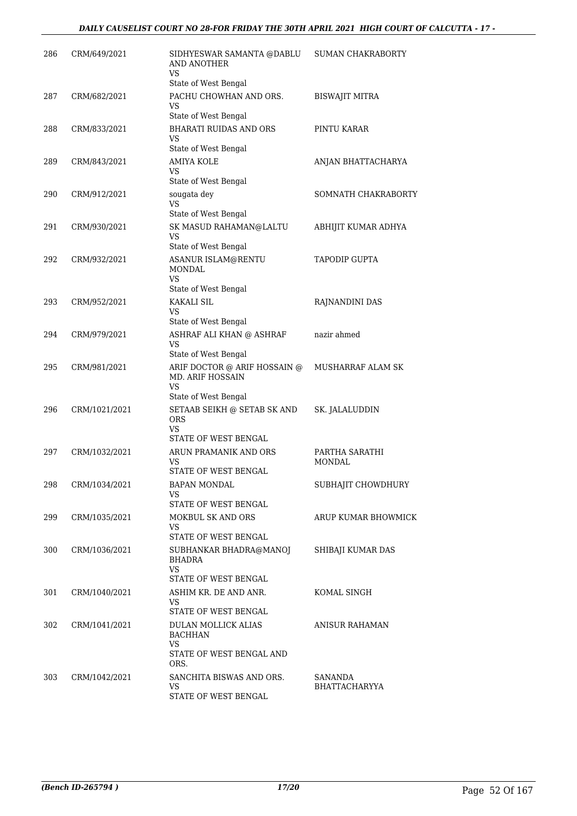| 286 | CRM/649/2021  | SIDHYESWAR SAMANTA @DABLU<br>AND ANOTHER<br>VS.                                                 | <b>SUMAN CHAKRABORTY</b>        |
|-----|---------------|-------------------------------------------------------------------------------------------------|---------------------------------|
| 287 | CRM/682/2021  | State of West Bengal<br>PACHU CHOWHAN AND ORS.<br>VS                                            | <b>BISWAJIT MITRA</b>           |
| 288 | CRM/833/2021  | State of West Bengal<br><b>BHARATI RUIDAS AND ORS</b><br>VS                                     | PINTU KARAR                     |
| 289 | CRM/843/2021  | State of West Bengal<br><b>AMIYA KOLE</b><br>VS<br>State of West Bengal                         | ANJAN BHATTACHARYA              |
| 290 | CRM/912/2021  | sougata dey<br>VS<br>State of West Bengal                                                       | SOMNATH CHAKRABORTY             |
| 291 | CRM/930/2021  | SK MASUD RAHAMAN@LALTU<br>VS<br>State of West Bengal                                            | ABHIJIT KUMAR ADHYA             |
| 292 | CRM/932/2021  | <b>ASANUR ISLAM@RENTU</b><br><b>MONDAL</b><br>VS                                                | <b>TAPODIP GUPTA</b>            |
| 293 | CRM/952/2021  | State of West Bengal<br><b>KAKALI SIL</b><br>VS.<br>State of West Bengal                        | RAJNANDINI DAS                  |
| 294 | CRM/979/2021  | ASHRAF ALI KHAN @ ASHRAF<br>VS<br>State of West Bengal                                          | nazir ahmed                     |
| 295 | CRM/981/2021  | ARIF DOCTOR @ ARIF HOSSAIN @<br><b>MD. ARIF HOSSAIN</b><br>VS.                                  | MUSHARRAF ALAM SK               |
| 296 | CRM/1021/2021 | State of West Bengal<br>SETAAB SEIKH @ SETAB SK AND<br><b>ORS</b><br>VS<br>STATE OF WEST BENGAL | SK. JALALUDDIN                  |
| 297 | CRM/1032/2021 | ARUN PRAMANIK AND ORS<br>VS<br><b>STATE OF WEST BENGAL</b>                                      | PARTHA SARATHI<br>MONDAL        |
| 298 | CRM/1034/2021 | BAPAN MONDAL<br>VS.<br>STATE OF WEST BENGAL                                                     | SUBHAJIT CHOWDHURY              |
| 299 | CRM/1035/2021 | MOKBUL SK AND ORS<br>VS.<br>STATE OF WEST BENGAL                                                | ARUP KUMAR BHOWMICK             |
| 300 | CRM/1036/2021 | SUBHANKAR BHADRA@MANOJ<br>BHADRA<br>VS.<br>STATE OF WEST BENGAL                                 | SHIBAJI KUMAR DAS               |
| 301 | CRM/1040/2021 | ASHIM KR. DE AND ANR.<br>VS<br>STATE OF WEST BENGAL                                             | KOMAL SINGH                     |
| 302 | CRM/1041/2021 | DULAN MOLLICK ALIAS<br><b>BACHHAN</b><br>VS.<br>STATE OF WEST BENGAL AND<br>ORS.                | <b>ANISUR RAHAMAN</b>           |
| 303 | CRM/1042/2021 | SANCHITA BISWAS AND ORS.<br>VS<br>STATE OF WEST BENGAL                                          | SANANDA<br><b>BHATTACHARYYA</b> |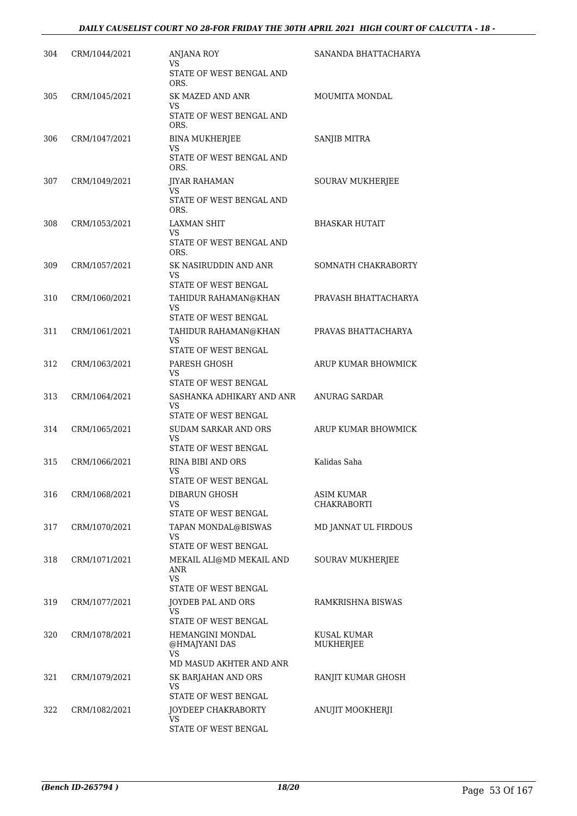| 304 | CRM/1044/2021 | <b>ANJANA ROY</b><br>VS.<br>STATE OF WEST BENGAL AND                             | SANANDA BHATTACHARYA      |
|-----|---------------|----------------------------------------------------------------------------------|---------------------------|
| 305 | CRM/1045/2021 | ORS.<br><b>SK MAZED AND ANR</b><br>VS<br>STATE OF WEST BENGAL AND                | <b>MOUMITA MONDAL</b>     |
| 306 | CRM/1047/2021 | ORS.<br><b>BINA MUKHERJEE</b><br>VS<br>STATE OF WEST BENGAL AND                  | SANJIB MITRA              |
| 307 | CRM/1049/2021 | ORS.<br><b>JIYAR RAHAMAN</b><br>VS.<br>STATE OF WEST BENGAL AND                  | SOURAV MUKHERJEE          |
| 308 | CRM/1053/2021 | ORS.<br><b>LAXMAN SHIT</b><br>VS.<br>STATE OF WEST BENGAL AND                    | <b>BHASKAR HUTAIT</b>     |
| 309 | CRM/1057/2021 | ORS.<br>SK NASIRUDDIN AND ANR<br>VS                                              | SOMNATH CHAKRABORTY       |
| 310 | CRM/1060/2021 | STATE OF WEST BENGAL<br>TAHIDUR RAHAMAN@KHAN<br><b>VS</b>                        | PRAVASH BHATTACHARYA      |
| 311 | CRM/1061/2021 | STATE OF WEST BENGAL<br>TAHIDUR RAHAMAN@KHAN<br><b>VS</b>                        | PRAVAS BHATTACHARYA       |
| 312 | CRM/1063/2021 | STATE OF WEST BENGAL<br>PARESH GHOSH<br>VS                                       | ARUP KUMAR BHOWMICK       |
| 313 | CRM/1064/2021 | STATE OF WEST BENGAL<br>SASHANKA ADHIKARY AND ANR<br>VS.<br>STATE OF WEST BENGAL | ANURAG SARDAR             |
| 314 | CRM/1065/2021 | <b>SUDAM SARKAR AND ORS</b><br>VS<br>STATE OF WEST BENGAL                        | ARUP KUMAR BHOWMICK       |
| 315 | CRM/1066/2021 | RINA BIBI AND ORS<br>VS<br><b>STATE OF WEST BENGAL</b>                           | Kalidas Saha              |
| 316 | CRM/1068/2021 | DIBARUN GHOSH<br>VS.<br>STATE OF WEST BENGAL                                     | ASIM KUMAR<br>CHAKRABORTI |
| 317 | CRM/1070/2021 | TAPAN MONDAL@BISWAS<br>VS<br>STATE OF WEST BENGAL                                | MD JANNAT UL FIRDOUS      |
| 318 | CRM/1071/2021 | MEKAIL ALI@MD MEKAIL AND<br><b>ANR</b><br><b>VS</b><br>STATE OF WEST BENGAL      | SOURAV MUKHERJEE          |
| 319 | CRM/1077/2021 | <b>JOYDEB PAL AND ORS</b><br>VS.<br>STATE OF WEST BENGAL                         | RAMKRISHNA BISWAS         |
| 320 | CRM/1078/2021 | HEMANGINI MONDAL<br>@HMAJYANI DAS<br>VS<br>MD MASUD AKHTER AND ANR               | KUSAL KUMAR<br>MUKHERJEE  |
| 321 | CRM/1079/2021 | SK BARJAHAN AND ORS<br>VS<br>STATE OF WEST BENGAL                                | RANJIT KUMAR GHOSH        |
| 322 | CRM/1082/2021 | JOYDEEP CHAKRABORTY<br>VS.<br>STATE OF WEST BENGAL                               | ANUJIT MOOKHERJI          |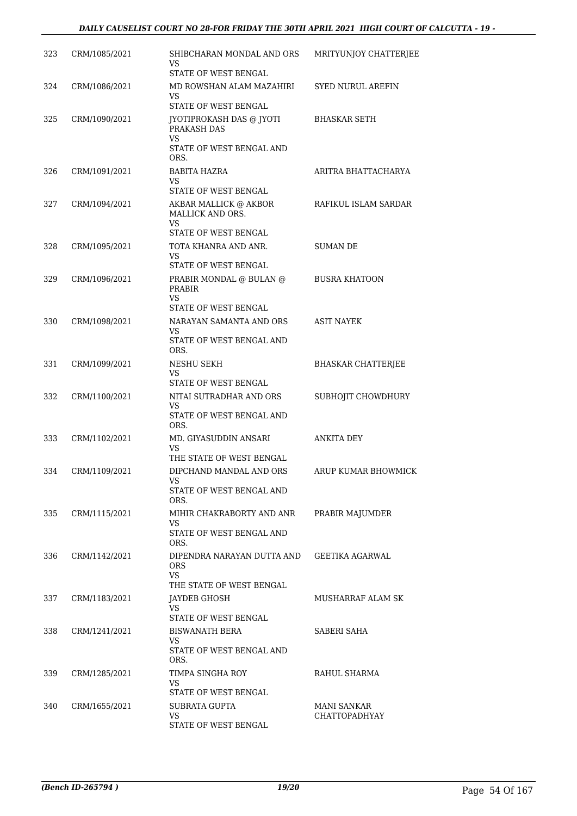| 323 | CRM/1085/2021 | SHIBCHARAN MONDAL AND ORS<br>VS                                                                                  | MRITYUNJOY CHATTERJEE                      |
|-----|---------------|------------------------------------------------------------------------------------------------------------------|--------------------------------------------|
| 324 | CRM/1086/2021 | STATE OF WEST BENGAL<br>MD ROWSHAN ALAM MAZAHIRI<br>VS                                                           | SYED NURUL AREFIN                          |
| 325 | CRM/1090/2021 | <b>STATE OF WEST BENGAL</b><br>JYOTIPROKASH DAS @ JYOTI<br>PRAKASH DAS<br>VS<br>STATE OF WEST BENGAL AND<br>ORS. | <b>BHASKAR SETH</b>                        |
| 326 | CRM/1091/2021 | BABITA HAZRA<br>VS<br>STATE OF WEST BENGAL                                                                       | ARITRA BHATTACHARYA                        |
| 327 | CRM/1094/2021 | AKBAR MALLICK @ AKBOR<br>MALLICK AND ORS.<br>VS                                                                  | RAFIKUL ISLAM SARDAR                       |
| 328 | CRM/1095/2021 | STATE OF WEST BENGAL<br>TOTA KHANRA AND ANR.<br>VS<br>STATE OF WEST BENGAL                                       | <b>SUMAN DE</b>                            |
| 329 | CRM/1096/2021 | PRABIR MONDAL @ BULAN @<br><b>PRABIR</b><br><b>VS</b>                                                            | <b>BUSRA KHATOON</b>                       |
| 330 | CRM/1098/2021 | STATE OF WEST BENGAL<br>NARAYAN SAMANTA AND ORS<br>VS<br>STATE OF WEST BENGAL AND                                | <b>ASIT NAYEK</b>                          |
| 331 | CRM/1099/2021 | ORS.<br>NESHU SEKH<br><b>VS</b>                                                                                  | <b>BHASKAR CHATTERJEE</b>                  |
| 332 | CRM/1100/2021 | STATE OF WEST BENGAL<br>NITAI SUTRADHAR AND ORS<br>VS<br>STATE OF WEST BENGAL AND                                | SUBHOJIT CHOWDHURY                         |
| 333 | CRM/1102/2021 | ORS.<br>MD. GIYASUDDIN ANSARI<br>VS                                                                              | <b>ANKITA DEY</b>                          |
| 334 | CRM/1109/2021 | THE STATE OF WEST BENGAL<br>DIPCHAND MANDAL AND ORS<br>vs<br>STATE OF WEST BENGAL AND                            | ARUP KUMAR BHOWMICK                        |
| 335 | CRM/1115/2021 | ORS.<br>MIHIR CHAKRABORTY AND ANR<br>VS.<br>STATE OF WEST BENGAL AND                                             | PRABIR MAJUMDER                            |
| 336 | CRM/1142/2021 | ORS.<br>DIPENDRA NARAYAN DUTTA AND<br><b>ORS</b><br>VS.                                                          | GEETIKA AGARWAL                            |
| 337 | CRM/1183/2021 | THE STATE OF WEST BENGAL<br>JAYDEB GHOSH<br>VS<br>STATE OF WEST BENGAL                                           | MUSHARRAF ALAM SK                          |
| 338 | CRM/1241/2021 | BISWANATH BERA<br>VS.<br>STATE OF WEST BENGAL AND<br>ORS.                                                        | SABERI SAHA                                |
| 339 | CRM/1285/2021 | TIMPA SINGHA ROY<br>VS.<br>STATE OF WEST BENGAL                                                                  | RAHUL SHARMA                               |
| 340 | CRM/1655/2021 | SUBRATA GUPTA<br>VS<br>STATE OF WEST BENGAL                                                                      | <b>MANI SANKAR</b><br><b>CHATTOPADHYAY</b> |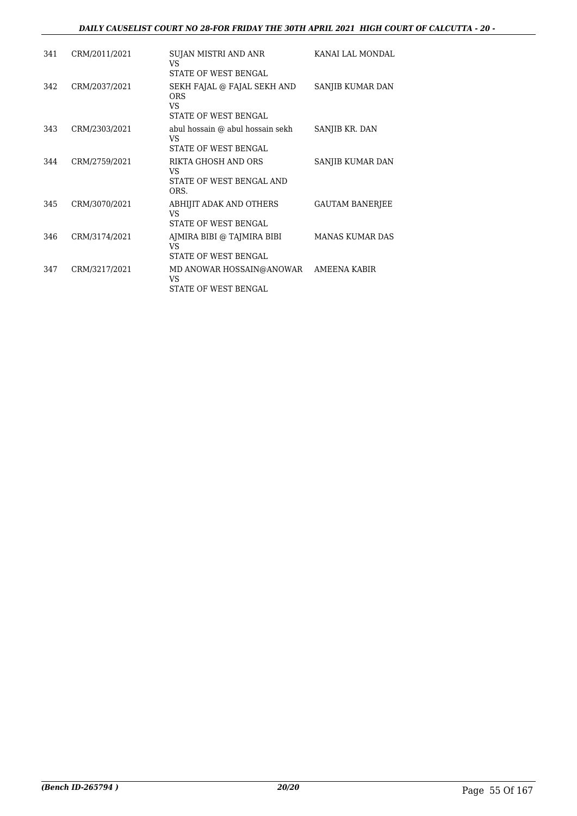#### *DAILY CAUSELIST COURT NO 28-FOR FRIDAY THE 30TH APRIL 2021 HIGH COURT OF CALCUTTA - 20 -*

| 341 | CRM/2011/2021 | SUJAN MISTRI AND ANR<br>VS<br><b>STATE OF WEST BENGAL</b>                  | KANAI LAL MONDAL       |
|-----|---------------|----------------------------------------------------------------------------|------------------------|
| 342 | CRM/2037/2021 | SEKH FAJAL @ FAJAL SEKH AND<br><b>ORS</b><br>VS<br>STATE OF WEST BENGAL    | SANJIB KUMAR DAN       |
| 343 | CRM/2303/2021 | abul hossain @ abul hossain sekh<br>VS<br>STATE OF WEST BENGAL             | SANJIB KR. DAN         |
| 344 | CRM/2759/2021 | RIKTA GHOSH AND ORS<br>VS<br>STATE OF WEST BENGAL AND<br>ORS.              | SANJIB KUMAR DAN       |
| 345 | CRM/3070/2021 | ABHIJIT ADAK AND OTHERS<br>VS<br>STATE OF WEST BENGAL                      | <b>GAUTAM BANERJEE</b> |
| 346 | CRM/3174/2021 | AJMIRA BIBI @ TAJMIRA BIBI<br>VS<br><b>STATE OF WEST BENGAL</b>            | <b>MANAS KUMAR DAS</b> |
| 347 | CRM/3217/2021 | MD ANOWAR HOSSAIN@ANOWAR AMEENA KABIR<br><b>VS</b><br>STATE OF WEST BENGAL |                        |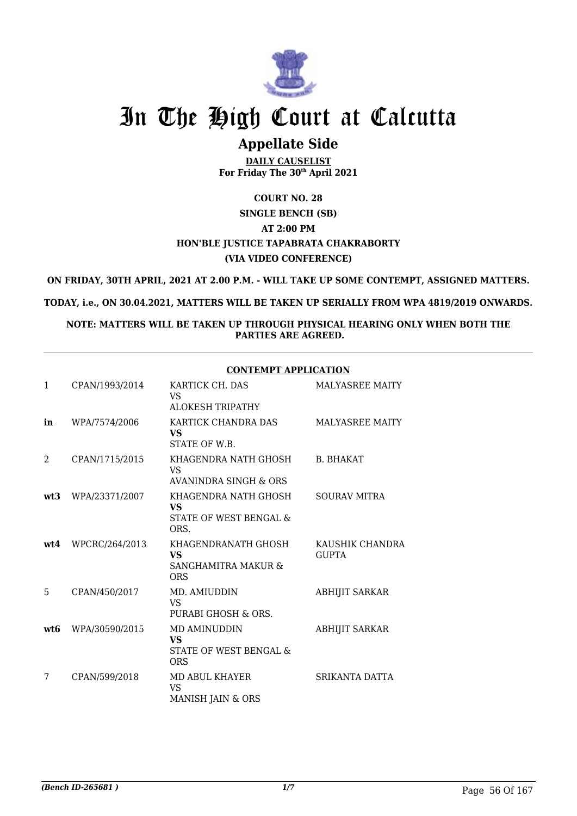

# **Appellate Side**

**DAILY CAUSELIST For Friday The 30th April 2021**

# **COURT NO. 28 SINGLE BENCH (SB) AT 2:00 PM HON'BLE JUSTICE TAPABRATA CHAKRABORTY (VIA VIDEO CONFERENCE)**

**ON FRIDAY, 30TH APRIL, 2021 AT 2.00 P.M. - WILL TAKE UP SOME CONTEMPT, ASSIGNED MATTERS.**

**TODAY, i.e., ON 30.04.2021, MATTERS WILL BE TAKEN UP SERIALLY FROM WPA 4819/2019 ONWARDS.**

**NOTE: MATTERS WILL BE TAKEN UP THROUGH PHYSICAL HEARING ONLY WHEN BOTH THE PARTIES ARE AGREED.**

#### **CONTEMPT APPLICATION**

| $\mathbf{1}$  | CPAN/1993/2014 | KARTICK CH. DAS<br>VS<br><b>ALOKESH TRIPATHY</b>                      | <b>MALYASREE MAITY</b>          |
|---------------|----------------|-----------------------------------------------------------------------|---------------------------------|
| in            | WPA/7574/2006  | KARTICK CHANDRA DAS<br><b>VS</b><br>STATE OF W.B.                     | <b>MALYASREE MAITY</b>          |
| $\mathcal{L}$ | CPAN/1715/2015 | KHAGENDRA NATH GHOSH<br>VS.<br>AVANINDRA SINGH & ORS                  | <b>B. BHAKAT</b>                |
| wt3           | WPA/23371/2007 | KHAGENDRA NATH GHOSH<br><b>VS</b><br>STATE OF WEST BENGAL &<br>ORS.   | <b>SOURAV MITRA</b>             |
| wt4           | WPCRC/264/2013 | KHAGENDRANATH GHOSH<br><b>VS</b><br>SANGHAMITRA MAKUR &<br><b>ORS</b> | KAUSHIK CHANDRA<br><b>GUPTA</b> |
| 5             | CPAN/450/2017  | MD. AMIUDDIN<br>VS.<br>PURABI GHOSH & ORS.                            | ABHIJIT SARKAR                  |
| wt6           | WPA/30590/2015 | MD AMINUDDIN<br><b>VS</b><br>STATE OF WEST BENGAL &<br><b>ORS</b>     | ABHIJIT SARKAR                  |
| 7             | CPAN/599/2018  | MD ABUL KHAYER<br>VS.<br>MANISH JAIN & ORS                            | SRIKANTA DATTA                  |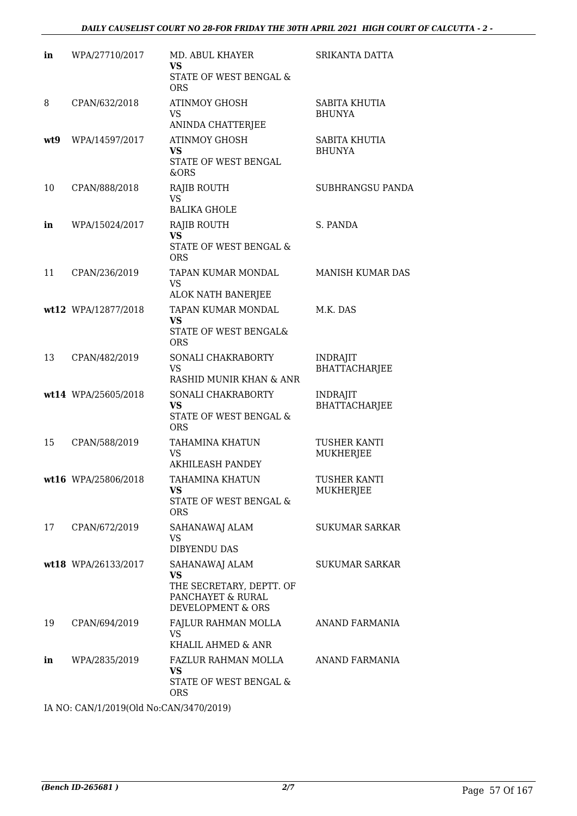| in  | WPA/27710/2017      | MD. ABUL KHAYER<br><b>VS</b><br>STATE OF WEST BENGAL &<br><b>ORS</b>                              | SRIKANTA DATTA                          |
|-----|---------------------|---------------------------------------------------------------------------------------------------|-----------------------------------------|
| 8   | CPAN/632/2018       | <b>ATINMOY GHOSH</b><br>VS<br>ANINDA CHATTERJEE                                                   | SABITA KHUTIA<br><b>BHUNYA</b>          |
| wt9 | WPA/14597/2017      | <b>ATINMOY GHOSH</b><br><b>VS</b><br>STATE OF WEST BENGAL<br>&ORS                                 | SABITA KHUTIA<br><b>BHUNYA</b>          |
| 10  | CPAN/888/2018       | <b>RAJIB ROUTH</b><br><b>VS</b><br><b>BALIKA GHOLE</b>                                            | SUBHRANGSU PANDA                        |
| in  | WPA/15024/2017      | RAJIB ROUTH<br><b>VS</b><br>STATE OF WEST BENGAL &<br><b>ORS</b>                                  | S. PANDA                                |
| 11  | CPAN/236/2019       | TAPAN KUMAR MONDAL<br><b>VS</b><br>ALOK NATH BANERJEE                                             | MANISH KUMAR DAS                        |
|     | wt12 WPA/12877/2018 | TAPAN KUMAR MONDAL<br><b>VS</b><br>STATE OF WEST BENGAL&<br><b>ORS</b>                            | M.K. DAS                                |
| 13  | CPAN/482/2019       | SONALI CHAKRABORTY<br><b>VS</b><br>RASHID MUNIR KHAN & ANR                                        | <b>INDRAJIT</b><br><b>BHATTACHARJEE</b> |
|     | wt14 WPA/25605/2018 | SONALI CHAKRABORTY<br><b>VS</b><br>STATE OF WEST BENGAL &<br><b>ORS</b>                           | <b>INDRAJIT</b><br><b>BHATTACHARJEE</b> |
| 15  | CPAN/588/2019       | <b>TAHAMINA KHATUN</b><br><b>VS</b><br><b>AKHILEASH PANDEY</b>                                    | <b>TUSHER KANTI</b><br><b>MUKHERJEE</b> |
|     | wt16 WPA/25806/2018 | TAHAMINA KHATUN<br><b>VS</b><br>STATE OF WEST BENGAL &<br><b>ORS</b>                              | TUSHER KANTI<br><b>MUKHERJEE</b>        |
| 17  | CPAN/672/2019       | SAHANAWAJ ALAM<br>VS<br><b>DIBYENDU DAS</b>                                                       | <b>SUKUMAR SARKAR</b>                   |
|     | wt18 WPA/26133/2017 | SAHANAWAJ ALAM<br><b>VS</b><br>THE SECRETARY, DEPTT. OF<br>PANCHAYET & RURAL<br>DEVELOPMENT & ORS | <b>SUKUMAR SARKAR</b>                   |
| 19  | CPAN/694/2019       | FAJLUR RAHMAN MOLLA<br><b>VS</b><br>KHALIL AHMED & ANR                                            | ANAND FARMANIA                          |
| in  | WPA/2835/2019       | FAZLUR RAHMAN MOLLA<br><b>VS</b><br>STATE OF WEST BENGAL &<br><b>ORS</b>                          | ANAND FARMANIA                          |

IA NO: CAN/1/2019(Old No:CAN/3470/2019)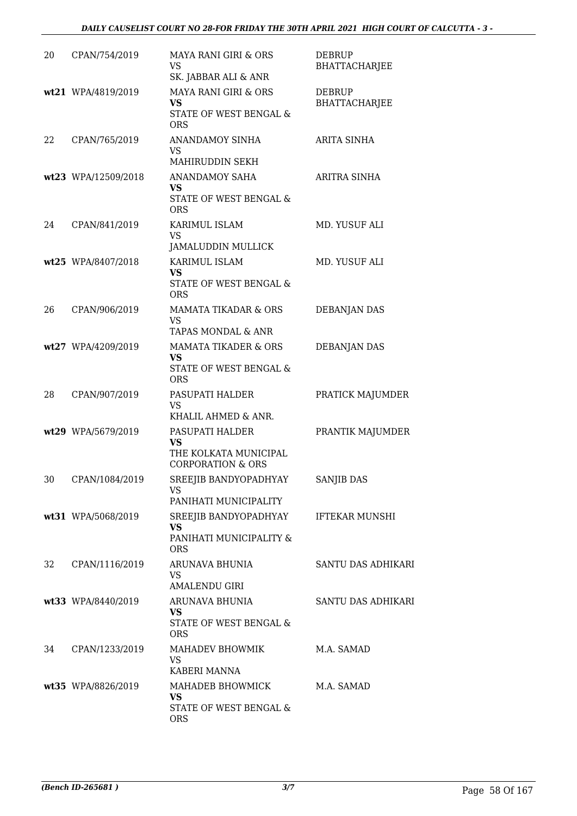| 20 | CPAN/754/2019       | MAYA RANI GIRI & ORS<br>VS<br>SK. JABBAR ALI & ANR                                         | <b>DEBRUP</b><br><b>BHATTACHARJEE</b> |
|----|---------------------|--------------------------------------------------------------------------------------------|---------------------------------------|
|    | wt21 WPA/4819/2019  | MAYA RANI GIRI & ORS<br><b>VS</b><br>STATE OF WEST BENGAL &<br><b>ORS</b>                  | <b>DEBRUP</b><br><b>BHATTACHARJEE</b> |
| 22 | CPAN/765/2019       | <b>ANANDAMOY SINHA</b><br><b>VS</b><br>MAHIRUDDIN SEKH                                     | <b>ARITA SINHA</b>                    |
|    | wt23 WPA/12509/2018 | <b>ANANDAMOY SAHA</b><br><b>VS</b><br>STATE OF WEST BENGAL &<br>ORS                        | ARITRA SINHA                          |
| 24 | CPAN/841/2019       | KARIMUL ISLAM<br><b>VS</b><br>JAMALUDDIN MULLICK                                           | MD. YUSUF ALI                         |
|    | wt25 WPA/8407/2018  | <b>KARIMUL ISLAM</b><br><b>VS</b><br><b>STATE OF WEST BENGAL &amp;</b><br><b>ORS</b>       | MD. YUSUF ALI                         |
| 26 | CPAN/906/2019       | MAMATA TIKADAR & ORS<br>VS<br>TAPAS MONDAL & ANR                                           | <b>DEBANJAN DAS</b>                   |
|    | wt27 WPA/4209/2019  | <b>MAMATA TIKADER &amp; ORS</b><br><b>VS</b><br>STATE OF WEST BENGAL &<br><b>ORS</b>       | <b>DEBANJAN DAS</b>                   |
| 28 | CPAN/907/2019       | PASUPATI HALDER<br><b>VS</b><br>KHALIL AHMED & ANR.                                        | PRATICK MAJUMDER                      |
|    | wt29 WPA/5679/2019  | PASUPATI HALDER<br><b>VS</b><br>THE KOLKATA MUNICIPAL<br><b>CORPORATION &amp; ORS</b>      | PRANTIK MAJUMDER                      |
| 30 | CPAN/1084/2019      | SREEJIB BANDYOPADHYAY<br>VS<br>PANIHATI MUNICIPALITY                                       | <b>SANJIB DAS</b>                     |
|    | wt31 WPA/5068/2019  | SREEJIB BANDYOPADHYAY IFTEKAR MUNSHI<br><b>VS</b><br>PANIHATI MUNICIPALITY &<br><b>ORS</b> |                                       |
| 32 | CPAN/1116/2019      | ARUNAVA BHUNIA<br>VS.<br><b>AMALENDU GIRI</b>                                              | SANTU DAS ADHIKARI                    |
|    | wt33 WPA/8440/2019  | ARUNAVA BHUNIA<br><b>VS</b><br>STATE OF WEST BENGAL &<br><b>ORS</b>                        | SANTU DAS ADHIKARI                    |
| 34 | CPAN/1233/2019      | MAHADEV BHOWMIK<br><b>VS</b><br>KABERI MANNA                                               | M.A. SAMAD                            |
|    | wt35 WPA/8826/2019  | MAHADEB BHOWMICK<br><b>VS</b><br>STATE OF WEST BENGAL &<br><b>ORS</b>                      | M.A. SAMAD                            |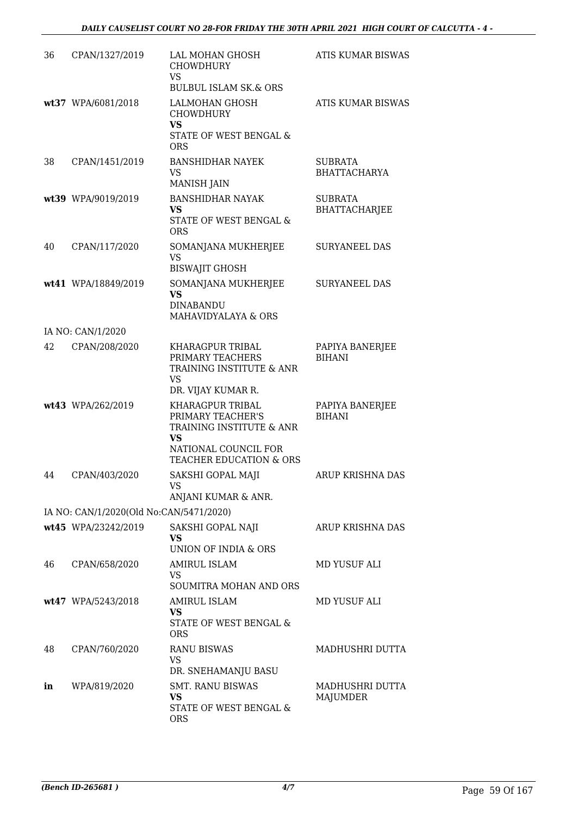| 36 | CPAN/1327/2019                          | LAL MOHAN GHOSH<br><b>CHOWDHURY</b><br><b>VS</b><br><b>BULBUL ISLAM SK.&amp; ORS</b>                                       | ATIS KUMAR BISWAS                      |
|----|-----------------------------------------|----------------------------------------------------------------------------------------------------------------------------|----------------------------------------|
|    | wt37 WPA/6081/2018                      | <b>LALMOHAN GHOSH</b><br><b>CHOWDHURY</b><br><b>VS</b><br>STATE OF WEST BENGAL &<br><b>ORS</b>                             | <b>ATIS KUMAR BISWAS</b>               |
| 38 | CPAN/1451/2019                          | <b>BANSHIDHAR NAYEK</b><br><b>VS</b><br><b>MANISH JAIN</b>                                                                 | <b>SUBRATA</b><br><b>BHATTACHARYA</b>  |
|    | wt39 WPA/9019/2019                      | <b>BANSHIDHAR NAYAK</b><br><b>VS</b><br>STATE OF WEST BENGAL &<br>ORS                                                      | <b>SUBRATA</b><br><b>BHATTACHARJEE</b> |
| 40 | CPAN/117/2020                           | SOMANJANA MUKHERJEE<br><b>VS</b><br><b>BISWAJIT GHOSH</b>                                                                  | <b>SURYANEEL DAS</b>                   |
|    | wt41 WPA/18849/2019                     | SOMANJANA MUKHERJEE<br><b>VS</b><br><b>DINABANDU</b><br>MAHAVIDYALAYA & ORS                                                | <b>SURYANEEL DAS</b>                   |
|    | IA NO: CAN/1/2020                       |                                                                                                                            |                                        |
| 42 | CPAN/208/2020                           | KHARAGPUR TRIBAL<br>PRIMARY TEACHERS<br>TRAINING INSTITUTE & ANR<br><b>VS</b><br>DR. VIJAY KUMAR R.                        | PAPIYA BANERJEE<br><b>BIHANI</b>       |
|    | wt43 WPA/262/2019                       | KHARAGPUR TRIBAL<br>PRIMARY TEACHER'S<br>TRAINING INSTITUTE & ANR<br>VS<br>NATIONAL COUNCIL FOR<br>TEACHER EDUCATION & ORS | PAPIYA BANERJEE<br><b>BIHANI</b>       |
| 44 | CPAN/403/2020                           | SAKSHI GOPAL MAJI<br>VS<br>ANJANI KUMAR & ANR.                                                                             | ARUP KRISHNA DAS                       |
|    | IA NO: CAN/1/2020(Old No:CAN/5471/2020) |                                                                                                                            |                                        |
|    | wt45 WPA/23242/2019                     | SAKSHI GOPAL NAJI<br>VS<br>UNION OF INDIA & ORS                                                                            | ARUP KRISHNA DAS                       |
| 46 | CPAN/658/2020                           | AMIRUL ISLAM<br>VS<br>SOUMITRA MOHAN AND ORS                                                                               | MD YUSUF ALI                           |
|    | wt47 WPA/5243/2018                      | <b>AMIRUL ISLAM</b><br>VS<br>STATE OF WEST BENGAL &<br><b>ORS</b>                                                          | MD YUSUF ALI                           |
| 48 | CPAN/760/2020                           | <b>RANU BISWAS</b><br><b>VS</b><br>DR. SNEHAMANJU BASU                                                                     | MADHUSHRI DUTTA                        |
| in | WPA/819/2020                            | <b>SMT. RANU BISWAS</b><br>VS<br>STATE OF WEST BENGAL &<br><b>ORS</b>                                                      | MADHUSHRI DUTTA<br><b>MAJUMDER</b>     |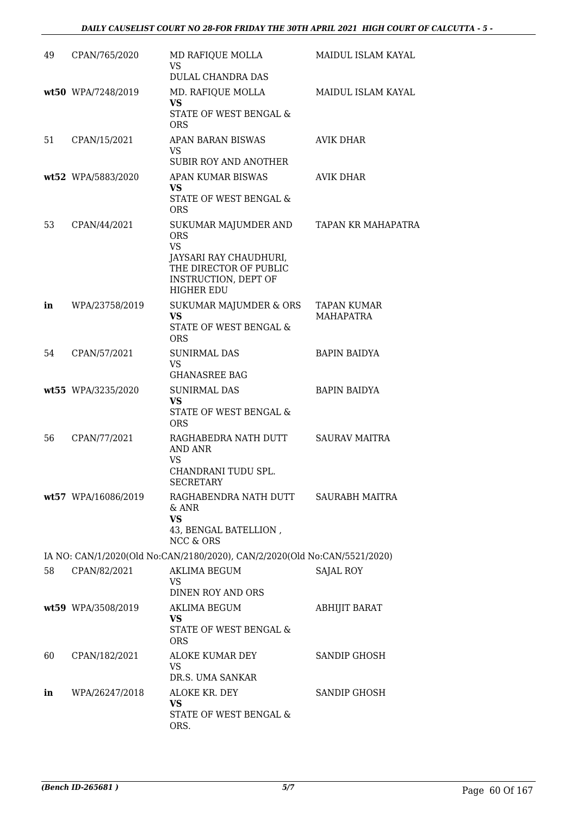| 49 | CPAN/765/2020       | MD RAFIQUE MOLLA<br><b>VS</b><br>DULAL CHANDRA DAS                                                                                               | MAIDUL ISLAM KAYAL              |
|----|---------------------|--------------------------------------------------------------------------------------------------------------------------------------------------|---------------------------------|
|    | wt50 WPA/7248/2019  | MD. RAFIQUE MOLLA<br><b>VS</b><br>STATE OF WEST BENGAL &<br>ORS                                                                                  | MAIDUL ISLAM KAYAL              |
| 51 | CPAN/15/2021        | APAN BARAN BISWAS<br><b>VS</b><br><b>SUBIR ROY AND ANOTHER</b>                                                                                   | <b>AVIK DHAR</b>                |
|    | wt52 WPA/5883/2020  | APAN KUMAR BISWAS<br><b>VS</b><br>STATE OF WEST BENGAL &<br><b>ORS</b>                                                                           | AVIK DHAR                       |
| 53 | CPAN/44/2021        | SUKUMAR MAJUMDER AND<br><b>ORS</b><br><b>VS</b><br>JAYSARI RAY CHAUDHURI,<br>THE DIRECTOR OF PUBLIC<br>INSTRUCTION, DEPT OF<br><b>HIGHER EDU</b> | TAPAN KR MAHAPATRA              |
| in | WPA/23758/2019      | <b>SUKUMAR MAJUMDER &amp; ORS</b><br><b>VS</b><br>STATE OF WEST BENGAL &<br><b>ORS</b>                                                           | TAPAN KUMAR<br><b>MAHAPATRA</b> |
| 54 | CPAN/57/2021        | <b>SUNIRMAL DAS</b><br><b>VS</b><br><b>GHANASREE BAG</b>                                                                                         | <b>BAPIN BAIDYA</b>             |
|    | wt55 WPA/3235/2020  | <b>SUNIRMAL DAS</b><br><b>VS</b><br>STATE OF WEST BENGAL &<br><b>ORS</b>                                                                         | <b>BAPIN BAIDYA</b>             |
| 56 | CPAN/77/2021        | RAGHABEDRA NATH DUTT<br><b>AND ANR</b><br><b>VS</b><br>CHANDRANI TUDU SPL.<br><b>SECRETARY</b>                                                   | <b>SAURAV MAITRA</b>            |
|    | wt57 WPA/16086/2019 | RAGHABENDRA NATH DUTT<br>$&$ ANR<br><b>VS</b><br>43, BENGAL BATELLION,<br><b>NCC &amp; ORS</b>                                                   | SAURABH MAITRA                  |
|    |                     | IA NO: CAN/1/2020(Old No:CAN/2180/2020), CAN/2/2020(Old No:CAN/5521/2020)                                                                        |                                 |
| 58 | CPAN/82/2021        | AKLIMA BEGUM<br><b>VS</b><br>DINEN ROY AND ORS                                                                                                   | <b>SAJAL ROY</b>                |
|    | wt59 WPA/3508/2019  | AKLIMA BEGUM<br>VS.<br>STATE OF WEST BENGAL &<br><b>ORS</b>                                                                                      | <b>ABHIJIT BARAT</b>            |
| 60 | CPAN/182/2021       | ALOKE KUMAR DEY<br><b>VS</b><br>DR.S. UMA SANKAR                                                                                                 | <b>SANDIP GHOSH</b>             |
| in | WPA/26247/2018      | ALOKE KR. DEY<br><b>VS</b><br>STATE OF WEST BENGAL &<br>ORS.                                                                                     | <b>SANDIP GHOSH</b>             |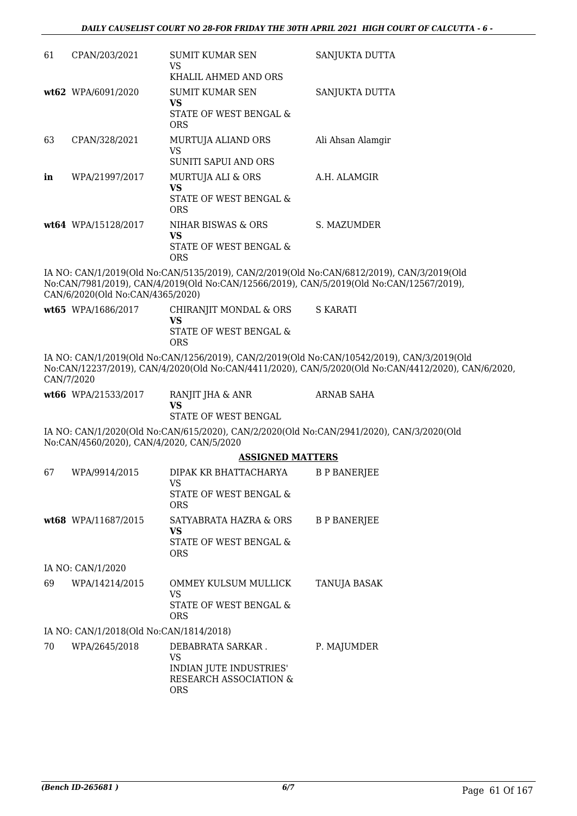| 61                | CPAN/203/2021                             | SUMIT KUMAR SEN<br><b>VS</b>                                                 | SANJUKTA DUTTA                                                                                                                                                                                    |  |  |
|-------------------|-------------------------------------------|------------------------------------------------------------------------------|---------------------------------------------------------------------------------------------------------------------------------------------------------------------------------------------------|--|--|
|                   |                                           | KHALIL AHMED AND ORS                                                         |                                                                                                                                                                                                   |  |  |
|                   | wt62 WPA/6091/2020                        | <b>SUMIT KUMAR SEN</b><br><b>VS</b>                                          | SANJUKTA DUTTA                                                                                                                                                                                    |  |  |
|                   |                                           | STATE OF WEST BENGAL &<br><b>ORS</b>                                         |                                                                                                                                                                                                   |  |  |
| 63                | CPAN/328/2021                             | MURTUJA ALIAND ORS<br><b>VS</b>                                              | Ali Ahsan Alamgir                                                                                                                                                                                 |  |  |
|                   |                                           | SUNITI SAPUI AND ORS                                                         |                                                                                                                                                                                                   |  |  |
| in                | WPA/21997/2017                            | MURTUJA ALI & ORS<br><b>VS</b>                                               | A.H. ALAMGIR                                                                                                                                                                                      |  |  |
|                   |                                           | STATE OF WEST BENGAL &<br><b>ORS</b>                                         |                                                                                                                                                                                                   |  |  |
|                   | wt64 WPA/15128/2017                       | NIHAR BISWAS & ORS                                                           | S. MAZUMDER                                                                                                                                                                                       |  |  |
|                   |                                           | VS<br>STATE OF WEST BENGAL &<br><b>ORS</b>                                   |                                                                                                                                                                                                   |  |  |
|                   |                                           |                                                                              | IA NO: CAN/1/2019(Old No:CAN/5135/2019), CAN/2/2019(Old No:CAN/6812/2019), CAN/3/2019(Old                                                                                                         |  |  |
|                   | CAN/6/2020(Old No:CAN/4365/2020)          |                                                                              | No:CAN/7981/2019), CAN/4/2019(Old No:CAN/12566/2019), CAN/5/2019(Old No:CAN/12567/2019),                                                                                                          |  |  |
|                   | wt65 WPA/1686/2017                        | CHIRANJIT MONDAL & ORS                                                       | <b>S KARATI</b>                                                                                                                                                                                   |  |  |
|                   |                                           | <b>VS</b><br>STATE OF WEST BENGAL &                                          |                                                                                                                                                                                                   |  |  |
|                   |                                           | <b>ORS</b>                                                                   |                                                                                                                                                                                                   |  |  |
|                   | CAN/7/2020                                |                                                                              | IA NO: CAN/1/2019(Old No:CAN/1256/2019), CAN/2/2019(Old No:CAN/10542/2019), CAN/3/2019(Old<br>No:CAN/12237/2019), CAN/4/2020(Old No:CAN/4411/2020), CAN/5/2020(Old No:CAN/4412/2020), CAN/6/2020, |  |  |
|                   | wt66 WPA/21533/2017                       | RANJIT JHA & ANR<br><b>VS</b>                                                | <b>ARNAB SAHA</b>                                                                                                                                                                                 |  |  |
|                   |                                           | STATE OF WEST BENGAL                                                         |                                                                                                                                                                                                   |  |  |
|                   | No:CAN/4560/2020), CAN/4/2020, CAN/5/2020 |                                                                              | IA NO: CAN/1/2020(Old No:CAN/615/2020), CAN/2/2020(Old No:CAN/2941/2020), CAN/3/2020(Old                                                                                                          |  |  |
|                   |                                           | <b>ASSIGNED MATTERS</b>                                                      |                                                                                                                                                                                                   |  |  |
| 67                | WPA/9914/2015                             | DIPAK KR BHATTACHARYA<br><b>VS</b>                                           | <b>B P BANERJEE</b>                                                                                                                                                                               |  |  |
|                   |                                           | STATE OF WEST BENGAL &<br><b>ORS</b>                                         |                                                                                                                                                                                                   |  |  |
|                   | wt68 WPA/11687/2015                       | SATYABRATA HAZRA & ORS                                                       | <b>B P BANERJEE</b>                                                                                                                                                                               |  |  |
|                   |                                           | <b>VS</b><br>STATE OF WEST BENGAL &                                          |                                                                                                                                                                                                   |  |  |
|                   |                                           | <b>ORS</b>                                                                   |                                                                                                                                                                                                   |  |  |
| IA NO: CAN/1/2020 |                                           |                                                                              |                                                                                                                                                                                                   |  |  |
| 69                | WPA/14214/2015                            | OMMEY KULSUM MULLICK                                                         | TANUJA BASAK                                                                                                                                                                                      |  |  |
|                   |                                           | <b>VS</b><br>STATE OF WEST BENGAL &                                          |                                                                                                                                                                                                   |  |  |
|                   |                                           | <b>ORS</b>                                                                   |                                                                                                                                                                                                   |  |  |
|                   | IA NO: CAN/1/2018(Old No:CAN/1814/2018)   |                                                                              |                                                                                                                                                                                                   |  |  |
| 70                | WPA/2645/2018                             | DEBABRATA SARKAR.                                                            | P. MAJUMDER                                                                                                                                                                                       |  |  |
|                   |                                           | <b>VS</b><br>INDIAN JUTE INDUSTRIES'<br>RESEARCH ASSOCIATION &<br><b>ORS</b> |                                                                                                                                                                                                   |  |  |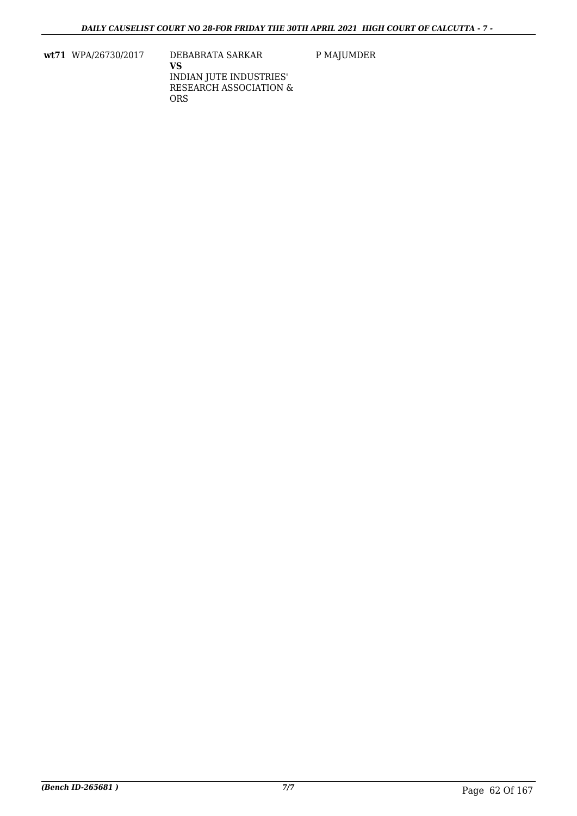**wt71** WPA/26730/2017 DEBABRATA SARKAR

P MAJUMDER

**VS** INDIAN JUTE INDUSTRIES' RESEARCH ASSOCIATION & ORS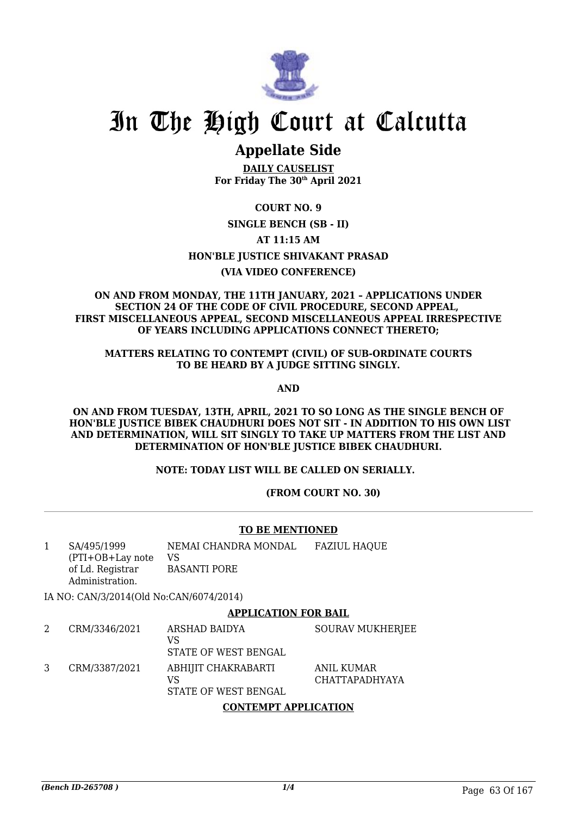

# **Appellate Side**

**DAILY CAUSELIST For Friday The 30th April 2021**

# **COURT NO. 9**

### **SINGLE BENCH (SB - II)**

**AT 11:15 AM**

## **HON'BLE JUSTICE SHIVAKANT PRASAD**

## **(VIA VIDEO CONFERENCE)**

#### **ON AND FROM MONDAY, THE 11TH JANUARY, 2021 – APPLICATIONS UNDER SECTION 24 OF THE CODE OF CIVIL PROCEDURE, SECOND APPEAL, FIRST MISCELLANEOUS APPEAL, SECOND MISCELLANEOUS APPEAL IRRESPECTIVE OF YEARS INCLUDING APPLICATIONS CONNECT THERETO;**

### **MATTERS RELATING TO CONTEMPT (CIVIL) OF SUB-ORDINATE COURTS TO BE HEARD BY A JUDGE SITTING SINGLY.**

**AND**

**ON AND FROM TUESDAY, 13TH, APRIL, 2021 TO SO LONG AS THE SINGLE BENCH OF HON'BLE JUSTICE BIBEK CHAUDHURI DOES NOT SIT - IN ADDITION TO HIS OWN LIST AND DETERMINATION, WILL SIT SINGLY TO TAKE UP MATTERS FROM THE LIST AND DETERMINATION OF HON'BLE JUSTICE BIBEK CHAUDHURI.**

**NOTE: TODAY LIST WILL BE CALLED ON SERIALLY.** 

 **(FROM COURT NO. 30)**

## **TO BE MENTIONED**

1 SA/495/1999 (PTI+OB+Lay note of Ld. Registrar Administration. NEMAI CHANDRA MONDAL VS BASANTI PORE FAZIUL HAQUE

IA NO: CAN/3/2014(Old No:CAN/6074/2014)

### **APPLICATION FOR BAIL**

2 CRM/3346/2021 ARSHAD BAIDYA  $V<sub>C</sub>$ STATE OF WEST BENGAL SOURAV MUKHERJEE 3 CRM/3387/2021 ABHIJIT CHAKRABARTI VS STATE OF WEST BENGAL ANIL KUMAR CHATTAPADHYAYA

## **CONTEMPT APPLICATION**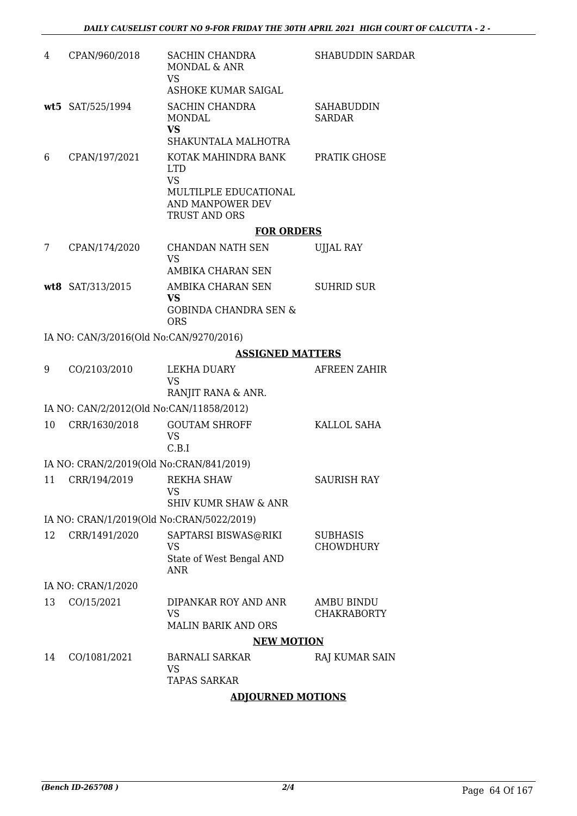| 4  | CPAN/960/2018                             | SACHIN CHANDRA<br><b>MONDAL &amp; ANR</b><br><b>VS</b>                                                              | <b>SHABUDDIN SARDAR</b>             |
|----|-------------------------------------------|---------------------------------------------------------------------------------------------------------------------|-------------------------------------|
|    |                                           | <b>ASHOKE KUMAR SAIGAL</b>                                                                                          |                                     |
|    | wt5 SAT/525/1994                          | <b>SACHIN CHANDRA</b><br>MONDAL<br><b>VS</b><br>SHAKUNTALA MALHOTRA                                                 | <b>SAHABUDDIN</b><br><b>SARDAR</b>  |
| 6  | CPAN/197/2021                             | KOTAK MAHINDRA BANK<br><b>LTD</b><br><b>VS</b><br>MULTILPLE EDUCATIONAL<br>AND MANPOWER DEV<br><b>TRUST AND ORS</b> | <b>PRATIK GHOSE</b>                 |
|    |                                           | <b>FOR ORDERS</b>                                                                                                   |                                     |
| 7  | CPAN/174/2020                             | CHANDAN NATH SEN<br><b>VS</b>                                                                                       | <b>UJJAL RAY</b>                    |
|    |                                           | AMBIKA CHARAN SEN                                                                                                   |                                     |
|    | wt8 SAT/313/2015                          | AMBIKA CHARAN SEN<br><b>VS</b>                                                                                      | <b>SUHRID SUR</b>                   |
|    |                                           | <b>GOBINDA CHANDRA SEN &amp;</b><br><b>ORS</b>                                                                      |                                     |
|    | IA NO: CAN/3/2016(Old No:CAN/9270/2016)   |                                                                                                                     |                                     |
|    |                                           | <b>ASSIGNED MATTERS</b>                                                                                             |                                     |
| 9  | CO/2103/2010                              | LEKHA DUARY<br><b>VS</b>                                                                                            | AFREEN ZAHIR                        |
|    |                                           | RANJIT RANA & ANR.                                                                                                  |                                     |
|    | IA NO: CAN/2/2012(Old No:CAN/11858/2012)  |                                                                                                                     |                                     |
| 10 | CRR/1630/2018                             | <b>GOUTAM SHROFF</b><br><b>VS</b><br>C.B.I                                                                          | KALLOL SAHA                         |
|    | IA NO: CRAN/2/2019(Old No:CRAN/841/2019)  |                                                                                                                     |                                     |
|    | 11 CRR/194/2019                           | REKHA SHAW<br>VS<br><b>SHIV KUMR SHAW &amp; ANR</b>                                                                 | SAURISH RAY                         |
|    | IA NO: CRAN/1/2019(Old No:CRAN/5022/2019) |                                                                                                                     |                                     |
| 12 | CRR/1491/2020                             | SAPTARSI BISWAS@RIKI<br>VS<br>State of West Bengal AND<br>ANR                                                       | <b>SUBHASIS</b><br><b>CHOWDHURY</b> |
|    | IA NO: CRAN/1/2020                        |                                                                                                                     |                                     |
| 13 | CO/15/2021                                | DIPANKAR ROY AND ANR<br><b>VS</b><br><b>MALIN BARIK AND ORS</b>                                                     | AMBU BINDU<br><b>CHAKRABORTY</b>    |
|    |                                           | <b>NEW MOTION</b>                                                                                                   |                                     |
| 14 | CO/1081/2021                              | <b>BARNALI SARKAR</b><br><b>VS</b><br><b>TAPAS SARKAR</b>                                                           | RAJ KUMAR SAIN                      |
|    |                                           |                                                                                                                     |                                     |

**ADJOURNED MOTIONS**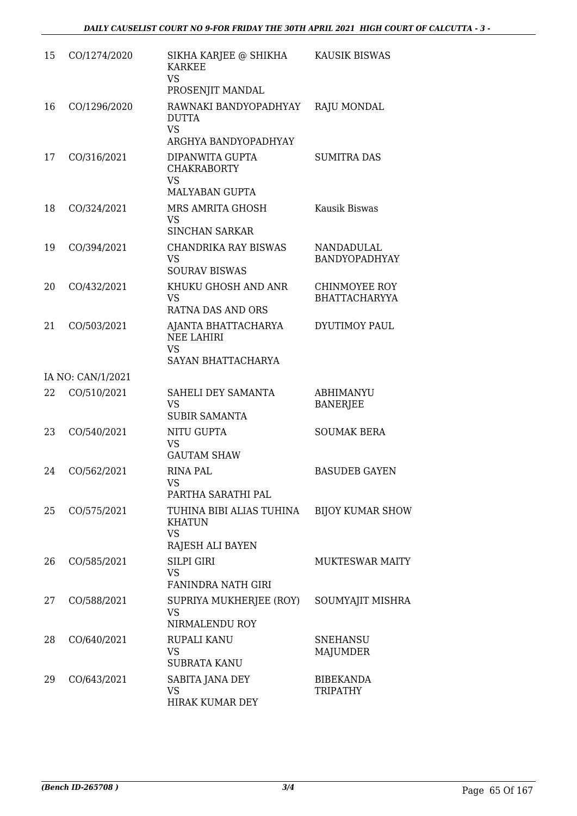| 15 | CO/1274/2020      | SIKHA KARJEE @ SHIKHA                                                           | KAUSIK BISWAS                                |
|----|-------------------|---------------------------------------------------------------------------------|----------------------------------------------|
|    |                   | <b>KARKEE</b><br><b>VS</b><br>PROSENJIT MANDAL                                  |                                              |
| 16 | CO/1296/2020      | RAWNAKI BANDYOPADHYAY<br><b>DUTTA</b><br><b>VS</b><br>ARGHYA BANDYOPADHYAY      | <b>RAJU MONDAL</b>                           |
| 17 | CO/316/2021       | DIPANWITA GUPTA<br><b>CHAKRABORTY</b><br><b>VS</b>                              | <b>SUMITRA DAS</b>                           |
| 18 | CO/324/2021       | <b>MALYABAN GUPTA</b><br>MRS AMRITA GHOSH<br><b>VS</b><br><b>SINCHAN SARKAR</b> | Kausik Biswas                                |
| 19 | CO/394/2021       | <b>CHANDRIKA RAY BISWAS</b><br><b>VS</b><br><b>SOURAV BISWAS</b>                | <b>NANDADULAL</b><br>BANDYOPADHYAY           |
| 20 | CO/432/2021       | KHUKU GHOSH AND ANR<br><b>VS</b><br><b>RATNA DAS AND ORS</b>                    | <b>CHINMOYEE ROY</b><br><b>BHATTACHARYYA</b> |
| 21 | CO/503/2021       | AJANTA BHATTACHARYA<br><b>NEE LAHIRI</b><br><b>VS</b><br>SAYAN BHATTACHARYA     | DYUTIMOY PAUL                                |
|    | IA NO: CAN/1/2021 |                                                                                 |                                              |
| 22 | CO/510/2021       | SAHELI DEY SAMANTA<br><b>VS</b><br><b>SUBIR SAMANTA</b>                         | <b>ABHIMANYU</b><br><b>BANERJEE</b>          |
| 23 | CO/540/2021       | <b>NITU GUPTA</b><br><b>VS</b><br><b>GAUTAM SHAW</b>                            | <b>SOUMAK BERA</b>                           |
| 24 | CO/562/2021       | <b>RINA PAL</b><br>VS<br>PARTHA SARATHI PAL                                     | <b>BASUDEB GAYEN</b>                         |
| 25 | CO/575/2021       | TUHINA BIBI ALIAS TUHINA<br><b>KHATUN</b><br><b>VS</b><br>RAJESH ALI BAYEN      | <b>BIJOY KUMAR SHOW</b>                      |
| 26 | CO/585/2021       | <b>SILPI GIRI</b><br><b>VS</b><br><b>FANINDRA NATH GIRI</b>                     | <b>MUKTESWAR MAITY</b>                       |
| 27 | CO/588/2021       | SUPRIYA MUKHERJEE (ROY)<br><b>VS</b><br>NIRMALENDU ROY                          | SOUMYAJIT MISHRA                             |
| 28 | CO/640/2021       | RUPALI KANU<br><b>VS</b><br><b>SUBRATA KANU</b>                                 | SNEHANSU<br>MAJUMDER                         |
| 29 | CO/643/2021       | SABITA JANA DEY<br><b>VS</b><br>HIRAK KUMAR DEY                                 | <b>BIBEKANDA</b><br><b>TRIPATHY</b>          |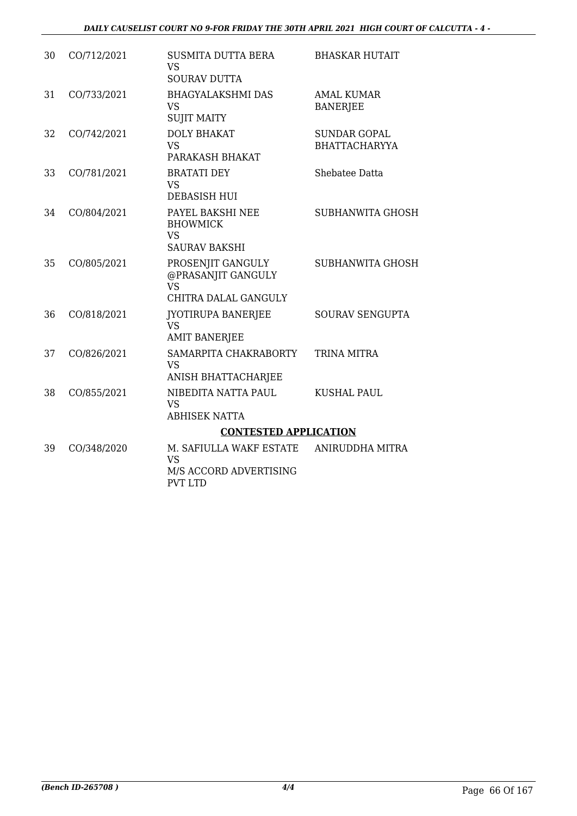| 30 | CO/712/2021 | <b>SUSMITA DUTTA BERA</b><br><b>VS</b><br><b>SOURAV DUTTA</b>                | <b>BHASKAR HUTAIT</b>                       |
|----|-------------|------------------------------------------------------------------------------|---------------------------------------------|
| 31 | CO/733/2021 | <b>BHAGYALAKSHMI DAS</b><br><b>VS</b><br><b>SUJIT MAITY</b>                  | <b>AMAL KUMAR</b><br><b>BANERJEE</b>        |
| 32 | CO/742/2021 | <b>DOLY BHAKAT</b><br><b>VS</b><br>PARAKASH BHAKAT                           | <b>SUNDAR GOPAL</b><br><b>BHATTACHARYYA</b> |
| 33 | CO/781/2021 | <b>BRATATI DEY</b><br><b>VS</b><br><b>DEBASISH HUI</b>                       | Shebatee Datta                              |
| 34 | CO/804/2021 | PAYEL BAKSHI NEE<br><b>BHOWMICK</b><br><b>VS</b><br><b>SAURAV BAKSHI</b>     | <b>SUBHANWITA GHOSH</b>                     |
| 35 | CO/805/2021 | PROSENJIT GANGULY<br>@PRASANJIT GANGULY<br><b>VS</b><br>CHITRA DALAL GANGULY | <b>SUBHANWITA GHOSH</b>                     |
| 36 | CO/818/2021 | <b>JYOTIRUPA BANERJEE</b><br><b>VS</b><br><b>AMIT BANERJEE</b>               | <b>SOURAV SENGUPTA</b>                      |
| 37 | CO/826/2021 | SAMARPITA CHAKRABORTY<br><b>VS</b><br>ANISH BHATTACHARJEE                    | <b>TRINA MITRA</b>                          |
| 38 | CO/855/2021 | NIBEDITA NATTA PAUL<br><b>VS</b><br>ABHISEK NATTA                            | <b>KUSHAL PAUL</b>                          |
|    |             | <b>CONTESTED APPLICATION</b>                                                 |                                             |
| 39 | CO/348/2020 | M. SAFIULLA WAKF ESTATE<br><b>VS</b><br>M/S ACCORD ADVERTISING               | ANIRUDDHA MITRA                             |

PVT LTD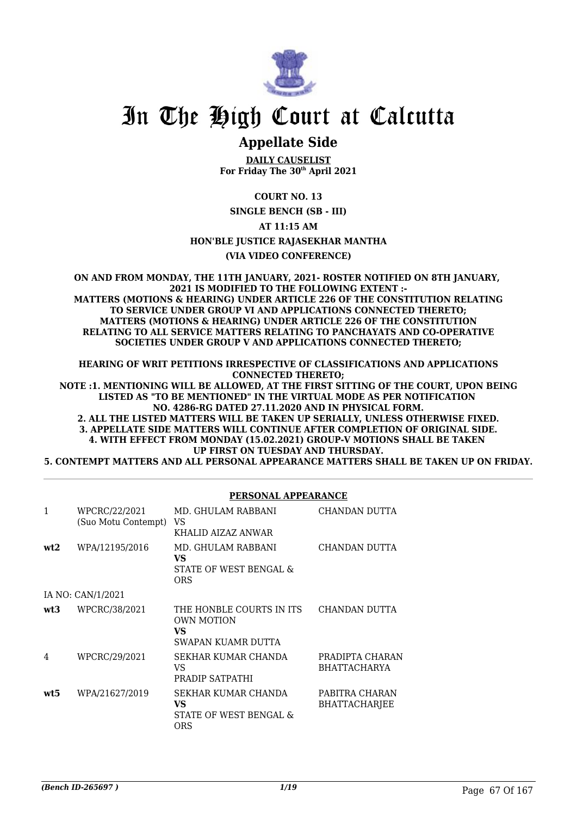

# **Appellate Side**

**DAILY CAUSELIST For Friday The 30th April 2021**

**COURT NO. 13**

**SINGLE BENCH (SB - III)**

**AT 11:15 AM**

**HON'BLE JUSTICE RAJASEKHAR MANTHA**

**(VIA VIDEO CONFERENCE)**

**ON AND FROM MONDAY, THE 11TH JANUARY, 2021- ROSTER NOTIFIED ON 8TH JANUARY, 2021 IS MODIFIED TO THE FOLLOWING EXTENT :- MATTERS (MOTIONS & HEARING) UNDER ARTICLE 226 OF THE CONSTITUTION RELATING TO SERVICE UNDER GROUP VI AND APPLICATIONS CONNECTED THERETO; MATTERS (MOTIONS & HEARING) UNDER ARTICLE 226 OF THE CONSTITUTION RELATING TO ALL SERVICE MATTERS RELATING TO PANCHAYATS AND CO-OPERATIVE SOCIETIES UNDER GROUP V AND APPLICATIONS CONNECTED THERETO;**

**HEARING OF WRIT PETITIONS IRRESPECTIVE OF CLASSIFICATIONS AND APPLICATIONS CONNECTED THERETO;**

**NOTE :1. MENTIONING WILL BE ALLOWED, AT THE FIRST SITTING OF THE COURT, UPON BEING LISTED AS "TO BE MENTIONED" IN THE VIRTUAL MODE AS PER NOTIFICATION NO. 4286-RG DATED 27.11.2020 AND IN PHYSICAL FORM. 2. ALL THE LISTED MATTERS WILL BE TAKEN UP SERIALLY, UNLESS OTHERWISE FIXED.**

**3. APPELLATE SIDE MATTERS WILL CONTINUE AFTER COMPLETION OF ORIGINAL SIDE. 4. WITH EFFECT FROM MONDAY (15.02.2021) GROUP-V MOTIONS SHALL BE TAKEN UP FIRST ON TUESDAY AND THURSDAY.**

**5. CONTEMPT MATTERS AND ALL PERSONAL APPEARANCE MATTERS SHALL BE TAKEN UP ON FRIDAY.**

#### **PERSONAL APPEARANCE**

| 1   | WPCRC/22/2021<br>(Suo Motu Contempt) | MD. GHULAM RABBANI<br>VS<br>KHALID AIZAZ ANWAR                            | CHANDAN DUTTA                          |
|-----|--------------------------------------|---------------------------------------------------------------------------|----------------------------------------|
| wt2 | WPA/12195/2016                       | MD. GHULAM RABBANI<br>VS<br>STATE OF WEST BENGAL &<br><b>ORS</b>          | CHANDAN DUTTA                          |
|     | IA NO: CAN/1/2021                    |                                                                           |                                        |
| wt3 | WPCRC/38/2021                        | THE HONBLE COURTS IN ITS<br><b>OWN MOTION</b><br>VS<br>SWAPAN KUAMR DUTTA | CHANDAN DUTTA                          |
| 4   | WPCRC/29/2021                        | SEKHAR KUMAR CHANDA<br>VS.<br>PRADIP SATPATHI                             | PRADIPTA CHARAN<br><b>BHATTACHARYA</b> |
| wt5 | WPA/21627/2019                       | SEKHAR KUMAR CHANDA<br>VS<br>STATE OF WEST BENGAL &<br>ORS                | PABITRA CHARAN<br><b>BHATTACHARIEE</b> |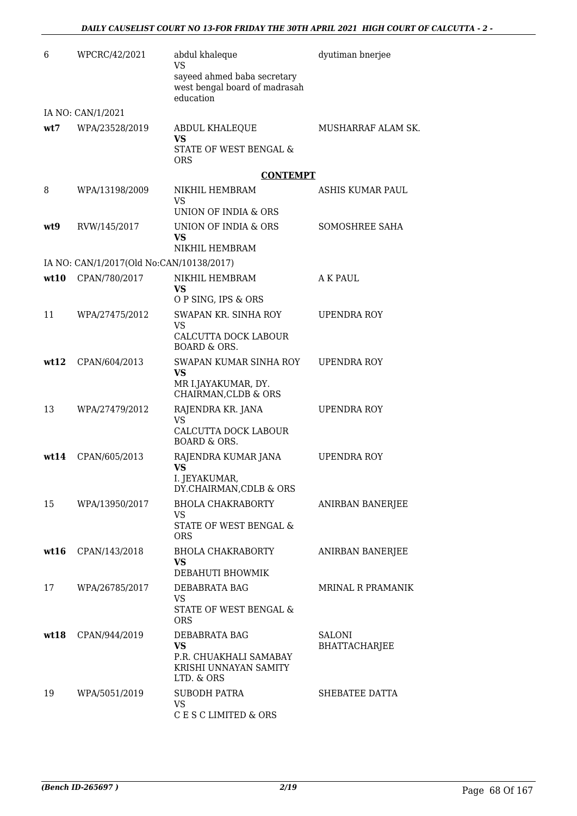| 6    | WPCRC/42/2021                            | abdul khaleque<br><b>VS</b>                                               | dyutiman bnerjee         |
|------|------------------------------------------|---------------------------------------------------------------------------|--------------------------|
|      |                                          | sayeed ahmed baba secretary<br>west bengal board of madrasah<br>education |                          |
|      | IA NO: CAN/1/2021                        |                                                                           |                          |
| wt7  | WPA/23528/2019                           | ABDUL KHALEQUE<br>VS                                                      | MUSHARRAF ALAM SK.       |
|      |                                          | STATE OF WEST BENGAL &<br>ORS                                             |                          |
|      |                                          | <b>CONTEMPT</b>                                                           |                          |
| 8    | WPA/13198/2009                           | NIKHIL HEMBRAM<br><b>VS</b>                                               | ASHIS KUMAR PAUL         |
|      |                                          | UNION OF INDIA & ORS                                                      |                          |
| wt9  | RVW/145/2017                             | UNION OF INDIA & ORS<br>VS<br>NIKHIL HEMBRAM                              | SOMOSHREE SAHA           |
|      | IA NO: CAN/1/2017(Old No:CAN/10138/2017) |                                                                           |                          |
| wt10 | CPAN/780/2017                            | NIKHIL HEMBRAM<br>VS                                                      | A K PAUL                 |
|      |                                          | O P SING, IPS & ORS                                                       |                          |
| 11   | WPA/27475/2012                           | SWAPAN KR. SINHA ROY<br><b>VS</b>                                         | <b>UPENDRA ROY</b>       |
|      |                                          | CALCUTTA DOCK LABOUR<br><b>BOARD &amp; ORS.</b>                           |                          |
| wt12 | CPAN/604/2013                            | SWAPAN KUMAR SINHA ROY                                                    | UPENDRA ROY              |
|      |                                          | VS<br>MR I.JAYAKUMAR, DY.<br>CHAIRMAN, CLDB & ORS                         |                          |
| 13   | WPA/27479/2012                           | RAJENDRA KR. JANA<br><b>VS</b>                                            | UPENDRA ROY              |
|      |                                          | CALCUTTA DOCK LABOUR<br><b>BOARD &amp; ORS.</b>                           |                          |
| wt14 | CPAN/605/2013                            | RAJENDRA KUMAR JANA<br><b>VS</b>                                          | UPENDRA ROY              |
|      |                                          | I. JEYAKUMAR,<br>DY.CHAIRMAN, CDLB & ORS                                  |                          |
| 15   | WPA/13950/2017                           | <b>BHOLA CHAKRABORTY</b>                                                  | <b>ANIRBAN BANERJEE</b>  |
|      |                                          | VS.<br>STATE OF WEST BENGAL &<br><b>ORS</b>                               |                          |
| wt16 | CPAN/143/2018                            | <b>BHOLA CHAKRABORTY</b><br>VS.                                           | ANIRBAN BANERJEE         |
|      |                                          | DEBAHUTI BHOWMIK                                                          |                          |
| 17   | WPA/26785/2017                           | DEBABRATA BAG<br>VS                                                       | <b>MRINAL R PRAMANIK</b> |
|      |                                          | STATE OF WEST BENGAL &<br><b>ORS</b>                                      |                          |
| wt18 | CPAN/944/2019                            | DEBABRATA BAG                                                             | <b>SALONI</b>            |
|      |                                          | <b>VS</b><br>P.R. CHUAKHALI SAMABAY                                       | <b>BHATTACHARJEE</b>     |
|      |                                          | KRISHI UNNAYAN SAMITY<br>LTD. & ORS                                       |                          |
| 19   | WPA/5051/2019                            | <b>SUBODH PATRA</b>                                                       | SHEBATEE DATTA           |
|      |                                          | VS.<br>C E S C LIMITED & ORS                                              |                          |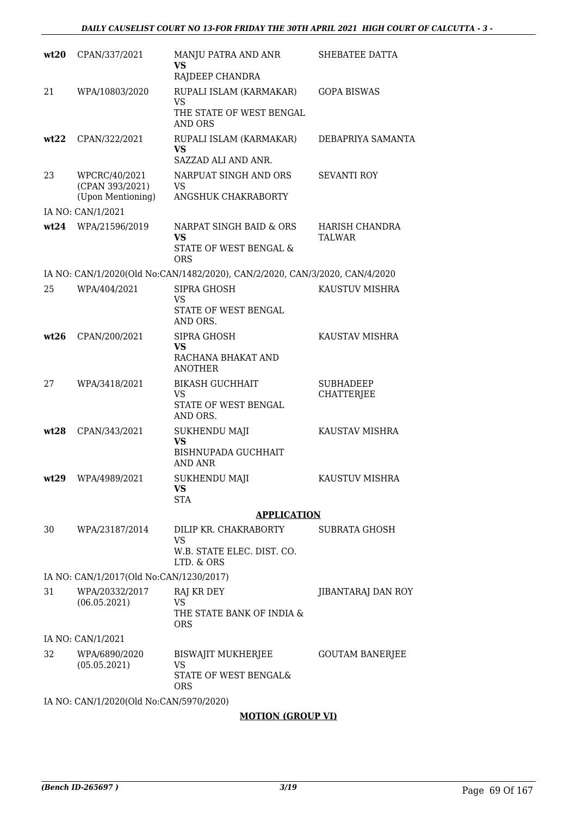| wt20  | CPAN/337/2021                                         | MANJU PATRA AND ANR<br>VS<br>RAJDEEP CHANDRA                                      | SHEBATEE DATTA                        |
|-------|-------------------------------------------------------|-----------------------------------------------------------------------------------|---------------------------------------|
| 21    | WPA/10803/2020                                        | RUPALI ISLAM (KARMAKAR)<br>VS<br>THE STATE OF WEST BENGAL<br><b>AND ORS</b>       | <b>GOPA BISWAS</b>                    |
| wt22  | CPAN/322/2021                                         | RUPALI ISLAM (KARMAKAR)<br><b>VS</b><br>SAZZAD ALI AND ANR.                       | DEBAPRIYA SAMANTA                     |
| 23    | WPCRC/40/2021<br>(CPAN 393/2021)<br>(Upon Mentioning) | NARPUAT SINGH AND ORS<br>VS<br>ANGSHUK CHAKRABORTY                                | <b>SEVANTI ROY</b>                    |
|       | IA NO: CAN/1/2021                                     |                                                                                   |                                       |
| wt24  | WPA/21596/2019                                        | NARPAT SINGH BAID & ORS<br><b>VS</b><br>STATE OF WEST BENGAL &<br>ORS             | HARISH CHANDRA<br><b>TALWAR</b>       |
|       |                                                       | IA NO: CAN/1/2020(Old No:CAN/1482/2020), CAN/2/2020, CAN/3/2020, CAN/4/2020       |                                       |
| 25    | WPA/404/2021                                          | SIPRA GHOSH<br>VS<br>STATE OF WEST BENGAL<br>AND ORS.                             | KAUSTUV MISHRA                        |
| wt26  | CPAN/200/2021                                         | SIPRA GHOSH<br><b>VS</b><br>RACHANA BHAKAT AND<br><b>ANOTHER</b>                  | KAUSTAV MISHRA                        |
| 27    | WPA/3418/2021                                         | <b>BIKASH GUCHHAIT</b><br>VS.<br>STATE OF WEST BENGAL<br>AND ORS.                 | <b>SUBHADEEP</b><br><b>CHATTERJEE</b> |
| wt28  | CPAN/343/2021                                         | <b>SUKHENDU MAJI</b><br><b>VS</b><br><b>BISHNUPADA GUCHHAIT</b><br><b>AND ANR</b> | KAUSTAV MISHRA                        |
| wt.29 | WPA/4989/2021                                         | <b>SUKHENDU MAJI</b><br>VS.<br><b>STA</b>                                         | KAUSTUV MISHRA                        |
|       |                                                       | <b>APPLICATION</b>                                                                |                                       |
| 30    | WPA/23187/2014                                        | DILIP KR. CHAKRABORTY<br><b>VS</b><br>W.B. STATE ELEC. DIST. CO.<br>LTD. & ORS    | <b>SUBRATA GHOSH</b>                  |
|       | IA NO: CAN/1/2017(Old No:CAN/1230/2017)               |                                                                                   |                                       |
| 31    | WPA/20332/2017<br>(06.05.2021)                        | RAJ KR DEY<br><b>VS</b><br>THE STATE BANK OF INDIA &                              | JIBANTARAJ DAN ROY                    |
|       |                                                       | <b>ORS</b>                                                                        |                                       |
| 32    | IA NO: CAN/1/2021<br>WPA/6890/2020<br>(05.05.2021)    | BISWAJIT MUKHERJEE<br><b>VS</b>                                                   | <b>GOUTAM BANERJEE</b>                |
|       |                                                       | STATE OF WEST BENGAL&<br><b>ORS</b>                                               |                                       |
|       | IA NO: CAN/1/2020(Old No:CAN/5970/2020)               |                                                                                   |                                       |

#### **MOTION (GROUP VI)**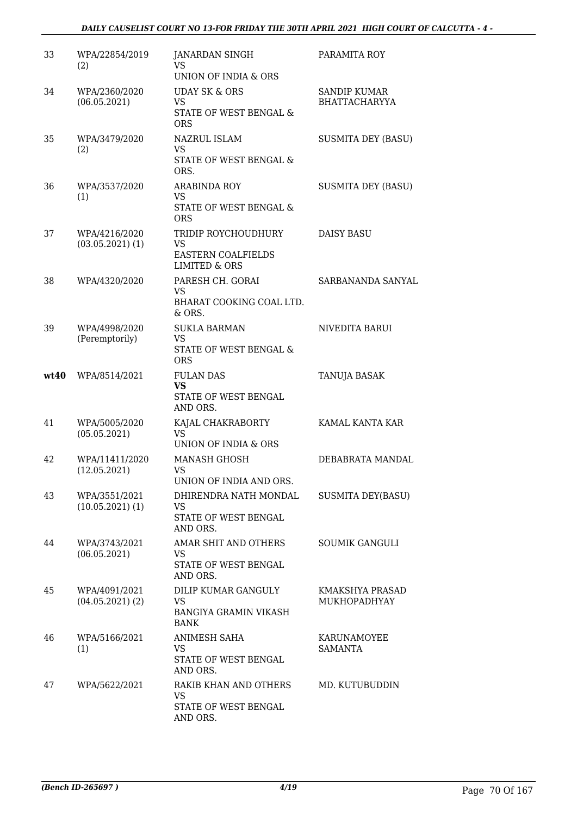### *DAILY CAUSELIST COURT NO 13-FOR FRIDAY THE 30TH APRIL 2021 HIGH COURT OF CALCUTTA - 4 -*

| 33   | WPA/22854/2019<br>(2)                 | <b>JANARDAN SINGH</b><br>VS<br>UNION OF INDIA & ORS                                | PARAMITA ROY                                |
|------|---------------------------------------|------------------------------------------------------------------------------------|---------------------------------------------|
| 34   | WPA/2360/2020<br>(06.05.2021)         | <b>UDAY SK &amp; ORS</b><br><b>VS</b><br>STATE OF WEST BENGAL &<br><b>ORS</b>      | <b>SANDIP KUMAR</b><br><b>BHATTACHARYYA</b> |
| 35   | WPA/3479/2020<br>(2)                  | NAZRUL ISLAM<br><b>VS</b><br>STATE OF WEST BENGAL &<br>ORS.                        | <b>SUSMITA DEY (BASU)</b>                   |
| 36   | WPA/3537/2020<br>(1)                  | <b>ARABINDA ROY</b><br><b>VS</b><br>STATE OF WEST BENGAL &<br><b>ORS</b>           | <b>SUSMITA DEY (BASU)</b>                   |
| 37   | WPA/4216/2020<br>$(03.05.2021)$ $(1)$ | TRIDIP ROYCHOUDHURY<br><b>VS</b><br>EASTERN COALFIELDS<br><b>LIMITED &amp; ORS</b> | <b>DAISY BASU</b>                           |
| 38   | WPA/4320/2020                         | PARESH CH. GORAI<br><b>VS</b><br>BHARAT COOKING COAL LTD.<br>& ORS.                | SARBANANDA SANYAL                           |
| 39   | WPA/4998/2020<br>(Peremptorily)       | <b>SUKLA BARMAN</b><br>VS<br>STATE OF WEST BENGAL &<br><b>ORS</b>                  | NIVEDITA BARUI                              |
| wt40 | WPA/8514/2021                         | <b>FULAN DAS</b><br><b>VS</b><br>STATE OF WEST BENGAL<br>AND ORS.                  | TANUJA BASAK                                |
| 41   | WPA/5005/2020<br>(05.05.2021)         | KAJAL CHAKRABORTY<br><b>VS</b><br>UNION OF INDIA & ORS                             | KAMAL KANTA KAR                             |
| 42   | WPA/11411/2020<br>(12.05.2021)        | <b>MANASH GHOSH</b><br>VS<br>UNION OF INDIA AND ORS.                               | DEBABRATA MANDAL                            |
| 43   | WPA/3551/2021<br>(10.05.2021)(1)      | DHIRENDRA NATH MONDAL<br>VS<br>STATE OF WEST BENGAL<br>AND ORS.                    | <b>SUSMITA DEY(BASU)</b>                    |
| 44   | WPA/3743/2021<br>(06.05.2021)         | AMAR SHIT AND OTHERS<br><b>VS</b><br>STATE OF WEST BENGAL<br>AND ORS.              | <b>SOUMIK GANGULI</b>                       |
| 45   | WPA/4091/2021<br>$(04.05.2021)$ (2)   | DILIP KUMAR GANGULY<br><b>VS</b><br><b>BANGIYA GRAMIN VIKASH</b><br><b>BANK</b>    | KMAKSHYA PRASAD<br>MUKHOPADHYAY             |
| 46   | WPA/5166/2021<br>(1)                  | ANIMESH SAHA<br>VS.<br>STATE OF WEST BENGAL<br>AND ORS.                            | <b>KARUNAMOYEE</b><br><b>SAMANTA</b>        |
| 47   | WPA/5622/2021                         | RAKIB KHAN AND OTHERS<br><b>VS</b><br>STATE OF WEST BENGAL<br>AND ORS.             | MD. KUTUBUDDIN                              |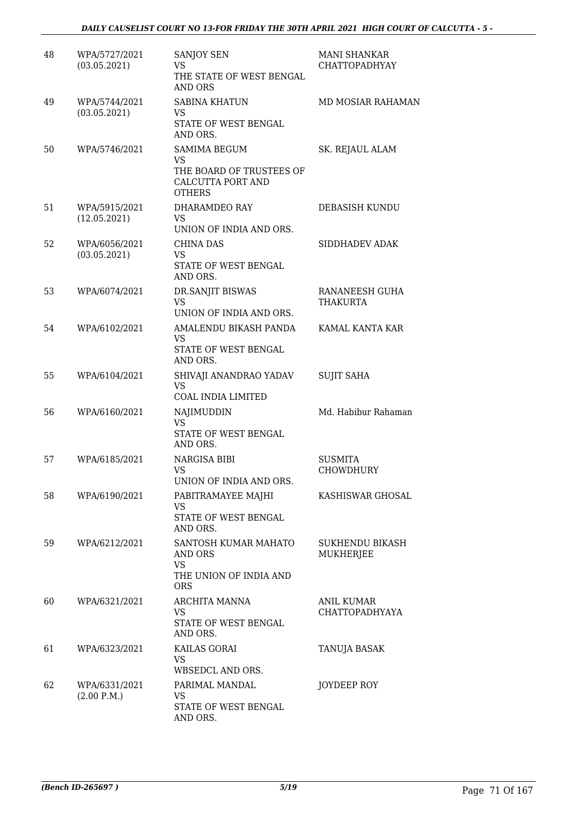| 48 | WPA/5727/2021<br>(03.05.2021) | <b>SANJOY SEN</b><br>VS<br>THE STATE OF WEST BENGAL<br><b>AND ORS</b>                       | <b>MANI SHANKAR</b><br>CHATTOPADHYAY       |
|----|-------------------------------|---------------------------------------------------------------------------------------------|--------------------------------------------|
| 49 | WPA/5744/2021<br>(03.05.2021) | <b>SABINA KHATUN</b><br><b>VS</b><br>STATE OF WEST BENGAL<br>AND ORS.                       | MD MOSIAR RAHAMAN                          |
| 50 | WPA/5746/2021                 | SAMIMA BEGUM<br><b>VS</b><br>THE BOARD OF TRUSTEES OF<br>CALCUTTA PORT AND<br><b>OTHERS</b> | SK. REJAUL ALAM                            |
| 51 | WPA/5915/2021<br>(12.05.2021) | DHARAMDEO RAY<br>VS.<br>UNION OF INDIA AND ORS.                                             | DEBASISH KUNDU                             |
| 52 | WPA/6056/2021<br>(03.05.2021) | CHINA DAS<br><b>VS</b><br>STATE OF WEST BENGAL<br>AND ORS.                                  | SIDDHADEV ADAK                             |
| 53 | WPA/6074/2021                 | <b>DR.SANJIT BISWAS</b><br><b>VS</b><br>UNION OF INDIA AND ORS.                             | RANANEESH GUHA<br>THAKURTA                 |
| 54 | WPA/6102/2021                 | AMALENDU BIKASH PANDA<br><b>VS</b><br>STATE OF WEST BENGAL<br>AND ORS.                      | KAMAL KANTA KAR                            |
| 55 | WPA/6104/2021                 | SHIVAJI ANANDRAO YADAV<br><b>VS</b><br>COAL INDIA LIMITED                                   | <b>SUJIT SAHA</b>                          |
| 56 | WPA/6160/2021                 | NAJIMUDDIN<br><b>VS</b><br>STATE OF WEST BENGAL<br>AND ORS.                                 | Md. Habibur Rahaman                        |
| 57 | WPA/6185/2021                 | NARGISA BIBI<br>VS.<br>UNION OF INDIA AND ORS.                                              | <b>SUSMITA</b><br><b>CHOWDHURY</b>         |
| 58 | WPA/6190/2021                 | PABITRAMAYEE MAJHI<br><b>VS</b><br>STATE OF WEST BENGAL<br>AND ORS.                         | KASHISWAR GHOSAL                           |
| 59 | WPA/6212/2021                 | SANTOSH KUMAR MAHATO<br>AND ORS<br><b>VS</b><br>THE UNION OF INDIA AND<br><b>ORS</b>        | <b>SUKHENDU BIKASH</b><br><b>MUKHERJEE</b> |
| 60 | WPA/6321/2021                 | ARCHITA MANNA<br>VS<br>STATE OF WEST BENGAL<br>AND ORS.                                     | <b>ANIL KUMAR</b><br>CHATTOPADHYAYA        |
| 61 | WPA/6323/2021                 | KAILAS GORAI<br><b>VS</b><br>WBSEDCL AND ORS.                                               | TANUJA BASAK                               |
| 62 | WPA/6331/2021<br>(2.00 P.M.)  | PARIMAL MANDAL<br><b>VS</b><br>STATE OF WEST BENGAL<br>AND ORS.                             | JOYDEEP ROY                                |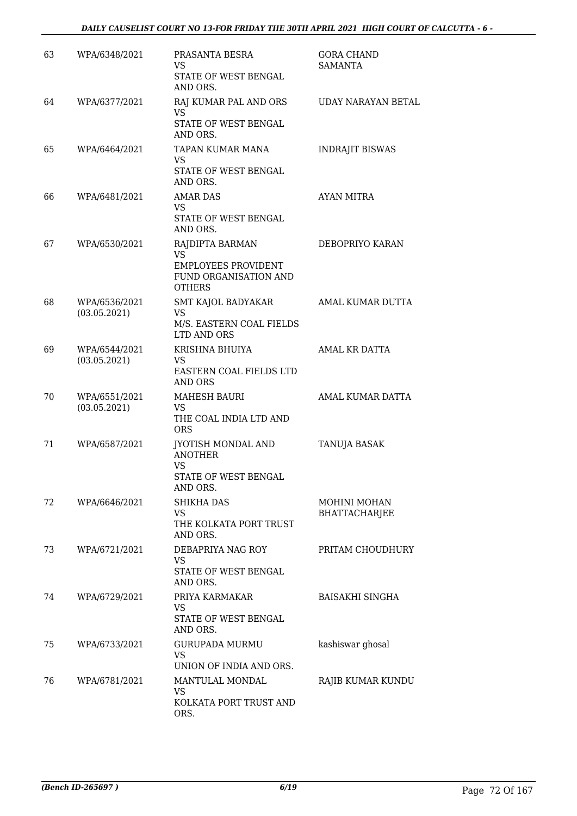| 63 | WPA/6348/2021                 | PRASANTA BESRA<br>VS.<br>STATE OF WEST BENGAL<br>AND ORS.                                            | <b>GORA CHAND</b><br><b>SAMANTA</b> |
|----|-------------------------------|------------------------------------------------------------------------------------------------------|-------------------------------------|
| 64 | WPA/6377/2021                 | RAJ KUMAR PAL AND ORS<br><b>VS</b><br>STATE OF WEST BENGAL                                           | UDAY NARAYAN BETAL                  |
| 65 | WPA/6464/2021                 | AND ORS.<br>TAPAN KUMAR MANA<br>VS.<br>STATE OF WEST BENGAL<br>AND ORS.                              | <b>INDRAJIT BISWAS</b>              |
| 66 | WPA/6481/2021                 | <b>AMAR DAS</b><br><b>VS</b><br>STATE OF WEST BENGAL<br>AND ORS.                                     | AYAN MITRA                          |
| 67 | WPA/6530/2021                 | RAJDIPTA BARMAN<br><b>VS</b><br><b>EMPLOYEES PROVIDENT</b><br>FUND ORGANISATION AND<br><b>OTHERS</b> | DEBOPRIYO KARAN                     |
| 68 | WPA/6536/2021<br>(03.05.2021) | SMT KAJOL BADYAKAR<br><b>VS</b><br>M/S. EASTERN COAL FIELDS<br>LTD AND ORS                           | AMAL KUMAR DUTTA                    |
| 69 | WPA/6544/2021<br>(03.05.2021) | KRISHNA BHUIYA<br>VS<br>EASTERN COAL FIELDS LTD<br>AND ORS                                           | AMAL KR DATTA                       |
| 70 | WPA/6551/2021<br>(03.05.2021) | <b>MAHESH BAURI</b><br><b>VS</b><br>THE COAL INDIA LTD AND<br><b>ORS</b>                             | AMAL KUMAR DATTA                    |
| 71 | WPA/6587/2021                 | JYOTISH MONDAL AND<br><b>ANOTHER</b><br><b>VS</b><br>STATE OF WEST BENGAL<br>AND ORS.                | TANUJA BASAK                        |
| 72 | WPA/6646/2021                 | SHIKHA DAS<br><b>VS</b><br>THE KOLKATA PORT TRUST<br>AND ORS.                                        | MOHINI MOHAN<br>BHATTACHARJEE       |
| 73 | WPA/6721/2021                 | DEBAPRIYA NAG ROY<br>VS<br>STATE OF WEST BENGAL<br>AND ORS.                                          | PRITAM CHOUDHURY                    |
| 74 | WPA/6729/2021                 | PRIYA KARMAKAR<br>VS.<br>STATE OF WEST BENGAL<br>AND ORS.                                            | <b>BAISAKHI SINGHA</b>              |
| 75 | WPA/6733/2021                 | <b>GURUPADA MURMU</b><br><b>VS</b><br>UNION OF INDIA AND ORS.                                        | kashiswar ghosal                    |
| 76 | WPA/6781/2021                 | MANTULAL MONDAL<br><b>VS</b><br>KOLKATA PORT TRUST AND<br>ORS.                                       | RAJIB KUMAR KUNDU                   |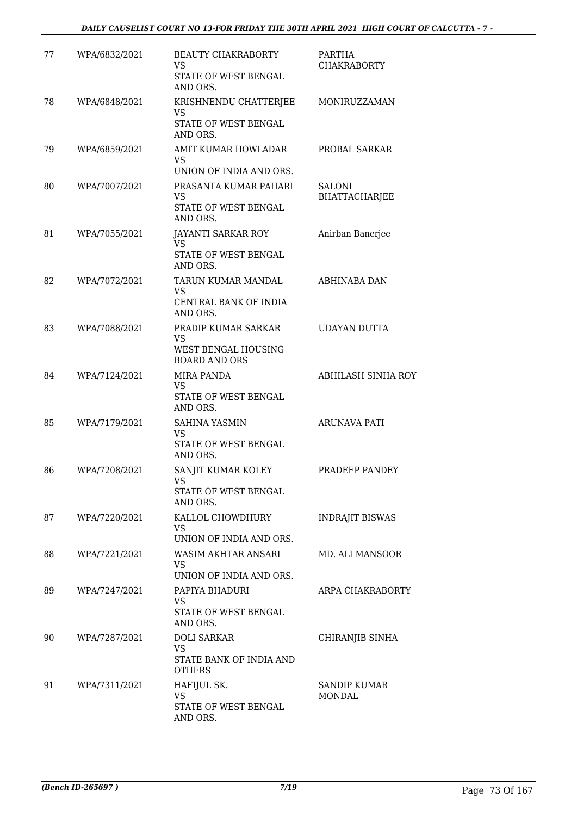| 77 | WPA/6832/2021 | <b>BEAUTY CHAKRABORTY</b><br><b>VS</b><br>STATE OF WEST BENGAL<br>AND ORS.          | PARTHA<br><b>CHAKRABORTY</b>          |
|----|---------------|-------------------------------------------------------------------------------------|---------------------------------------|
| 78 | WPA/6848/2021 | KRISHNENDU CHATTERJEE<br>VS<br>STATE OF WEST BENGAL<br>AND ORS.                     | MONIRUZZAMAN                          |
| 79 | WPA/6859/2021 | AMIT KUMAR HOWLADAR<br>VS<br>UNION OF INDIA AND ORS.                                | PROBAL SARKAR                         |
| 80 | WPA/7007/2021 | PRASANTA KUMAR PAHARI<br>VS<br>STATE OF WEST BENGAL<br>AND ORS.                     | <b>SALONI</b><br><b>BHATTACHARJEE</b> |
| 81 | WPA/7055/2021 | JAYANTI SARKAR ROY<br><b>VS</b><br>STATE OF WEST BENGAL<br>AND ORS.                 | Anirban Banerjee                      |
| 82 | WPA/7072/2021 | TARUN KUMAR MANDAL<br><b>VS</b><br>CENTRAL BANK OF INDIA<br>AND ORS.                | <b>ABHINABA DAN</b>                   |
| 83 | WPA/7088/2021 | PRADIP KUMAR SARKAR<br><b>VS</b><br>WEST BENGAL HOUSING                             | <b>UDAYAN DUTTA</b>                   |
| 84 | WPA/7124/2021 | <b>BOARD AND ORS</b><br>MIRA PANDA<br><b>VS</b><br>STATE OF WEST BENGAL<br>AND ORS. | <b>ABHILASH SINHA ROY</b>             |
| 85 | WPA/7179/2021 | <b>SAHINA YASMIN</b><br>VS<br>STATE OF WEST BENGAL<br>AND ORS.                      | ARUNAVA PATI                          |
| 86 | WPA/7208/2021 | SANJIT KUMAR KOLEY<br>STATE OF WEST BENGAL<br>AND ORS.                              | PRADEEP PANDEY                        |
| 87 | WPA/7220/2021 | KALLOL CHOWDHURY<br>VS<br>UNION OF INDIA AND ORS.                                   | <b>INDRAJIT BISWAS</b>                |
| 88 | WPA/7221/2021 | WASIM AKHTAR ANSARI<br>VS<br>UNION OF INDIA AND ORS.                                | MD. ALI MANSOOR                       |
| 89 | WPA/7247/2021 | PAPIYA BHADURI<br><b>VS</b><br>STATE OF WEST BENGAL<br>AND ORS.                     | ARPA CHAKRABORTY                      |
| 90 | WPA/7287/2021 | <b>DOLI SARKAR</b><br><b>VS</b><br>STATE BANK OF INDIA AND<br><b>OTHERS</b>         | CHIRANJIB SINHA                       |
| 91 | WPA/7311/2021 | HAFIJUL SK.<br><b>VS</b><br>STATE OF WEST BENGAL<br>AND ORS.                        | <b>SANDIP KUMAR</b><br>MONDAL         |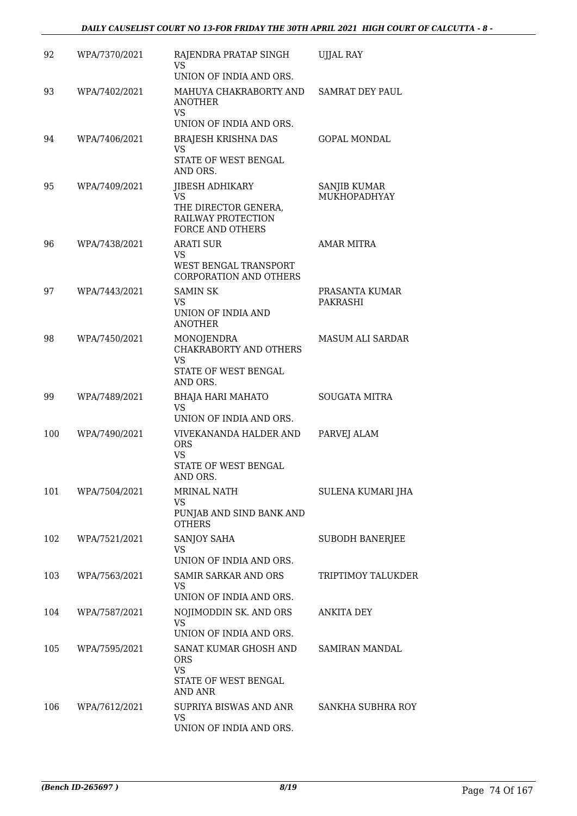| 92  | WPA/7370/2021 | RAJENDRA PRATAP SINGH<br>VS<br>UNION OF INDIA AND ORS.                                         | UJJAL RAY                    |
|-----|---------------|------------------------------------------------------------------------------------------------|------------------------------|
| 93  | WPA/7402/2021 | MAHUYA CHAKRABORTY AND<br><b>ANOTHER</b><br><b>VS</b>                                          | <b>SAMRAT DEY PAUL</b>       |
|     |               | UNION OF INDIA AND ORS.                                                                        |                              |
| 94  | WPA/7406/2021 | <b>BRAJESH KRISHNA DAS</b><br><b>VS</b><br>STATE OF WEST BENGAL<br>AND ORS.                    | <b>GOPAL MONDAL</b>          |
| 95  | WPA/7409/2021 | JIBESH ADHIKARY<br>VS<br>THE DIRECTOR GENERA,<br>RAILWAY PROTECTION<br><b>FORCE AND OTHERS</b> | SANJIB KUMAR<br>MUKHOPADHYAY |
| 96  | WPA/7438/2021 | <b>ARATI SUR</b><br><b>VS</b><br>WEST BENGAL TRANSPORT<br><b>CORPORATION AND OTHERS</b>        | <b>AMAR MITRA</b>            |
| 97  | WPA/7443/2021 | <b>SAMIN SK</b>                                                                                | PRASANTA KUMAR               |
|     |               | VS<br>UNION OF INDIA AND<br><b>ANOTHER</b>                                                     | <b>PAKRASHI</b>              |
| 98  | WPA/7450/2021 | <b>MONOJENDRA</b><br>CHAKRABORTY AND OTHERS<br>VS<br>STATE OF WEST BENGAL                      | <b>MASUM ALI SARDAR</b>      |
|     |               | AND ORS.                                                                                       |                              |
| 99  | WPA/7489/2021 | <b>BHAJA HARI MAHATO</b><br>VS<br>UNION OF INDIA AND ORS.                                      | <b>SOUGATA MITRA</b>         |
| 100 | WPA/7490/2021 | VIVEKANANDA HALDER AND<br><b>ORS</b><br>VS<br>STATE OF WEST BENGAL<br>AND ORS.                 | PARVEJ ALAM                  |
| 101 | WPA/7504/2021 | <b>MRINAL NATH</b>                                                                             | SULENA KUMARI JHA            |
|     |               | <b>VS</b><br>PUNJAB AND SIND BANK AND<br><b>OTHERS</b>                                         |                              |
| 102 | WPA/7521/2021 | <b>SANJOY SAHA</b><br>VS.<br>UNION OF INDIA AND ORS.                                           | <b>SUBODH BANERJEE</b>       |
| 103 | WPA/7563/2021 | <b>SAMIR SARKAR AND ORS</b><br>VS                                                              | <b>TRIPTIMOY TALUKDER</b>    |
|     |               | UNION OF INDIA AND ORS.                                                                        |                              |
| 104 | WPA/7587/2021 | NOJIMODDIN SK. AND ORS<br><b>VS</b><br>UNION OF INDIA AND ORS.                                 | <b>ANKITA DEY</b>            |
| 105 | WPA/7595/2021 | SANAT KUMAR GHOSH AND<br><b>ORS</b><br><b>VS</b><br>STATE OF WEST BENGAL<br><b>AND ANR</b>     | <b>SAMIRAN MANDAL</b>        |
| 106 | WPA/7612/2021 | SUPRIYA BISWAS AND ANR<br><b>VS</b><br>UNION OF INDIA AND ORS.                                 | SANKHA SUBHRA ROY            |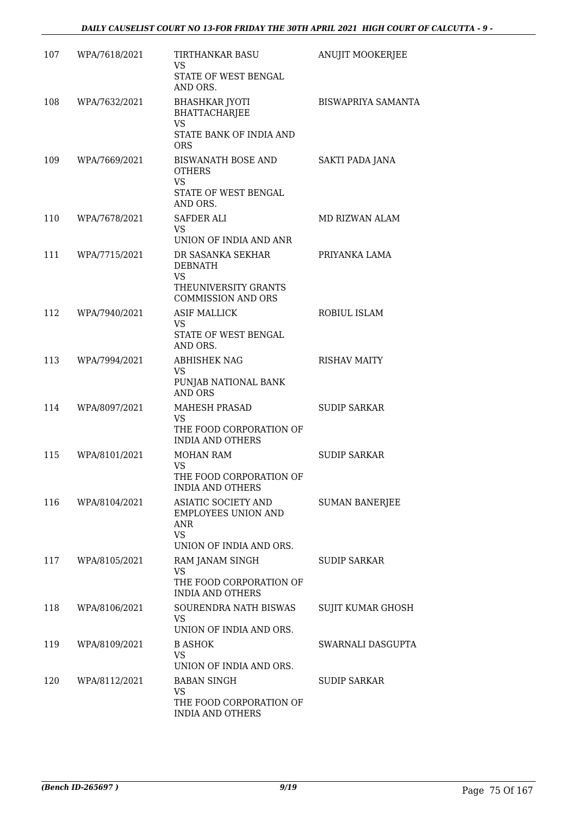| 107 | WPA/7618/2021 | TIRTHANKAR BASU<br><b>VS</b><br>STATE OF WEST BENGAL<br>AND ORS.                                      | ANUJIT MOOKERJEE          |
|-----|---------------|-------------------------------------------------------------------------------------------------------|---------------------------|
| 108 | WPA/7632/2021 | <b>BHASHKAR JYOTI</b><br><b>BHATTACHARJEE</b><br><b>VS</b><br>STATE BANK OF INDIA AND<br><b>ORS</b>   | <b>BISWAPRIYA SAMANTA</b> |
| 109 | WPA/7669/2021 | <b>BISWANATH BOSE AND</b><br><b>OTHERS</b><br><b>VS</b><br>STATE OF WEST BENGAL<br>AND ORS.           | SAKTI PADA JANA           |
| 110 | WPA/7678/2021 | <b>SAFDER ALI</b><br>VS.<br>UNION OF INDIA AND ANR                                                    | MD RIZWAN ALAM            |
| 111 | WPA/7715/2021 | DR SASANKA SEKHAR<br><b>DEBNATH</b><br><b>VS</b><br>THEUNIVERSITY GRANTS<br><b>COMMISSION AND ORS</b> | PRIYANKA LAMA             |
| 112 | WPA/7940/2021 | <b>ASIF MALLICK</b><br>VS<br>STATE OF WEST BENGAL<br>AND ORS.                                         | ROBIUL ISLAM              |
| 113 | WPA/7994/2021 | <b>ABHISHEK NAG</b><br><b>VS</b><br>PUNJAB NATIONAL BANK<br><b>AND ORS</b>                            | <b>RISHAV MAITY</b>       |
| 114 | WPA/8097/2021 | <b>MAHESH PRASAD</b><br><b>VS</b><br>THE FOOD CORPORATION OF<br><b>INDIA AND OTHERS</b>               | <b>SUDIP SARKAR</b>       |
| 115 | WPA/8101/2021 | MOHAN RAM<br><b>VS</b><br>THE FOOD CORPORATION OF<br><b>INDIA AND OTHERS</b>                          | <b>SUDIP SARKAR</b>       |
| 116 | WPA/8104/2021 | ASIATIC SOCIETY AND<br><b>EMPLOYEES UNION AND</b><br>ANR<br>VS.<br>UNION OF INDIA AND ORS.            | <b>SUMAN BANERJEE</b>     |
| 117 | WPA/8105/2021 | RAM JANAM SINGH<br><b>VS</b><br>THE FOOD CORPORATION OF<br><b>INDIA AND OTHERS</b>                    | <b>SUDIP SARKAR</b>       |
| 118 | WPA/8106/2021 | SOURENDRA NATH BISWAS<br>VS.<br>UNION OF INDIA AND ORS.                                               | SUJIT KUMAR GHOSH         |
| 119 | WPA/8109/2021 | <b>B ASHOK</b><br>VS<br>UNION OF INDIA AND ORS.                                                       | SWARNALI DASGUPTA         |
| 120 | WPA/8112/2021 | <b>BABAN SINGH</b><br>VS.<br>THE FOOD CORPORATION OF<br><b>INDIA AND OTHERS</b>                       | <b>SUDIP SARKAR</b>       |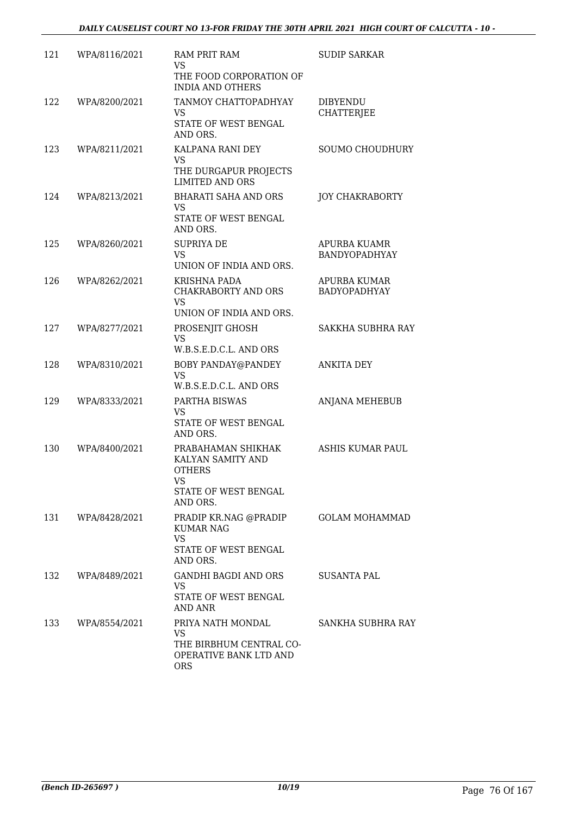| 121 | WPA/8116/2021 | RAM PRIT RAM<br><b>VS</b><br>THE FOOD CORPORATION OF<br><b>INDIA AND OTHERS</b>                           | <b>SUDIP SARKAR</b>                 |
|-----|---------------|-----------------------------------------------------------------------------------------------------------|-------------------------------------|
| 122 | WPA/8200/2021 | TANMOY CHATTOPADHYAY<br>VS.<br>STATE OF WEST BENGAL<br>AND ORS.                                           | DIBYENDU<br><b>CHATTERJEE</b>       |
| 123 | WPA/8211/2021 | KALPANA RANI DEY<br>VS.<br>THE DURGAPUR PROJECTS<br><b>LIMITED AND ORS</b>                                | SOUMO CHOUDHURY                     |
| 124 | WPA/8213/2021 | <b>BHARATI SAHA AND ORS</b><br><b>VS</b><br>STATE OF WEST BENGAL<br>AND ORS.                              | <b>JOY CHAKRABORTY</b>              |
| 125 | WPA/8260/2021 | <b>SUPRIYA DE</b><br><b>VS</b><br>UNION OF INDIA AND ORS.                                                 | APURBA KUAMR<br>BANDYOPADHYAY       |
| 126 | WPA/8262/2021 | KRISHNA PADA<br>CHAKRABORTY AND ORS<br><b>VS</b><br>UNION OF INDIA AND ORS.                               | APURBA KUMAR<br><b>BADYOPADHYAY</b> |
| 127 | WPA/8277/2021 | PROSENJIT GHOSH<br><b>VS</b><br>W.B.S.E.D.C.L. AND ORS                                                    | SAKKHA SUBHRA RAY                   |
| 128 | WPA/8310/2021 | <b>BOBY PANDAY@PANDEY</b><br>VS<br>W.B.S.E.D.C.L. AND ORS                                                 | ANKITA DEY                          |
| 129 | WPA/8333/2021 | PARTHA BISWAS<br><b>VS</b><br>STATE OF WEST BENGAL<br>AND ORS.                                            | ANJANA MEHEBUB                      |
| 130 | WPA/8400/2021 | PRABAHAMAN SHIKHAK<br>KALYAN SAMITY AND<br><b>OTHERS</b><br><b>VS</b><br>STATE OF WEST BENGAL<br>AND ORS. | ASHIS KUMAR PAUL                    |
| 131 | WPA/8428/2021 | PRADIP KR.NAG @PRADIP<br><b>KUMAR NAG</b><br>VS<br>STATE OF WEST BENGAL<br>AND ORS.                       | <b>GOLAM MOHAMMAD</b>               |
| 132 | WPA/8489/2021 | <b>GANDHI BAGDI AND ORS</b><br>VS<br>STATE OF WEST BENGAL<br>AND ANR                                      | <b>SUSANTA PAL</b>                  |
| 133 | WPA/8554/2021 | PRIYA NATH MONDAL<br><b>VS</b><br>THE BIRBHUM CENTRAL CO-<br>OPERATIVE BANK LTD AND<br><b>ORS</b>         | SANKHA SUBHRA RAY                   |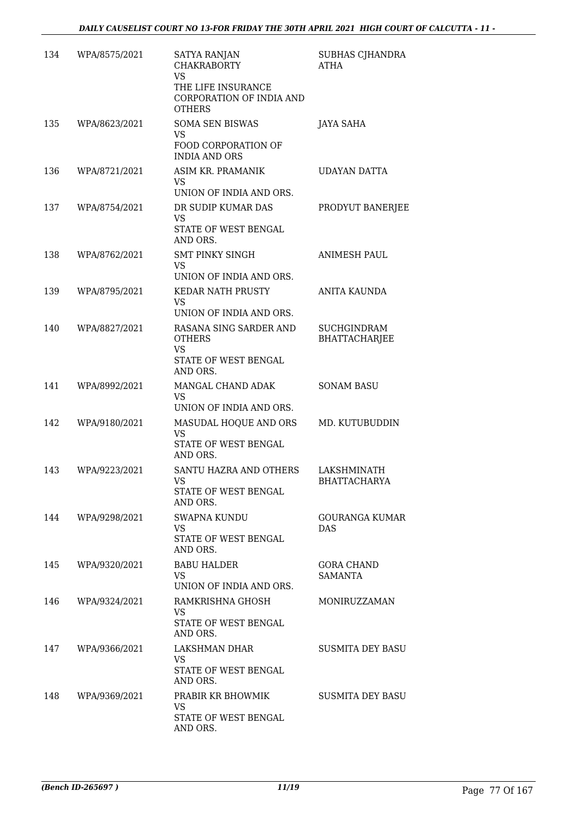| 134 | WPA/8575/2021 | <b>SATYA RANJAN</b><br><b>CHAKRABORTY</b><br><b>VS</b><br>THE LIFE INSURANCE | SUBHAS CJHANDRA<br><b>ATHA</b>            |
|-----|---------------|------------------------------------------------------------------------------|-------------------------------------------|
|     |               | CORPORATION OF INDIA AND<br><b>OTHERS</b>                                    |                                           |
| 135 | WPA/8623/2021 | <b>SOMA SEN BISWAS</b><br><b>VS</b>                                          | JAYA SAHA                                 |
|     |               | FOOD CORPORATION OF<br><b>INDIA AND ORS</b>                                  |                                           |
| 136 | WPA/8721/2021 | ASIM KR. PRAMANIK<br><b>VS</b><br>UNION OF INDIA AND ORS.                    | UDAYAN DATTA                              |
| 137 | WPA/8754/2021 | DR SUDIP KUMAR DAS                                                           | PRODYUT BANERJEE                          |
|     |               | <b>VS</b><br>STATE OF WEST BENGAL<br>AND ORS.                                |                                           |
| 138 | WPA/8762/2021 | <b>SMT PINKY SINGH</b><br><b>VS</b><br>UNION OF INDIA AND ORS.               | <b>ANIMESH PAUL</b>                       |
| 139 | WPA/8795/2021 | <b>KEDAR NATH PRUSTY</b>                                                     | <b>ANITA KAUNDA</b>                       |
|     |               | <b>VS</b><br>UNION OF INDIA AND ORS.                                         |                                           |
| 140 | WPA/8827/2021 | RASANA SING SARDER AND                                                       | <b>SUCHGINDRAM</b>                        |
|     |               | <b>OTHERS</b><br><b>VS</b><br>STATE OF WEST BENGAL<br>AND ORS.               | <b>BHATTACHARJEE</b>                      |
| 141 | WPA/8992/2021 | MANGAL CHAND ADAK<br><b>VS</b><br>UNION OF INDIA AND ORS.                    | <b>SONAM BASU</b>                         |
| 142 | WPA/9180/2021 | MASUDAL HOQUE AND ORS                                                        | MD. KUTUBUDDIN                            |
|     |               | <b>VS</b><br>STATE OF WEST BENGAL<br>AND ORS.                                |                                           |
| 143 | WPA/9223/2021 | SANTU HAZRA AND OTHERS<br>VS.<br>STATE OF WEST BENGAL<br>AND ORS.            | <b>LAKSHMINATH</b><br><b>BHATTACHARYA</b> |
| 144 | WPA/9298/2021 | <b>SWAPNA KUNDU</b><br><b>VS</b><br>STATE OF WEST BENGAL                     | GOURANGA KUMAR<br><b>DAS</b>              |
| 145 | WPA/9320/2021 | AND ORS.<br><b>BABU HALDER</b>                                               | <b>GORA CHAND</b>                         |
|     |               | VS.<br>UNION OF INDIA AND ORS.                                               | SAMANTA                                   |
| 146 | WPA/9324/2021 | RAMKRISHNA GHOSH                                                             | MONIRUZZAMAN                              |
|     |               | <b>VS</b><br>STATE OF WEST BENGAL<br>AND ORS.                                |                                           |
| 147 | WPA/9366/2021 | LAKSHMAN DHAR<br><b>VS</b>                                                   | <b>SUSMITA DEY BASU</b>                   |
|     |               | STATE OF WEST BENGAL<br>AND ORS.                                             |                                           |
| 148 | WPA/9369/2021 | PRABIR KR BHOWMIK<br><b>VS</b>                                               | <b>SUSMITA DEY BASU</b>                   |
|     |               | STATE OF WEST BENGAL<br>AND ORS.                                             |                                           |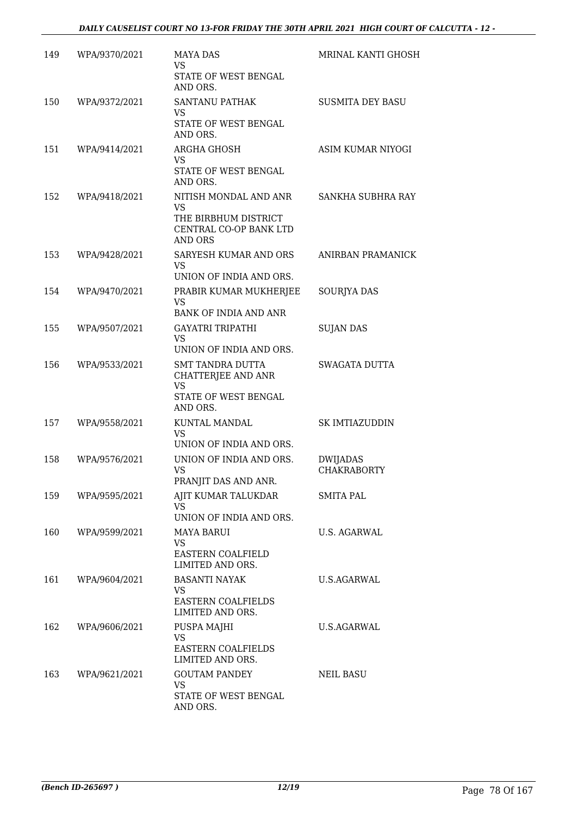| 149 | WPA/9370/2021 | <b>MAYA DAS</b><br>VS.<br>STATE OF WEST BENGAL<br>AND ORS.                                             | <b>MRINAL KANTI GHOSH</b>             |
|-----|---------------|--------------------------------------------------------------------------------------------------------|---------------------------------------|
| 150 | WPA/9372/2021 | SANTANU PATHAK<br><b>VS</b><br>STATE OF WEST BENGAL<br>AND ORS.                                        | SUSMITA DEY BASU                      |
| 151 | WPA/9414/2021 | ARGHA GHOSH<br>VS.<br>STATE OF WEST BENGAL<br>AND ORS.                                                 | ASIM KUMAR NIYOGI                     |
| 152 | WPA/9418/2021 | NITISH MONDAL AND ANR<br><b>VS</b><br>THE BIRBHUM DISTRICT<br>CENTRAL CO-OP BANK LTD<br><b>AND ORS</b> | SANKHA SUBHRA RAY                     |
| 153 | WPA/9428/2021 | SARYESH KUMAR AND ORS<br><b>VS</b><br>UNION OF INDIA AND ORS.                                          | ANIRBAN PRAMANICK                     |
| 154 | WPA/9470/2021 | PRABIR KUMAR MUKHERJEE<br><b>VS</b><br><b>BANK OF INDIA AND ANR</b>                                    | <b>SOURIYA DAS</b>                    |
| 155 | WPA/9507/2021 | <b>GAYATRI TRIPATHI</b><br>VS.<br>UNION OF INDIA AND ORS.                                              | <b>SUJAN DAS</b>                      |
| 156 | WPA/9533/2021 | <b>SMT TANDRA DUTTA</b><br>CHATTERJEE AND ANR<br><b>VS</b><br>STATE OF WEST BENGAL<br>AND ORS.         | <b>SWAGATA DUTTA</b>                  |
| 157 | WPA/9558/2021 | KUNTAL MANDAL<br><b>VS</b><br>UNION OF INDIA AND ORS.                                                  | SK IMTIAZUDDIN                        |
| 158 | WPA/9576/2021 | UNION OF INDIA AND ORS.<br><b>VS</b><br>PRANJIT DAS AND ANR.                                           | <b>DWIJADAS</b><br><b>CHAKRABORTY</b> |
| 159 | WPA/9595/2021 | AJIT KUMAR TALUKDAR<br><b>VS</b><br>UNION OF INDIA AND ORS.                                            | <b>SMITA PAL</b>                      |
| 160 | WPA/9599/2021 | <b>MAYA BARUI</b><br><b>VS</b><br><b>EASTERN COALFIELD</b><br>LIMITED AND ORS.                         | <b>U.S. AGARWAL</b>                   |
| 161 | WPA/9604/2021 | <b>BASANTI NAYAK</b><br><b>VS</b><br>EASTERN COALFIELDS<br>LIMITED AND ORS.                            | <b>U.S.AGARWAL</b>                    |
| 162 | WPA/9606/2021 | PUSPA MAJHI<br><b>VS</b><br><b>EASTERN COALFIELDS</b><br>LIMITED AND ORS.                              | <b>U.S.AGARWAL</b>                    |
| 163 | WPA/9621/2021 | <b>GOUTAM PANDEY</b><br><b>VS</b><br>STATE OF WEST BENGAL<br>AND ORS.                                  | <b>NEIL BASU</b>                      |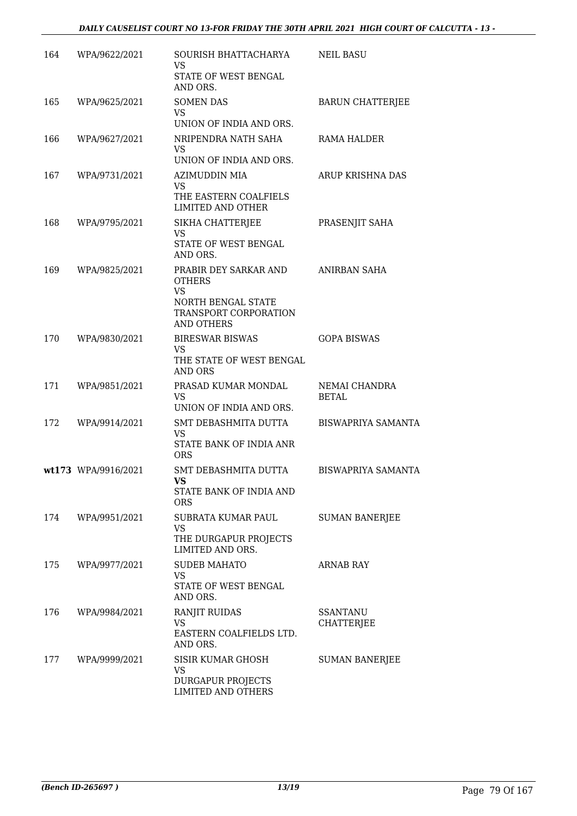| 164 | WPA/9622/2021       | SOURISH BHATTACHARYA                                                                                             | <b>NEIL BASU</b>              |
|-----|---------------------|------------------------------------------------------------------------------------------------------------------|-------------------------------|
|     |                     | <b>VS</b><br>STATE OF WEST BENGAL<br>AND ORS.                                                                    |                               |
| 165 | WPA/9625/2021       | <b>SOMEN DAS</b><br><b>VS</b><br>UNION OF INDIA AND ORS.                                                         | <b>BARUN CHATTERJEE</b>       |
| 166 | WPA/9627/2021       | NRIPENDRA NATH SAHA<br><b>VS</b><br>UNION OF INDIA AND ORS.                                                      | RAMA HALDER                   |
| 167 | WPA/9731/2021       | AZIMUDDIN MIA<br>VS<br>THE EASTERN COALFIELS<br>LIMITED AND OTHER                                                | ARUP KRISHNA DAS              |
| 168 | WPA/9795/2021       | SIKHA CHATTERJEE<br><b>VS</b><br>STATE OF WEST BENGAL<br>AND ORS.                                                | PRASENJIT SAHA                |
| 169 | WPA/9825/2021       | PRABIR DEY SARKAR AND<br><b>OTHERS</b><br><b>VS</b><br>NORTH BENGAL STATE<br>TRANSPORT CORPORATION<br>AND OTHERS | ANIRBAN SAHA                  |
| 170 | WPA/9830/2021       | <b>BIRESWAR BISWAS</b><br><b>VS</b><br>THE STATE OF WEST BENGAL<br><b>AND ORS</b>                                | <b>GOPA BISWAS</b>            |
| 171 | WPA/9851/2021       | PRASAD KUMAR MONDAL<br><b>VS</b><br>UNION OF INDIA AND ORS.                                                      | NEMAI CHANDRA<br><b>BETAL</b> |
| 172 | WPA/9914/2021       | SMT DEBASHMITA DUTTA<br>VS<br>STATE BANK OF INDIA ANR<br><b>ORS</b>                                              | <b>BISWAPRIYA SAMANTA</b>     |
|     | wt173 WPA/9916/2021 | SMT DEBASHMITA DUTTA<br><b>VS</b><br>STATE BANK OF INDIA AND<br><b>ORS</b>                                       | <b>BISWAPRIYA SAMANTA</b>     |
| 174 | WPA/9951/2021       | SUBRATA KUMAR PAUL<br>VS<br>THE DURGAPUR PROJECTS<br>LIMITED AND ORS.                                            | <b>SUMAN BANERJEE</b>         |
| 175 | WPA/9977/2021       | <b>SUDEB MAHATO</b><br>VS<br>STATE OF WEST BENGAL<br>AND ORS.                                                    | <b>ARNAB RAY</b>              |
| 176 | WPA/9984/2021       | <b>RANJIT RUIDAS</b><br>VS<br>EASTERN COALFIELDS LTD.<br>AND ORS.                                                | <b>SSANTANU</b><br>CHATTERJEE |
| 177 | WPA/9999/2021       | SISIR KUMAR GHOSH<br><b>VS</b><br>DURGAPUR PROJECTS<br>LIMITED AND OTHERS                                        | <b>SUMAN BANERJEE</b>         |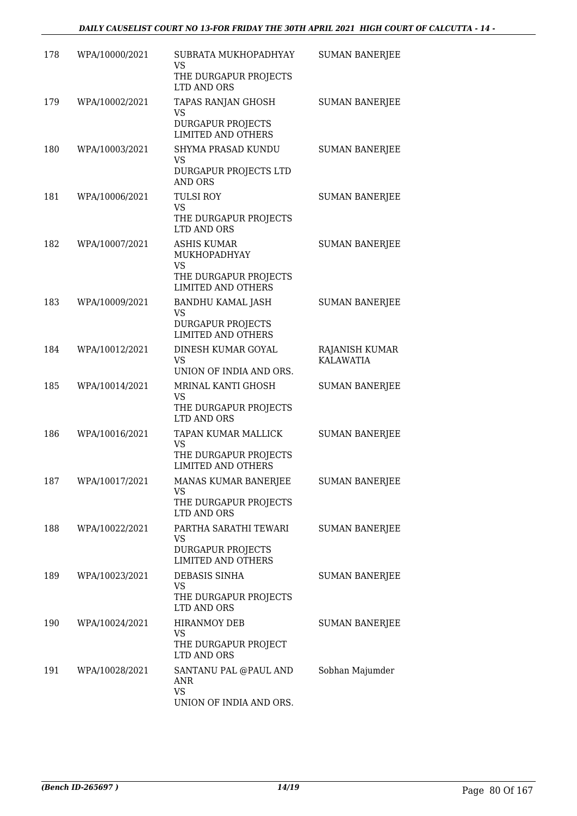| 178 | WPA/10000/2021     | SUBRATA MUKHOPADHYAY<br><b>VS</b><br>THE DURGAPUR PROJECTS      | <b>SUMAN BANERJEE</b>              |
|-----|--------------------|-----------------------------------------------------------------|------------------------------------|
|     |                    | LTD AND ORS                                                     |                                    |
| 179 | WPA/10002/2021     | TAPAS RANJAN GHOSH<br><b>VS</b>                                 | <b>SUMAN BANERJEE</b>              |
|     |                    | <b>DURGAPUR PROJECTS</b><br><b>LIMITED AND OTHERS</b>           |                                    |
| 180 | WPA/10003/2021     | SHYMA PRASAD KUNDU<br>VS                                        | <b>SUMAN BANERJEE</b>              |
|     |                    | DURGAPUR PROJECTS LTD<br><b>AND ORS</b>                         |                                    |
| 181 | WPA/10006/2021     | <b>TULSI ROY</b><br><b>VS</b>                                   | <b>SUMAN BANERJEE</b>              |
|     |                    | THE DURGAPUR PROJECTS<br>LTD AND ORS                            |                                    |
| 182 | WPA/10007/2021     | <b>ASHIS KUMAR</b><br>MUKHOPADHYAY                              | <b>SUMAN BANERJEE</b>              |
|     |                    | <b>VS</b><br>THE DURGAPUR PROJECTS<br><b>LIMITED AND OTHERS</b> |                                    |
| 183 | WPA/10009/2021     | <b>BANDHU KAMAL JASH</b><br><b>VS</b>                           | <b>SUMAN BANERJEE</b>              |
|     |                    | <b>DURGAPUR PROJECTS</b><br><b>LIMITED AND OTHERS</b>           |                                    |
| 184 | WPA/10012/2021     | DINESH KUMAR GOYAL<br><b>VS</b>                                 | RAJANISH KUMAR<br><b>KALAWATIA</b> |
|     |                    | UNION OF INDIA AND ORS.                                         |                                    |
| 185 | WPA/10014/2021     | MRINAL KANTI GHOSH<br><b>VS</b>                                 | <b>SUMAN BANERJEE</b>              |
|     |                    | THE DURGAPUR PROJECTS<br>LTD AND ORS                            |                                    |
| 186 | WPA/10016/2021     | TAPAN KUMAR MALLICK<br><b>VS</b>                                | <b>SUMAN BANERJEE</b>              |
|     |                    | THE DURGAPUR PROJECTS<br><b>LIMITED AND OTHERS</b>              |                                    |
|     | 187 WPA/10017/2021 | MANAS KUMAR BANERJEE                                            | <b>SUMAN BANERJEE</b>              |
|     |                    | VS<br>THE DURGAPUR PROJECTS<br>LTD AND ORS                      |                                    |
| 188 | WPA/10022/2021     | PARTHA SARATHI TEWARI                                           | <b>SUMAN BANERJEE</b>              |
|     |                    | VS<br><b>DURGAPUR PROJECTS</b><br><b>LIMITED AND OTHERS</b>     |                                    |
| 189 | WPA/10023/2021     | DEBASIS SINHA<br>VS                                             | <b>SUMAN BANERJEE</b>              |
|     |                    | THE DURGAPUR PROJECTS<br>LTD AND ORS                            |                                    |
| 190 | WPA/10024/2021     | <b>HIRANMOY DEB</b><br>VS                                       | <b>SUMAN BANERJEE</b>              |
|     |                    | THE DURGAPUR PROJECT<br>LTD AND ORS                             |                                    |
| 191 | WPA/10028/2021     | SANTANU PAL @PAUL AND<br>ANR                                    | Sobhan Majumder                    |
|     |                    | VS<br>UNION OF INDIA AND ORS.                                   |                                    |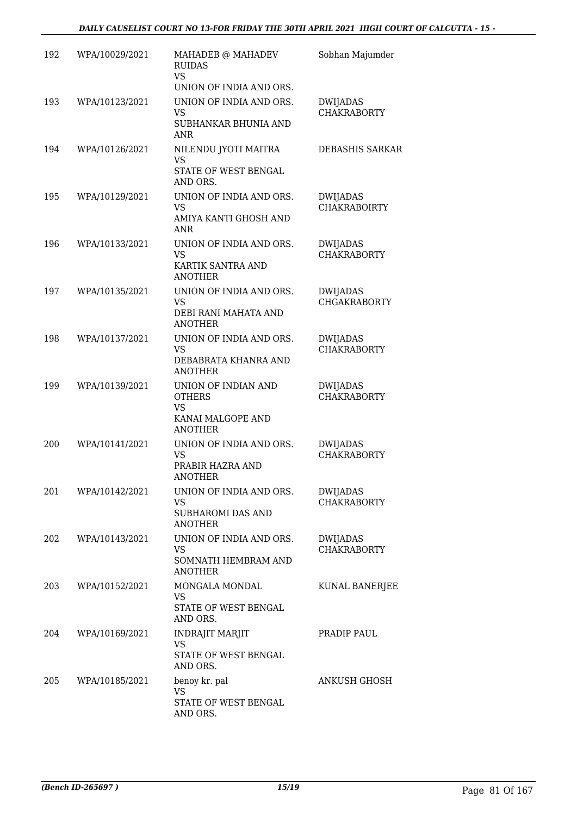| 192 | WPA/10029/2021 | MAHADEB @ MAHADEV<br><b>RUIDAS</b><br><b>VS</b>     | Sobhan Majumder                        |
|-----|----------------|-----------------------------------------------------|----------------------------------------|
|     |                | UNION OF INDIA AND ORS.                             |                                        |
| 193 | WPA/10123/2021 | UNION OF INDIA AND ORS.<br><b>VS</b>                | <b>DWIJADAS</b><br><b>CHAKRABORTY</b>  |
|     |                | SUBHANKAR BHUNIA AND<br><b>ANR</b>                  |                                        |
| 194 | WPA/10126/2021 | NILENDU JYOTI MAITRA<br>VS                          | DEBASHIS SARKAR                        |
|     |                | STATE OF WEST BENGAL<br>AND ORS.                    |                                        |
| 195 | WPA/10129/2021 | UNION OF INDIA AND ORS.<br><b>VS</b>                | <b>DWIJADAS</b><br><b>CHAKRABOIRTY</b> |
|     |                | AMIYA KANTI GHOSH AND<br><b>ANR</b>                 |                                        |
| 196 | WPA/10133/2021 | UNION OF INDIA AND ORS.<br><b>VS</b>                | <b>DWIJADAS</b><br><b>CHAKRABORTY</b>  |
|     |                | KARTIK SANTRA AND<br><b>ANOTHER</b>                 |                                        |
| 197 | WPA/10135/2021 | UNION OF INDIA AND ORS.                             | <b>DWIJADAS</b>                        |
|     |                | <b>VS</b><br>DEBI RANI MAHATA AND<br><b>ANOTHER</b> | <b>CHGAKRABORTY</b>                    |
| 198 | WPA/10137/2021 | UNION OF INDIA AND ORS.<br><b>VS</b>                | <b>DWIJADAS</b><br><b>CHAKRABORTY</b>  |
|     |                | DEBABRATA KHANRA AND<br><b>ANOTHER</b>              |                                        |
| 199 | WPA/10139/2021 | UNION OF INDIAN AND<br><b>OTHERS</b><br><b>VS</b>   | <b>DWIJADAS</b><br><b>CHAKRABORTY</b>  |
|     |                | KANAI MALGOPE AND<br><b>ANOTHER</b>                 |                                        |
| 200 | WPA/10141/2021 | UNION OF INDIA AND ORS.<br><b>VS</b>                | <b>DWIJADAS</b><br><b>CHAKRABORTY</b>  |
|     |                | PRABIR HAZRA AND<br><b>ANOTHER</b>                  |                                        |
| 201 | WPA/10142/2021 | UNION OF INDIA AND ORS.<br><b>VS</b>                | <b>DWIJADAS</b><br><b>CHAKRABORTY</b>  |
|     |                | SUBHAROMI DAS AND<br><b>ANOTHER</b>                 |                                        |
| 202 | WPA/10143/2021 | UNION OF INDIA AND ORS.<br><b>VS</b>                | <b>DWIJADAS</b><br><b>CHAKRABORTY</b>  |
|     |                | SOMNATH HEMBRAM AND<br><b>ANOTHER</b>               |                                        |
| 203 | WPA/10152/2021 | MONGALA MONDAL<br><b>VS</b>                         | KUNAL BANERJEE                         |
|     |                | STATE OF WEST BENGAL<br>AND ORS.                    |                                        |
| 204 | WPA/10169/2021 | <b>INDRAJIT MARJIT</b>                              | PRADIP PAUL                            |
|     |                | VS.<br>STATE OF WEST BENGAL<br>AND ORS.             |                                        |
| 205 | WPA/10185/2021 | benoy kr. pal<br><b>VS</b>                          | ANKUSH GHOSH                           |
|     |                | STATE OF WEST BENGAL<br>AND ORS.                    |                                        |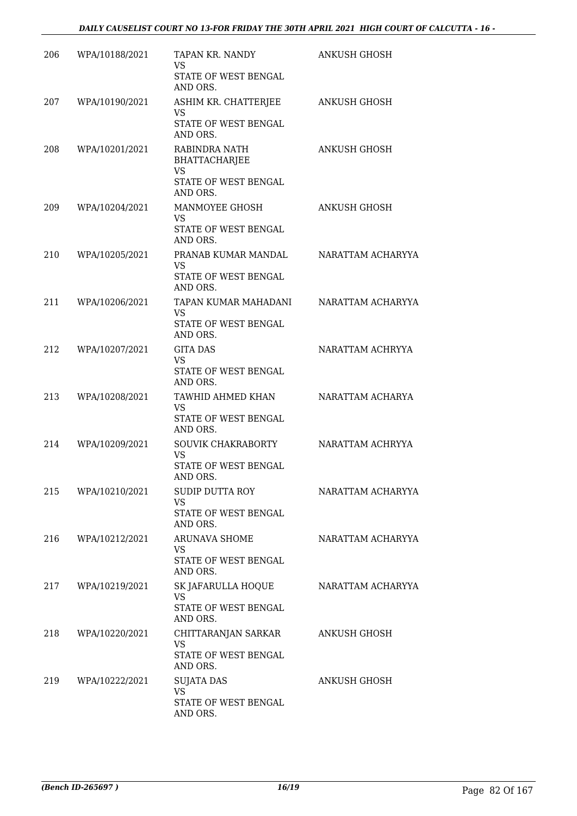| 206 | WPA/10188/2021     | TAPAN KR. NANDY<br><b>VS</b><br>STATE OF WEST BENGAL                       | ANKUSH GHOSH        |
|-----|--------------------|----------------------------------------------------------------------------|---------------------|
|     |                    | AND ORS.                                                                   |                     |
| 207 | WPA/10190/2021     | ASHIM KR. CHATTERJEE<br><b>VS</b>                                          | <b>ANKUSH GHOSH</b> |
|     |                    | STATE OF WEST BENGAL<br>AND ORS.                                           |                     |
| 208 | WPA/10201/2021     | RABINDRA NATH<br><b>BHATTACHARJEE</b><br><b>VS</b><br>STATE OF WEST BENGAL | ANKUSH GHOSH        |
|     |                    | AND ORS.                                                                   |                     |
| 209 | WPA/10204/2021     | MANMOYEE GHOSH<br>VS.<br>STATE OF WEST BENGAL<br>AND ORS.                  | ANKUSH GHOSH        |
| 210 | WPA/10205/2021     | PRANAB KUMAR MANDAL<br><b>VS</b><br>STATE OF WEST BENGAL<br>AND ORS.       | NARATTAM ACHARYYA   |
| 211 | WPA/10206/2021     | TAPAN KUMAR MAHADANI                                                       | NARATTAM ACHARYYA   |
|     |                    | <b>VS</b><br>STATE OF WEST BENGAL<br>AND ORS.                              |                     |
| 212 | WPA/10207/2021     | <b>GITA DAS</b><br><b>VS</b><br>STATE OF WEST BENGAL<br>AND ORS.           | NARATTAM ACHRYYA    |
| 213 | WPA/10208/2021     | TAWHID AHMED KHAN                                                          | NARATTAM ACHARYA    |
|     |                    | <b>VS</b><br>STATE OF WEST BENGAL<br>AND ORS.                              |                     |
| 214 | WPA/10209/2021     | SOUVIK CHAKRABORTY<br><b>VS</b><br>STATE OF WEST BENGAL<br>AND ORS.        | NARATTAM ACHRYYA    |
|     | 215 WPA/10210/2021 | SUDIP DUTTA ROY<br><b>VS</b><br>STATE OF WEST BENGAL<br>AND ORS.           | NARATTAM ACHARYYA   |
| 216 | WPA/10212/2021     | <b>ARUNAVA SHOME</b><br><b>VS</b>                                          | NARATTAM ACHARYYA   |
|     |                    | STATE OF WEST BENGAL<br>AND ORS.                                           |                     |
| 217 | WPA/10219/2021     | SK JAFARULLA HOQUE<br><b>VS</b><br>STATE OF WEST BENGAL<br>AND ORS.        | NARATTAM ACHARYYA   |
| 218 | WPA/10220/2021     | CHITTARANJAN SARKAR<br><b>VS</b><br>STATE OF WEST BENGAL<br>AND ORS.       | ANKUSH GHOSH        |
| 219 | WPA/10222/2021     | <b>SUJATA DAS</b><br><b>VS</b><br>STATE OF WEST BENGAL<br>AND ORS.         | ANKUSH GHOSH        |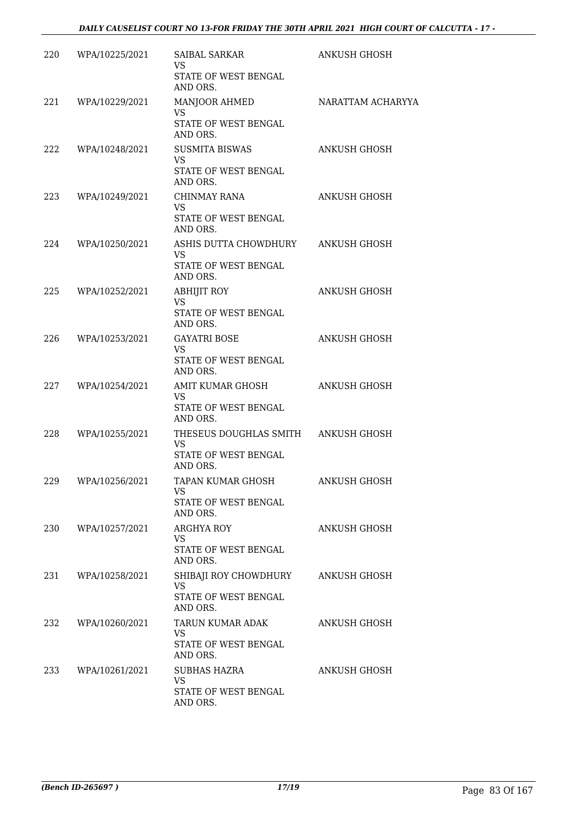| 220 | WPA/10225/2021 | SAIBAL SARKAR<br><b>VS</b><br>STATE OF WEST BENGAL<br>AND ORS.                              | <b>ANKUSH GHOSH</b> |
|-----|----------------|---------------------------------------------------------------------------------------------|---------------------|
| 221 | WPA/10229/2021 | MANJOOR AHMED<br>VS<br>STATE OF WEST BENGAL<br>AND ORS.                                     | NARATTAM ACHARYYA   |
| 222 | WPA/10248/2021 | <b>SUSMITA BISWAS</b><br><b>VS</b><br>STATE OF WEST BENGAL<br>AND ORS.                      | <b>ANKUSH GHOSH</b> |
| 223 | WPA/10249/2021 | CHINMAY RANA<br><b>VS</b><br>STATE OF WEST BENGAL<br>AND ORS.                               | ANKUSH GHOSH        |
| 224 | WPA/10250/2021 | ASHIS DUTTA CHOWDHURY<br>VS<br>STATE OF WEST BENGAL<br>AND ORS.                             | ANKUSH GHOSH        |
| 225 | WPA/10252/2021 | <b>ABHIJIT ROY</b><br><b>VS</b><br>STATE OF WEST BENGAL<br>AND ORS.                         | <b>ANKUSH GHOSH</b> |
| 226 | WPA/10253/2021 | <b>GAYATRI BOSE</b><br>VS.<br>STATE OF WEST BENGAL<br>AND ORS.                              | ANKUSH GHOSH        |
| 227 | WPA/10254/2021 | AMIT KUMAR GHOSH<br><b>VS</b><br>STATE OF WEST BENGAL<br>AND ORS.                           | <b>ANKUSH GHOSH</b> |
| 228 | WPA/10255/2021 | THESEUS DOUGHLAS SMITH ANKUSH GHOSH<br><b>VS</b><br><b>STATE OF WEST BENGAL</b><br>AND ORS. |                     |
| 229 | WPA/10256/2021 | TAPAN KUMAR GHOSH<br>VS<br>STATE OF WEST BENGAL<br>AND ORS.                                 | <b>ANKUSH GHOSH</b> |
| 230 | WPA/10257/2021 | ARGHYA ROY<br>VS<br>STATE OF WEST BENGAL<br>AND ORS.                                        | ANKUSH GHOSH        |
| 231 | WPA/10258/2021 | SHIBAJI ROY CHOWDHURY<br>VS<br>STATE OF WEST BENGAL<br>AND ORS.                             | ANKUSH GHOSH        |
| 232 | WPA/10260/2021 | TARUN KUMAR ADAK<br>VS.<br>STATE OF WEST BENGAL<br>AND ORS.                                 | ANKUSH GHOSH        |
| 233 | WPA/10261/2021 | <b>SUBHAS HAZRA</b><br><b>VS</b><br>STATE OF WEST BENGAL<br>AND ORS.                        | ANKUSH GHOSH        |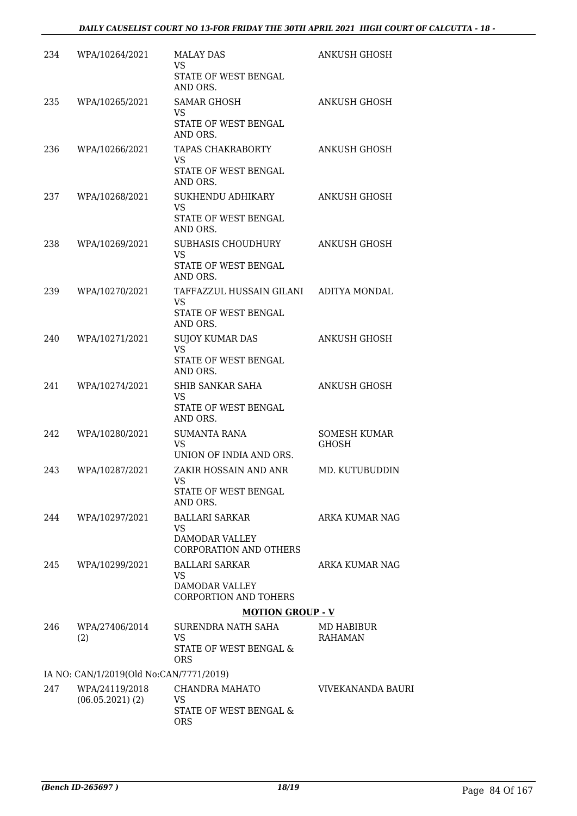| 234 | WPA/10264/2021                          | <b>MALAY DAS</b><br>VS<br>STATE OF WEST BENGAL                          | ANKUSH GHOSH          |
|-----|-----------------------------------------|-------------------------------------------------------------------------|-----------------------|
| 235 | WPA/10265/2021                          | AND ORS.<br><b>SAMAR GHOSH</b><br>VS                                    | ANKUSH GHOSH          |
|     |                                         | STATE OF WEST BENGAL<br>AND ORS.                                        |                       |
| 236 | WPA/10266/2021                          | TAPAS CHAKRABORTY<br><b>VS</b><br>STATE OF WEST BENGAL                  | ANKUSH GHOSH          |
| 237 | WPA/10268/2021                          | AND ORS.<br>SUKHENDU ADHIKARY                                           | ANKUSH GHOSH          |
|     |                                         | <b>VS</b><br>STATE OF WEST BENGAL<br>AND ORS.                           |                       |
| 238 | WPA/10269/2021                          | SUBHASIS CHOUDHURY<br><b>VS</b>                                         | <b>ANKUSH GHOSH</b>   |
|     |                                         | STATE OF WEST BENGAL<br>AND ORS.                                        |                       |
| 239 | WPA/10270/2021                          | TAFFAZZUL HUSSAIN GILANI ADITYA MONDAL<br>VS                            |                       |
|     |                                         | STATE OF WEST BENGAL<br>AND ORS.                                        |                       |
| 240 | WPA/10271/2021                          | <b>SUJOY KUMAR DAS</b><br>VS.                                           | <b>ANKUSH GHOSH</b>   |
|     |                                         | STATE OF WEST BENGAL<br>AND ORS.                                        |                       |
| 241 | WPA/10274/2021                          | SHIB SANKAR SAHA<br><b>VS</b><br>STATE OF WEST BENGAL                   | <b>ANKUSH GHOSH</b>   |
|     |                                         | AND ORS.                                                                |                       |
| 242 | WPA/10280/2021                          | <b>SUMANTA RANA</b><br><b>VS</b><br>UNION OF INDIA AND ORS.             | SOMESH KUMAR<br>GHOSH |
| 243 | WPA/10287/2021                          | ZAKIR HOSSAIN AND ANR<br><b>VS</b><br>STATE OF WEST BENGAL              | MD. KUTUBUDDIN        |
| 244 | WPA/10297/2021                          | AND ORS.<br><b>BALLARI SARKAR</b>                                       | <b>ARKA KUMAR NAG</b> |
|     |                                         | <b>VS</b><br><b>DAMODAR VALLEY</b><br><b>CORPORATION AND OTHERS</b>     |                       |
| 245 | WPA/10299/2021                          | <b>BALLARI SARKAR</b>                                                   | ARKA KUMAR NAG        |
|     |                                         | <b>VS</b><br><b>DAMODAR VALLEY</b><br><b>CORPORTION AND TOHERS</b>      |                       |
|     |                                         | <b>MOTION GROUP - V</b>                                                 |                       |
| 246 | WPA/27406/2014<br>(2)                   | SURENDRA NATH SAHA<br><b>VS</b><br>STATE OF WEST BENGAL &<br><b>ORS</b> | MD HABIBUR<br>RAHAMAN |
|     | IA NO: CAN/1/2019(Old No:CAN/7771/2019) |                                                                         |                       |
| 247 | WPA/24119/2018<br>$(06.05.2021)$ (2)    | CHANDRA MAHATO<br><b>VS</b><br>STATE OF WEST BENGAL &                   | VIVEKANANDA BAURI     |
|     |                                         | <b>ORS</b>                                                              |                       |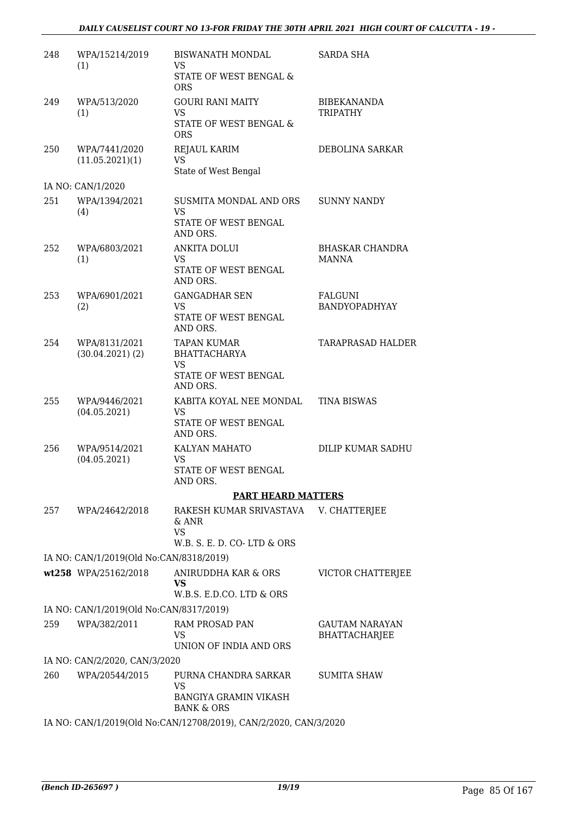#### *DAILY CAUSELIST COURT NO 13-FOR FRIDAY THE 30TH APRIL 2021 HIGH COURT OF CALCUTTA - 19 -*

| 248 | WPA/15214/2019<br>(1)                   | <b>BISWANATH MONDAL</b><br><b>VS</b><br>STATE OF WEST BENGAL &   | <b>SARDA SHA</b>                       |
|-----|-----------------------------------------|------------------------------------------------------------------|----------------------------------------|
|     |                                         | ORS                                                              |                                        |
| 249 | WPA/513/2020<br>(1)                     | <b>GOURI RANI MAITY</b><br><b>VS</b>                             | <b>BIBEKANANDA</b><br><b>TRIPATHY</b>  |
|     |                                         | STATE OF WEST BENGAL &<br><b>ORS</b>                             |                                        |
| 250 | WPA/7441/2020                           | REJAUL KARIM                                                     | DEBOLINA SARKAR                        |
|     | (11.05.2021)(1)                         | VS.<br>State of West Bengal                                      |                                        |
|     | IA NO: CAN/1/2020                       |                                                                  |                                        |
| 251 | WPA/1394/2021<br>(4)                    | SUSMITA MONDAL AND ORS<br><b>VS</b>                              | <b>SUNNY NANDY</b>                     |
|     |                                         | STATE OF WEST BENGAL<br>AND ORS.                                 |                                        |
| 252 | WPA/6803/2021<br>(1)                    | ANKITA DOLUI<br><b>VS</b>                                        | <b>BHASKAR CHANDRA</b><br><b>MANNA</b> |
|     |                                         | STATE OF WEST BENGAL<br>AND ORS.                                 |                                        |
| 253 | WPA/6901/2021                           | <b>GANGADHAR SEN</b>                                             | FALGUNI                                |
|     | (2)                                     | <b>VS</b><br>STATE OF WEST BENGAL<br>AND ORS.                    | BANDYOPADHYAY                          |
| 254 | WPA/8131/2021                           | <b>TAPAN KUMAR</b>                                               | <b>TARAPRASAD HALDER</b>               |
|     | $(30.04.2021)$ $(2)$                    | <b>BHATTACHARYA</b><br>VS                                        |                                        |
|     |                                         | STATE OF WEST BENGAL<br>AND ORS.                                 |                                        |
| 255 | WPA/9446/2021<br>(04.05.2021)           | KABITA KOYAL NEE MONDAL<br><b>VS</b>                             | <b>TINA BISWAS</b>                     |
|     |                                         | STATE OF WEST BENGAL<br>AND ORS.                                 |                                        |
| 256 | WPA/9514/2021<br>(04.05.2021)           | KALYAN MAHATO<br>VS                                              | DILIP KUMAR SADHU                      |
|     |                                         | STATE OF WEST BENGAL<br>AND ORS.                                 |                                        |
|     |                                         | <b>PART HEARD MATTERS</b>                                        |                                        |
| 257 | WPA/24642/2018                          | RAKESH KUMAR SRIVASTAVA<br>& ANR                                 | V. CHATTERJEE                          |
|     |                                         | <b>VS</b><br>W.B. S. E. D. CO-LTD & ORS                          |                                        |
|     | IA NO: CAN/1/2019(Old No:CAN/8318/2019) |                                                                  |                                        |
|     | wt258 WPA/25162/2018                    | ANIRUDDHA KAR & ORS                                              | VICTOR CHATTERJEE                      |
|     |                                         | VS<br>W.B.S. E.D.CO. LTD & ORS                                   |                                        |
|     | IA NO: CAN/1/2019(Old No:CAN/8317/2019) |                                                                  |                                        |
| 259 | WPA/382/2011                            | RAM PROSAD PAN                                                   | <b>GAUTAM NARAYAN</b>                  |
|     |                                         | <b>VS</b><br>UNION OF INDIA AND ORS                              | <b>BHATTACHARJEE</b>                   |
|     | IA NO: CAN/2/2020, CAN/3/2020           |                                                                  |                                        |
| 260 | WPA/20544/2015                          | PURNA CHANDRA SARKAR<br>VS                                       | <b>SUMITA SHAW</b>                     |
|     |                                         | <b>BANGIYA GRAMIN VIKASH</b><br><b>BANK &amp; ORS</b>            |                                        |
|     |                                         | IA NO: CAN/1/2019(Old No:CAN/12708/2019), CAN/2/2020, CAN/3/2020 |                                        |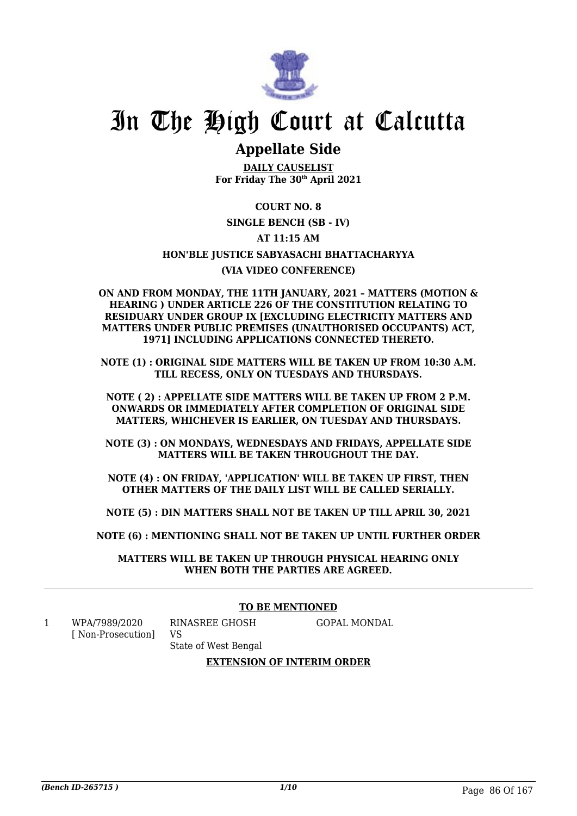

## In The High Court at Calcutta

### **Appellate Side**

**DAILY CAUSELIST For Friday The 30th April 2021**

#### **COURT NO. 8**

#### **SINGLE BENCH (SB - IV)**

#### **AT 11:15 AM**

#### **HON'BLE JUSTICE SABYASACHI BHATTACHARYYA**

#### **(VIA VIDEO CONFERENCE)**

#### **ON AND FROM MONDAY, THE 11TH JANUARY, 2021 – MATTERS (MOTION & HEARING ) UNDER ARTICLE 226 OF THE CONSTITUTION RELATING TO RESIDUARY UNDER GROUP IX [EXCLUDING ELECTRICITY MATTERS AND MATTERS UNDER PUBLIC PREMISES (UNAUTHORISED OCCUPANTS) ACT, 1971] INCLUDING APPLICATIONS CONNECTED THERETO.**

**NOTE (1) : ORIGINAL SIDE MATTERS WILL BE TAKEN UP FROM 10:30 A.M. TILL RECESS, ONLY ON TUESDAYS AND THURSDAYS.**

**NOTE ( 2) : APPELLATE SIDE MATTERS WILL BE TAKEN UP FROM 2 P.M. ONWARDS OR IMMEDIATELY AFTER COMPLETION OF ORIGINAL SIDE MATTERS, WHICHEVER IS EARLIER, ON TUESDAY AND THURSDAYS.**

**NOTE (3) : ON MONDAYS, WEDNESDAYS AND FRIDAYS, APPELLATE SIDE MATTERS WILL BE TAKEN THROUGHOUT THE DAY.**

**NOTE (4) : ON FRIDAY, 'APPLICATION' WILL BE TAKEN UP FIRST, THEN OTHER MATTERS OF THE DAILY LIST WILL BE CALLED SERIALLY.**

**NOTE (5) : DIN MATTERS SHALL NOT BE TAKEN UP TILL APRIL 30, 2021**

**NOTE (6) : MENTIONING SHALL NOT BE TAKEN UP UNTIL FURTHER ORDER**

**MATTERS WILL BE TAKEN UP THROUGH PHYSICAL HEARING ONLY WHEN BOTH THE PARTIES ARE AGREED.**

#### **TO BE MENTIONED**

1 WPA/7989/2020 [ Non-Prosecution] GOPAL MONDAL

State of West Bengal

RINASREE GHOSH

VS

#### **EXTENSION OF INTERIM ORDER**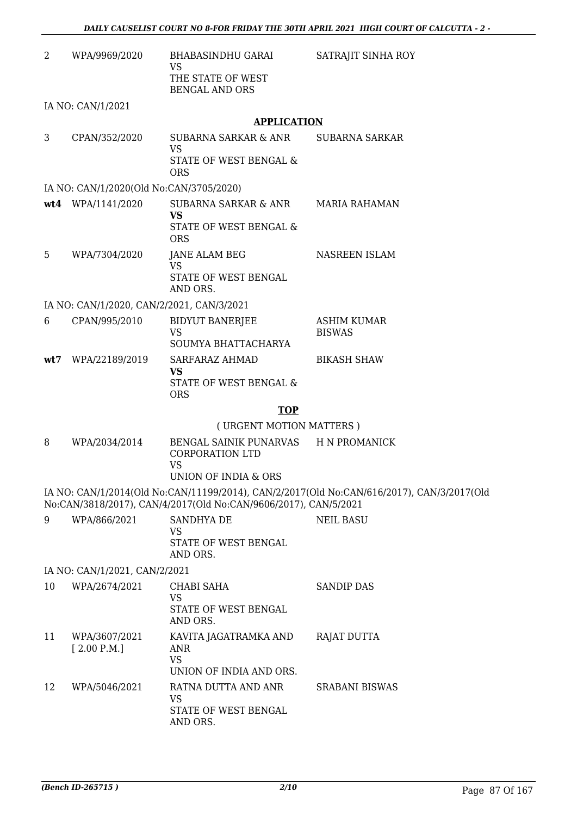| 2  | WPA/9969/2020                             | <b>BHABASINDHU GARAI</b><br>VS<br>THE STATE OF WEST                    | SATRAJIT SINHA ROY                                                                        |
|----|-------------------------------------------|------------------------------------------------------------------------|-------------------------------------------------------------------------------------------|
|    |                                           | <b>BENGAL AND ORS</b>                                                  |                                                                                           |
|    | IA NO: CAN/1/2021                         |                                                                        |                                                                                           |
|    |                                           | <b>APPLICATION</b>                                                     |                                                                                           |
| 3  | CPAN/352/2020                             | <b>SUBARNA SARKAR &amp; ANR</b><br><b>VS</b><br>STATE OF WEST BENGAL & | SUBARNA SARKAR                                                                            |
|    |                                           | <b>ORS</b>                                                             |                                                                                           |
|    | IA NO: CAN/1/2020(Old No:CAN/3705/2020)   |                                                                        |                                                                                           |
|    | wt4 WPA/1141/2020                         | SUBARNA SARKAR & ANR<br><b>VS</b>                                      | <b>MARIA RAHAMAN</b>                                                                      |
|    |                                           | STATE OF WEST BENGAL &<br><b>ORS</b>                                   |                                                                                           |
| 5  | WPA/7304/2020                             | JANE ALAM BEG<br><b>VS</b>                                             | NASREEN ISLAM                                                                             |
|    |                                           | STATE OF WEST BENGAL<br>AND ORS.                                       |                                                                                           |
|    | IA NO: CAN/1/2020, CAN/2/2021, CAN/3/2021 |                                                                        |                                                                                           |
| 6  | CPAN/995/2010                             | <b>BIDYUT BANERJEE</b><br><b>VS</b>                                    | ASHIM KUMAR<br><b>BISWAS</b>                                                              |
|    |                                           | SOUMYA BHATTACHARYA                                                    |                                                                                           |
|    | wt7 WPA/22189/2019                        | SARFARAZ AHMAD<br><b>VS</b>                                            | <b>BIKASH SHAW</b>                                                                        |
|    |                                           | STATE OF WEST BENGAL &<br><b>ORS</b>                                   |                                                                                           |
|    |                                           | <b>TOP</b>                                                             |                                                                                           |
|    |                                           | (URGENT MOTION MATTERS)                                                |                                                                                           |
| 8  | WPA/2034/2014                             | BENGAL SAINIK PUNARVAS<br><b>CORPORATION LTD</b><br><b>VS</b>          | <b>H N PROMANICK</b>                                                                      |
|    |                                           | UNION OF INDIA & ORS                                                   |                                                                                           |
|    |                                           | No:CAN/3818/2017), CAN/4/2017(Old No:CAN/9606/2017), CAN/5/2021        | IA NO: CAN/1/2014(Old No:CAN/11199/2014), CAN/2/2017(Old No:CAN/616/2017), CAN/3/2017(Old |
| 9  | WPA/866/2021                              | SANDHYA DE                                                             | <b>NEIL BASU</b>                                                                          |
|    |                                           | VS<br>STATE OF WEST BENGAL<br>AND ORS.                                 |                                                                                           |
|    | IA NO: CAN/1/2021, CAN/2/2021             |                                                                        |                                                                                           |
| 10 | WPA/2674/2021                             | CHABI SAHA                                                             | <b>SANDIP DAS</b>                                                                         |
|    |                                           | <b>VS</b><br>STATE OF WEST BENGAL                                      |                                                                                           |
|    |                                           | AND ORS.                                                               |                                                                                           |
| 11 | WPA/3607/2021<br>[2.00 P.M.]              | KAVITA JAGATRAMKA AND<br><b>ANR</b><br><b>VS</b>                       | RAJAT DUTTA                                                                               |
|    |                                           | UNION OF INDIA AND ORS.                                                |                                                                                           |
| 12 | WPA/5046/2021                             | RATNA DUTTA AND ANR<br><b>VS</b>                                       | <b>SRABANI BISWAS</b>                                                                     |
|    |                                           | STATE OF WEST BENGAL<br>AND ORS.                                       |                                                                                           |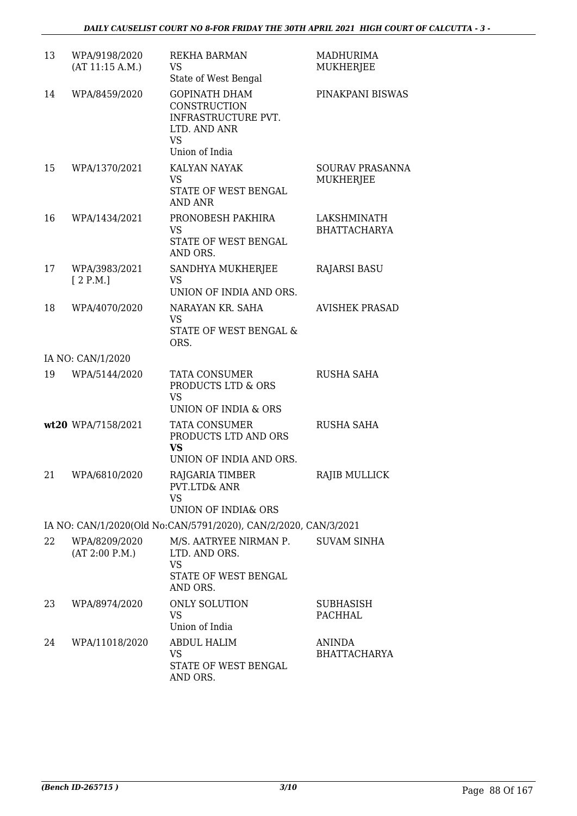| 13 | WPA/9198/2020<br>(AT 11:15 A.M.) | <b>REKHA BARMAN</b><br>VS<br>State of West Bengal                                                          | <b>MADHURIMA</b><br><b>MUKHERJEE</b>       |
|----|----------------------------------|------------------------------------------------------------------------------------------------------------|--------------------------------------------|
| 14 | WPA/8459/2020                    | <b>GOPINATH DHAM</b><br>CONSTRUCTION<br>INFRASTRUCTURE PVT.<br>LTD. AND ANR<br><b>VS</b><br>Union of India | PINAKPANI BISWAS                           |
| 15 | WPA/1370/2021                    | <b>KALYAN NAYAK</b><br><b>VS</b><br>STATE OF WEST BENGAL<br><b>AND ANR</b>                                 | <b>SOURAV PRASANNA</b><br><b>MUKHERJEE</b> |
| 16 | WPA/1434/2021                    | PRONOBESH PAKHIRA<br><b>VS</b><br>STATE OF WEST BENGAL<br>AND ORS.                                         | LAKSHMINATH<br><b>BHATTACHARYA</b>         |
| 17 | WPA/3983/2021<br>[2 P.M.]        | SANDHYA MUKHERJEE<br><b>VS</b><br>UNION OF INDIA AND ORS.                                                  | <b>RAJARSI BASU</b>                        |
| 18 | WPA/4070/2020                    | NARAYAN KR. SAHA<br><b>VS</b><br>STATE OF WEST BENGAL &<br>ORS.                                            | <b>AVISHEK PRASAD</b>                      |
|    | IA NO: CAN/1/2020                |                                                                                                            |                                            |
| 19 | WPA/5144/2020                    | <b>TATA CONSUMER</b><br>PRODUCTS LTD & ORS<br><b>VS</b><br>UNION OF INDIA & ORS                            | <b>RUSHA SAHA</b>                          |
|    | wt20 WPA/7158/2021               | <b>TATA CONSUMER</b><br>PRODUCTS LTD AND ORS<br><b>VS</b><br>UNION OF INDIA AND ORS.                       | <b>RUSHA SAHA</b>                          |
| 21 | WPA/6810/2020                    | RAJGARIA TIMBER<br>PVT.LTD& ANR<br><b>VS</b><br><b>UNION OF INDIA&amp; ORS</b>                             | RAJIB MULLICK                              |
|    |                                  | IA NO: CAN/1/2020(Old No:CAN/5791/2020), CAN/2/2020, CAN/3/2021                                            |                                            |
| 22 | WPA/8209/2020<br>(AT 2:00 P.M.)  | M/S. AATRYEE NIRMAN P.<br>LTD. AND ORS.<br><b>VS</b><br>STATE OF WEST BENGAL<br>AND ORS.                   | <b>SUVAM SINHA</b>                         |
| 23 | WPA/8974/2020                    | ONLY SOLUTION<br><b>VS</b><br>Union of India                                                               | SUBHASISH<br><b>PACHHAL</b>                |
| 24 | WPA/11018/2020                   | <b>ABDUL HALIM</b><br>VS<br>STATE OF WEST BENGAL<br>AND ORS.                                               | <b>ANINDA</b><br><b>BHATTACHARYA</b>       |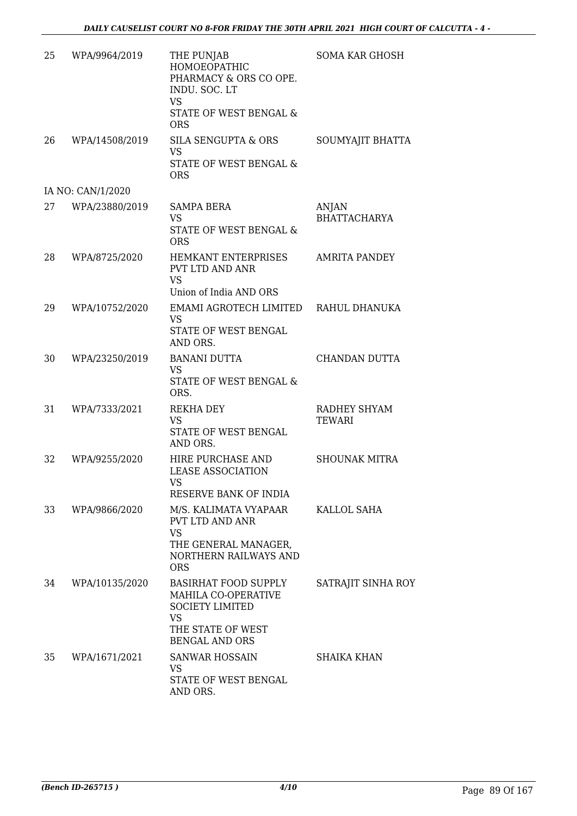| 25 | WPA/9964/2019     | THE PUNJAB<br>HOMOEOPATHIC<br>PHARMACY & ORS CO OPE.<br>INDU. SOC. LT<br><b>VS</b><br>STATE OF WEST BENGAL &<br><b>ORS</b>              | <b>SOMA KAR GHOSH</b>         |
|----|-------------------|-----------------------------------------------------------------------------------------------------------------------------------------|-------------------------------|
| 26 | WPA/14508/2019    | SILA SENGUPTA & ORS<br><b>VS</b><br>STATE OF WEST BENGAL &<br><b>ORS</b>                                                                | SOUMYAJIT BHATTA              |
|    | IA NO: CAN/1/2020 |                                                                                                                                         |                               |
| 27 | WPA/23880/2019    | SAMPA BERA<br>VS<br>STATE OF WEST BENGAL &<br><b>ORS</b>                                                                                | ANJAN<br><b>BHATTACHARYA</b>  |
| 28 | WPA/8725/2020     | <b>HEMKANT ENTERPRISES</b><br>PVT LTD AND ANR<br><b>VS</b><br>Union of India AND ORS                                                    | <b>AMRITA PANDEY</b>          |
| 29 | WPA/10752/2020    | EMAMI AGROTECH LIMITED<br><b>VS</b><br>STATE OF WEST BENGAL<br>AND ORS.                                                                 | RAHUL DHANUKA                 |
| 30 | WPA/23250/2019    | <b>BANANI DUTTA</b><br><b>VS</b><br>STATE OF WEST BENGAL &<br>ORS.                                                                      | CHANDAN DUTTA                 |
| 31 | WPA/7333/2021     | REKHA DEY<br>VS<br>STATE OF WEST BENGAL<br>AND ORS.                                                                                     | RADHEY SHYAM<br><b>TEWARI</b> |
| 32 | WPA/9255/2020     | HIRE PURCHASE AND<br><b>LEASE ASSOCIATION</b><br>VS –<br>RESERVE BANK OF INDIA                                                          | <b>SHOUNAK MITRA</b>          |
| 33 | WPA/9866/2020     | M/S. KALIMATA VYAPAAR<br>PVT LTD AND ANR<br><b>VS</b><br>THE GENERAL MANAGER,<br><b>NORTHERN RAILWAYS AND</b><br><b>ORS</b>             | KALLOL SAHA                   |
| 34 | WPA/10135/2020    | <b>BASIRHAT FOOD SUPPLY</b><br><b>MAHILA CO-OPERATIVE</b><br><b>SOCIETY LIMITED</b><br>VS<br>THE STATE OF WEST<br><b>BENGAL AND ORS</b> | SATRAJIT SINHA ROY            |
| 35 | WPA/1671/2021     | <b>SANWAR HOSSAIN</b><br>VS<br>STATE OF WEST BENGAL<br>AND ORS.                                                                         | <b>SHAIKA KHAN</b>            |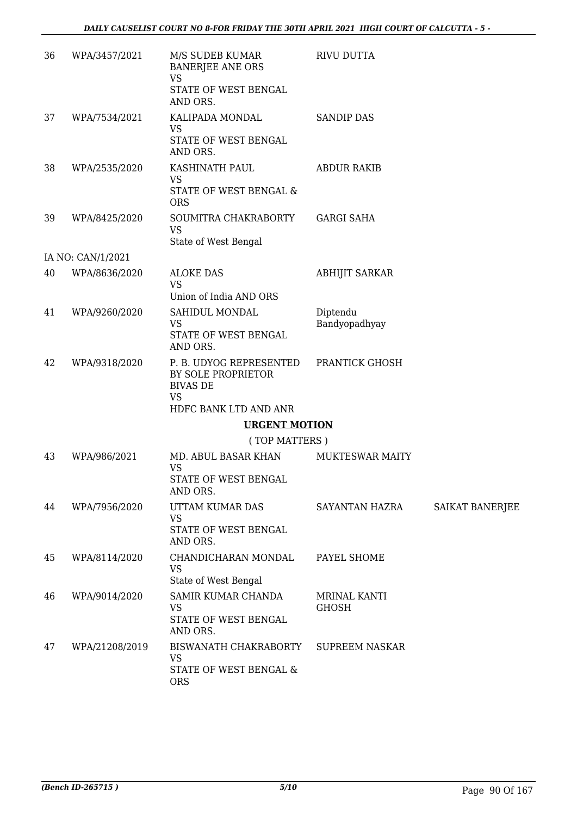| 36 | WPA/3457/2021     | M/S SUDEB KUMAR<br><b>BANERJEE ANE ORS</b><br><b>VS</b><br>STATE OF WEST BENGAL<br>AND ORS. | RIVU DUTTA                   |                        |
|----|-------------------|---------------------------------------------------------------------------------------------|------------------------------|------------------------|
| 37 | WPA/7534/2021     | KALIPADA MONDAL<br><b>VS</b><br>STATE OF WEST BENGAL<br>AND ORS.                            | <b>SANDIP DAS</b>            |                        |
| 38 | WPA/2535/2020     | KASHINATH PAUL<br><b>VS</b><br>STATE OF WEST BENGAL &<br><b>ORS</b>                         | <b>ABDUR RAKIB</b>           |                        |
| 39 | WPA/8425/2020     | SOUMITRA CHAKRABORTY<br><b>VS</b><br>State of West Bengal                                   | <b>GARGI SAHA</b>            |                        |
|    | IA NO: CAN/1/2021 |                                                                                             |                              |                        |
| 40 | WPA/8636/2020     | <b>ALOKE DAS</b><br><b>VS</b>                                                               | <b>ABHIJIT SARKAR</b>        |                        |
| 41 | WPA/9260/2020     | Union of India AND ORS<br>SAHIDUL MONDAL<br><b>VS</b><br>STATE OF WEST BENGAL<br>AND ORS.   | Diptendu<br>Bandyopadhyay    |                        |
| 42 | WPA/9318/2020     | P. B. UDYOG REPRESENTED<br>BY SOLE PROPRIETOR<br><b>BIVAS DE</b><br><b>VS</b>               | PRANTICK GHOSH               |                        |
|    |                   | HDFC BANK LTD AND ANR                                                                       |                              |                        |
|    |                   | <b>URGENT MOTION</b>                                                                        |                              |                        |
|    |                   | (TOP MATTERS)                                                                               |                              |                        |
| 43 | WPA/986/2021      | MD. ABUL BASAR KHAN<br><b>VS</b><br>STATE OF WEST BENGAL<br>AND ORS.                        | <b>MUKTESWAR MAITY</b>       |                        |
| 44 | WPA/7956/2020     | UTTAM KUMAR DAS<br><b>VS</b><br>STATE OF WEST BENGAL<br>AND ORS.                            | SAYANTAN HAZRA               | <b>SAIKAT BANERJEE</b> |
| 45 | WPA/8114/2020     | CHANDICHARAN MONDAL<br><b>VS</b><br>State of West Bengal                                    | PAYEL SHOME                  |                        |
| 46 | WPA/9014/2020     | SAMIR KUMAR CHANDA<br><b>VS</b><br>STATE OF WEST BENGAL<br>AND ORS.                         | MRINAL KANTI<br><b>GHOSH</b> |                        |
| 47 | WPA/21208/2019    | BISWANATH CHAKRABORTY<br><b>VS</b><br>STATE OF WEST BENGAL &<br><b>ORS</b>                  | <b>SUPREEM NASKAR</b>        |                        |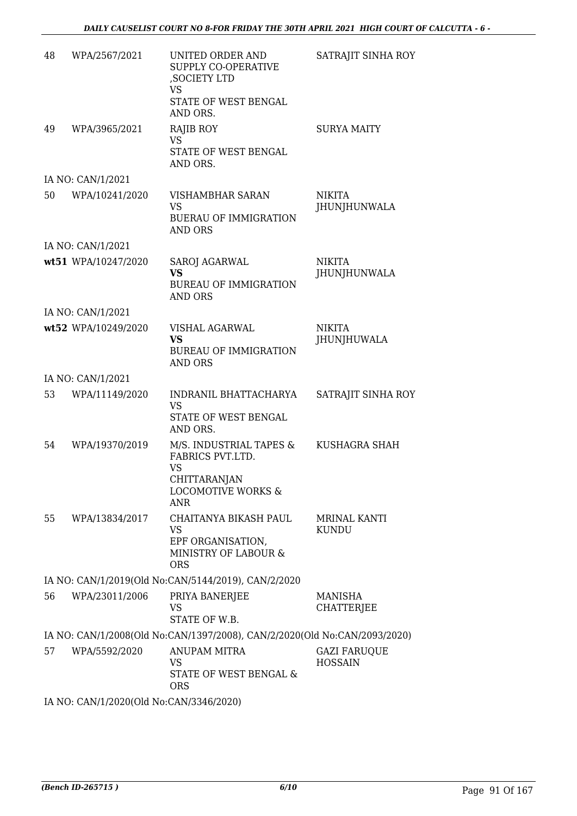| 48 | WPA/2567/2021                           | UNITED ORDER AND<br>SUPPLY CO-OPERATIVE<br>, SOCIETY LTD<br>VS<br>STATE OF WEST BENGAL                                  | SATRAJIT SINHA ROY                    |
|----|-----------------------------------------|-------------------------------------------------------------------------------------------------------------------------|---------------------------------------|
|    |                                         | AND ORS.                                                                                                                |                                       |
| 49 | WPA/3965/2021                           | RAJIB ROY<br><b>VS</b>                                                                                                  | <b>SURYA MAITY</b>                    |
|    |                                         | STATE OF WEST BENGAL<br>AND ORS.                                                                                        |                                       |
|    | IA NO: CAN/1/2021                       |                                                                                                                         |                                       |
| 50 | WPA/10241/2020                          | VISHAMBHAR SARAN<br><b>VS</b><br><b>BUERAU OF IMMIGRATION</b><br><b>AND ORS</b>                                         | <b>NIKITA</b><br>JHUNJHUNWALA         |
|    | IA NO: CAN/1/2021                       |                                                                                                                         |                                       |
|    | wt51 WPA/10247/2020                     | <b>SAROJ AGARWAL</b><br><b>VS</b><br><b>BUREAU OF IMMIGRATION</b><br><b>AND ORS</b>                                     | <b>NIKITA</b><br>JHUNJHUNWALA         |
|    | IA NO: CAN/1/2021                       |                                                                                                                         |                                       |
|    | wt52 WPA/10249/2020                     | <b>VISHAL AGARWAL</b><br><b>VS</b><br><b>BUREAU OF IMMIGRATION</b><br><b>AND ORS</b>                                    | <b>NIKITA</b><br>JHUNJHUWALA          |
|    | IA NO: CAN/1/2021                       |                                                                                                                         |                                       |
| 53 | WPA/11149/2020                          | INDRANIL BHATTACHARYA<br><b>VS</b><br>STATE OF WEST BENGAL                                                              | SATRAJIT SINHA ROY                    |
|    |                                         | AND ORS.                                                                                                                |                                       |
| 54 | WPA/19370/2019                          | M/S. INDUSTRIAL TAPES &<br>FABRICS PVT.LTD.<br><b>VS</b><br>CHITTARANJAN<br><b>LOCOMOTIVE WORKS &amp;</b><br><b>ANR</b> | KUSHAGRA SHAH                         |
| 55 | WPA/13834/2017                          | CHAITANYA BIKASH PAUL<br>VS<br>EPF ORGANISATION,<br>MINISTRY OF LABOUR &<br><b>ORS</b>                                  | <b>MRINAL KANTI</b><br><b>KUNDU</b>   |
|    |                                         | IA NO: CAN/1/2019(Old No:CAN/5144/2019), CAN/2/2020                                                                     |                                       |
| 56 | WPA/23011/2006                          | PRIYA BANERJEE<br>VS<br>STATE OF W.B.                                                                                   | MANISHA<br><b>CHATTERJEE</b>          |
|    |                                         | IA NO: CAN/1/2008(Old No:CAN/1397/2008), CAN/2/2020(Old No:CAN/2093/2020)                                               |                                       |
| 57 | WPA/5592/2020                           | <b>ANUPAM MITRA</b><br>VS<br>STATE OF WEST BENGAL &<br>ORS                                                              | <b>GAZI FARUQUE</b><br><b>HOSSAIN</b> |
|    | IA NO: CAN/1/2020(Old No:CAN/3346/2020) |                                                                                                                         |                                       |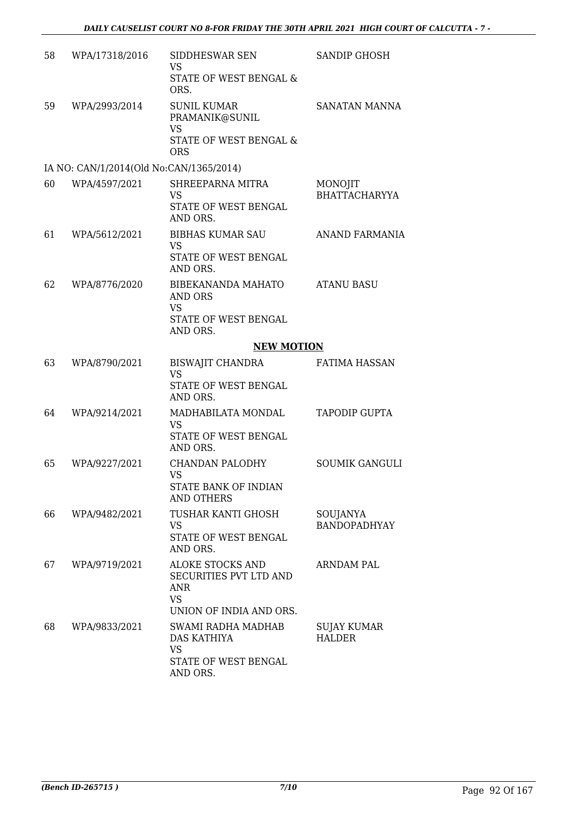| 58 | WPA/17318/2016                          | SIDDHESWAR SEN<br>VS<br>STATE OF WEST BENGAL &<br>ORS.                                    | <b>SANDIP GHOSH</b>                 |
|----|-----------------------------------------|-------------------------------------------------------------------------------------------|-------------------------------------|
| 59 | WPA/2993/2014                           | <b>SUNIL KUMAR</b><br>PRAMANIK@SUNIL<br><b>VS</b><br>STATE OF WEST BENGAL &<br><b>ORS</b> | SANATAN MANNA                       |
|    | IA NO: CAN/1/2014(Old No:CAN/1365/2014) |                                                                                           |                                     |
| 60 | WPA/4597/2021                           | SHREEPARNA MITRA<br>VS<br>STATE OF WEST BENGAL<br>AND ORS.                                | MONOJIT<br><b>BHATTACHARYYA</b>     |
| 61 | WPA/5612/2021                           | <b>BIBHAS KUMAR SAU</b><br><b>VS</b><br>STATE OF WEST BENGAL<br>AND ORS.                  | ANAND FARMANIA                      |
| 62 | WPA/8776/2020                           | <b>BIBEKANANDA MAHATO</b><br><b>AND ORS</b><br><b>VS</b><br>STATE OF WEST BENGAL          | <b>ATANU BASU</b>                   |
|    |                                         | AND ORS.                                                                                  |                                     |
|    |                                         | <b>NEW MOTION</b>                                                                         |                                     |
| 63 | WPA/8790/2021                           | <b>BISWAJIT CHANDRA</b><br><b>VS</b><br>STATE OF WEST BENGAL<br>AND ORS.                  | <b>FATIMA HASSAN</b>                |
| 64 | WPA/9214/2021                           | MADHABILATA MONDAL<br><b>VS</b><br>STATE OF WEST BENGAL<br>AND ORS.                       | TAPODIP GUPTA                       |
| 65 | WPA/9227/2021                           | <b>CHANDAN PALODHY</b><br><b>VS</b><br>STATE BANK OF INDIAN<br><b>AND OTHERS</b>          | <b>SOUMIK GANGULI</b>               |
| 66 | WPA/9482/2021                           | TUSHAR KANTI GHOSH<br><b>VS</b><br>STATE OF WEST BENGAL<br>AND ORS.                       | SOUJANYA<br><b>BANDOPADHYAY</b>     |
| 67 | WPA/9719/2021                           | ALOKE STOCKS AND<br>SECURITIES PVT LTD AND<br>ANR<br><b>VS</b><br>UNION OF INDIA AND ORS. | <b>ARNDAM PAL</b>                   |
| 68 | WPA/9833/2021                           | SWAMI RADHA MADHAB<br>DAS KATHIYA<br><b>VS</b><br>STATE OF WEST BENGAL<br>AND ORS.        | <b>SUJAY KUMAR</b><br><b>HALDER</b> |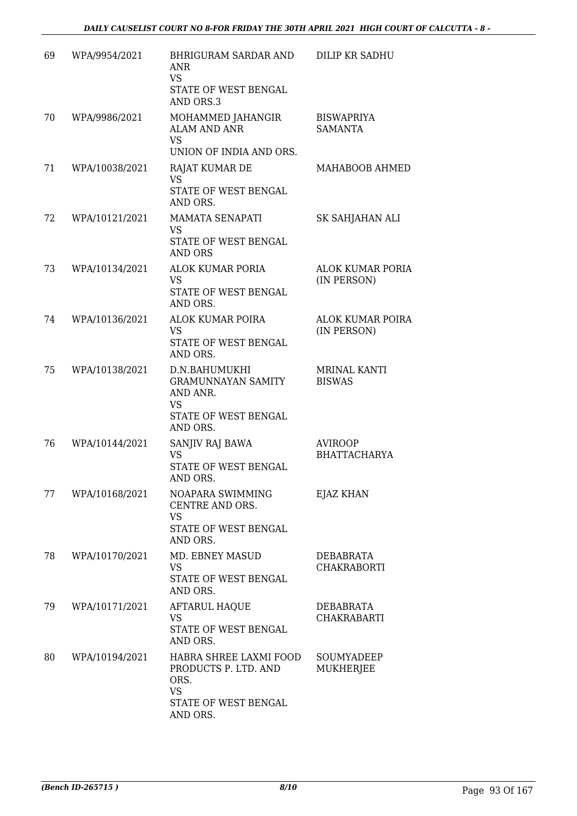| 69 | WPA/9954/2021  | <b>BHRIGURAM SARDAR AND</b><br><b>ANR</b><br>VS<br>STATE OF WEST BENGAL<br>AND ORS.3                    | <b>DILIP KR SADHU</b>                  |
|----|----------------|---------------------------------------------------------------------------------------------------------|----------------------------------------|
| 70 | WPA/9986/2021  | MOHAMMED JAHANGIR<br><b>ALAM AND ANR</b><br><b>VS</b><br>UNION OF INDIA AND ORS.                        | <b>BISWAPRIYA</b><br><b>SAMANTA</b>    |
| 71 | WPA/10038/2021 | RAJAT KUMAR DE<br><b>VS</b><br>STATE OF WEST BENGAL<br>AND ORS.                                         | MAHABOOB AHMED                         |
| 72 | WPA/10121/2021 | MAMATA SENAPATI<br><b>VS</b><br>STATE OF WEST BENGAL<br><b>AND ORS</b>                                  | SK SAHJAHAN ALI                        |
| 73 | WPA/10134/2021 | ALOK KUMAR PORIA<br>VS<br>STATE OF WEST BENGAL<br>AND ORS.                                              | ALOK KUMAR PORIA<br>(IN PERSON)        |
| 74 | WPA/10136/2021 | ALOK KUMAR POIRA<br><b>VS</b><br>STATE OF WEST BENGAL<br>AND ORS.                                       | <b>ALOK KUMAR POIRA</b><br>(IN PERSON) |
| 75 | WPA/10138/2021 | D.N.BAHUMUKHI<br><b>GRAMUNNAYAN SAMITY</b><br>AND ANR.<br><b>VS</b><br>STATE OF WEST BENGAL<br>AND ORS. | <b>MRINAL KANTI</b><br><b>BISWAS</b>   |
| 76 | WPA/10144/2021 | SANJIV RAJ BAWA<br><b>VS</b><br>STATE OF WEST BENGAL<br>AND ORS.                                        | <b>AVIROOP</b><br><b>BHATTACHARYA</b>  |
| 77 | WPA/10168/2021 | NOAPARA SWIMMING<br>CENTRE AND ORS.<br><b>VS</b><br>STATE OF WEST BENGAL<br>AND ORS.                    | EJAZ KHAN                              |
| 78 | WPA/10170/2021 | MD. EBNEY MASUD<br><b>VS</b><br>STATE OF WEST BENGAL<br>AND ORS.                                        | DEBABRATA<br><b>CHAKRABORTI</b>        |
| 79 | WPA/10171/2021 | AFTARUL HAQUE<br><b>VS</b><br>STATE OF WEST BENGAL<br>AND ORS.                                          | DEBABRATA<br><b>CHAKRABARTI</b>        |
| 80 | WPA/10194/2021 | HABRA SHREE LAXMI FOOD<br>PRODUCTS P. LTD. AND<br>ORS.<br><b>VS</b><br>STATE OF WEST BENGAL<br>AND ORS. | SOUMYADEEP<br><b>MUKHERJEE</b>         |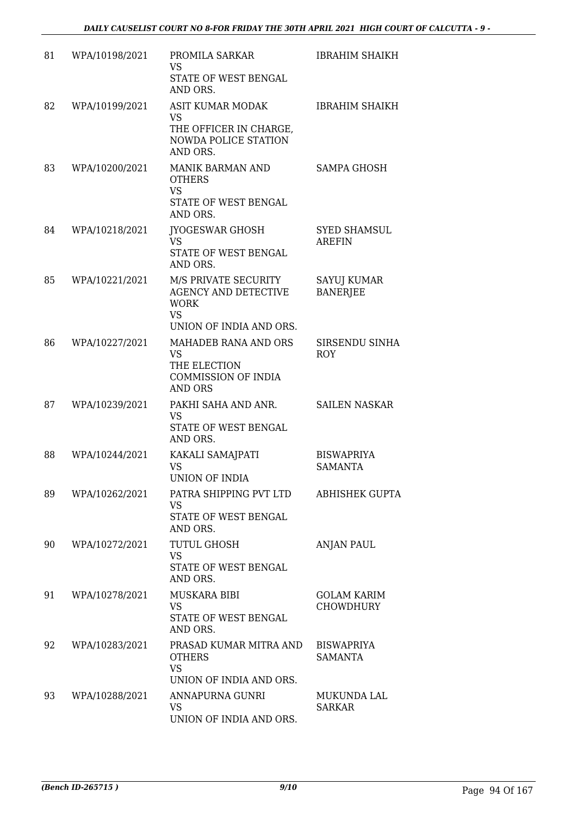| 81 | WPA/10198/2021 | PROMILA SARKAR<br><b>VS</b><br>STATE OF WEST BENGAL<br>AND ORS.                                                       | <b>IBRAHIM SHAIKH</b>                  |
|----|----------------|-----------------------------------------------------------------------------------------------------------------------|----------------------------------------|
| 82 | WPA/10199/2021 | <b>ASIT KUMAR MODAK</b><br><b>VS</b><br>THE OFFICER IN CHARGE,<br>NOWDA POLICE STATION<br>AND ORS.                    | <b>IBRAHIM SHAIKH</b>                  |
| 83 | WPA/10200/2021 | <b>MANIK BARMAN AND</b><br><b>OTHERS</b><br><b>VS</b><br>STATE OF WEST BENGAL<br>AND ORS.                             | SAMPA GHOSH                            |
| 84 | WPA/10218/2021 | <b>JYOGESWAR GHOSH</b><br>VS<br>STATE OF WEST BENGAL<br>AND ORS.                                                      | <b>SYED SHAMSUL</b><br><b>AREFIN</b>   |
| 85 | WPA/10221/2021 | M/S PRIVATE SECURITY<br><b>AGENCY AND DETECTIVE</b><br><b>WORK</b><br><b>VS</b>                                       | SAYUJ KUMAR<br><b>BANERJEE</b>         |
| 86 | WPA/10227/2021 | UNION OF INDIA AND ORS.<br>MAHADEB RANA AND ORS<br>VS<br>THE ELECTION<br><b>COMMISSION OF INDIA</b><br><b>AND ORS</b> | SIRSENDU SINHA<br><b>ROY</b>           |
| 87 | WPA/10239/2021 | PAKHI SAHA AND ANR.<br><b>VS</b><br>STATE OF WEST BENGAL<br>AND ORS.                                                  | <b>SAILEN NASKAR</b>                   |
| 88 | WPA/10244/2021 | KAKALI SAMAJPATI<br><b>VS</b><br>UNION OF INDIA                                                                       | <b>BISWAPRIYA</b><br><b>SAMANTA</b>    |
| 89 | WPA/10262/2021 | PATRA SHIPPING PVT LTD<br>VS<br>STATE OF WEST BENGAL<br>AND ORS.                                                      | ABHISHEK GUPTA                         |
| 90 | WPA/10272/2021 | <b>TUTUL GHOSH</b><br><b>VS</b><br>STATE OF WEST BENGAL<br>AND ORS.                                                   | ANJAN PAUL                             |
| 91 | WPA/10278/2021 | MUSKARA BIBI<br><b>VS</b><br>STATE OF WEST BENGAL<br>AND ORS.                                                         | <b>GOLAM KARIM</b><br><b>CHOWDHURY</b> |
| 92 | WPA/10283/2021 | PRASAD KUMAR MITRA AND<br><b>OTHERS</b><br><b>VS</b><br>UNION OF INDIA AND ORS.                                       | <b>BISWAPRIYA</b><br><b>SAMANTA</b>    |
| 93 | WPA/10288/2021 | ANNAPURNA GUNRI<br><b>VS</b><br>UNION OF INDIA AND ORS.                                                               | MUKUNDA LAL<br><b>SARKAR</b>           |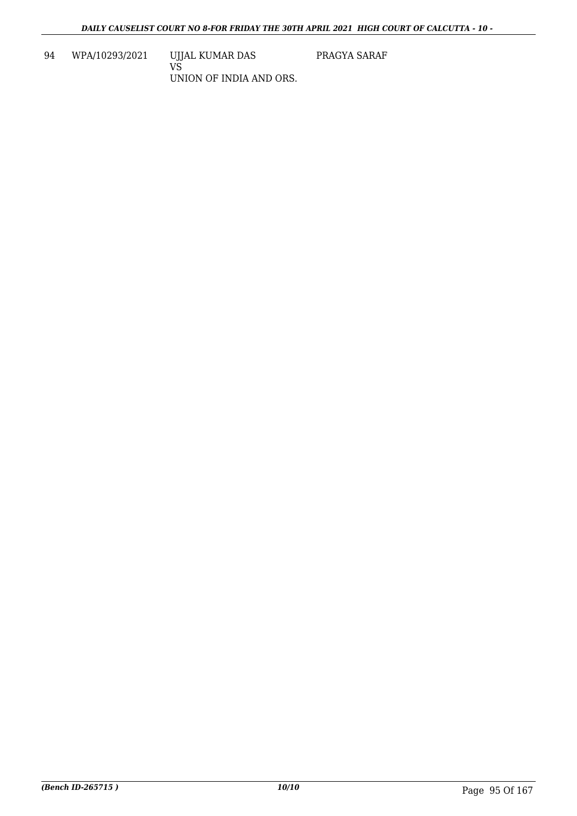94 WPA/10293/2021 UJJAL KUMAR DAS VS UNION OF INDIA AND ORS. PRAGYA SARAF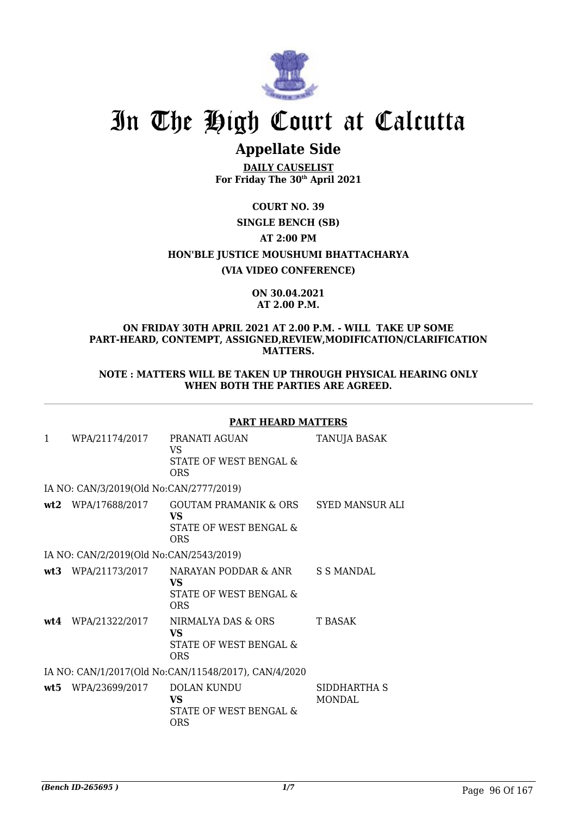

# In The High Court at Calcutta

### **Appellate Side**

**DAILY CAUSELIST For Friday The 30th April 2021**

**COURT NO. 39 SINGLE BENCH (SB)**

**AT 2:00 PM**

**HON'BLE JUSTICE MOUSHUMI BHATTACHARYA**

**(VIA VIDEO CONFERENCE)**

#### **ON 30.04.2021 AT 2.00 P.M.**

#### **ON FRIDAY 30TH APRIL 2021 AT 2.00 P.M. - WILL TAKE UP SOME PART-HEARD, CONTEMPT, ASSIGNED,REVIEW,MODIFICATION/CLARIFICATION MATTERS.**

**NOTE : MATTERS WILL BE TAKEN UP THROUGH PHYSICAL HEARING ONLY WHEN BOTH THE PARTIES ARE AGREED.**

#### **PART HEARD MATTERS**

| WPA/21174/2017       | PRANATI AGUAN<br>VS.<br>STATE OF WEST BENGAL &<br>ORS             | TANUJA BASAK                                                                                                                                                                                                                                                 |
|----------------------|-------------------------------------------------------------------|--------------------------------------------------------------------------------------------------------------------------------------------------------------------------------------------------------------------------------------------------------------|
|                      |                                                                   |                                                                                                                                                                                                                                                              |
|                      | VS.<br>STATE OF WEST BENGAL &<br>ORS                              |                                                                                                                                                                                                                                                              |
|                      |                                                                   |                                                                                                                                                                                                                                                              |
|                      | VS.<br>STATE OF WEST BENGAL &<br><b>ORS</b>                       |                                                                                                                                                                                                                                                              |
| $wt4$ WPA/21322/2017 | NIRMALYA DAS & ORS<br>VS.<br>STATE OF WEST BENGAL &<br><b>ORS</b> | T BASAK                                                                                                                                                                                                                                                      |
|                      |                                                                   |                                                                                                                                                                                                                                                              |
| wt5 WPA/23699/2017   | DOLAN KUNDU<br>VS.<br>STATE OF WEST BENGAL &<br>ORS               | SIDDHARTHA S<br>MONDAL                                                                                                                                                                                                                                       |
|                      |                                                                   | IA NO: CAN/3/2019(Old No:CAN/2777/2019)<br>wt2 WPA/17688/2017 GOUTAM PRAMANIK & ORS SYED MANSUR ALI<br>IA NO: CAN/2/2019(Old No:CAN/2543/2019)<br>wt3 WPA/21173/2017 NARAYAN PODDAR & ANR S S MANDAL<br>IA NO: CAN/1/2017(Old No:CAN/11548/2017), CAN/4/2020 |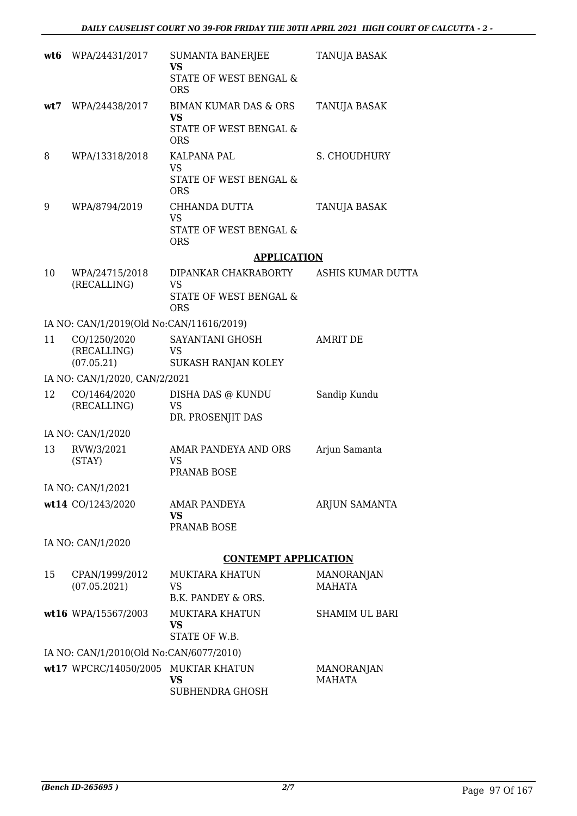|     | wt6 WPA/24431/2017                       | SUMANTA BANERJEE<br><b>VS</b>                     | TANUJA BASAK                       |
|-----|------------------------------------------|---------------------------------------------------|------------------------------------|
|     |                                          | STATE OF WEST BENGAL &<br><b>ORS</b>              |                                    |
| wt7 | WPA/24438/2017                           | <b>BIMAN KUMAR DAS &amp; ORS</b><br><b>VS</b>     | TANUJA BASAK                       |
|     |                                          | STATE OF WEST BENGAL &<br><b>ORS</b>              |                                    |
| 8   | WPA/13318/2018                           | <b>KALPANA PAL</b><br>VS                          | S. CHOUDHURY                       |
|     |                                          | STATE OF WEST BENGAL &<br><b>ORS</b>              |                                    |
| 9   | WPA/8794/2019                            | CHHANDA DUTTA<br><b>VS</b>                        | TANUJA BASAK                       |
|     |                                          | STATE OF WEST BENGAL &<br><b>ORS</b>              |                                    |
|     |                                          | <b>APPLICATION</b>                                |                                    |
| 10  | WPA/24715/2018                           | DIPANKAR CHAKRABORTY                              | ASHIS KUMAR DUTTA                  |
|     | (RECALLING)                              | <b>VS</b><br>STATE OF WEST BENGAL &<br><b>ORS</b> |                                    |
|     | IA NO: CAN/1/2019(Old No:CAN/11616/2019) |                                                   |                                    |
| 11  | CO/1250/2020                             | SAYANTANI GHOSH                                   | AMRIT DE                           |
|     | (RECALLING)<br>(07.05.21)                | VS<br>SUKASH RANJAN KOLEY                         |                                    |
|     | IA NO: CAN/1/2020, CAN/2/2021            |                                                   |                                    |
| 12  | CO/1464/2020<br>(RECALLING)              | DISHA DAS @ KUNDU<br><b>VS</b>                    | Sandip Kundu                       |
|     |                                          | DR. PROSENJIT DAS                                 |                                    |
| 13  | IA NO: CAN/1/2020                        | AMAR PANDEYA AND ORS                              |                                    |
|     | RVW/3/2021<br>(STAY)                     | <b>VS</b><br>PRANAB BOSE                          | Arjun Samanta                      |
|     | IA NO: CAN/1/2021                        |                                                   |                                    |
|     | wt14 CO/1243/2020                        | AMAR PANDEYA<br>VS                                | ARJUN SAMANTA                      |
|     |                                          | PRANAB BOSE                                       |                                    |
|     | IA NO: CAN/1/2020                        |                                                   |                                    |
|     |                                          | <b>CONTEMPT APPLICATION</b>                       |                                    |
| 15  | CPAN/1999/2012<br>(07.05.2021)           | <b>MUKTARA KHATUN</b><br>VS<br>B.K. PANDEY & ORS. | <b>MANORANJAN</b><br><b>MAHATA</b> |
|     | wt16 WPA/15567/2003                      | MUKTARA KHATUN                                    | <b>SHAMIM UL BARI</b>              |
|     |                                          | <b>VS</b><br>STATE OF W.B.                        |                                    |
|     | IA NO: CAN/1/2010(Old No:CAN/6077/2010)  |                                                   |                                    |
|     | wt17 WPCRC/14050/2005                    | <b>MUKTAR KHATUN</b><br><b>VS</b>                 | <b>MANORANJAN</b><br><b>MAHATA</b> |

SUBHENDRA GHOSH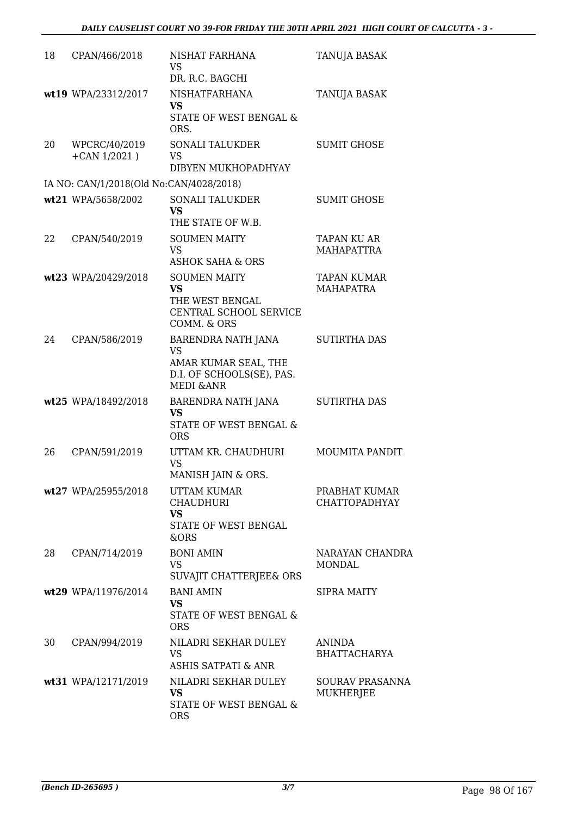| 18 | CPAN/466/2018                           | NISHAT FARHANA<br><b>VS</b><br>DR. R.C. BAGCHI                                                               | TANUJA BASAK                           |
|----|-----------------------------------------|--------------------------------------------------------------------------------------------------------------|----------------------------------------|
|    | wt19 WPA/23312/2017                     | <b>NISHATFARHANA</b><br><b>VS</b><br>STATE OF WEST BENGAL &<br>ORS.                                          | TANUJA BASAK                           |
| 20 | WPCRC/40/2019<br>$+$ CAN 1/2021)        | SONALI TALUKDER<br><b>VS</b><br>DIBYEN MUKHOPADHYAY                                                          | <b>SUMIT GHOSE</b>                     |
|    | IA NO: CAN/1/2018(Old No:CAN/4028/2018) |                                                                                                              |                                        |
|    | wt21 WPA/5658/2002                      | <b>SONALI TALUKDER</b><br><b>VS</b><br>THE STATE OF W.B.                                                     | <b>SUMIT GHOSE</b>                     |
| 22 | CPAN/540/2019                           | <b>SOUMEN MAITY</b><br><b>VS</b><br><b>ASHOK SAHA &amp; ORS</b>                                              | TAPAN KU AR<br><b>MAHAPATTRA</b>       |
|    | wt23 WPA/20429/2018                     | <b>SOUMEN MAITY</b><br><b>VS</b><br>THE WEST BENGAL<br>CENTRAL SCHOOL SERVICE<br>COMM. & ORS                 | <b>TAPAN KUMAR</b><br><b>MAHAPATRA</b> |
| 24 | CPAN/586/2019                           | BARENDRA NATH JANA<br><b>VS</b><br>AMAR KUMAR SEAL, THE<br>D.I. OF SCHOOLS(SE), PAS.<br><b>MEDI &amp;ANR</b> | <b>SUTIRTHA DAS</b>                    |
|    | wt25 WPA/18492/2018                     | BARENDRA NATH JANA<br>VS<br>STATE OF WEST BENGAL &<br><b>ORS</b>                                             | <b>SUTIRTHA DAS</b>                    |
| 26 | CPAN/591/2019                           | UTTAM KR. CHAUDHURI<br><b>VS</b><br>MANISH JAIN & ORS.                                                       | <b>MOUMITA PANDIT</b>                  |
|    | wt27 WPA/25955/2018                     | <b>UTTAM KUMAR</b><br><b>CHAUDHURI</b><br><b>VS</b><br>STATE OF WEST BENGAL<br>&ORS                          | PRABHAT KUMAR<br><b>CHATTOPADHYAY</b>  |
| 28 | CPAN/714/2019                           | <b>BONI AMIN</b><br><b>VS</b><br>SUVAJIT CHATTERJEE& ORS                                                     | NARAYAN CHANDRA<br><b>MONDAL</b>       |
|    | wt29 WPA/11976/2014                     | <b>BANI AMIN</b><br><b>VS</b><br>STATE OF WEST BENGAL &<br><b>ORS</b>                                        | <b>SIPRA MAITY</b>                     |
| 30 | CPAN/994/2019                           | NILADRI SEKHAR DULEY<br><b>VS</b><br><b>ASHIS SATPATI &amp; ANR</b>                                          | ANINDA<br><b>BHATTACHARYA</b>          |
|    | wt31 WPA/12171/2019                     | NILADRI SEKHAR DULEY<br><b>VS</b><br>STATE OF WEST BENGAL &<br><b>ORS</b>                                    | SOURAV PRASANNA<br><b>MUKHERJEE</b>    |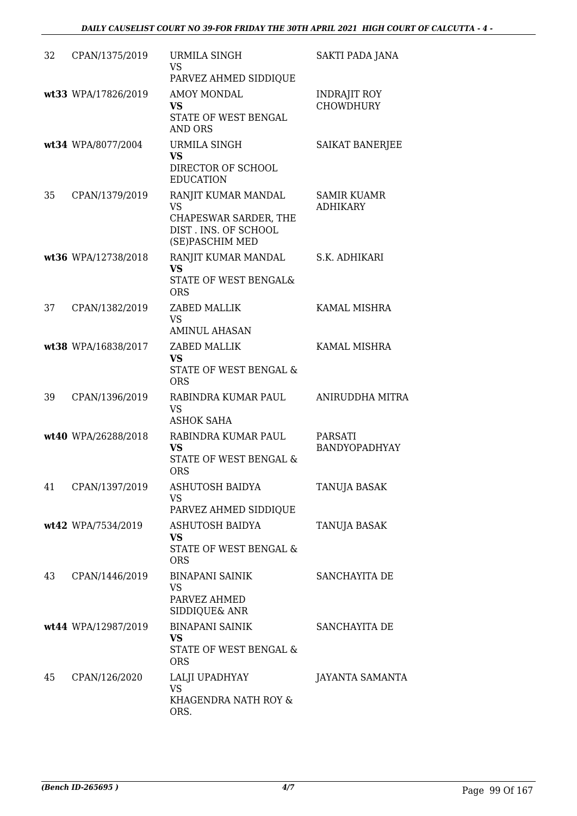| 32 | CPAN/1375/2019      | URMILA SINGH<br><b>VS</b><br>PARVEZ AHMED SIDDIQUE                                                   | SAKTI PADA JANA                         |
|----|---------------------|------------------------------------------------------------------------------------------------------|-----------------------------------------|
|    | wt33 WPA/17826/2019 | <b>AMOY MONDAL</b><br><b>VS</b><br>STATE OF WEST BENGAL<br><b>AND ORS</b>                            | <b>INDRAJIT ROY</b><br><b>CHOWDHURY</b> |
|    | wt34 WPA/8077/2004  | URMILA SINGH<br><b>VS</b><br>DIRECTOR OF SCHOOL                                                      | SAIKAT BANERJEE                         |
|    |                     | <b>EDUCATION</b>                                                                                     |                                         |
| 35 | CPAN/1379/2019      | RANJIT KUMAR MANDAL<br><b>VS</b><br>CHAPESWAR SARDER, THE<br>DIST. INS. OF SCHOOL<br>(SE)PASCHIM MED | <b>SAMIR KUAMR</b><br><b>ADHIKARY</b>   |
|    | wt36 WPA/12738/2018 | RANJIT KUMAR MANDAL                                                                                  | S.K. ADHIKARI                           |
|    |                     | <b>VS</b><br>STATE OF WEST BENGAL&<br><b>ORS</b>                                                     |                                         |
| 37 | CPAN/1382/2019      | ZABED MALLIK<br><b>VS</b><br><b>AMINUL AHASAN</b>                                                    | KAMAL MISHRA                            |
|    | wt38 WPA/16838/2017 | ZABED MALLIK<br>VS<br>STATE OF WEST BENGAL &<br><b>ORS</b>                                           | KAMAL MISHRA                            |
| 39 | CPAN/1396/2019      | RABINDRA KUMAR PAUL<br><b>VS</b><br><b>ASHOK SAHA</b>                                                | ANIRUDDHA MITRA                         |
|    | wt40 WPA/26288/2018 | RABINDRA KUMAR PAUL<br><b>VS</b><br><b>STATE OF WEST BENGAL &amp;</b><br><b>ORS</b>                  | <b>PARSATI</b><br><b>BANDYOPADHYAY</b>  |
| 41 | CPAN/1397/2019      | ASHUTOSH BAIDYA<br><b>VS</b><br>PARVEZ AHMED SIDDIQUE                                                | TANUJA BASAK                            |
|    | wt42 WPA/7534/2019  | ASHUTOSH BAIDYA<br>VS.<br>STATE OF WEST BENGAL &<br><b>ORS</b>                                       | TANUJA BASAK                            |
| 43 | CPAN/1446/2019      | <b>BINAPANI SAINIK</b><br>VS<br>PARVEZ AHMED<br>SIDDIQUE& ANR                                        | SANCHAYITA DE                           |
|    | wt44 WPA/12987/2019 | <b>BINAPANI SAINIK</b><br><b>VS</b><br>STATE OF WEST BENGAL &<br><b>ORS</b>                          | SANCHAYITA DE                           |
| 45 | CPAN/126/2020       | LALJI UPADHYAY<br><b>VS</b><br>KHAGENDRA NATH ROY &<br>ORS.                                          | JAYANTA SAMANTA                         |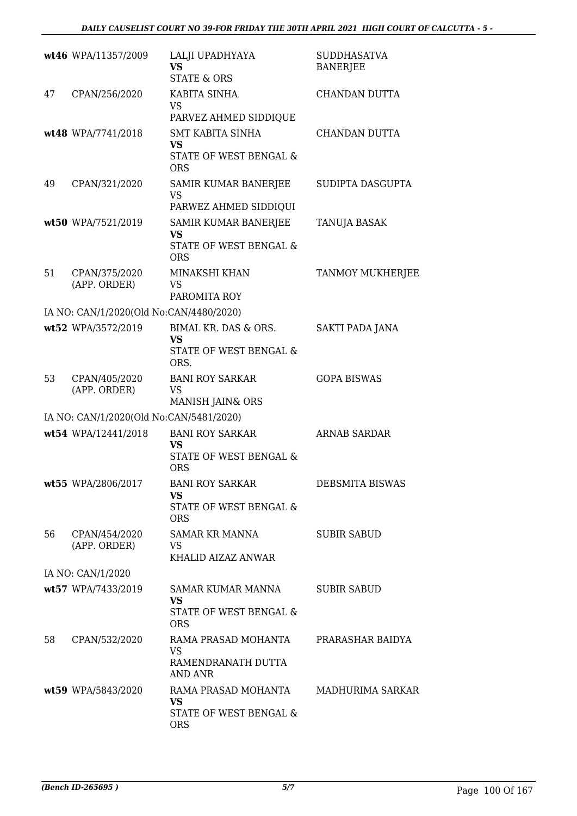|    | wt46 WPA/11357/2009                     | LALJI UPADHYAYA<br>VS<br><b>STATE &amp; ORS</b>                                        | <b>SUDDHASATVA</b><br><b>BANERJEE</b> |
|----|-----------------------------------------|----------------------------------------------------------------------------------------|---------------------------------------|
| 47 | CPAN/256/2020                           | KABITA SINHA<br><b>VS</b><br>PARVEZ AHMED SIDDIQUE                                     | CHANDAN DUTTA                         |
|    | wt48 WPA/7741/2018                      | <b>SMT KABITA SINHA</b><br>VS<br>STATE OF WEST BENGAL &<br><b>ORS</b>                  | CHANDAN DUTTA                         |
| 49 | CPAN/321/2020                           | SAMIR KUMAR BANERJEE<br>VS<br>PARWEZ AHMED SIDDIQUI                                    | SUDIPTA DASGUPTA                      |
|    | wt50 WPA/7521/2019                      | SAMIR KUMAR BANERJEE<br><b>VS</b><br>STATE OF WEST BENGAL &<br><b>ORS</b>              | TANUJA BASAK                          |
| 51 | CPAN/375/2020<br>(APP. ORDER)           | MINAKSHI KHAN<br>VS<br>PAROMITA ROY                                                    | TANMOY MUKHERJEE                      |
|    | IA NO: CAN/1/2020(Old No:CAN/4480/2020) |                                                                                        |                                       |
|    | wt52 WPA/3572/2019                      | BIMAL KR. DAS & ORS.<br><b>VS</b><br>STATE OF WEST BENGAL &<br>ORS.                    | SAKTI PADA JANA                       |
| 53 | CPAN/405/2020<br>(APP. ORDER)           | <b>BANI ROY SARKAR</b><br>VS<br>MANISH JAIN& ORS                                       | <b>GOPA BISWAS</b>                    |
|    | IA NO: CAN/1/2020(Old No:CAN/5481/2020) |                                                                                        |                                       |
|    | wt54 WPA/12441/2018                     | <b>BANI ROY SARKAR</b><br><b>VS</b><br><b>STATE OF WEST BENGAL &amp;</b><br><b>ORS</b> | <b>ARNAB SARDAR</b>                   |
|    | wt55 WPA/2806/2017                      | <b>BANI ROY SARKAR</b><br><b>VS</b><br><b>STATE OF WEST BENGAL &amp;</b><br><b>ORS</b> | DEBSMITA BISWAS                       |
| 56 | CPAN/454/2020<br>(APP. ORDER)           | SAMAR KR MANNA<br>VS<br>KHALID AIZAZ ANWAR                                             | <b>SUBIR SABUD</b>                    |
|    | IA NO: CAN/1/2020                       |                                                                                        |                                       |
|    | wt57 WPA/7433/2019                      | <b>SAMAR KUMAR MANNA</b><br><b>VS</b><br>STATE OF WEST BENGAL &                        | <b>SUBIR SABUD</b>                    |
| 58 | CPAN/532/2020                           | <b>ORS</b><br>RAMA PRASAD MOHANTA<br><b>VS</b><br>RAMENDRANATH DUTTA<br><b>AND ANR</b> | PRARASHAR BAIDYA                      |
|    | wt59 WPA/5843/2020                      | RAMA PRASAD MOHANTA<br><b>VS</b><br>STATE OF WEST BENGAL &<br><b>ORS</b>               | MADHURIMA SARKAR                      |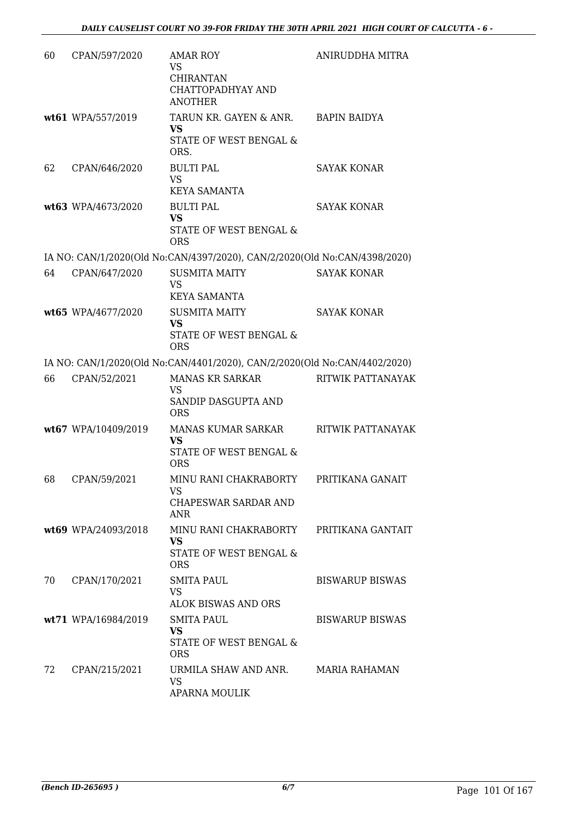| 60 | CPAN/597/2020       | <b>AMAR ROY</b><br><b>VS</b><br><b>CHIRANTAN</b><br>CHATTOPADHYAY AND<br><b>ANOTHER</b> | ANIRUDDHA MITRA          |
|----|---------------------|-----------------------------------------------------------------------------------------|--------------------------|
|    | wt61 WPA/557/2019   | TARUN KR. GAYEN & ANR.<br><b>VS</b><br>STATE OF WEST BENGAL &<br>ORS.                   | <b>BAPIN BAIDYA</b>      |
| 62 | CPAN/646/2020       | <b>BULTI PAL</b><br><b>VS</b><br><b>KEYA SAMANTA</b>                                    | <b>SAYAK KONAR</b>       |
|    | wt63 WPA/4673/2020  | <b>BULTI PAL</b><br><b>VS</b><br>STATE OF WEST BENGAL &<br><b>ORS</b>                   | <b>SAYAK KONAR</b>       |
|    |                     | IA NO: CAN/1/2020(Old No:CAN/4397/2020), CAN/2/2020(Old No:CAN/4398/2020)               |                          |
| 64 | CPAN/647/2020       | <b>SUSMITA MAITY</b><br><b>VS</b><br><b>KEYA SAMANTA</b>                                | <b>SAYAK KONAR</b>       |
|    | wt65 WPA/4677/2020  | <b>SUSMITA MAITY</b><br><b>VS</b><br>STATE OF WEST BENGAL &<br><b>ORS</b>               | <b>SAYAK KONAR</b>       |
|    |                     | IA NO: CAN/1/2020(Old No:CAN/4401/2020), CAN/2/2020(Old No:CAN/4402/2020)               |                          |
| 66 | CPAN/52/2021        | <b>MANAS KR SARKAR</b><br>VS<br>SANDIP DASGUPTA AND<br><b>ORS</b>                       | RITWIK PATTANAYAK        |
|    | wt67 WPA/10409/2019 | MANAS KUMAR SARKAR<br><b>VS</b><br>STATE OF WEST BENGAL &<br><b>ORS</b>                 | <b>RITWIK PATTANAYAK</b> |
| 68 | CPAN/59/2021        | MINU RANI CHAKRABORTY<br>VS<br>CHAPESWAR SARDAR AND<br><b>ANR</b>                       | PRITIKANA GANAIT         |
|    | wt69 WPA/24093/2018 | MINU RANI CHAKRABORTY<br><b>VS</b><br>STATE OF WEST BENGAL &<br><b>ORS</b>              | PRITIKANA GANTAIT        |
| 70 | CPAN/170/2021       | <b>SMITA PAUL</b><br><b>VS</b><br>ALOK BISWAS AND ORS                                   | <b>BISWARUP BISWAS</b>   |
|    | wt71 WPA/16984/2019 | <b>SMITA PAUL</b><br><b>VS</b><br>STATE OF WEST BENGAL &<br><b>ORS</b>                  | <b>BISWARUP BISWAS</b>   |
| 72 | CPAN/215/2021       | URMILA SHAW AND ANR.<br><b>VS</b><br><b>APARNA MOULIK</b>                               | <b>MARIA RAHAMAN</b>     |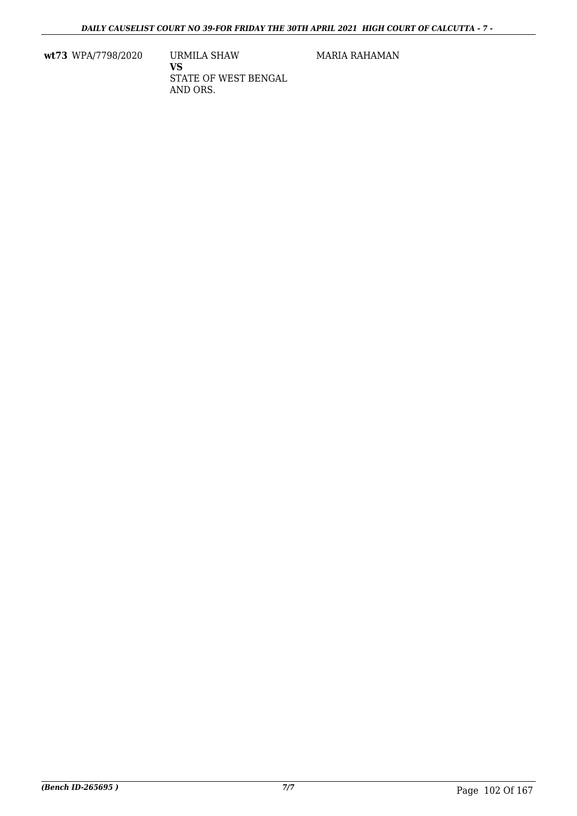**wt73** WPA/7798/2020 URMILA SHAW

**VS** STATE OF WEST BENGAL AND ORS.

MARIA RAHAMAN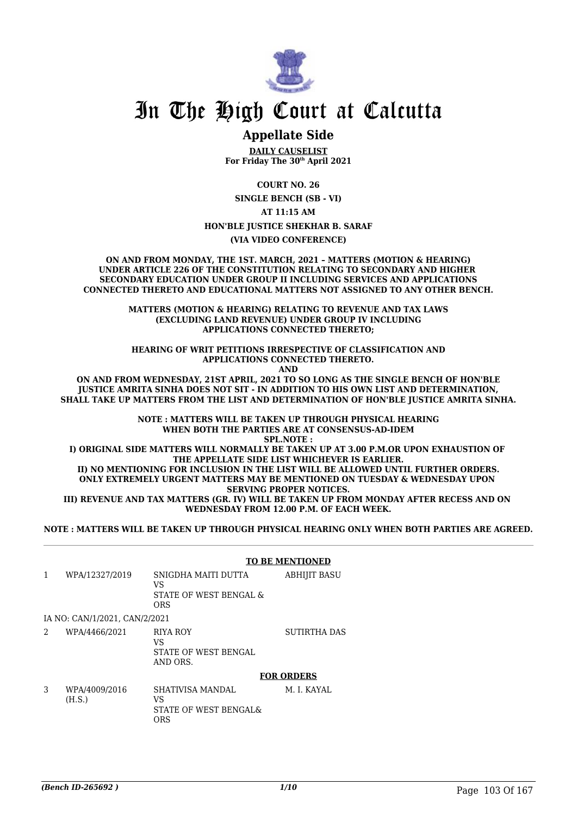

## In The High Court at Calcutta

#### **Appellate Side**

**DAILY CAUSELIST For Friday The 30th April 2021**

**COURT NO. 26**

**SINGLE BENCH (SB - VI)**

**AT 11:15 AM**

**HON'BLE JUSTICE SHEKHAR B. SARAF**

**(VIA VIDEO CONFERENCE)**

**ON AND FROM MONDAY, THE 1ST. MARCH, 2021 – MATTERS (MOTION & HEARING) UNDER ARTICLE 226 OF THE CONSTITUTION RELATING TO SECONDARY AND HIGHER SECONDARY EDUCATION UNDER GROUP II INCLUDING SERVICES AND APPLICATIONS CONNECTED THERETO AND EDUCATIONAL MATTERS NOT ASSIGNED TO ANY OTHER BENCH.**

> **MATTERS (MOTION & HEARING) RELATING TO REVENUE AND TAX LAWS (EXCLUDING LAND REVENUE) UNDER GROUP IV INCLUDING APPLICATIONS CONNECTED THERETO;**

> **HEARING OF WRIT PETITIONS IRRESPECTIVE OF CLASSIFICATION AND APPLICATIONS CONNECTED THERETO. AND**

**ON AND FROM WEDNESDAY, 21ST APRIL, 2021 TO SO LONG AS THE SINGLE BENCH OF HON'BLE JUSTICE AMRITA SINHA DOES NOT SIT - IN ADDITION TO HIS OWN LIST AND DETERMINATION, SHALL TAKE UP MATTERS FROM THE LIST AND DETERMINATION OF HON'BLE JUSTICE AMRITA SINHA.**

> **NOTE : MATTERS WILL BE TAKEN UP THROUGH PHYSICAL HEARING WHEN BOTH THE PARTIES ARE AT CONSENSUS-AD-IDEM SPL.NOTE :**

**I) ORIGINAL SIDE MATTERS WILL NORMALLY BE TAKEN UP AT 3.00 P.M.OR UPON EXHAUSTION OF THE APPELLATE SIDE LIST WHICHEVER IS EARLIER. II) NO MENTIONING FOR INCLUSION IN THE LIST WILL BE ALLOWED UNTIL FURTHER ORDERS.**

**ONLY EXTREMELY URGENT MATTERS MAY BE MENTIONED ON TUESDAY & WEDNESDAY UPON SERVING PROPER NOTICES.**

**III) REVENUE AND TAX MATTERS (GR. IV) WILL BE TAKEN UP FROM MONDAY AFTER RECESS AND ON WEDNESDAY FROM 12.00 P.M. OF EACH WEEK.**

**NOTE : MATTERS WILL BE TAKEN UP THROUGH PHYSICAL HEARING ONLY WHEN BOTH PARTIES ARE AGREED.**

**TO BE MENTIONED**

1 WPA/12327/2019 SNIGDHA MAITI DUTTA VS STATE OF WEST BENGAL & ORS ABHIJIT BASU IA NO: CAN/1/2021, CAN/2/2021 2 WPA/4466/2021 RIYA ROY VS STATE OF WEST BENGAL AND ORS. SUTIRTHA DAS

**FOR ORDERS**

3 WPA/4009/2016 (H.S.) SHATIVISA MANDAL VS STATE OF WEST BENGAL& ORS M. I. KAYAL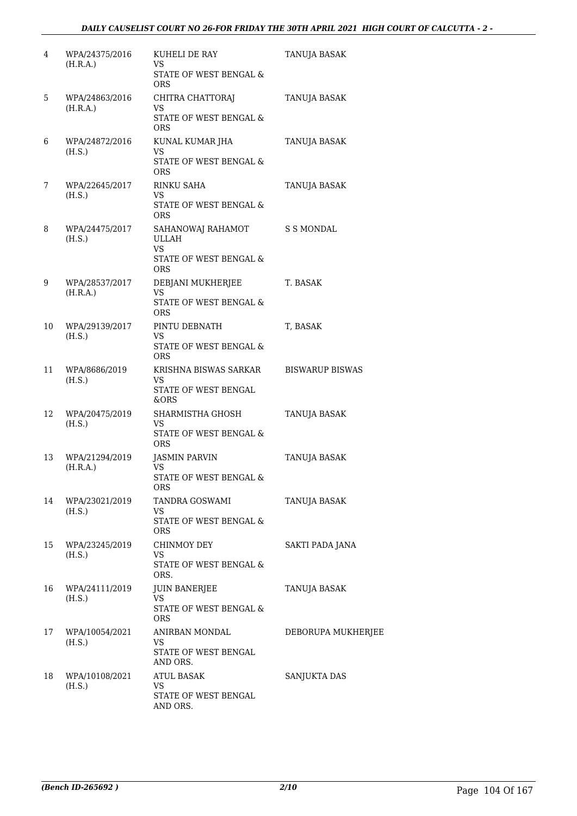| 4  | WPA/24375/2016<br>(H.R.A.) | KUHELI DE RAY<br>VS.<br>STATE OF WEST BENGAL &<br><b>ORS</b>                           | TANUJA BASAK           |
|----|----------------------------|----------------------------------------------------------------------------------------|------------------------|
| 5  | WPA/24863/2016<br>(H.R.A.) | CHITRA CHATTORAJ<br>VS<br>STATE OF WEST BENGAL &<br>ORS                                | TANUJA BASAK           |
| 6  | WPA/24872/2016<br>(H.S.)   | KUNAL KUMAR JHA<br>VS<br>STATE OF WEST BENGAL &<br>ORS.                                | TANUJA BASAK           |
| 7  | WPA/22645/2017<br>(H.S.)   | <b>RINKU SAHA</b><br>VS.<br>STATE OF WEST BENGAL &<br>ORS.                             | TANUJA BASAK           |
| 8  | WPA/24475/2017<br>(H.S.)   | SAHANOWAJ RAHAMOT<br><b>ULLAH</b><br><b>VS</b><br>STATE OF WEST BENGAL &<br><b>ORS</b> | S S MONDAL             |
| 9  | WPA/28537/2017<br>(H.R.A.) | DEBJANI MUKHERJEE<br>VS<br>STATE OF WEST BENGAL &<br><b>ORS</b>                        | T. BASAK               |
| 10 | WPA/29139/2017<br>(H.S.)   | PINTU DEBNATH<br>VS<br>STATE OF WEST BENGAL &<br><b>ORS</b>                            | T, BASAK               |
| 11 | WPA/8686/2019<br>(H.S.)    | KRISHNA BISWAS SARKAR<br>VS<br>STATE OF WEST BENGAL<br>&ORS                            | <b>BISWARUP BISWAS</b> |
| 12 | WPA/20475/2019<br>(H.S.)   | SHARMISTHA GHOSH<br>VS<br>STATE OF WEST BENGAL &<br><b>ORS</b>                         | TANUJA BASAK           |
| 13 | WPA/21294/2019<br>(H.R.A.) | JASMIN PARVIN<br>VS<br>STATE OF WEST BENGAL &<br>ORS                                   | TANUJA BASAK           |
| 14 | WPA/23021/2019<br>(H.S.)   | TANDRA GOSWAMI<br>VS<br><b>STATE OF WEST BENGAL &amp;</b><br>ORS                       | TANUJA BASAK           |
| 15 | WPA/23245/2019<br>(H.S.)   | <b>CHINMOY DEY</b><br>VS<br>STATE OF WEST BENGAL &<br>ORS.                             | SAKTI PADA JANA        |
| 16 | WPA/24111/2019<br>(H.S.)   | <b>JUIN BANERJEE</b><br>VS<br>STATE OF WEST BENGAL &<br>ORS                            | TANUJA BASAK           |
| 17 | WPA/10054/2021<br>(H.S.)   | ANIRBAN MONDAL<br>VS<br>STATE OF WEST BENGAL<br>AND ORS.                               | DEBORUPA MUKHERJEE     |
| 18 | WPA/10108/2021<br>(H.S.)   | <b>ATUL BASAK</b><br>VS<br>STATE OF WEST BENGAL<br>AND ORS.                            | SANJUKTA DAS           |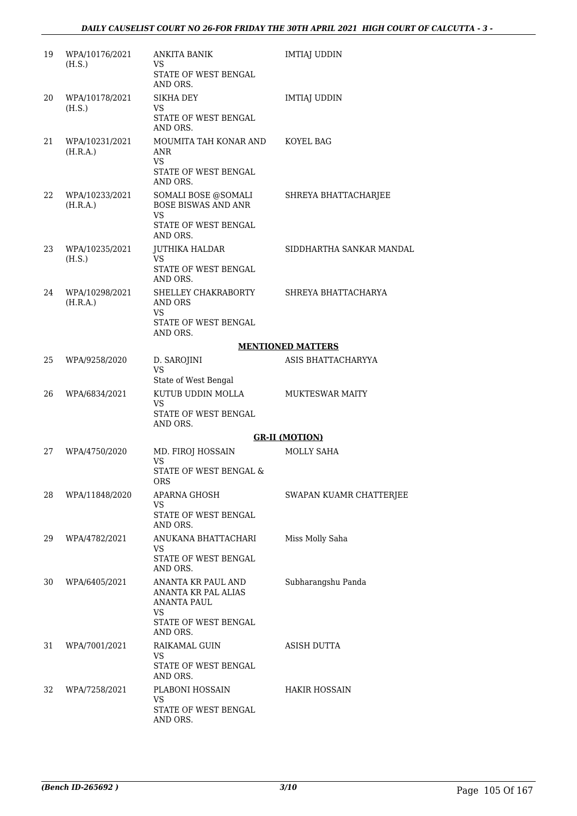| 19 | WPA/10176/2021<br>(H.S.)   | <b>ANKITA BANIK</b><br>VS.                                                   | <b>IMTIAJ UDDIN</b>      |
|----|----------------------------|------------------------------------------------------------------------------|--------------------------|
|    |                            | STATE OF WEST BENGAL<br>AND ORS.                                             |                          |
| 20 | WPA/10178/2021<br>(H.S.)   | <b>SIKHA DEY</b><br>VS.                                                      | <b>IMTIAJ UDDIN</b>      |
|    |                            | STATE OF WEST BENGAL<br>AND ORS.                                             |                          |
| 21 | WPA/10231/2021<br>(H.R.A.) | MOUMITA TAH KONAR AND<br>ANR<br>VS.                                          | KOYEL BAG                |
|    |                            | STATE OF WEST BENGAL<br>AND ORS.                                             |                          |
| 22 | WPA/10233/2021<br>(H.R.A.) | SOMALI BOSE @SOMALI<br><b>BOSE BISWAS AND ANR</b><br>VS                      | SHREYA BHATTACHARJEE     |
|    |                            | STATE OF WEST BENGAL<br>AND ORS.                                             |                          |
| 23 | WPA/10235/2021<br>(H.S.)   | JUTHIKA HALDAR<br>VS.                                                        | SIDDHARTHA SANKAR MANDAL |
|    |                            | STATE OF WEST BENGAL<br>AND ORS.                                             |                          |
| 24 | WPA/10298/2021<br>(H.R.A.) | SHELLEY CHAKRABORTY<br><b>AND ORS</b><br>VS                                  | SHREYA BHATTACHARYA      |
|    |                            | STATE OF WEST BENGAL<br>AND ORS.                                             |                          |
|    |                            |                                                                              | <b>MENTIONED MATTERS</b> |
| 25 | WPA/9258/2020              | D. SAROJINI<br><b>VS</b>                                                     | ASIS BHATTACHARYYA       |
|    |                            | State of West Bengal                                                         |                          |
| 26 | WPA/6834/2021              | KUTUB UDDIN MOLLA<br>VS<br>STATE OF WEST BENGAL                              | <b>MUKTESWAR MAITY</b>   |
|    |                            | AND ORS.                                                                     |                          |
|    |                            |                                                                              | <b>GR-II (MOTION)</b>    |
| 27 | WPA/4750/2020              | MD. FIROJ HOSSAIN<br>VS                                                      | <b>MOLLY SAHA</b>        |
|    |                            | STATE OF WEST BENGAL &<br>ORS                                                |                          |
| 28 | WPA/11848/2020             | APARNA GHOSH<br>VS                                                           | SWAPAN KUAMR CHATTERJEE  |
|    |                            | STATE OF WEST BENGAL<br>AND ORS.                                             |                          |
| 29 | WPA/4782/2021              | ANUKANA BHATTACHARI<br>VS.                                                   | Miss Molly Saha          |
|    |                            | STATE OF WEST BENGAL<br>AND ORS.                                             |                          |
| 30 | WPA/6405/2021              | ANANTA KR PAUL AND<br><b>ANANTA KR PAL ALIAS</b><br><b>ANANTA PAUL</b><br>VS | Subharangshu Panda       |
|    |                            | STATE OF WEST BENGAL<br>AND ORS.                                             |                          |
| 31 | WPA/7001/2021              | RAIKAMAL GUIN<br>VS.                                                         | ASISH DUTTA              |
|    |                            | STATE OF WEST BENGAL<br>AND ORS.                                             |                          |
| 32 | WPA/7258/2021              | PLABONI HOSSAIN<br>VS                                                        | HAKIR HOSSAIN            |
|    |                            | STATE OF WEST BENGAL<br>AND ORS.                                             |                          |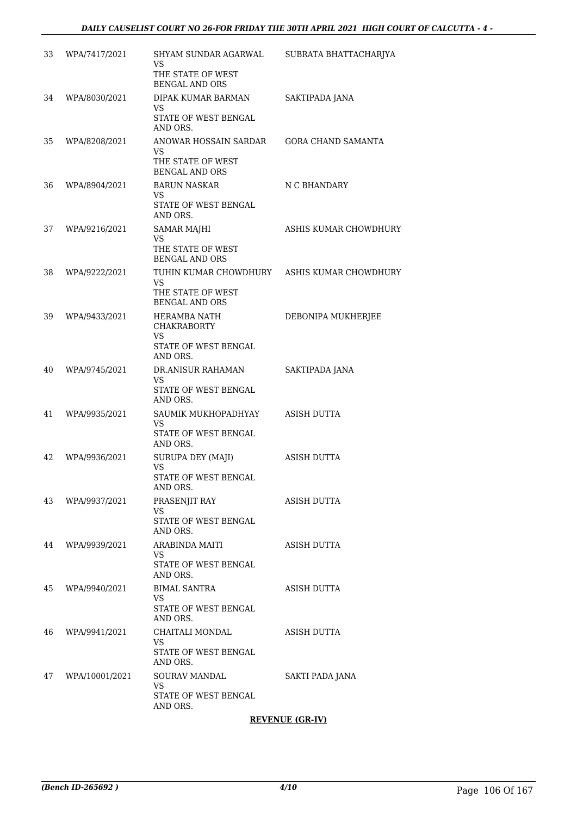| 33<br>WPA/7417/2021  | <b>SHYAM SUNDAR AGARWAL</b><br>VS<br>THE STATE OF WEST<br><b>BENGAL AND ORS</b>                  | SUBRATA BHATTACHARJYA     |
|----------------------|--------------------------------------------------------------------------------------------------|---------------------------|
| 34<br>WPA/8030/2021  | DIPAK KUMAR BARMAN<br>VS<br>STATE OF WEST BENGAL<br>AND ORS.                                     | SAKTIPADA JANA            |
| 35<br>WPA/8208/2021  | ANOWAR HOSSAIN SARDAR<br>VS<br>THE STATE OF WEST<br>BENGAL AND ORS                               | <b>GORA CHAND SAMANTA</b> |
| 36<br>WPA/8904/2021  | <b>BARUN NASKAR</b><br>VS<br>STATE OF WEST BENGAL<br>AND ORS.                                    | N C BHANDARY              |
| 37<br>WPA/9216/2021  | <b>SAMAR MAJHI</b><br>VS<br>THE STATE OF WEST<br><b>BENGAL AND ORS</b>                           | ASHIS KUMAR CHOWDHURY     |
| 38<br>WPA/9222/2021  | TUHIN KUMAR CHOWDHURY ASHIS KUMAR CHOWDHURY<br>VS.<br>THE STATE OF WEST<br><b>BENGAL AND ORS</b> |                           |
| 39<br>WPA/9433/2021  | HERAMBA NATH<br><b>CHAKRABORTY</b><br>VS.<br>STATE OF WEST BENGAL<br>AND ORS.                    | DEBONIPA MUKHERJEE        |
| 40<br>WPA/9745/2021  | DR.ANISUR RAHAMAN<br>VS.<br>STATE OF WEST BENGAL<br>AND ORS.                                     | SAKTIPADA JANA            |
| 41<br>WPA/9935/2021  | SAUMIK MUKHOPADHYAY<br>VS<br>STATE OF WEST BENGAL<br>AND ORS.                                    | ASISH DUTTA               |
| 42<br>WPA/9936/2021  | SURUPA DEY (MAJI)<br>VS<br>STATE OF WEST BENGAL<br>AND ORS.                                      | <b>ASISH DUTTA</b>        |
| 43<br>WPA/9937/2021  | PRASENJIT RAY<br>VS<br>STATE OF WEST BENGAL<br>AND ORS.                                          | ASISH DUTTA               |
| 44<br>WPA/9939/2021  | ARABINDA MAITI<br>VS.<br>STATE OF WEST BENGAL<br>AND ORS.                                        | ASISH DUTTA               |
| 45<br>WPA/9940/2021  | <b>BIMAL SANTRA</b><br>VS<br>STATE OF WEST BENGAL<br>AND ORS.                                    | ASISH DUTTA               |
| 46<br>WPA/9941/2021  | CHAITALI MONDAL<br>VS<br>STATE OF WEST BENGAL<br>AND ORS.                                        | ASISH DUTTA               |
| 47<br>WPA/10001/2021 | <b>SOURAV MANDAL</b><br>VS<br>STATE OF WEST BENGAL<br>AND ORS.                                   | SAKTI PADA JANA           |

#### **REVENUE (GR-IV)**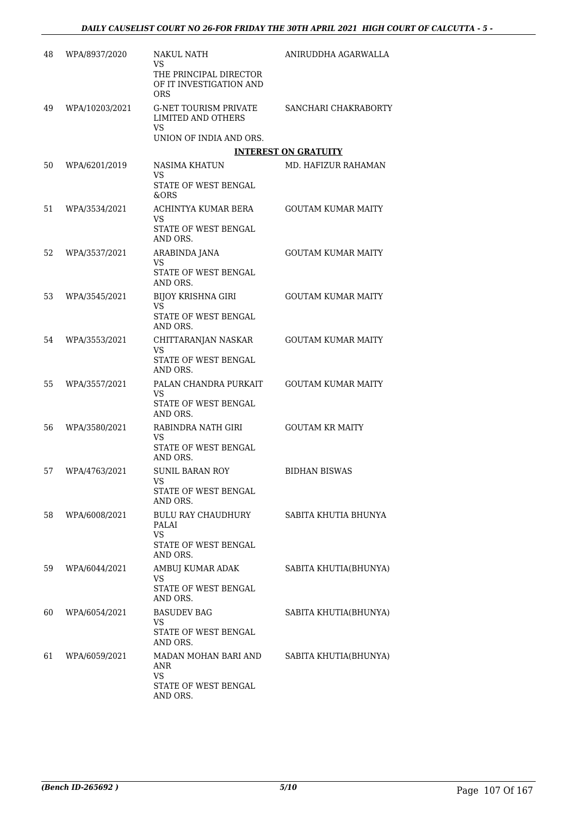| 48 | WPA/8937/2020  | <b>NAKUL NATH</b><br>VS<br>THE PRINCIPAL DIRECTOR<br>OF IT INVESTIGATION AND<br>ORS | ANIRUDDHA AGARWALLA         |
|----|----------------|-------------------------------------------------------------------------------------|-----------------------------|
| 49 | WPA/10203/2021 | <b>G-NET TOURISM PRIVATE</b><br><b>LIMITED AND OTHERS</b><br>VS                     | SANCHARI CHAKRABORTY        |
|    |                | UNION OF INDIA AND ORS.                                                             |                             |
|    |                |                                                                                     | <b>INTEREST ON GRATUITY</b> |
| 50 | WPA/6201/2019  | NASIMA KHATUN<br>VS<br>STATE OF WEST BENGAL                                         | MD. HAFIZUR RAHAMAN         |
|    |                | &ORS                                                                                |                             |
| 51 | WPA/3534/2021  | ACHINTYA KUMAR BERA<br>VS<br>STATE OF WEST BENGAL<br>AND ORS.                       | <b>GOUTAM KUMAR MAITY</b>   |
| 52 | WPA/3537/2021  | ARABINDA JANA<br>VS                                                                 | <b>GOUTAM KUMAR MAITY</b>   |
|    |                | <b>STATE OF WEST BENGAL</b><br>AND ORS.                                             |                             |
| 53 | WPA/3545/2021  | <b>BIJOY KRISHNA GIRI</b>                                                           | <b>GOUTAM KUMAR MAITY</b>   |
|    |                | VS<br>STATE OF WEST BENGAL<br>AND ORS.                                              |                             |
| 54 | WPA/3553/2021  | CHITTARANJAN NASKAR<br><b>VS</b><br>STATE OF WEST BENGAL<br>AND ORS.                | <b>GOUTAM KUMAR MAITY</b>   |
| 55 | WPA/3557/2021  | PALAN CHANDRA PURKAIT<br>VS                                                         | <b>GOUTAM KUMAR MAITY</b>   |
|    |                | STATE OF WEST BENGAL<br>AND ORS.                                                    |                             |
| 56 | WPA/3580/2021  | RABINDRA NATH GIRI<br>VS<br>STATE OF WEST BENGAL<br>AND ORS.                        | <b>GOUTAM KR MAITY</b>      |
| 57 | WPA/4763/2021  | <b>SUNIL BARAN ROY</b><br>VS FOR THE STREET                                         | <b>BIDHAN BISWAS</b>        |
|    |                | STATE OF WEST BENGAL<br>AND ORS.                                                    |                             |
| 58 | WPA/6008/2021  | <b>BULU RAY CHAUDHURY</b><br>PALAI<br><b>VS</b>                                     | SABITA KHUTIA BHUNYA        |
|    |                | STATE OF WEST BENGAL<br>AND ORS.                                                    |                             |
| 59 | WPA/6044/2021  | AMBUJ KUMAR ADAK<br>VS                                                              | SABITA KHUTIA(BHUNYA)       |
|    |                | STATE OF WEST BENGAL<br>AND ORS.                                                    |                             |
| 60 | WPA/6054/2021  | <b>BASUDEV BAG</b><br>VS<br>STATE OF WEST BENGAL                                    | SABITA KHUTIA(BHUNYA)       |
|    |                | AND ORS.                                                                            |                             |
| 61 | WPA/6059/2021  | MADAN MOHAN BARI AND<br>ANR<br>VS                                                   | SABITA KHUTIA(BHUNYA)       |
|    |                | STATE OF WEST BENGAL<br>AND ORS.                                                    |                             |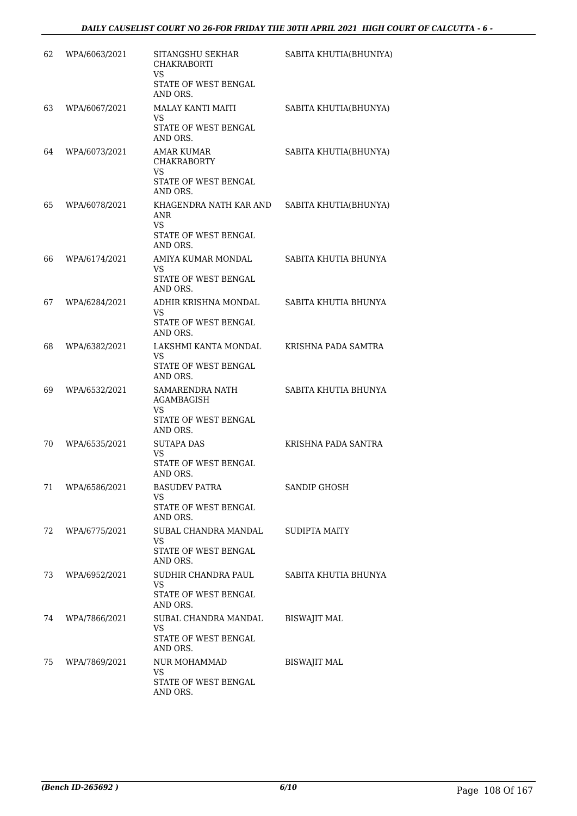| 62 | WPA/6063/2021 | SITANGSHU SEKHAR<br><b>CHAKRABORTI</b>                                         | SABITA KHUTIA(BHUNIYA) |
|----|---------------|--------------------------------------------------------------------------------|------------------------|
|    |               | <b>VS</b><br>STATE OF WEST BENGAL<br>AND ORS.                                  |                        |
| 63 | WPA/6067/2021 | MALAY KANTI MAITI<br>VS<br>STATE OF WEST BENGAL<br>AND ORS.                    | SABITA KHUTIA(BHUNYA)  |
| 64 | WPA/6073/2021 | AMAR KUMAR<br><b>CHAKRABORTY</b><br>VS<br>STATE OF WEST BENGAL<br>AND ORS.     | SABITA KHUTIA(BHUNYA)  |
| 65 | WPA/6078/2021 | KHAGENDRA NATH KAR AND<br>ANR<br><b>VS</b><br>STATE OF WEST BENGAL<br>AND ORS. | SABITA KHUTIA(BHUNYA)  |
| 66 | WPA/6174/2021 | AMIYA KUMAR MONDAL<br>VS<br>STATE OF WEST BENGAL<br>AND ORS.                   | SABITA KHUTIA BHUNYA   |
| 67 | WPA/6284/2021 | ADHIR KRISHNA MONDAL<br>VS<br>STATE OF WEST BENGAL<br>AND ORS.                 | SABITA KHUTIA BHUNYA   |
| 68 | WPA/6382/2021 | LAKSHMI KANTA MONDAL<br>VS<br>STATE OF WEST BENGAL<br>AND ORS.                 | KRISHNA PADA SAMTRA    |
| 69 | WPA/6532/2021 | SAMARENDRA NATH<br>AGAMBAGISH<br>VS<br>STATE OF WEST BENGAL<br>AND ORS.        | SABITA KHUTIA BHUNYA   |
| 70 | WPA/6535/2021 | <b>SUTAPA DAS</b><br>VS<br>STATE OF WEST BENGAL<br>AND ORS.                    | KRISHNA PADA SANTRA    |
| 71 | WPA/6586/2021 | <b>BASUDEV PATRA</b><br>VS<br><b>STATE OF WEST BENGAL</b><br>AND ORS.          | <b>SANDIP GHOSH</b>    |
| 72 | WPA/6775/2021 | SUBAL CHANDRA MANDAL<br>VS<br>STATE OF WEST BENGAL<br>AND ORS.                 | SUDIPTA MAITY          |
| 73 | WPA/6952/2021 | SUDHIR CHANDRA PAUL<br>VS<br>STATE OF WEST BENGAL<br>AND ORS.                  | SABITA KHUTIA BHUNYA   |
| 74 | WPA/7866/2021 | SUBAL CHANDRA MANDAL<br>VS<br>STATE OF WEST BENGAL<br>AND ORS.                 | <b>BISWAJIT MAL</b>    |
| 75 | WPA/7869/2021 | NUR MOHAMMAD<br>VS.<br>STATE OF WEST BENGAL<br>AND ORS.                        | <b>BISWAJIT MAL</b>    |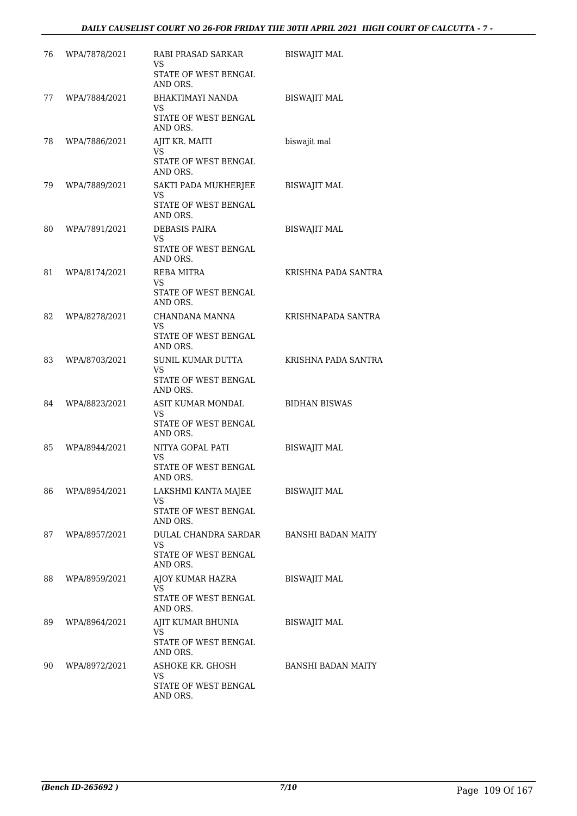| 76 | WPA/7878/2021 | RABI PRASAD SARKAR<br>VS.<br>STATE OF WEST BENGAL<br>AND ORS.         | <b>BISWAJIT MAL</b>       |
|----|---------------|-----------------------------------------------------------------------|---------------------------|
| 77 | WPA/7884/2021 | BHAKTIMAYI NANDA<br>VS<br><b>STATE OF WEST BENGAL</b><br>AND ORS.     | <b>BISWAJIT MAL</b>       |
| 78 | WPA/7886/2021 | AJIT KR. MAITI<br>VS.<br><b>STATE OF WEST BENGAL</b><br>AND ORS.      | biswajit mal              |
| 79 | WPA/7889/2021 | SAKTI PADA MUKHERJEE<br>VS.<br>STATE OF WEST BENGAL<br>AND ORS.       | <b>BISWAJIT MAL</b>       |
| 80 | WPA/7891/2021 | <b>DEBASIS PAIRA</b><br>VS.<br>STATE OF WEST BENGAL<br>AND ORS.       | <b>BISWAJIT MAL</b>       |
| 81 | WPA/8174/2021 | REBA MITRA<br>VS.<br>STATE OF WEST BENGAL<br>AND ORS.                 | KRISHNA PADA SANTRA       |
| 82 | WPA/8278/2021 | CHANDANA MANNA<br>VS.<br>STATE OF WEST BENGAL<br>AND ORS.             | KRISHNAPADA SANTRA        |
| 83 | WPA/8703/2021 | SUNIL KUMAR DUTTA<br>VS.<br>STATE OF WEST BENGAL<br>AND ORS.          | KRISHNA PADA SANTRA       |
| 84 | WPA/8823/2021 | ASIT KUMAR MONDAL<br>VS<br>STATE OF WEST BENGAL<br>AND ORS.           | <b>BIDHAN BISWAS</b>      |
| 85 | WPA/8944/2021 | NITYA GOPAL PATI<br>VS.<br><b>STATE OF WEST BENGAL</b><br>AND ORS.    | <b>BISWAJIT MAL</b>       |
| 86 | WPA/8954/2021 | LAKSHMI KANTA MAJEE<br>VS<br>STATE OF WEST BENGAL<br>AND ORS.         | <b>BISWAJIT MAL</b>       |
| 87 | WPA/8957/2021 | DULAL CHANDRA SARDAR<br><b>VS</b><br>STATE OF WEST BENGAL<br>AND ORS. | <b>BANSHI BADAN MAITY</b> |
| 88 | WPA/8959/2021 | AJOY KUMAR HAZRA<br>VS.<br>STATE OF WEST BENGAL<br>AND ORS.           | <b>BISWAJIT MAL</b>       |
| 89 | WPA/8964/2021 | AJIT KUMAR BHUNIA<br>VS<br>STATE OF WEST BENGAL<br>AND ORS.           | <b>BISWAJIT MAL</b>       |
| 90 | WPA/8972/2021 | ASHOKE KR. GHOSH<br>VS<br>STATE OF WEST BENGAL<br>AND ORS.            | BANSHI BADAN MAITY        |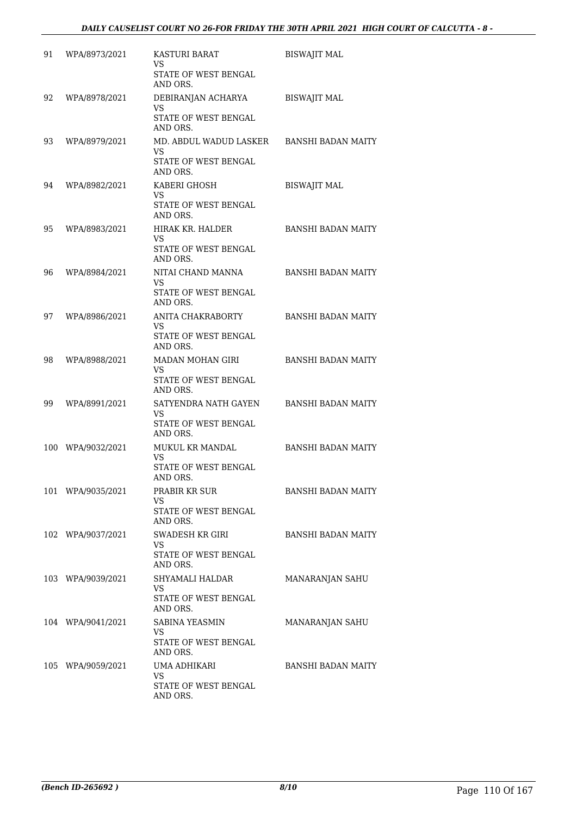| 91  | WPA/8973/2021     | <b>KASTURI BARAT</b><br>VS<br>STATE OF WEST BENGAL<br>AND ORS.      | <b>BISWAJIT MAL</b>       |
|-----|-------------------|---------------------------------------------------------------------|---------------------------|
| 92  | WPA/8978/2021     | DEBIRANJAN ACHARYA<br><b>VS</b><br>STATE OF WEST BENGAL<br>AND ORS. | <b>BISWAJIT MAL</b>       |
| 93  | WPA/8979/2021     | MD. ABDUL WADUD LASKER<br>VS<br>STATE OF WEST BENGAL<br>AND ORS.    | <b>BANSHI BADAN MAITY</b> |
| 94  | WPA/8982/2021     | KABERI GHOSH<br>VS<br>STATE OF WEST BENGAL<br>AND ORS.              | <b>BISWAJIT MAL</b>       |
| 95  | WPA/8983/2021     | HIRAK KR. HALDER<br>VS<br>STATE OF WEST BENGAL<br>AND ORS.          | <b>BANSHI BADAN MAITY</b> |
| 96  | WPA/8984/2021     | NITAI CHAND MANNA<br>VS<br><b>STATE OF WEST BENGAL</b><br>AND ORS.  | <b>BANSHI BADAN MAITY</b> |
| 97  | WPA/8986/2021     | ANITA CHAKRABORTY<br>VS<br>STATE OF WEST BENGAL<br>AND ORS.         | <b>BANSHI BADAN MAITY</b> |
| 98  | WPA/8988/2021     | MADAN MOHAN GIRI<br>VS<br>STATE OF WEST BENGAL<br>AND ORS.          | <b>BANSHI BADAN MAITY</b> |
| 99  | WPA/8991/2021     | SATYENDRA NATH GAYEN<br>VS<br>STATE OF WEST BENGAL<br>AND ORS.      | <b>BANSHI BADAN MAITY</b> |
| 100 | WPA/9032/2021     | <b>MUKUL KR MANDAL</b><br>VS<br>STATE OF WEST BENGAL<br>AND ORS.    | <b>BANSHI BADAN MAITY</b> |
|     | 101 WPA/9035/2021 | PRABIR KR SUR<br>VS<br>STATE OF WEST BENGAL<br>AND ORS.             | BANSHI BADAN MAITY        |
|     | 102 WPA/9037/2021 | SWADESH KR GIRI<br>VS.<br>STATE OF WEST BENGAL<br>AND ORS.          | BANSHI BADAN MAITY        |
|     | 103 WPA/9039/2021 | SHYAMALI HALDAR<br>VS<br>STATE OF WEST BENGAL<br>AND ORS.           | <b>MANARANJAN SAHU</b>    |
|     | 104 WPA/9041/2021 | SABINA YEASMIN<br>VS.<br>STATE OF WEST BENGAL<br>AND ORS.           | MANARANJAN SAHU           |
|     | 105 WPA/9059/2021 | UMA ADHIKARI<br>VS<br>STATE OF WEST BENGAL<br>AND ORS.              | BANSHI BADAN MAITY        |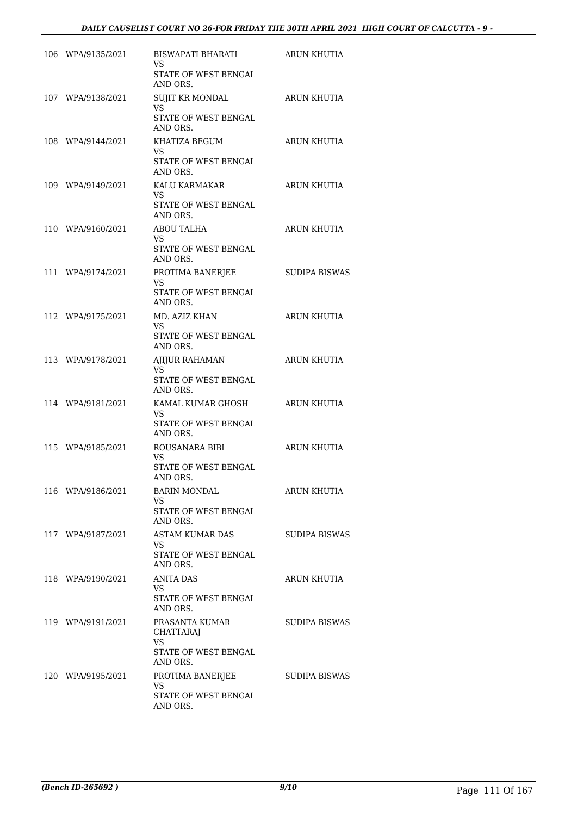| 106 WPA/9135/2021 | BISWAPATI BHARATI<br>VS.<br>STATE OF WEST BENGAL<br>AND ORS.           | <b>ARUN KHUTIA</b>   |
|-------------------|------------------------------------------------------------------------|----------------------|
| 107 WPA/9138/2021 | SUJIT KR MONDAL<br>VS.<br>STATE OF WEST BENGAL<br>AND ORS.             | ARUN KHUTIA          |
| 108 WPA/9144/2021 | KHATIZA BEGUM<br>VS.<br>STATE OF WEST BENGAL<br>AND ORS.               | ARUN KHUTIA          |
| 109 WPA/9149/2021 | KALU KARMAKAR<br>VS.<br>STATE OF WEST BENGAL<br>AND ORS.               | <b>ARUN KHUTIA</b>   |
| 110 WPA/9160/2021 | <b>ABOU TALHA</b><br>VS.<br>STATE OF WEST BENGAL<br>AND ORS.           | ARUN KHUTIA          |
| 111 WPA/9174/2021 | PROTIMA BANERJEE<br>VS<br>STATE OF WEST BENGAL<br>AND ORS.             | <b>SUDIPA BISWAS</b> |
| 112 WPA/9175/2021 | MD. AZIZ KHAN<br>VS.<br>STATE OF WEST BENGAL<br>AND ORS.               | <b>ARUN KHUTIA</b>   |
| 113 WPA/9178/2021 | AJIJUR RAHAMAN<br>VS.<br>STATE OF WEST BENGAL<br>AND ORS.              | ARUN KHUTIA          |
| 114 WPA/9181/2021 | KAMAL KUMAR GHOSH<br>VS<br>STATE OF WEST BENGAL<br>AND ORS.            | <b>ARUN KHUTIA</b>   |
| 115 WPA/9185/2021 | ROUSANARA BIBI<br>VS.<br>STATE OF WEST BENGAL<br>AND ORS.              | <b>ARUN KHUTIA</b>   |
| 116 WPA/9186/2021 | <b>BARIN MONDAL</b><br>VS<br>STATE OF WEST BENGAL<br>AND ORS.          | <b>ARUN KHUTIA</b>   |
| 117 WPA/9187/2021 | ASTAM KUMAR DAS<br>VS<br>STATE OF WEST BENGAL<br>AND ORS.              | SUDIPA BISWAS        |
| 118 WPA/9190/2021 | ANITA DAS<br>VS<br>STATE OF WEST BENGAL<br>AND ORS.                    | ARUN KHUTIA          |
| 119 WPA/9191/2021 | PRASANTA KUMAR<br><b>CHATTARAJ</b><br>VS.<br>STATE OF WEST BENGAL      | SUDIPA BISWAS        |
| 120 WPA/9195/2021 | AND ORS.<br>PROTIMA BANERJEE<br>VS<br>STATE OF WEST BENGAL<br>AND ORS. | SUDIPA BISWAS        |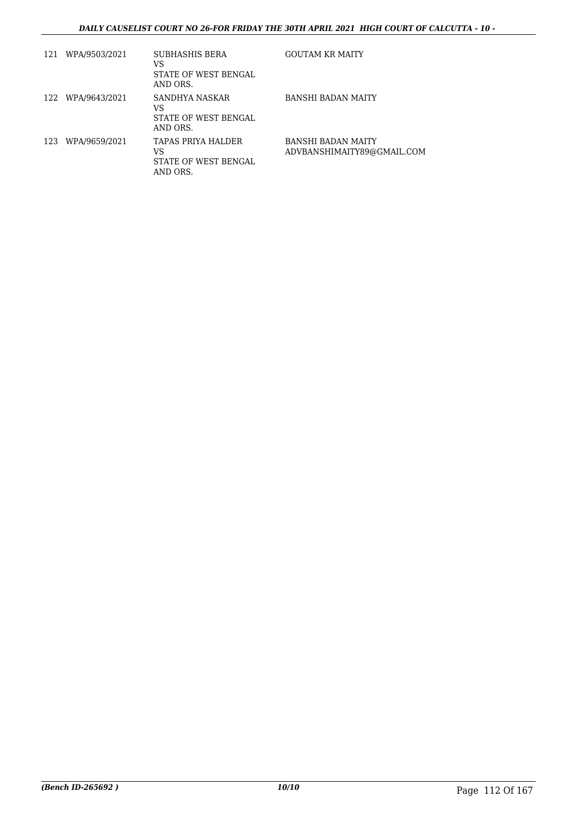| 121 | WPA/9503/2021     | SUBHASHIS BERA<br>VS<br>STATE OF WEST BENGAL<br>AND ORS.     | <b>GOUTAM KR MAITY</b>                                  |
|-----|-------------------|--------------------------------------------------------------|---------------------------------------------------------|
|     | 122 WPA/9643/2021 | SANDHYA NASKAR<br>VS<br>STATE OF WEST BENGAL<br>AND ORS.     | <b>BANSHI BADAN MAITY</b>                               |
|     | 123 WPA/9659/2021 | TAPAS PRIYA HALDER<br>VS<br>STATE OF WEST BENGAL<br>AND ORS. | <b>BANSHI BADAN MAITY</b><br>ADVBANSHIMAITY89@GMAIL.COM |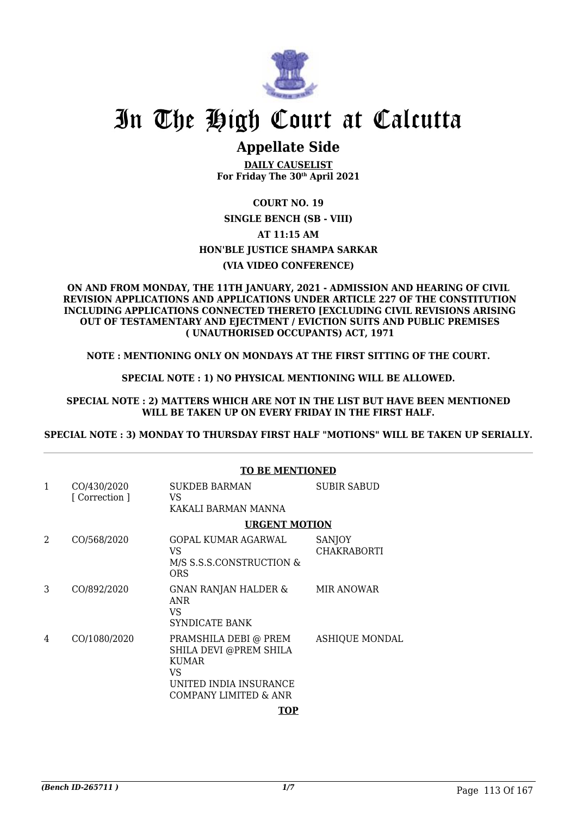

### **Appellate Side**

**DAILY CAUSELIST For Friday The 30th April 2021**

### **COURT NO. 19**

**SINGLE BENCH (SB - VIII) AT 11:15 AM HON'BLE JUSTICE SHAMPA SARKAR (VIA VIDEO CONFERENCE)**

#### **ON AND FROM MONDAY, THE 11TH JANUARY, 2021 - ADMISSION AND HEARING OF CIVIL REVISION APPLICATIONS AND APPLICATIONS UNDER ARTICLE 227 OF THE CONSTITUTION INCLUDING APPLICATIONS CONNECTED THERETO [EXCLUDING CIVIL REVISIONS ARISING OUT OF TESTAMENTARY AND EJECTMENT / EVICTION SUITS AND PUBLIC PREMISES ( UNAUTHORISED OCCUPANTS) ACT, 1971**

**NOTE : MENTIONING ONLY ON MONDAYS AT THE FIRST SITTING OF THE COURT.**

**SPECIAL NOTE : 1) NO PHYSICAL MENTIONING WILL BE ALLOWED.**

**SPECIAL NOTE : 2) MATTERS WHICH ARE NOT IN THE LIST BUT HAVE BEEN MENTIONED WILL BE TAKEN UP ON EVERY FRIDAY IN THE FIRST HALF.**

**SPECIAL NOTE : 3) MONDAY TO THURSDAY FIRST HALF "MOTIONS" WILL BE TAKEN UP SERIALLY.**

|                |                               | <b>TO BE MENTIONED</b>                                                                                                    |                              |  |
|----------------|-------------------------------|---------------------------------------------------------------------------------------------------------------------------|------------------------------|--|
| $\mathbf{1}$   | CO/430/2020<br>[ Correction ] | <b>SUKDEB BARMAN</b><br>VS.<br>KAKALI BARMAN MANNA                                                                        | <b>SUBIR SABUD</b>           |  |
|                |                               | <b>URGENT MOTION</b>                                                                                                      |                              |  |
| $\mathfrak{D}$ | CO/568/2020                   | GOPAL KUMAR AGARWAL<br>VS<br>M/S S.S.S.CONSTRUCTION &<br><b>ORS</b>                                                       | SANJOY<br><b>CHAKRABORTI</b> |  |
| 3              | CO/892/2020                   | GNAN RANJAN HALDER &<br>ANR<br>VS<br>SYNDICATE BANK                                                                       | <b>MIR ANOWAR</b>            |  |
| 4              | CO/1080/2020                  | PRAMSHILA DEBI @ PREM<br>SHILA DEVI @PREM SHILA<br><b>KUMAR</b><br>VS.<br>UNITED INDIA INSURANCE<br>COMPANY LIMITED & ANR | <b>ASHIQUE MONDAL</b>        |  |
|                |                               | TOP                                                                                                                       |                              |  |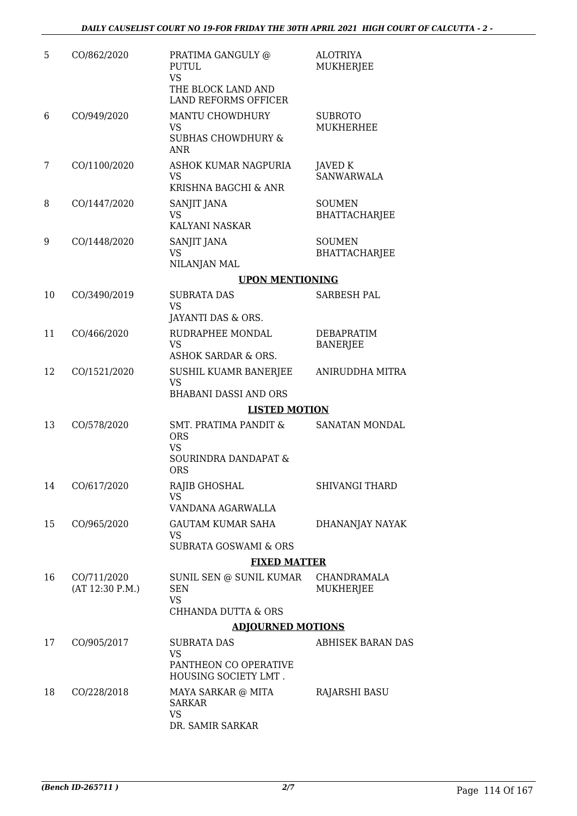| 5  | CO/862/2020                    | PRATIMA GANGULY @<br>PUTUL<br><b>VS</b><br>THE BLOCK LAND AND<br><b>LAND REFORMS OFFICER</b> | <b>ALOTRIYA</b><br>MUKHERJEE          |  |  |
|----|--------------------------------|----------------------------------------------------------------------------------------------|---------------------------------------|--|--|
| 6  | CO/949/2020                    | MANTU CHOWDHURY<br><b>VS</b><br><b>SUBHAS CHOWDHURY &amp;</b><br><b>ANR</b>                  | <b>SUBROTO</b><br><b>MUKHERHEE</b>    |  |  |
| 7  | CO/1100/2020                   | ASHOK KUMAR NAGPURIA<br>VS<br>KRISHNA BAGCHI & ANR                                           | <b>JAVED K</b><br><b>SANWARWALA</b>   |  |  |
| 8  | CO/1447/2020                   | SANJIT JANA<br>VS<br>KALYANI NASKAR                                                          | <b>SOUMEN</b><br><b>BHATTACHARJEE</b> |  |  |
| 9  | CO/1448/2020                   | SANJIT JANA<br><b>VS</b><br>NILANJAN MAL                                                     | <b>SOUMEN</b><br><b>BHATTACHARJEE</b> |  |  |
|    |                                | <b>UPON MENTIONING</b>                                                                       |                                       |  |  |
| 10 | CO/3490/2019                   | <b>SUBRATA DAS</b><br><b>VS</b>                                                              | SARBESH PAL                           |  |  |
|    |                                | JAYANTI DAS & ORS.                                                                           |                                       |  |  |
| 11 | CO/466/2020                    | RUDRAPHEE MONDAL<br><b>VS</b><br><b>ASHOK SARDAR &amp; ORS.</b>                              | <b>DEBAPRATIM</b><br><b>BANERJEE</b>  |  |  |
| 12 | CO/1521/2020                   | SUSHIL KUAMR BANERJEE<br><b>VS</b><br><b>BHABANI DASSI AND ORS</b>                           | ANIRUDDHA MITRA                       |  |  |
|    |                                | <b>LISTED MOTION</b>                                                                         |                                       |  |  |
| 13 | CO/578/2020                    | <b>SMT. PRATIMA PANDIT &amp;</b><br><b>ORS</b>                                               | SANATAN MONDAL                        |  |  |
|    |                                | <b>VS</b><br>SOURINDRA DANDAPAT &<br><b>ORS</b>                                              |                                       |  |  |
| 14 | CO/617/2020                    | RAJIB GHOSHAL<br>VS                                                                          | <b>SHIVANGI THARD</b>                 |  |  |
| 15 | CO/965/2020                    | VANDANA AGARWALLA<br><b>GAUTAM KUMAR SAHA</b><br>VS                                          | DHANANJAY NAYAK                       |  |  |
|    |                                | <b>SUBRATA GOSWAMI &amp; ORS</b>                                                             |                                       |  |  |
|    |                                | <b>FIXED MATTER</b>                                                                          |                                       |  |  |
| 16 | CO/711/2020<br>(AT 12:30 P.M.) | SUNIL SEN @ SUNIL KUMAR<br><b>SEN</b><br><b>VS</b>                                           | CHANDRAMALA<br>MUKHERJEE              |  |  |
|    |                                | <b>CHHANDA DUTTA &amp; ORS</b>                                                               |                                       |  |  |
|    |                                | <b>ADJOURNED MOTIONS</b>                                                                     |                                       |  |  |
| 17 | CO/905/2017                    | <b>SUBRATA DAS</b><br><b>VS</b><br>PANTHEON CO OPERATIVE<br>HOUSING SOCIETY LMT.             | <b>ABHISEK BARAN DAS</b>              |  |  |
| 18 | CO/228/2018                    | MAYA SARKAR @ MITA<br>SARKAR<br><b>VS</b><br>DR. SAMIR SARKAR                                | RAJARSHI BASU                         |  |  |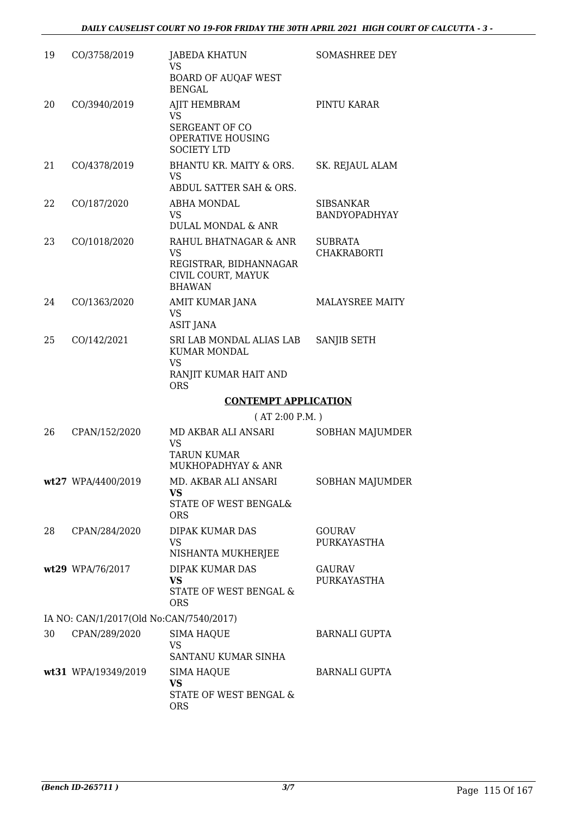| 19 | CO/3758/2019                            | <b>JABEDA KHATUN</b><br><b>VS</b><br><b>BOARD OF AUQAF WEST</b><br><b>BENGAL</b>              | <b>SOMASHREE DEY</b>              |
|----|-----------------------------------------|-----------------------------------------------------------------------------------------------|-----------------------------------|
| 20 | CO/3940/2019                            | AJIT HEMBRAM<br>VS.<br>SERGEANT OF CO<br>OPERATIVE HOUSING<br><b>SOCIETY LTD</b>              | PINTU KARAR                       |
| 21 | CO/4378/2019                            | BHANTU KR. MAITY & ORS.<br>VS.<br>ABDUL SATTER SAH & ORS.                                     | SK. REJAUL ALAM                   |
| 22 | CO/187/2020                             | ABHA MONDAL<br>VS.<br><b>DULAL MONDAL &amp; ANR</b>                                           | SIBSANKAR<br><b>BANDYOPADHYAY</b> |
| 23 | CO/1018/2020                            | RAHUL BHATNAGAR & ANR<br>VS.<br>REGISTRAR, BIDHANNAGAR<br>CIVIL COURT, MAYUK<br><b>BHAWAN</b> | SUBRATA<br><b>CHAKRABORTI</b>     |
| 24 | CO/1363/2020                            | AMIT KUMAR JANA<br>VS<br><b>ASIT JANA</b>                                                     | MALAYSREE MAITY                   |
| 25 | CO/142/2021                             | SRI LAB MONDAL ALIAS LAB<br><b>KUMAR MONDAL</b><br>VS.<br>RANJIT KUMAR HAIT AND<br><b>ORS</b> | SANJIB SETH                       |
|    |                                         | <b>CONTEMPT APPLICATION</b>                                                                   |                                   |
|    |                                         | (AT 2:00 P.M.)                                                                                |                                   |
| 26 | CPAN/152/2020                           | MD AKBAR ALI ANSARI<br><b>VS</b><br><b>TARUN KUMAR</b><br>MUKHOPADHYAY & ANR                  | <b>SOBHAN MAJUMDER</b>            |
|    | wt27 WPA/4400/2019                      | MD. AKBAR ALI ANSARI<br>VS.<br>STATE OF WEST BENGAL&<br><b>ORS</b>                            | <b>SOBHAN MAJUMDER</b>            |
| 28 | CPAN/284/2020                           | DIPAK KUMAR DAS<br>VS<br>NISHANTA MUKHERJEE                                                   | <b>GOURAV</b><br>PURKAYASTHA      |
|    | wt29 WPA/76/2017                        | <b>DIPAK KUMAR DAS</b><br><b>VS</b><br>STATE OF WEST BENGAL &<br><b>ORS</b>                   | <b>GAURAV</b><br>PURKAYASTHA      |
|    | IA NO: CAN/1/2017(Old No:CAN/7540/2017) |                                                                                               |                                   |
| 30 | CPAN/289/2020                           | <b>SIMA HAQUE</b><br><b>VS</b><br>SANTANU KUMAR SINHA                                         | <b>BARNALI GUPTA</b>              |
|    | wt31 WPA/19349/2019                     | <b>SIMA HAQUE</b><br><b>VS</b><br>STATE OF WEST BENGAL &<br><b>ORS</b>                        | <b>BARNALI GUPTA</b>              |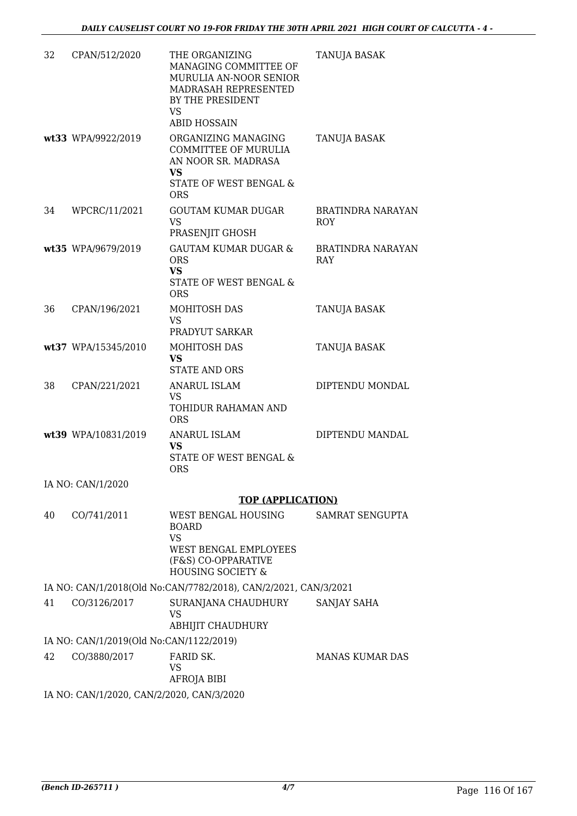| 32 | CPAN/512/2020                             | THE ORGANIZING<br>MANAGING COMMITTEE OF<br>MURULIA AN-NOOR SENIOR<br>MADRASAH REPRESENTED<br>BY THE PRESIDENT<br>VS<br><b>ABID HOSSAIN</b> | TANUJA BASAK                           |
|----|-------------------------------------------|--------------------------------------------------------------------------------------------------------------------------------------------|----------------------------------------|
|    | wt33 WPA/9922/2019                        | ORGANIZING MANAGING<br><b>COMMITTEE OF MURULIA</b><br>AN NOOR SR. MADRASA<br>VS.<br>STATE OF WEST BENGAL &<br><b>ORS</b>                   | TANUJA BASAK                           |
| 34 | WPCRC/11/2021                             | <b>GOUTAM KUMAR DUGAR</b><br>VS<br>PRASENJIT GHOSH                                                                                         | <b>BRATINDRA NARAYAN</b><br><b>ROY</b> |
|    | wt35 WPA/9679/2019                        | <b>GAUTAM KUMAR DUGAR &amp;</b><br><b>ORS</b><br><b>VS</b><br>STATE OF WEST BENGAL &<br><b>ORS</b>                                         | <b>BRATINDRA NARAYAN</b><br><b>RAY</b> |
| 36 | CPAN/196/2021                             | <b>MOHITOSH DAS</b><br>VS<br>PRADYUT SARKAR                                                                                                | TANUJA BASAK                           |
|    | wt37 WPA/15345/2010                       | <b>MOHITOSH DAS</b><br><b>VS</b><br><b>STATE AND ORS</b>                                                                                   | TANUJA BASAK                           |
| 38 | CPAN/221/2021                             | <b>ANARUL ISLAM</b><br>VS<br>TOHIDUR RAHAMAN AND<br><b>ORS</b>                                                                             | DIPTENDU MONDAL                        |
|    | wt39 WPA/10831/2019                       | <b>ANARUL ISLAM</b><br><b>VS</b><br>STATE OF WEST BENGAL &<br><b>ORS</b>                                                                   | DIPTENDU MANDAL                        |
|    | IA NO: CAN/1/2020                         |                                                                                                                                            |                                        |
|    |                                           | <b>TOP (APPLICATION)</b>                                                                                                                   |                                        |
| 40 | CO/741/2011                               | WEST BENGAL HOUSING<br><b>BOARD</b><br><b>VS</b>                                                                                           | SAMRAT SENGUPTA                        |
|    |                                           | <b>WEST BENGAL EMPLOYEES</b><br>(F&S) CO-OPPARATIVE<br><b>HOUSING SOCIETY &amp;</b>                                                        |                                        |
|    |                                           | IA NO: CAN/1/2018(Old No:CAN/7782/2018), CAN/2/2021, CAN/3/2021                                                                            |                                        |
| 41 | CO/3126/2017                              | SURANJANA CHAUDHURY<br><b>VS</b><br>ABHIJIT CHAUDHURY                                                                                      | SANJAY SAHA                            |
|    | IA NO: CAN/1/2019(Old No:CAN/1122/2019)   |                                                                                                                                            |                                        |
| 42 | CO/3880/2017                              | FARID SK.                                                                                                                                  | <b>MANAS KUMAR DAS</b>                 |
|    |                                           | VS<br>AFROJA BIBI                                                                                                                          |                                        |
|    | IA NO: CAN/1/2020, CAN/2/2020, CAN/3/2020 |                                                                                                                                            |                                        |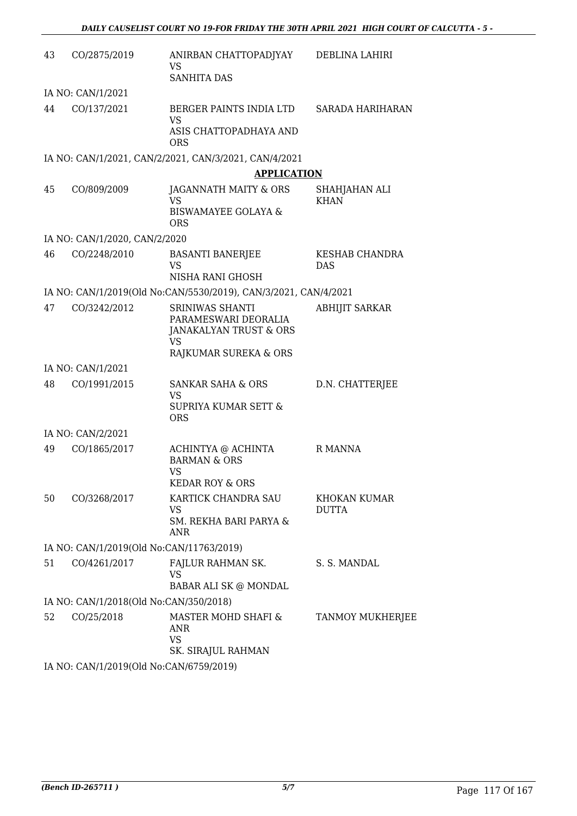| 43 | CO/2875/2019                             | ANIRBAN CHATTOPADJYAY<br>VS<br><b>SANHITA DAS</b>                                                       | DEBLINA LAHIRI               |
|----|------------------------------------------|---------------------------------------------------------------------------------------------------------|------------------------------|
|    | IA NO: CAN/1/2021                        |                                                                                                         |                              |
| 44 | CO/137/2021                              | BERGER PAINTS INDIA LTD<br>VS                                                                           | SARADA HARIHARAN             |
|    |                                          | ASIS CHATTOPADHAYA AND<br><b>ORS</b>                                                                    |                              |
|    |                                          | IA NO: CAN/1/2021, CAN/2/2021, CAN/3/2021, CAN/4/2021                                                   |                              |
|    |                                          | <b>APPLICATION</b>                                                                                      |                              |
| 45 | CO/809/2009                              | JAGANNATH MAITY & ORS<br>VS<br><b>BISWAMAYEE GOLAYA &amp;</b><br><b>ORS</b>                             | SHAHJAHAN ALI<br><b>KHAN</b> |
|    | IA NO: CAN/1/2020, CAN/2/2020            |                                                                                                         |                              |
| 46 | CO/2248/2010                             | <b>BASANTI BANERJEE</b><br>VS<br>NISHA RANI GHOSH                                                       | KESHAB CHANDRA<br><b>DAS</b> |
|    |                                          | IA NO: CAN/1/2019(Old No:CAN/5530/2019), CAN/3/2021, CAN/4/2021                                         |                              |
| 47 | CO/3242/2012                             | SRINIWAS SHANTI<br>PARAMESWARI DEORALIA<br>JANAKALYAN TRUST & ORS<br><b>VS</b><br>RAJKUMAR SUREKA & ORS | <b>ABHIJIT SARKAR</b>        |
|    | IA NO: CAN/1/2021                        |                                                                                                         |                              |
| 48 | CO/1991/2015                             | <b>SANKAR SAHA &amp; ORS</b><br><b>VS</b><br>SUPRIYA KUMAR SETT &<br><b>ORS</b>                         | D.N. CHATTERJEE              |
|    | IA NO: CAN/2/2021                        |                                                                                                         |                              |
| 49 | CO/1865/2017                             | ACHINTYA @ ACHINTA<br><b>BARMAN &amp; ORS</b><br>VS<br><b>KEDAR ROY &amp; ORS</b>                       | R MANNA                      |
| 50 | CO/3268/2017                             | KARTICK CHANDRA SAU<br>VS<br>SM. REKHA BARI PARYA &<br><b>ANR</b>                                       | KHOKAN KUMAR<br><b>DUTTA</b> |
|    | IA NO: CAN/1/2019(Old No:CAN/11763/2019) |                                                                                                         |                              |
| 51 | CO/4261/2017                             | <b>FAJLUR RAHMAN SK.</b><br><b>VS</b><br>BABAR ALI SK @ MONDAL                                          | S. S. MANDAL                 |
|    | IA NO: CAN/1/2018(Old No:CAN/350/2018)   |                                                                                                         |                              |
| 52 | CO/25/2018                               | MASTER MOHD SHAFI &<br>ANR<br><b>VS</b><br>SK. SIRAJUL RAHMAN                                           | TANMOY MUKHERJEE             |
|    | IA NO: CAN/1/2019(Old No:CAN/6759/2019)  |                                                                                                         |                              |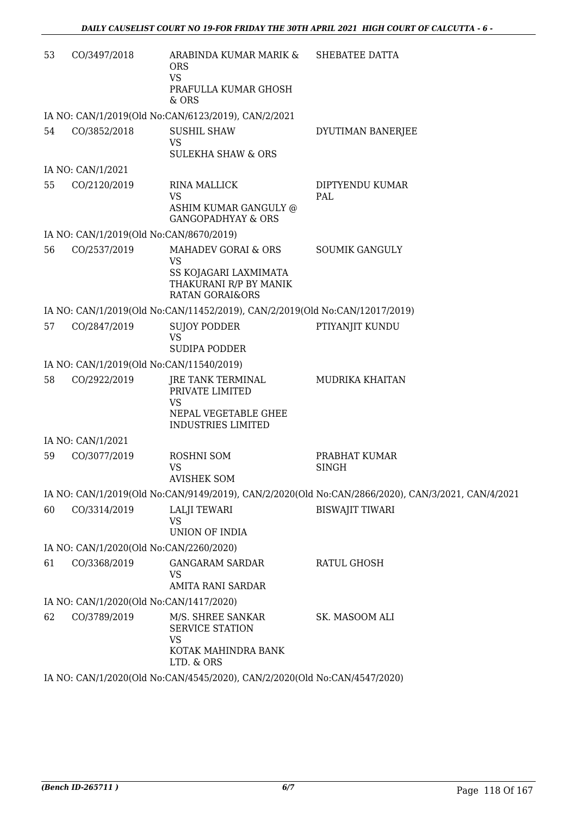| 53 | CO/3497/2018                            | ARABINDA KUMAR MARIK & SHEBATEE DATTA<br><b>ORS</b><br><b>VS</b>                           |                                                                                                   |
|----|-----------------------------------------|--------------------------------------------------------------------------------------------|---------------------------------------------------------------------------------------------------|
|    |                                         | PRAFULLA KUMAR GHOSH<br>& ORS                                                              |                                                                                                   |
|    |                                         | IA NO: CAN/1/2019(Old No:CAN/6123/2019), CAN/2/2021                                        |                                                                                                   |
| 54 | CO/3852/2018                            | <b>SUSHIL SHAW</b><br><b>VS</b><br><b>SULEKHA SHAW &amp; ORS</b>                           | DYUTIMAN BANERJEE                                                                                 |
|    | IA NO: CAN/1/2021                       |                                                                                            |                                                                                                   |
| 55 | CO/2120/2019                            | <b>RINA MALLICK</b><br><b>VS</b><br>ASHIM KUMAR GANGULY @<br><b>GANGOPADHYAY &amp; ORS</b> | DIPTYENDU KUMAR<br>PAL                                                                            |
|    | IA NO: CAN/1/2019(Old No:CAN/8670/2019) |                                                                                            |                                                                                                   |
| 56 | CO/2537/2019                            | MAHADEV GORAI & ORS<br><b>VS</b>                                                           | <b>SOUMIK GANGULY</b>                                                                             |
|    |                                         | SS KOJAGARI LAXMIMATA<br>THAKURANI R/P BY MANIK<br><b>RATAN GORAI&amp;ORS</b>              |                                                                                                   |
|    |                                         | IA NO: CAN/1/2019(Old No:CAN/11452/2019), CAN/2/2019(Old No:CAN/12017/2019)                |                                                                                                   |
| 57 | CO/2847/2019                            | <b>SUJOY PODDER</b><br><b>VS</b><br>SUDIPA PODDER                                          | PTIYANJIT KUNDU                                                                                   |
|    |                                         | IA NO: CAN/1/2019(Old No:CAN/11540/2019)                                                   |                                                                                                   |
| 58 | CO/2922/2019                            | JRE TANK TERMINAL                                                                          | MUDRIKA KHAITAN                                                                                   |
|    |                                         | PRIVATE LIMITED<br><b>VS</b><br>NEPAL VEGETABLE GHEE                                       |                                                                                                   |
|    |                                         | <b>INDUSTRIES LIMITED</b>                                                                  |                                                                                                   |
|    | IA NO: CAN/1/2021                       |                                                                                            |                                                                                                   |
| 59 | CO/3077/2019                            | ROSHNI SOM<br><b>VS</b><br>AVISHEK SOM                                                     | PRABHAT KUMAR<br><b>SINGH</b>                                                                     |
|    |                                         |                                                                                            | IA NO: CAN/1/2019(Old No:CAN/9149/2019), CAN/2/2020(Old No:CAN/2866/2020), CAN/3/2021, CAN/4/2021 |
| 60 | CO/3314/2019                            | <b>LALJI TEWARI</b><br><b>VS</b>                                                           | <b>BISWAJIT TIWARI</b>                                                                            |
|    |                                         | UNION OF INDIA                                                                             |                                                                                                   |
|    | IA NO: CAN/1/2020(Old No:CAN/2260/2020) |                                                                                            |                                                                                                   |
| 61 | CO/3368/2019                            | <b>GANGARAM SARDAR</b><br>VS<br>AMITA RANI SARDAR                                          | <b>RATUL GHOSH</b>                                                                                |
|    | IA NO: CAN/1/2020(Old No:CAN/1417/2020) |                                                                                            |                                                                                                   |
| 62 | CO/3789/2019                            | M/S. SHREE SANKAR<br>SERVICE STATION<br><b>VS</b><br>KOTAK MAHINDRA BANK<br>LTD. & ORS     | SK. MASOOM ALI                                                                                    |
|    |                                         | IA NO: CAN/1/2020(Old No:CAN/4545/2020), CAN/2/2020(Old No:CAN/4547/2020)                  |                                                                                                   |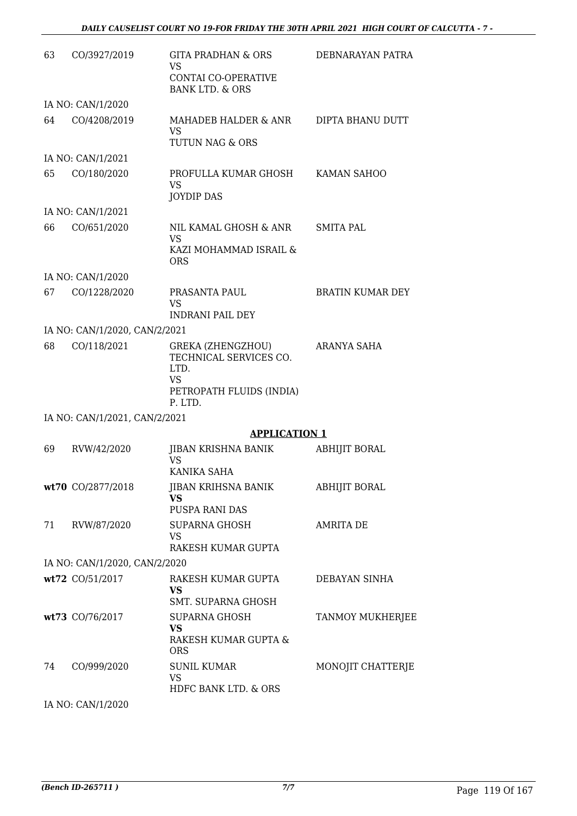| 63 | CO/3927/2019                  | <b>GITA PRADHAN &amp; ORS</b><br>VS<br><b>CONTAI CO-OPERATIVE</b><br><b>BANK LTD. &amp; ORS</b>  | DEBNARAYAN PATRA        |
|----|-------------------------------|--------------------------------------------------------------------------------------------------|-------------------------|
|    | IA NO: CAN/1/2020             |                                                                                                  |                         |
| 64 | CO/4208/2019                  | MAHADEB HALDER & ANR<br><b>VS</b><br>TUTUN NAG & ORS                                             | DIPTA BHANU DUTT        |
|    | IA NO: CAN/1/2021             |                                                                                                  |                         |
| 65 | CO/180/2020                   | PROFULLA KUMAR GHOSH<br>VS<br><b>JOYDIP DAS</b>                                                  | KAMAN SAHOO             |
|    | IA NO: CAN/1/2021             |                                                                                                  |                         |
| 66 | CO/651/2020                   | NIL KAMAL GHOSH & ANR<br>VS<br>KAZI MOHAMMAD ISRAIL &<br><b>ORS</b>                              | <b>SMITA PAL</b>        |
|    | IA NO: CAN/1/2020             |                                                                                                  |                         |
| 67 | CO/1228/2020                  | PRASANTA PAUL<br>VS                                                                              | <b>BRATIN KUMAR DEY</b> |
|    |                               | <b>INDRANI PAIL DEY</b>                                                                          |                         |
|    | IA NO: CAN/1/2020, CAN/2/2021 |                                                                                                  |                         |
| 68 | CO/118/2021                   | GREKA (ZHENGZHOU)<br>TECHNICAL SERVICES CO.<br>LTD.<br>VS<br>PETROPATH FLUIDS (INDIA)<br>P. LTD. | ARANYA SAHA             |
|    | IA NO: CAN/1/2021, CAN/2/2021 |                                                                                                  |                         |
|    |                               | <b>APPLICATION 1</b>                                                                             |                         |
| 69 | RVW/42/2020                   | JIBAN KRISHNA BANIK<br>VS<br>KANIKA SAHA                                                         | ABHIJIT BORAL           |
|    | wt70 CO/2877/2018             | JIBAN KRIHSNA BANIK<br>VS<br>PUSPA RANI DAS                                                      | <b>ABHIJIT BORAL</b>    |
| 71 | RVW/87/2020                   | <b>SUPARNA GHOSH</b><br>VS<br>RAKESH KUMAR GUPTA                                                 | <b>AMRITA DE</b>        |
|    | IA NO: CAN/1/2020, CAN/2/2020 |                                                                                                  |                         |
|    | wt72 CO/51/2017               | RAKESH KUMAR GUPTA                                                                               | DEBAYAN SINHA           |
|    |                               | VS.<br>SMT. SUPARNA GHOSH                                                                        |                         |
|    | wt73 CO/76/2017               | SUPARNA GHOSH<br>VS<br>RAKESH KUMAR GUPTA &<br><b>ORS</b>                                        | <b>TANMOY MUKHERJEE</b> |
| 74 | CO/999/2020                   | <b>SUNIL KUMAR</b><br>VS<br>HDFC BANK LTD. & ORS                                                 | MONOJIT CHATTERJE       |

IA NO: CAN/1/2020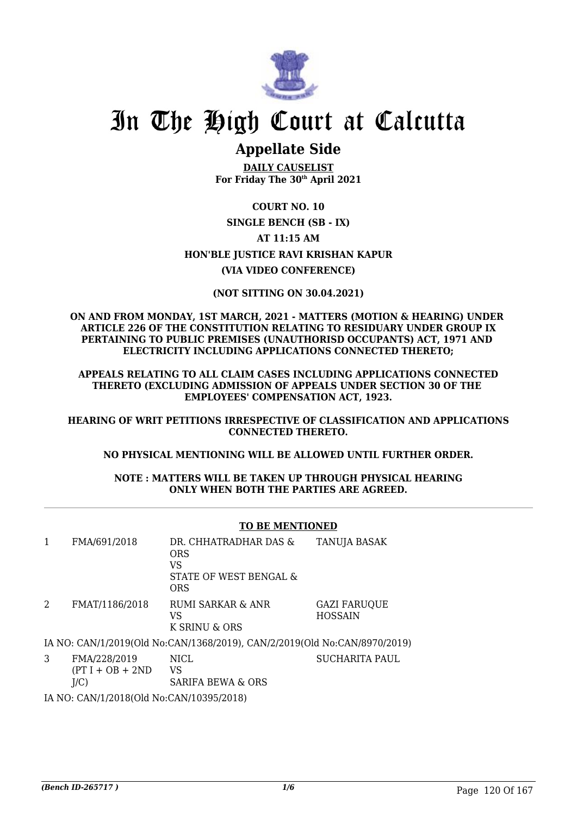

### **Appellate Side**

**DAILY CAUSELIST For Friday The 30th April 2021**

### **COURT NO. 10 SINGLE BENCH (SB - IX) AT 11:15 AM HON'BLE JUSTICE RAVI KRISHAN KAPUR (VIA VIDEO CONFERENCE)**

### **(NOT SITTING ON 30.04.2021)**

**ON AND FROM MONDAY, 1ST MARCH, 2021 - MATTERS (MOTION & HEARING) UNDER ARTICLE 226 OF THE CONSTITUTION RELATING TO RESIDUARY UNDER GROUP IX PERTAINING TO PUBLIC PREMISES (UNAUTHORISD OCCUPANTS) ACT, 1971 AND ELECTRICITY INCLUDING APPLICATIONS CONNECTED THERETO;**

**APPEALS RELATING TO ALL CLAIM CASES INCLUDING APPLICATIONS CONNECTED THERETO (EXCLUDING ADMISSION OF APPEALS UNDER SECTION 30 OF THE EMPLOYEES' COMPENSATION ACT, 1923.**

**HEARING OF WRIT PETITIONS IRRESPECTIVE OF CLASSIFICATION AND APPLICATIONS CONNECTED THERETO.**

**NO PHYSICAL MENTIONING WILL BE ALLOWED UNTIL FURTHER ORDER.**

**NOTE : MATTERS WILL BE TAKEN UP THROUGH PHYSICAL HEARING ONLY WHEN BOTH THE PARTIES ARE AGREED.**

### **TO BE MENTIONED**

| FMA/691/2018   | DR. CHHATRADHAR DAS &<br><b>ORS</b><br>VS<br>STATE OF WEST BENGAL &<br><b>ORS</b> | TANUJA BASAK                          |
|----------------|-----------------------------------------------------------------------------------|---------------------------------------|
| FMAT/1186/2018 | RUMI SARKAR & ANR<br>VS<br>K SRINU & ORS                                          | <b>GAZI FARUQUE</b><br><b>HOSSAIN</b> |
|                | IA NO. CANI112010(Old No.CANI1268/2010). CANI212010(Old No.CANI8070/201           |                                       |

IA NO: CAN/1/2019(Old No:CAN/1368/2019), CAN/2/2019(Old No:CAN/8970/2019)

3 FMA/228/2019  $(PT I + OB + 2ND$  $I/C$ ) NICL. VS SARIFA BEWA & ORS

IA NO: CAN/1/2018(Old No:CAN/10395/2018)

SUCHARITA PAUL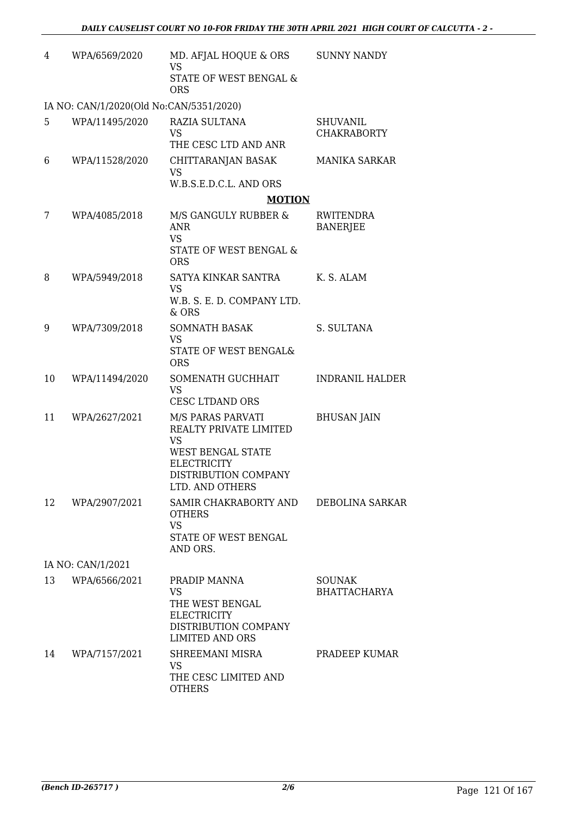| 4  | WPA/6569/2020                           | MD. AFJAL HOQUE & ORS<br><b>VS</b><br><b>STATE OF WEST BENGAL &amp;</b><br><b>ORS</b>                                                          | <b>SUNNY NANDY</b>                    |
|----|-----------------------------------------|------------------------------------------------------------------------------------------------------------------------------------------------|---------------------------------------|
|    | IA NO: CAN/1/2020(Old No:CAN/5351/2020) |                                                                                                                                                |                                       |
| 5  | WPA/11495/2020                          | RAZIA SULTANA<br><b>VS</b><br>THE CESC LTD AND ANR                                                                                             | <b>SHUVANIL</b><br><b>CHAKRABORTY</b> |
| 6  | WPA/11528/2020                          | CHITTARANJAN BASAK<br>VS<br>W.B.S.E.D.C.L. AND ORS                                                                                             | <b>MANIKA SARKAR</b>                  |
|    |                                         | <b>MOTION</b>                                                                                                                                  |                                       |
| 7  | WPA/4085/2018                           | M/S GANGULY RUBBER &<br><b>ANR</b><br><b>VS</b><br>STATE OF WEST BENGAL &<br><b>ORS</b>                                                        | RWITENDRA<br><b>BANERJEE</b>          |
| 8  | WPA/5949/2018                           | SATYA KINKAR SANTRA<br><b>VS</b><br>W.B. S. E. D. COMPANY LTD.                                                                                 | K. S. ALAM                            |
|    |                                         | & ORS                                                                                                                                          |                                       |
| 9  | WPA/7309/2018                           | <b>SOMNATH BASAK</b><br>VS.<br>STATE OF WEST BENGAL&<br><b>ORS</b>                                                                             | S. SULTANA                            |
| 10 | WPA/11494/2020                          | SOMENATH GUCHHAIT<br><b>VS</b><br>CESC LTDAND ORS                                                                                              | <b>INDRANIL HALDER</b>                |
| 11 | WPA/2627/2021                           | M/S PARAS PARVATI<br>REALTY PRIVATE LIMITED<br><b>VS</b><br>WEST BENGAL STATE<br><b>ELECTRICITY</b><br>DISTRIBUTION COMPANY<br>LTD. AND OTHERS | <b>BHUSAN JAIN</b>                    |
| 12 | WPA/2907/2021                           | SAMIR CHAKRABORTY AND<br><b>OTHERS</b><br><b>VS</b><br>STATE OF WEST BENGAL<br>AND ORS.                                                        | DEBOLINA SARKAR                       |
|    | IA NO: CAN/1/2021                       |                                                                                                                                                |                                       |
| 13 | WPA/6566/2021                           | PRADIP MANNA<br><b>VS</b><br>THE WEST BENGAL<br><b>ELECTRICITY</b><br>DISTRIBUTION COMPANY<br><b>LIMITED AND ORS</b>                           | <b>SOUNAK</b><br><b>BHATTACHARYA</b>  |
| 14 | WPA/7157/2021                           | SHREEMANI MISRA<br><b>VS</b><br>THE CESC LIMITED AND<br><b>OTHERS</b>                                                                          | PRADEEP KUMAR                         |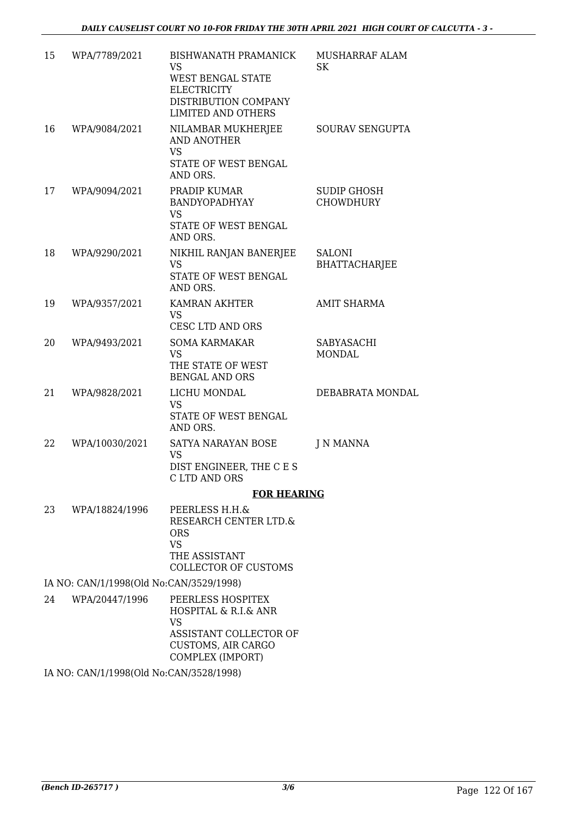| 15 | WPA/7789/2021                           | BISHWANATH PRAMANICK<br>VS<br>WEST BENGAL STATE<br><b>ELECTRICITY</b><br>DISTRIBUTION COMPANY<br><b>LIMITED AND OTHERS</b>        | MUSHARRAF ALAM<br><b>SK</b>            |
|----|-----------------------------------------|-----------------------------------------------------------------------------------------------------------------------------------|----------------------------------------|
| 16 | WPA/9084/2021                           | NILAMBAR MUKHERJEE<br><b>AND ANOTHER</b><br><b>VS</b><br>STATE OF WEST BENGAL<br>AND ORS.                                         | SOURAV SENGUPTA                        |
| 17 | WPA/9094/2021                           | PRADIP KUMAR<br>BANDYOPADHYAY<br><b>VS</b><br>STATE OF WEST BENGAL<br>AND ORS.                                                    | <b>SUDIP GHOSH</b><br><b>CHOWDHURY</b> |
| 18 | WPA/9290/2021                           | NIKHIL RANJAN BANERJEE<br><b>VS</b><br>STATE OF WEST BENGAL<br>AND ORS.                                                           | <b>SALONI</b><br><b>BHATTACHARJEE</b>  |
| 19 | WPA/9357/2021                           | <b>KAMRAN AKHTER</b><br><b>VS</b><br><b>CESC LTD AND ORS</b>                                                                      | <b>AMIT SHARMA</b>                     |
| 20 | WPA/9493/2021                           | <b>SOMA KARMAKAR</b><br><b>VS</b><br>THE STATE OF WEST<br><b>BENGAL AND ORS</b>                                                   | SABYASACHI<br><b>MONDAL</b>            |
| 21 | WPA/9828/2021                           | LICHU MONDAL<br><b>VS</b><br>STATE OF WEST BENGAL<br>AND ORS.                                                                     | DEBABRATA MONDAL                       |
| 22 | WPA/10030/2021                          | SATYA NARAYAN BOSE<br><b>VS</b><br>DIST ENGINEER, THE C E S<br>C LTD AND ORS                                                      | J N MANNA                              |
|    |                                         | <b>FOR HEARING</b>                                                                                                                |                                        |
| 23 | WPA/18824/1996                          | PEERLESS H.H.&<br>RESEARCH CENTER LTD.&<br><b>ORS</b><br><b>VS</b><br>THE ASSISTANT<br>COLLECTOR OF CUSTOMS                       |                                        |
|    | IA NO: CAN/1/1998(Old No:CAN/3529/1998) |                                                                                                                                   |                                        |
| 24 | WPA/20447/1996                          | PEERLESS HOSPITEX<br>HOSPITAL & R.I.& ANR<br><b>VS</b><br>ASSISTANT COLLECTOR OF<br><b>CUSTOMS, AIR CARGO</b><br>COMPLEX (IMPORT) |                                        |

IA NO: CAN/1/1998(Old No:CAN/3528/1998)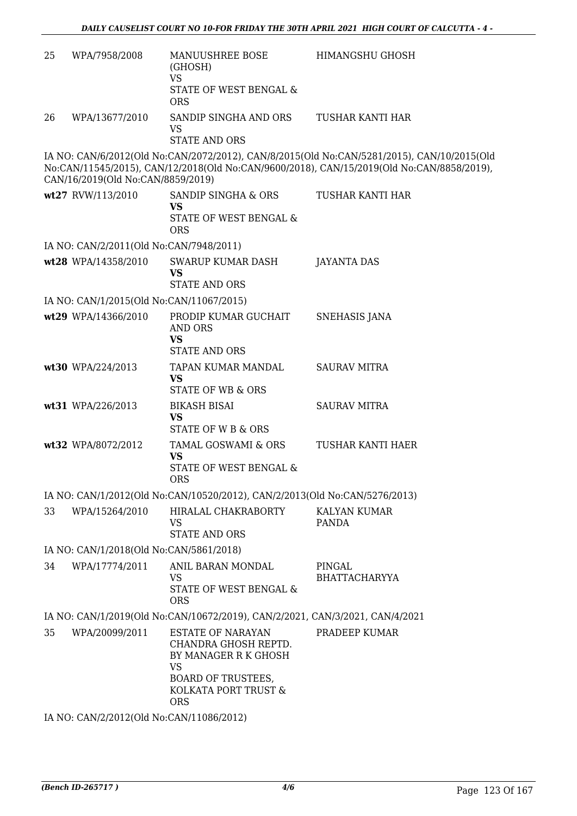| 25 | WPA/7958/2008                            | MANUUSHREE BOSE<br>(GHOSH)<br><b>VS</b><br>STATE OF WEST BENGAL &<br><b>ORS</b>                                                                          | HIMANGSHU GHOSH                                                                                                                                                                         |  |  |
|----|------------------------------------------|----------------------------------------------------------------------------------------------------------------------------------------------------------|-----------------------------------------------------------------------------------------------------------------------------------------------------------------------------------------|--|--|
| 26 | WPA/13677/2010                           | SANDIP SINGHA AND ORS<br>VS<br><b>STATE AND ORS</b>                                                                                                      | TUSHAR KANTI HAR                                                                                                                                                                        |  |  |
|    | CAN/16/2019(Old No:CAN/8859/2019)        |                                                                                                                                                          | IA NO: CAN/6/2012(Old No:CAN/2072/2012), CAN/8/2015(Old No:CAN/5281/2015), CAN/10/2015(Old<br>No:CAN/11545/2015), CAN/12/2018(Old No:CAN/9600/2018), CAN/15/2019(Old No:CAN/8858/2019), |  |  |
|    | wt27 RVW/113/2010                        | SANDIP SINGHA & ORS<br><b>VS</b><br>STATE OF WEST BENGAL &<br><b>ORS</b>                                                                                 | TUSHAR KANTI HAR                                                                                                                                                                        |  |  |
|    | IA NO: CAN/2/2011(Old No:CAN/7948/2011)  |                                                                                                                                                          |                                                                                                                                                                                         |  |  |
|    | wt28 WPA/14358/2010                      | <b>SWARUP KUMAR DASH</b><br><b>VS</b><br><b>STATE AND ORS</b>                                                                                            | <b>JAYANTA DAS</b>                                                                                                                                                                      |  |  |
|    | IA NO: CAN/1/2015(Old No:CAN/11067/2015) |                                                                                                                                                          |                                                                                                                                                                                         |  |  |
|    | wt29 WPA/14366/2010                      | PRODIP KUMAR GUCHAIT<br><b>AND ORS</b><br><b>VS</b>                                                                                                      | <b>SNEHASIS JANA</b>                                                                                                                                                                    |  |  |
|    |                                          | <b>STATE AND ORS</b>                                                                                                                                     |                                                                                                                                                                                         |  |  |
|    | wt30 WPA/224/2013                        | TAPAN KUMAR MANDAL<br><b>VS</b><br><b>STATE OF WB &amp; ORS</b>                                                                                          | <b>SAURAV MITRA</b>                                                                                                                                                                     |  |  |
|    | wt31 WPA/226/2013                        | <b>BIKASH BISAI</b><br><b>VS</b><br>STATE OF W B & ORS                                                                                                   | <b>SAURAV MITRA</b>                                                                                                                                                                     |  |  |
|    | wt32 WPA/8072/2012                       | <b>TAMAL GOSWAMI &amp; ORS</b><br><b>VS</b><br>STATE OF WEST BENGAL &<br><b>ORS</b>                                                                      | TUSHAR KANTI HAER                                                                                                                                                                       |  |  |
|    |                                          | IA NO: CAN/1/2012(Old No:CAN/10520/2012), CAN/2/2013(Old No:CAN/5276/2013)                                                                               |                                                                                                                                                                                         |  |  |
| 33 | WPA/15264/2010                           | HIRALAL CHAKRABORTY<br><b>VS</b><br><b>STATE AND ORS</b>                                                                                                 | KALYAN KUMAR<br><b>PANDA</b>                                                                                                                                                            |  |  |
|    | IA NO: CAN/1/2018(Old No:CAN/5861/2018)  |                                                                                                                                                          |                                                                                                                                                                                         |  |  |
| 34 | WPA/17774/2011                           | ANIL BARAN MONDAL<br>VS<br>STATE OF WEST BENGAL &<br><b>ORS</b>                                                                                          | PINGAL<br><b>BHATTACHARYYA</b>                                                                                                                                                          |  |  |
|    |                                          | IA NO: CAN/1/2019(Old No:CAN/10672/2019), CAN/2/2021, CAN/3/2021, CAN/4/2021                                                                             |                                                                                                                                                                                         |  |  |
| 35 | WPA/20099/2011                           | <b>ESTATE OF NARAYAN</b><br>CHANDRA GHOSH REPTD.<br>BY MANAGER R K GHOSH<br><b>VS</b><br><b>BOARD OF TRUSTEES,</b><br>KOLKATA PORT TRUST &<br><b>ORS</b> | PRADEEP KUMAR                                                                                                                                                                           |  |  |
|    | IA NO: CAN/2/2012(Old No:CAN/11086/2012) |                                                                                                                                                          |                                                                                                                                                                                         |  |  |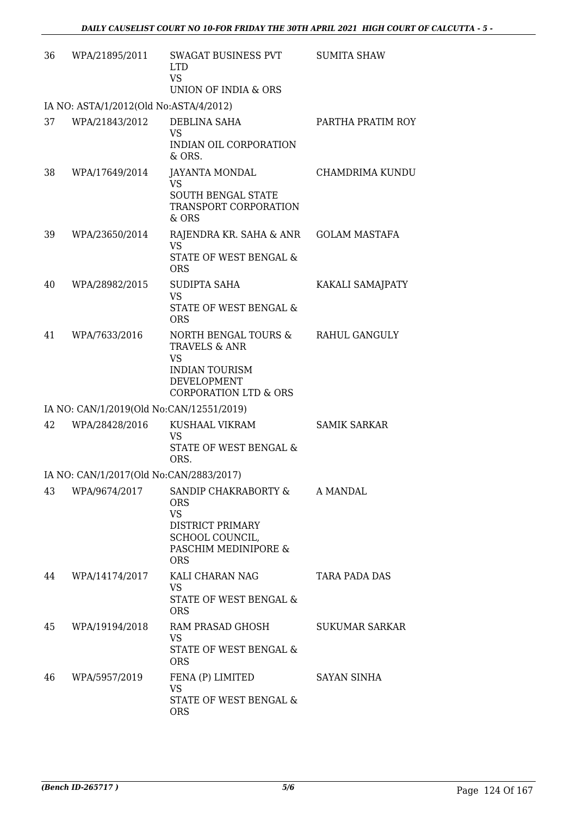| 36 | WPA/21895/2011                           | SWAGAT BUSINESS PVT<br><b>LTD</b><br><b>VS</b><br>UNION OF INDIA & ORS                                                              | <b>SUMITA SHAW</b>    |
|----|------------------------------------------|-------------------------------------------------------------------------------------------------------------------------------------|-----------------------|
|    | IA NO: ASTA/1/2012(Old No:ASTA/4/2012)   |                                                                                                                                     |                       |
| 37 | WPA/21843/2012                           | DEBLINA SAHA<br><b>VS</b><br>INDIAN OIL CORPORATION<br>& ORS.                                                                       | PARTHA PRATIM ROY     |
| 38 | WPA/17649/2014                           | JAYANTA MONDAL<br><b>VS</b><br><b>SOUTH BENGAL STATE</b><br>TRANSPORT CORPORATION<br>& ORS                                          | CHAMDRIMA KUNDU       |
| 39 | WPA/23650/2014                           | RAJENDRA KR. SAHA & ANR<br><b>VS</b><br>STATE OF WEST BENGAL &<br><b>ORS</b>                                                        | <b>GOLAM MASTAFA</b>  |
| 40 | WPA/28982/2015                           | SUDIPTA SAHA<br><b>VS</b><br><b>STATE OF WEST BENGAL &amp;</b><br><b>ORS</b>                                                        | KAKALI SAMAJPATY      |
| 41 | WPA/7633/2016                            | NORTH BENGAL TOURS &<br>TRAVELS & ANR<br><b>VS</b><br><b>INDIAN TOURISM</b><br>DEVELOPMENT<br><b>CORPORATION LTD &amp; ORS</b>      | <b>RAHUL GANGULY</b>  |
|    | IA NO: CAN/1/2019(Old No:CAN/12551/2019) |                                                                                                                                     |                       |
| 42 | WPA/28428/2016                           | KUSHAAL VIKRAM<br><b>VS</b><br>STATE OF WEST BENGAL &<br>ORS.                                                                       | <b>SAMIK SARKAR</b>   |
|    | IA NO: CAN/1/2017(Old No:CAN/2883/2017)  |                                                                                                                                     |                       |
| 43 | WPA/9674/2017                            | SANDIP CHAKRABORTY &<br><b>ORS</b><br><b>VS</b><br><b>DISTRICT PRIMARY</b><br>SCHOOL COUNCIL,<br>PASCHIM MEDINIPORE &<br><b>ORS</b> | A MANDAL              |
| 44 | WPA/14174/2017                           | KALI CHARAN NAG<br><b>VS</b><br>STATE OF WEST BENGAL &<br><b>ORS</b>                                                                | TARA PADA DAS         |
| 45 | WPA/19194/2018                           | RAM PRASAD GHOSH<br>VS<br>STATE OF WEST BENGAL &<br><b>ORS</b>                                                                      | <b>SUKUMAR SARKAR</b> |
| 46 | WPA/5957/2019                            | FENA (P) LIMITED<br><b>VS</b><br>STATE OF WEST BENGAL &<br><b>ORS</b>                                                               | <b>SAYAN SINHA</b>    |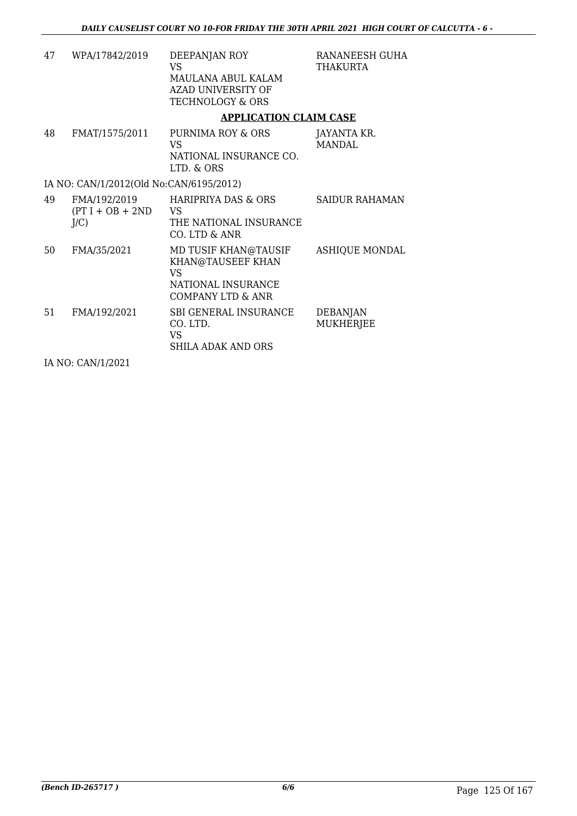| 47 | WPA/17842/2019                                                                                                                                                                                                                                                                                                                     | DEEPANJAN ROY<br><b>VS</b><br>MAULANA ABUL KALAM<br>AZAD UNIVERSITY OF<br><b>TECHNOLOGY &amp; ORS</b>        | RANANEESH GUHA<br>THAKURTA          |
|----|------------------------------------------------------------------------------------------------------------------------------------------------------------------------------------------------------------------------------------------------------------------------------------------------------------------------------------|--------------------------------------------------------------------------------------------------------------|-------------------------------------|
|    |                                                                                                                                                                                                                                                                                                                                    | <b>APPLICATION CLAIM CASE</b>                                                                                |                                     |
| 48 | FMAT/1575/2011                                                                                                                                                                                                                                                                                                                     | PURNIMA ROY & ORS<br>VS<br>NATIONAL INSURANCE CO.<br>LTD. & ORS                                              | JAYANTA KR.<br><b>MANDAL</b>        |
|    | IA NO: CAN/1/2012(Old No:CAN/6195/2012)                                                                                                                                                                                                                                                                                            |                                                                                                              |                                     |
| 49 | FMA/192/2019<br>$(PT I + OB + 2ND$<br>$J/C$ )                                                                                                                                                                                                                                                                                      | <b>HARIPRIYA DAS &amp; ORS</b><br><b>VS</b><br>THE NATIONAL INSURANCE<br>CO. LTD & ANR                       | <b>SAIDUR RAHAMAN</b>               |
| 50 | FMA/35/2021                                                                                                                                                                                                                                                                                                                        | MD TUSIF KHAN@TAUSIF<br>KHAN@TAUSEEF KHAN<br><b>VS</b><br>NATIONAL INSURANCE<br><b>COMPANY LTD &amp; ANR</b> | <b>ASHIQUE MONDAL</b>               |
| 51 | FMA/192/2021                                                                                                                                                                                                                                                                                                                       | SBI GENERAL INSURANCE<br>CO. LTD.<br>VS.<br><b>SHILA ADAK AND ORS</b>                                        | <b>DEBANJAN</b><br><b>MUKHERJEE</b> |
|    | $\mathbf{r}$ $\mathbf{r}$ $\mathbf{r}$ $\mathbf{r}$ $\mathbf{r}$ $\mathbf{r}$ $\mathbf{r}$ $\mathbf{r}$ $\mathbf{r}$ $\mathbf{r}$ $\mathbf{r}$ $\mathbf{r}$ $\mathbf{r}$ $\mathbf{r}$ $\mathbf{r}$ $\mathbf{r}$ $\mathbf{r}$ $\mathbf{r}$ $\mathbf{r}$ $\mathbf{r}$ $\mathbf{r}$ $\mathbf{r}$ $\mathbf{r}$ $\mathbf{r}$ $\mathbf{$ |                                                                                                              |                                     |

IA NO: CAN/1/2021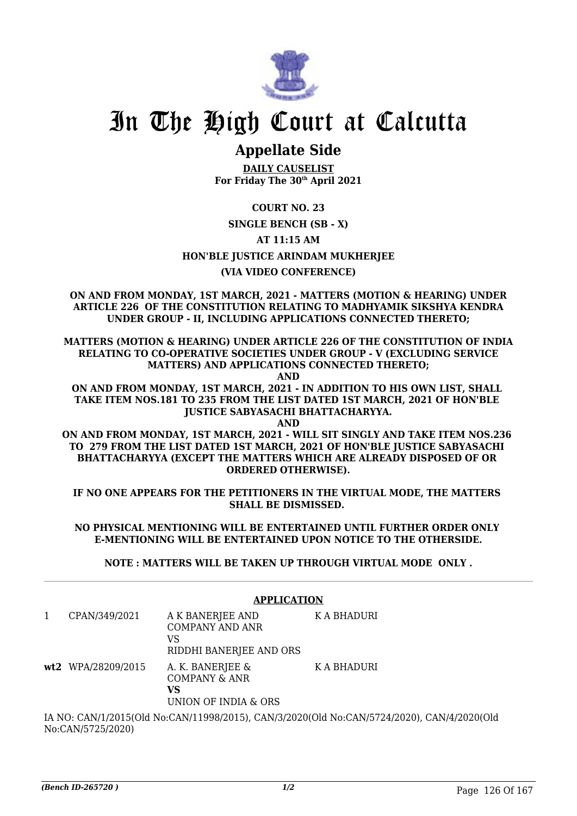

### **Appellate Side**

**DAILY CAUSELIST For Friday The 30th April 2021**

**COURT NO. 23**

### **SINGLE BENCH (SB - X)**

**AT 11:15 AM**

### **HON'BLE JUSTICE ARINDAM MUKHERJEE**

### **(VIA VIDEO CONFERENCE)**

**ON AND FROM MONDAY, 1ST MARCH, 2021 - MATTERS (MOTION & HEARING) UNDER ARTICLE 226 OF THE CONSTITUTION RELATING TO MADHYAMIK SIKSHYA KENDRA UNDER GROUP - II, INCLUDING APPLICATIONS CONNECTED THERETO;**

**MATTERS (MOTION & HEARING) UNDER ARTICLE 226 OF THE CONSTITUTION OF INDIA RELATING TO CO-OPERATIVE SOCIETIES UNDER GROUP - V (EXCLUDING SERVICE MATTERS) AND APPLICATIONS CONNECTED THERETO;**

**AND**

**ON AND FROM MONDAY, 1ST MARCH, 2021 - IN ADDITION TO HIS OWN LIST, SHALL TAKE ITEM NOS.181 TO 235 FROM THE LIST DATED 1ST MARCH, 2021 OF HON'BLE JUSTICE SABYASACHI BHATTACHARYYA.**

**AND ON AND FROM MONDAY, 1ST MARCH, 2021 - WILL SIT SINGLY AND TAKE ITEM NOS.236 TO 279 FROM THE LIST DATED 1ST MARCH, 2021 OF HON'BLE JUSTICE SABYASACHI BHATTACHARYYA (EXCEPT THE MATTERS WHICH ARE ALREADY DISPOSED OF OR ORDERED OTHERWISE).**

**IF NO ONE APPEARS FOR THE PETITIONERS IN THE VIRTUAL MODE, THE MATTERS SHALL BE DISMISSED.** 

**NO PHYSICAL MENTIONING WILL BE ENTERTAINED UNTIL FURTHER ORDER ONLY E-MENTIONING WILL BE ENTERTAINED UPON NOTICE TO THE OTHERSIDE.**

**NOTE : MATTERS WILL BE TAKEN UP THROUGH VIRTUAL MODE ONLY .**

|                                                                                                          | <b>APPLICATION</b> |                                                                             |             |  |
|----------------------------------------------------------------------------------------------------------|--------------------|-----------------------------------------------------------------------------|-------------|--|
| 1                                                                                                        | CPAN/349/2021      | A K BANERJEE AND<br><b>COMPANY AND ANR</b><br>VS<br>RIDDHI BANERJEE AND ORS | K A BHADURI |  |
|                                                                                                          | wt2 WPA/28209/2015 | A. K. BANERJEE &<br>COMPANY & ANR<br>VS<br>UNION OF INDIA & ORS             | K A BHADURI |  |
| <u> IA NIO, CANI/1/2015(OId No.CANI/11000/2015). CANI/2/2020(OId No.CANI/5724/2020). CANI/4/2020(OId</u> |                    |                                                                             |             |  |

IA NO: CAN/1/2015(Old No:CAN/11998/2015), CAN/3/2020(Old No:CAN/5724/2020), CAN/4/2020(Old No:CAN/5725/2020)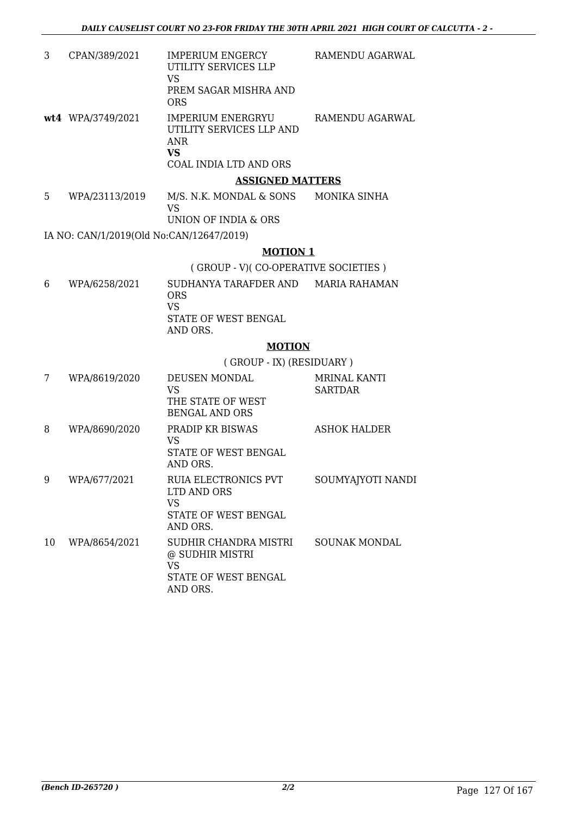| 3 | CPAN/389/2021     | IMPERIUM ENGERCY<br>UTILITY SERVICES LLP<br>VS<br>PREM SAGAR MISHRA AND<br><b>ORS</b>       | RAMENDU AGARWAL |
|---|-------------------|---------------------------------------------------------------------------------------------|-----------------|
|   | wt4 WPA/3749/2021 | <b>IMPERIUM ENERGRYU</b><br>UTILITY SERVICES LLP AND<br>ANR<br>VS<br>COAL INDIA LTD AND ORS | RAMENDU AGARWAL |
|   |                   | <b>ASSIGNED MATTERS</b>                                                                     |                 |

#### 5 WPA/23113/2019 M/S. N.K. MONDAL & SONS VS MONIKA SINHA

UNION OF INDIA & ORS

IA NO: CAN/1/2019(Old No:CAN/12647/2019)

### **MOTION 1**

( GROUP - V)( CO-OPERATIVE SOCIETIES )

6 WPA/6258/2021 SUDHANYA TARAFDER AND MARIA RAHAMAN ORS VS STATE OF WEST BENGAL AND ORS.

### **MOTION**

( GROUP - IX) (RESIDUARY )

| 7  | WPA/8619/2020 | <b>DEUSEN MONDAL</b><br>VS<br>THE STATE OF WEST<br><b>BENGAL AND ORS</b>             | MRINAL KANTI<br><b>SARTDAR</b> |
|----|---------------|--------------------------------------------------------------------------------------|--------------------------------|
| 8  | WPA/8690/2020 | <b>PRADIP KR BISWAS</b><br>VS<br>STATE OF WEST BENGAL<br>AND ORS.                    | <b>ASHOK HALDER</b>            |
| 9  | WPA/677/2021  | <b>RUIA ELECTRONICS PVT</b><br>LTD AND ORS<br>VS<br>STATE OF WEST BENGAL<br>AND ORS. | SOUMYAJYOTI NANDI              |
| 10 | WPA/8654/2021 | SUDHIR CHANDRA MISTRI<br>@ SUDHIR MISTRI<br>VS<br>STATE OF WEST BENGAL<br>AND ORS.   | <b>SOUNAK MONDAL</b>           |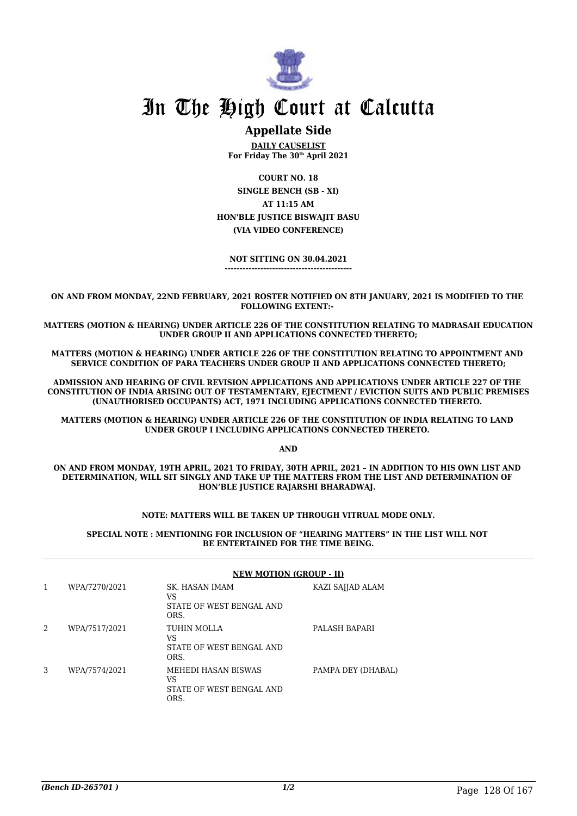

### **Appellate Side**

**DAILY CAUSELIST For Friday The 30th April 2021**

**COURT NO. 18 SINGLE BENCH (SB - XI) AT 11:15 AM HON'BLE JUSTICE BISWAJIT BASU (VIA VIDEO CONFERENCE)**

**NOT SITTING ON 30.04.2021 -------------------------------------------**

**ON AND FROM MONDAY, 22ND FEBRUARY, 2021 ROSTER NOTIFIED ON 8TH JANUARY, 2021 IS MODIFIED TO THE FOLLOWING EXTENT:-** 

**MATTERS (MOTION & HEARING) UNDER ARTICLE 226 OF THE CONSTITUTION RELATING TO MADRASAH EDUCATION UNDER GROUP II AND APPLICATIONS CONNECTED THERETO;**

**MATTERS (MOTION & HEARING) UNDER ARTICLE 226 OF THE CONSTITUTION RELATING TO APPOINTMENT AND SERVICE CONDITION OF PARA TEACHERS UNDER GROUP II AND APPLICATIONS CONNECTED THERETO;**

**ADMISSION AND HEARING OF CIVIL REVISION APPLICATIONS AND APPLICATIONS UNDER ARTICLE 227 OF THE CONSTITUTION OF INDIA ARISING OUT OF TESTAMENTARY, EJECTMENT / EVICTION SUITS AND PUBLIC PREMISES (UNAUTHORISED OCCUPANTS) ACT, 1971 INCLUDING APPLICATIONS CONNECTED THERETO.** 

**MATTERS (MOTION & HEARING) UNDER ARTICLE 226 OF THE CONSTITUTION OF INDIA RELATING TO LAND UNDER GROUP I INCLUDING APPLICATIONS CONNECTED THERETO.** 

**AND**

**ON AND FROM MONDAY, 19TH APRIL, 2021 TO FRIDAY, 30TH APRIL, 2021 – IN ADDITION TO HIS OWN LIST AND DETERMINATION, WILL SIT SINGLY AND TAKE UP THE MATTERS FROM THE LIST AND DETERMINATION OF HON'BLE JUSTICE RAJARSHI BHARADWAJ.** 

#### **NOTE: MATTERS WILL BE TAKEN UP THROUGH VITRUAL MODE ONLY.**

**SPECIAL NOTE : MENTIONING FOR INCLUSION OF "HEARING MATTERS" IN THE LIST WILL NOT BE ENTERTAINED FOR THE TIME BEING.**

|   |               | <b>NEW MOTION (GROUP - II)</b>                                |                    |  |
|---|---------------|---------------------------------------------------------------|--------------------|--|
| 1 | WPA/7270/2021 | SK. HASAN IMAM<br>VS<br>STATE OF WEST BENGAL AND<br>ORS.      | KAZI SAJJAD ALAM   |  |
| 2 | WPA/7517/2021 | TUHIN MOLLA<br>VS<br>STATE OF WEST BENGAL AND<br>ORS.         | PALASH BAPARI      |  |
| 3 | WPA/7574/2021 | MEHEDI HASAN BISWAS<br>VS<br>STATE OF WEST BENGAL AND<br>ORS. | PAMPA DEY (DHABAL) |  |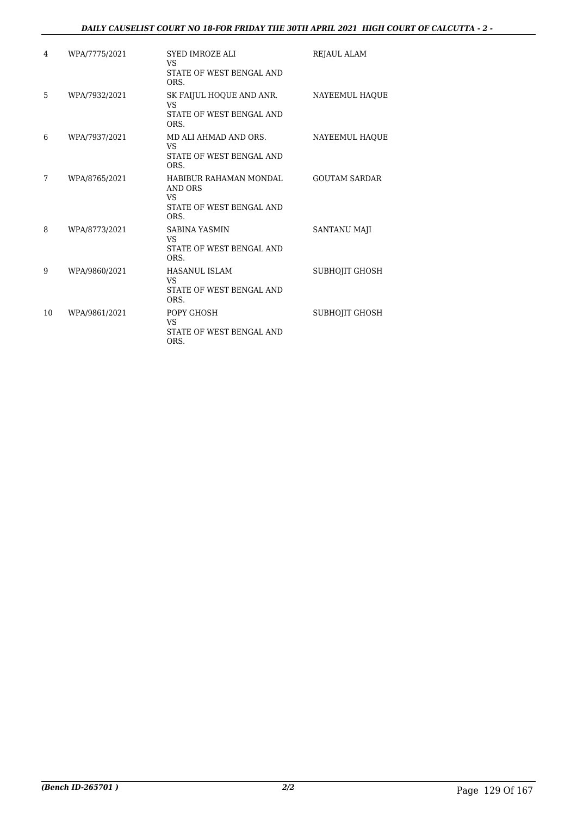### *DAILY CAUSELIST COURT NO 18-FOR FRIDAY THE 30TH APRIL 2021 HIGH COURT OF CALCUTTA - 2 -*

| 4  | WPA/7775/2021 | <b>SYED IMROZE ALI</b><br>VS<br>STATE OF WEST BENGAL AND<br>ORS.                   | <b>REJAUL ALAM</b>    |
|----|---------------|------------------------------------------------------------------------------------|-----------------------|
| 5  | WPA/7932/2021 | SK FAIJUL HOQUE AND ANR.<br>VS<br>STATE OF WEST BENGAL AND<br>ORS.                 | NAYEEMUL HAQUE        |
| 6  | WPA/7937/2021 | MD ALI AHMAD AND ORS.<br>VS<br>STATE OF WEST BENGAL AND<br>ORS.                    | NAYEEMUL HAOUE        |
| 7  | WPA/8765/2021 | HABIBUR RAHAMAN MONDAL<br>AND ORS<br><b>VS</b><br>STATE OF WEST BENGAL AND<br>ORS. | <b>GOUTAM SARDAR</b>  |
| 8  | WPA/8773/2021 | <b>SABINA YASMIN</b><br>VS<br>STATE OF WEST BENGAL AND<br>ORS.                     | <b>SANTANU MAJI</b>   |
| 9  | WPA/9860/2021 | <b>HASANUL ISLAM</b><br><b>VS</b><br>STATE OF WEST BENGAL AND<br>ORS.              | <b>SUBHOJIT GHOSH</b> |
| 10 | WPA/9861/2021 | POPY GHOSH<br><b>VS</b><br>STATE OF WEST BENGAL AND<br>ORS.                        | <b>SUBHOJIT GHOSH</b> |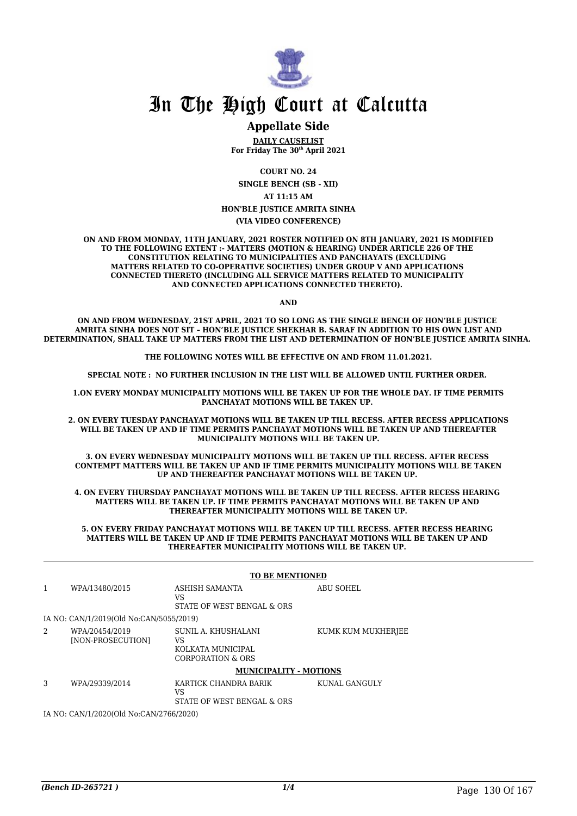

### **Appellate Side**

**DAILY CAUSELIST For Friday The 30th April 2021**

**COURT NO. 24**

**SINGLE BENCH (SB - XII)**

**AT 11:15 AM**

**HON'BLE JUSTICE AMRITA SINHA**

**(VIA VIDEO CONFERENCE)**

**ON AND FROM MONDAY, 11TH JANUARY, 2021 ROSTER NOTIFIED ON 8TH JANUARY, 2021 IS MODIFIED TO THE FOLLOWING EXTENT :- MATTERS (MOTION & HEARING) UNDER ARTICLE 226 OF THE CONSTITUTION RELATING TO MUNICIPALITIES AND PANCHAYATS (EXCLUDING MATTERS RELATED TO CO-OPERATIVE SOCIETIES) UNDER GROUP V AND APPLICATIONS CONNECTED THERETO (INCLUDING ALL SERVICE MATTERS RELATED TO MUNICIPALITY AND CONNECTED APPLICATIONS CONNECTED THERETO).** 

**AND**

**ON AND FROM WEDNESDAY, 21ST APRIL, 2021 TO SO LONG AS THE SINGLE BENCH OF HON'BLE JUSTICE AMRITA SINHA DOES NOT SIT – HON'BLE JUSTICE SHEKHAR B. SARAF IN ADDITION TO HIS OWN LIST AND DETERMINATION, SHALL TAKE UP MATTERS FROM THE LIST AND DETERMINATION OF HON'BLE JUSTICE AMRITA SINHA.** 

**THE FOLLOWING NOTES WILL BE EFFECTIVE ON AND FROM 11.01.2021.**

**SPECIAL NOTE : NO FURTHER INCLUSION IN THE LIST WILL BE ALLOWED UNTIL FURTHER ORDER.** 

**1.ON EVERY MONDAY MUNICIPALITY MOTIONS WILL BE TAKEN UP FOR THE WHOLE DAY. IF TIME PERMITS PANCHAYAT MOTIONS WILL BE TAKEN UP.** 

**2. ON EVERY TUESDAY PANCHAYAT MOTIONS WILL BE TAKEN UP TILL RECESS. AFTER RECESS APPLICATIONS WILL BE TAKEN UP AND IF TIME PERMITS PANCHAYAT MOTIONS WILL BE TAKEN UP AND THEREAFTER MUNICIPALITY MOTIONS WILL BE TAKEN UP.**

**3. ON EVERY WEDNESDAY MUNICIPALITY MOTIONS WILL BE TAKEN UP TILL RECESS. AFTER RECESS CONTEMPT MATTERS WILL BE TAKEN UP AND IF TIME PERMITS MUNICIPALITY MOTIONS WILL BE TAKEN UP AND THEREAFTER PANCHAYAT MOTIONS WILL BE TAKEN UP.** 

**4. ON EVERY THURSDAY PANCHAYAT MOTIONS WILL BE TAKEN UP TILL RECESS. AFTER RECESS HEARING MATTERS WILL BE TAKEN UP. IF TIME PERMITS PANCHAYAT MOTIONS WILL BE TAKEN UP AND THEREAFTER MUNICIPALITY MOTIONS WILL BE TAKEN UP.**

**5. ON EVERY FRIDAY PANCHAYAT MOTIONS WILL BE TAKEN UP TILL RECESS. AFTER RECESS HEARING MATTERS WILL BE TAKEN UP AND IF TIME PERMITS PANCHAYAT MOTIONS WILL BE TAKEN UP AND THEREAFTER MUNICIPALITY MOTIONS WILL BE TAKEN UP.** 

|                                         | <b>TO BE MENTIONED</b>                  |                                                                     |                    |
|-----------------------------------------|-----------------------------------------|---------------------------------------------------------------------|--------------------|
| 1                                       | WPA/13480/2015                          | ASHISH SAMANTA<br>VS<br>STATE OF WEST BENGAL & ORS                  | ABU SOHEL          |
|                                         | IA NO: CAN/1/2019(Old No:CAN/5055/2019) |                                                                     |                    |
| 2                                       | WPA/20454/2019<br>[NON-PROSECUTION]     | SUNIL A. KHUSHALANI<br>VS<br>KOLKATA MUNICIPAL<br>CORPORATION & ORS | KUMK KUM MUKHERJEE |
|                                         |                                         | <b>MUNICIPALITY - MOTIONS</b>                                       |                    |
| 3                                       | WPA/29339/2014                          | KARTICK CHANDRA BARIK<br>VS<br>STATE OF WEST BENGAL & ORS           | KUNAL GANGULY      |
| IA NO: CAN/1/2020(Old No:CAN/2766/2020) |                                         |                                                                     |                    |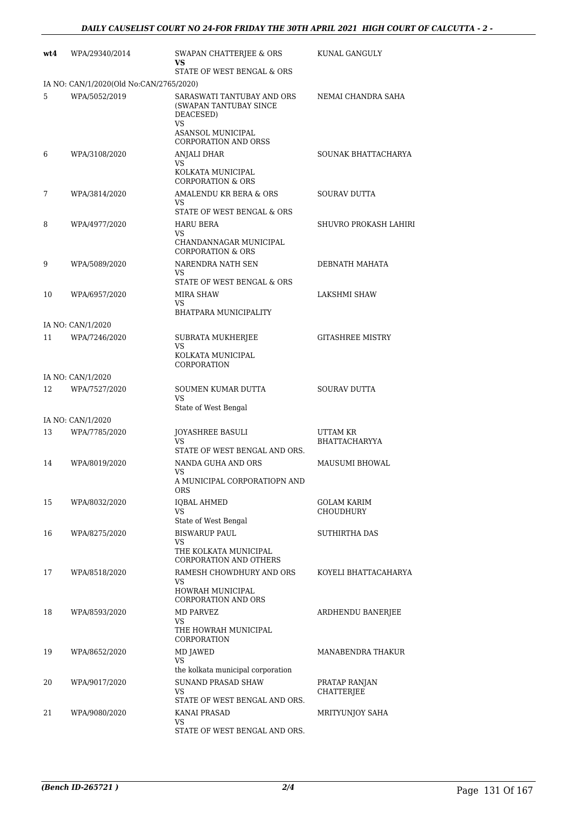| wt4 | WPA/29340/2014                          | SWAPAN CHATTERJEE & ORS<br>VS                                                                                                      | KUNAL GANGULY                      |
|-----|-----------------------------------------|------------------------------------------------------------------------------------------------------------------------------------|------------------------------------|
|     |                                         | STATE OF WEST BENGAL & ORS                                                                                                         |                                    |
|     | IA NO: CAN/1/2020(Old No:CAN/2765/2020) |                                                                                                                                    |                                    |
| 5   | WPA/5052/2019                           | SARASWATI TANTUBAY AND ORS<br>(SWAPAN TANTUBAY SINCE<br>DEACESED)<br><b>VS</b><br>ASANSOL MUNICIPAL<br><b>CORPORATION AND ORSS</b> | NEMAI CHANDRA SAHA                 |
| 6   | WPA/3108/2020                           | ANJALI DHAR                                                                                                                        | SOUNAK BHATTACHARYA                |
|     |                                         | VS<br>KOLKATA MUNICIPAL<br><b>CORPORATION &amp; ORS</b>                                                                            |                                    |
| 7   | WPA/3814/2020                           | AMALENDU KR BERA & ORS                                                                                                             | SOURAV DUTTA                       |
|     |                                         | VS<br>STATE OF WEST BENGAL & ORS                                                                                                   |                                    |
| 8   | WPA/4977/2020                           | <b>HARU BERA</b>                                                                                                                   | SHUVRO PROKASH LAHIRI              |
|     |                                         | VS<br>CHANDANNAGAR MUNICIPAL<br><b>CORPORATION &amp; ORS</b>                                                                       |                                    |
| 9   | WPA/5089/2020                           | NARENDRA NATH SEN<br>VS                                                                                                            | DEBNATH MAHATA                     |
|     |                                         | STATE OF WEST BENGAL & ORS<br>MIRA SHAW                                                                                            | LAKSHMI SHAW                       |
| 10  | WPA/6957/2020                           | VS                                                                                                                                 |                                    |
|     |                                         | <b>BHATPARA MUNICIPALITY</b>                                                                                                       |                                    |
|     | IA NO: CAN/1/2020                       |                                                                                                                                    |                                    |
| 11  | WPA/7246/2020                           | SUBRATA MUKHERJEE<br>VS<br>KOLKATA MUNICIPAL                                                                                       | <b>GITASHREE MISTRY</b>            |
|     |                                         | CORPORATION                                                                                                                        |                                    |
|     | IA NO: CAN/1/2020                       |                                                                                                                                    |                                    |
| 12  | WPA/7527/2020                           | SOUMEN KUMAR DUTTA<br>VS<br>State of West Bengal                                                                                   | <b>SOURAV DUTTA</b>                |
|     | IA NO: CAN/1/2020                       |                                                                                                                                    |                                    |
| 13  | WPA/7785/2020                           | <b>JOYASHREE BASULI</b><br>VS<br>STATE OF WEST BENGAL AND ORS.                                                                     | UTTAM KR<br><b>BHATTACHARYYA</b>   |
| 14  | WPA/8019/2020                           | NANDA GUHA AND ORS                                                                                                                 | MAUSUMI BHOWAL                     |
|     |                                         | VS<br>A MUNICIPAL CORPORATIOPN AND<br>ORS                                                                                          |                                    |
| 15  | WPA/8032/2020                           | <b>IQBAL AHMED</b>                                                                                                                 | GOLAM KARIM                        |
|     |                                         | VS<br>State of West Bengal                                                                                                         | <b>CHOUDHURY</b>                   |
| 16  | WPA/8275/2020                           | <b>BISWARUP PAUL</b><br>VS                                                                                                         | SUTHIRTHA DAS                      |
|     |                                         | THE KOLKATA MUNICIPAL<br><b>CORPORATION AND OTHERS</b>                                                                             |                                    |
| 17  | WPA/8518/2020                           | RAMESH CHOWDHURY AND ORS<br>VS<br><b>HOWRAH MUNICIPAL</b><br>CORPORATION AND ORS                                                   | KOYELI BHATTACAHARYA               |
| 18  | WPA/8593/2020                           | MD PARVEZ                                                                                                                          | ARDHENDU BANERJEE                  |
|     |                                         | VS<br>THE HOWRAH MUNICIPAL<br>CORPORATION                                                                                          |                                    |
| 19  | WPA/8652/2020                           | MD JAWED<br>VS                                                                                                                     | MANABENDRA THAKUR                  |
|     |                                         | the kolkata municipal corporation                                                                                                  |                                    |
| 20  | WPA/9017/2020                           | <b>SUNAND PRASAD SHAW</b><br>VS                                                                                                    | PRATAP RANJAN<br><b>CHATTERJEE</b> |
| 21  | WPA/9080/2020                           | STATE OF WEST BENGAL AND ORS.<br>KANAI PRASAD                                                                                      | MRITYUNJOY SAHA                    |
|     |                                         | VS<br>STATE OF WEST BENGAL AND ORS.                                                                                                |                                    |
|     |                                         |                                                                                                                                    |                                    |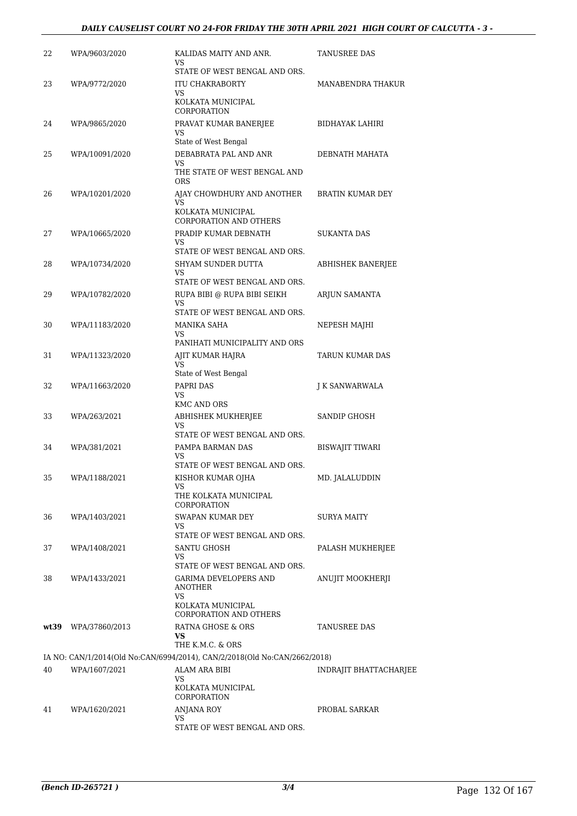| 22 | WPA/9603/2020       | KALIDAS MAITY AND ANR.<br>VS<br>STATE OF WEST BENGAL AND ORS.                                              | <b>TANUSREE DAS</b>           |
|----|---------------------|------------------------------------------------------------------------------------------------------------|-------------------------------|
| 23 | WPA/9772/2020       | <b>ITU CHAKRABORTY</b><br>VS<br>KOLKATA MUNICIPAL                                                          | MANABENDRA THAKUR             |
| 24 | WPA/9865/2020       | CORPORATION<br>PRAVAT KUMAR BANERJEE<br>VS                                                                 | BIDHAYAK LAHIRI               |
| 25 | WPA/10091/2020      | State of West Bengal<br>DEBABRATA PAL AND ANR<br>VS<br>THE STATE OF WEST BENGAL AND<br><b>ORS</b>          | DEBNATH MAHATA                |
| 26 | WPA/10201/2020      | AJAY CHOWDHURY AND ANOTHER<br>VS<br>KOLKATA MUNICIPAL<br>CORPORATION AND OTHERS                            | BRATIN KUMAR DEY              |
| 27 | WPA/10665/2020      | PRADIP KUMAR DEBNATH<br>VS                                                                                 | <b>SUKANTA DAS</b>            |
| 28 | WPA/10734/2020      | STATE OF WEST BENGAL AND ORS.<br>SHYAM SUNDER DUTTA<br>VS                                                  | <b>ABHISHEK BANERJEE</b>      |
| 29 | WPA/10782/2020      | STATE OF WEST BENGAL AND ORS.<br>RUPA BIBI @ RUPA BIBI SEIKH<br><b>VS</b>                                  | ARJUN SAMANTA                 |
| 30 | WPA/11183/2020      | STATE OF WEST BENGAL AND ORS.<br>MANIKA SAHA<br>VS                                                         | NEPESH MAJHI                  |
| 31 | WPA/11323/2020      | PANIHATI MUNICIPALITY AND ORS<br>AJIT KUMAR HAJRA<br><b>VS</b>                                             | TARUN KUMAR DAS               |
| 32 | WPA/11663/2020      | State of West Bengal<br>PAPRI DAS<br>VS<br><b>KMC AND ORS</b>                                              | J K SANWARWALA                |
| 33 | WPA/263/2021        | ABHISHEK MUKHERJEE<br>VS                                                                                   | SANDIP GHOSH                  |
| 34 | WPA/381/2021        | STATE OF WEST BENGAL AND ORS.<br>PAMPA BARMAN DAS<br><b>VS</b><br>STATE OF WEST BENGAL AND ORS.            | <b>BISWAJIT TIWARI</b>        |
| 35 | WPA/1188/2021       | KISHOR KUMAR OJHA<br>VS<br>THE KOLKATA MUNICIPAL                                                           | MD. JALALUDDIN                |
| 36 | WPA/1403/2021       | CORPORATION<br>SWAPAN KUMAR DEY<br>VS<br>STATE OF WEST BENGAL AND ORS.                                     | <b>SURYA MAITY</b>            |
| 37 | WPA/1408/2021       | SANTU GHOSH<br>VS.<br>STATE OF WEST BENGAL AND ORS.                                                        | PALASH MUKHERJEE              |
| 38 | WPA/1433/2021       | <b>GARIMA DEVELOPERS AND</b><br><b>ANOTHER</b><br>VS<br>KOLKATA MUNICIPAL<br><b>CORPORATION AND OTHERS</b> | ANUJIT MOOKHERJI              |
|    | wt39 WPA/37860/2013 | RATNA GHOSE & ORS<br>VS.                                                                                   | TANUSREE DAS                  |
|    |                     | THE K.M.C. & ORS<br>IA NO: CAN/1/2014(Old No:CAN/6994/2014), CAN/2/2018(Old No:CAN/2662/2018)              |                               |
| 40 | WPA/1607/2021       | ALAM ARA BIBI                                                                                              | <b>INDRAJIT BHATTACHARJEE</b> |
|    |                     | VS.<br>KOLKATA MUNICIPAL<br>CORPORATION                                                                    |                               |
| 41 | WPA/1620/2021       | <b>ANJANA ROY</b><br>VS<br>STATE OF WEST BENGAL AND ORS.                                                   | PROBAL SARKAR                 |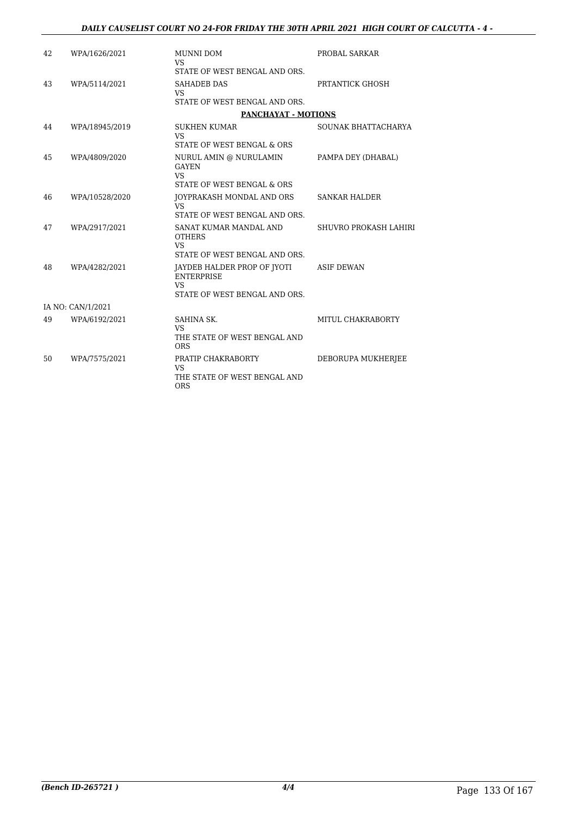| 42 | WPA/1626/2021     | MUNNI DOM<br>VS.<br>STATE OF WEST BENGAL AND ORS.                                              | PROBAL SARKAR         |
|----|-------------------|------------------------------------------------------------------------------------------------|-----------------------|
| 43 | WPA/5114/2021     | <b>SAHADEB DAS</b><br><b>VS</b><br>STATE OF WEST BENGAL AND ORS.                               | PRTANTICK GHOSH       |
|    |                   | <b>PANCHAYAT - MOTIONS</b>                                                                     |                       |
| 44 | WPA/18945/2019    | <b>SUKHEN KUMAR</b><br><b>VS</b>                                                               | SOUNAK BHATTACHARYA   |
|    |                   | STATE OF WEST BENGAL & ORS                                                                     |                       |
| 45 | WPA/4809/2020     | NURUL AMIN @ NURULAMIN<br><b>GAYEN</b><br><b>VS</b><br>STATE OF WEST BENGAL & ORS              | PAMPA DEY (DHABAL)    |
| 46 | WPA/10528/2020    | JOYPRAKASH MONDAL AND ORS<br><b>VS</b><br>STATE OF WEST BENGAL AND ORS.                        | <b>SANKAR HALDER</b>  |
| 47 | WPA/2917/2021     | SANAT KUMAR MANDAL AND<br><b>OTHERS</b><br><b>VS</b><br>STATE OF WEST BENGAL AND ORS.          | SHUVRO PROKASH LAHIRI |
| 48 | WPA/4282/2021     | JAYDEB HALDER PROP OF JYOTI<br><b>ENTERPRISE</b><br><b>VS</b><br>STATE OF WEST BENGAL AND ORS. | <b>ASIF DEWAN</b>     |
|    | IA NO: CAN/1/2021 |                                                                                                |                       |
| 49 | WPA/6192/2021     | SAHINA SK.<br>VS.<br>THE STATE OF WEST BENGAL AND<br><b>ORS</b>                                | MITUL CHAKRABORTY     |
| 50 | WPA/7575/2021     | PRATIP CHAKRABORTY<br><b>VS</b><br>THE STATE OF WEST BENGAL AND<br><b>ORS</b>                  | DEBORUPA MUKHERJEE    |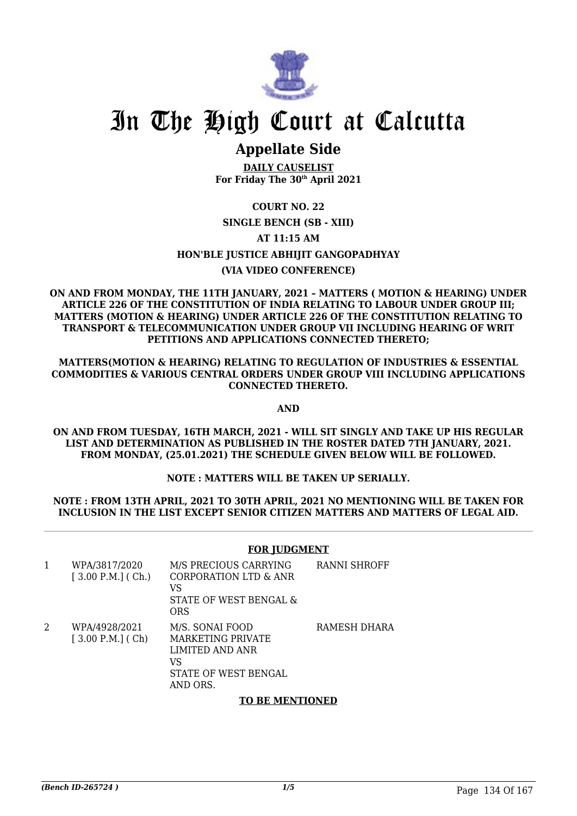

### **Appellate Side**

**DAILY CAUSELIST For Friday The 30th April 2021**

### **COURT NO. 22**

### **SINGLE BENCH (SB - XIII)**

### **AT 11:15 AM**

### **HON'BLE JUSTICE ABHIJIT GANGOPADHYAY**

### **(VIA VIDEO CONFERENCE)**

#### **ON AND FROM MONDAY, THE 11TH JANUARY, 2021 – MATTERS ( MOTION & HEARING) UNDER ARTICLE 226 OF THE CONSTITUTION OF INDIA RELATING TO LABOUR UNDER GROUP III; MATTERS (MOTION & HEARING) UNDER ARTICLE 226 OF THE CONSTITUTION RELATING TO TRANSPORT & TELECOMMUNICATION UNDER GROUP VII INCLUDING HEARING OF WRIT PETITIONS AND APPLICATIONS CONNECTED THERETO;**

**MATTERS(MOTION & HEARING) RELATING TO REGULATION OF INDUSTRIES & ESSENTIAL COMMODITIES & VARIOUS CENTRAL ORDERS UNDER GROUP VIII INCLUDING APPLICATIONS CONNECTED THERETO.**

#### **AND**

**ON AND FROM TUESDAY, 16TH MARCH, 2021 - WILL SIT SINGLY AND TAKE UP HIS REGULAR LIST AND DETERMINATION AS PUBLISHED IN THE ROSTER DATED 7TH JANUARY, 2021. FROM MONDAY, (25.01.2021) THE SCHEDULE GIVEN BELOW WILL BE FOLLOWED.**

### **NOTE : MATTERS WILL BE TAKEN UP SERIALLY.**

#### **NOTE : FROM 13TH APRIL, 2021 TO 30TH APRIL, 2021 NO MENTIONING WILL BE TAKEN FOR INCLUSION IN THE LIST EXCEPT SENIOR CITIZEN MATTERS AND MATTERS OF LEGAL AID.**

#### **FOR JUDGMENT**

| 1 | WPA/3817/2020<br>$[3.00 P.M.]$ (Ch.) | M/S PRECIOUS CARRYING<br>CORPORATION LTD & ANR<br>VS<br>STATE OF WEST BENGAL &<br>ORS                    | RANNI SHROFF |
|---|--------------------------------------|----------------------------------------------------------------------------------------------------------|--------------|
| 2 | WPA/4928/2021<br>$[3.00 P.M.]$ (Ch)  | M/S. SONAI FOOD<br><b>MARKETING PRIVATE</b><br>LIMITED AND ANR<br>VS<br>STATE OF WEST BENGAL<br>AND ORS. | RAMESH DHARA |

### **TO BE MENTIONED**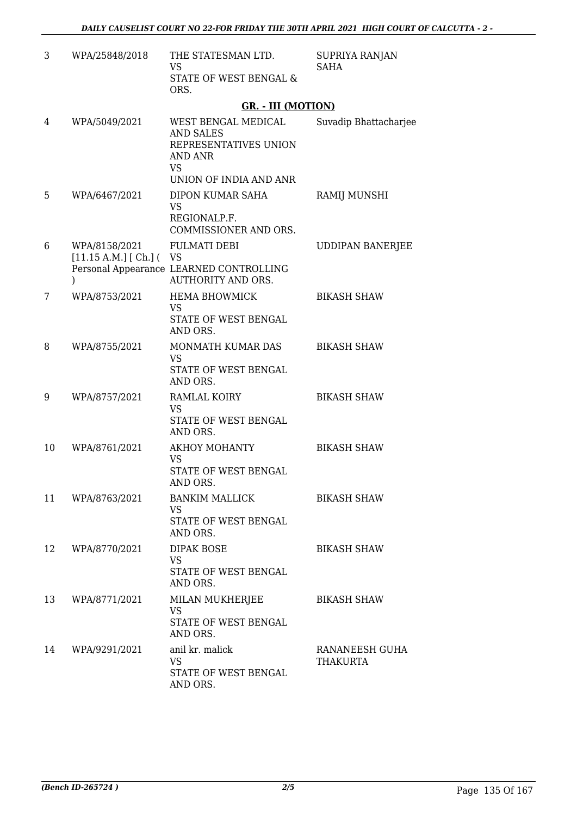| 3  | WPA/25848/2018                           | THE STATESMAN LTD.<br><b>VS</b><br>STATE OF WEST BENGAL &<br>ORS.                                                         | SUPRIYA RANJAN<br><b>SAHA</b>     |
|----|------------------------------------------|---------------------------------------------------------------------------------------------------------------------------|-----------------------------------|
|    |                                          | <b>GR. - III (MOTION)</b>                                                                                                 |                                   |
| 4  | WPA/5049/2021                            | WEST BENGAL MEDICAL<br><b>AND SALES</b><br>REPRESENTATIVES UNION<br><b>AND ANR</b><br><b>VS</b><br>UNION OF INDIA AND ANR | Suvadip Bhattacharjee             |
| 5  | WPA/6467/2021                            | DIPON KUMAR SAHA<br><b>VS</b><br>REGIONALP.F.                                                                             | RAMIJ MUNSHI                      |
| 6  | WPA/8158/2021<br>[11.15 A.M.] [Ch.] (VS) | COMMISSIONER AND ORS.<br><b>FULMATI DEBI</b><br>Personal Appearance LEARNED CONTROLLING                                   | <b>UDDIPAN BANERJEE</b>           |
| 7  | $\mathcal{E}$<br>WPA/8753/2021           | <b>AUTHORITY AND ORS.</b><br>HEMA BHOWMICK<br><b>VS</b><br>STATE OF WEST BENGAL<br>AND ORS.                               | <b>BIKASH SHAW</b>                |
| 8  | WPA/8755/2021                            | MONMATH KUMAR DAS<br><b>VS</b><br>STATE OF WEST BENGAL<br>AND ORS.                                                        | <b>BIKASH SHAW</b>                |
| 9  | WPA/8757/2021                            | RAMLAL KOIRY<br><b>VS</b><br>STATE OF WEST BENGAL<br>AND ORS.                                                             | <b>BIKASH SHAW</b>                |
| 10 | WPA/8761/2021                            | <b>AKHOY MOHANTY</b><br><b>VS</b><br>STATE OF WEST BENGAL<br>AND ORS.                                                     | <b>BIKASH SHAW</b>                |
| 11 | WPA/8763/2021                            | <b>BANKIM MALLICK</b><br><b>VS</b><br>STATE OF WEST BENGAL<br>AND ORS.                                                    | <b>BIKASH SHAW</b>                |
| 12 | WPA/8770/2021                            | <b>DIPAK BOSE</b><br><b>VS</b><br>STATE OF WEST BENGAL<br>AND ORS.                                                        | <b>BIKASH SHAW</b>                |
| 13 | WPA/8771/2021                            | MILAN MUKHERJEE<br><b>VS</b><br>STATE OF WEST BENGAL<br>AND ORS.                                                          | <b>BIKASH SHAW</b>                |
| 14 | WPA/9291/2021                            | anil kr. malick<br><b>VS</b><br>STATE OF WEST BENGAL<br>AND ORS.                                                          | RANANEESH GUHA<br><b>THAKURTA</b> |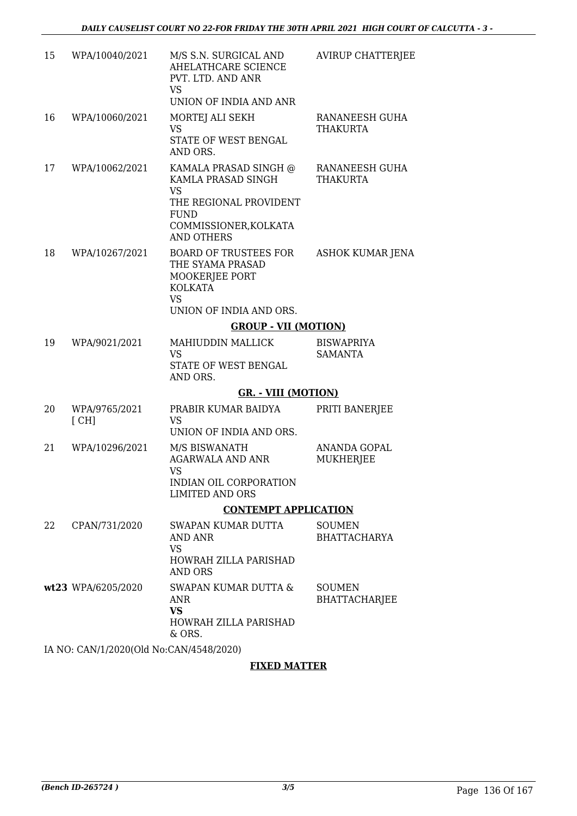| 15 | WPA/10040/2021        | M/S S.N. SURGICAL AND<br>AHELATHCARE SCIENCE<br>PVT. LTD. AND ANR<br><b>VS</b><br>UNION OF INDIA AND ANR                                                    | <b>AVIRUP CHATTERJEE</b>              |
|----|-----------------------|-------------------------------------------------------------------------------------------------------------------------------------------------------------|---------------------------------------|
| 16 | WPA/10060/2021        | MORTEJ ALI SEKH<br><b>VS</b><br>STATE OF WEST BENGAL<br>AND ORS.                                                                                            | RANANEESH GUHA<br><b>THAKURTA</b>     |
| 17 | WPA/10062/2021        | KAMALA PRASAD SINGH @<br>KAMLA PRASAD SINGH<br>VS.<br>THE REGIONAL PROVIDENT<br><b>FUND</b><br>COMMISSIONER, KOLKATA<br><b>AND OTHERS</b>                   | RANANEESH GUHA<br><b>THAKURTA</b>     |
| 18 | WPA/10267/2021        | <b>BOARD OF TRUSTEES FOR</b><br>THE SYAMA PRASAD<br>MOOKERJEE PORT<br><b>KOLKATA</b><br><b>VS</b><br>UNION OF INDIA AND ORS.<br><b>GROUP - VII (MOTION)</b> | <b>ASHOK KUMAR JENA</b>               |
|    |                       |                                                                                                                                                             |                                       |
| 19 | WPA/9021/2021         | MAHIUDDIN MALLICK<br><b>VS</b><br>STATE OF WEST BENGAL<br>AND ORS.                                                                                          | <b>BISWAPRIYA</b><br><b>SAMANTA</b>   |
|    |                       | <b>GR. - VIII (MOTION)</b>                                                                                                                                  |                                       |
| 20 | WPA/9765/2021<br>[CH] | PRABIR KUMAR BAIDYA<br><b>VS</b><br>UNION OF INDIA AND ORS.                                                                                                 | PRITI BANERJEE                        |
| 21 | WPA/10296/2021        | M/S BISWANATH<br><b>AGARWALA AND ANR</b><br><b>VS</b><br>INDIAN OIL CORPORATION                                                                             | ANANDA GOPAL<br>MUKHERJEE             |
|    |                       | <b>LIMITED AND ORS</b>                                                                                                                                      |                                       |
|    |                       | <b>CONTEMPT APPLICATION</b>                                                                                                                                 |                                       |
| 22 | CPAN/731/2020         | SWAPAN KUMAR DUTTA<br>AND ANR<br><b>VS</b><br>HOWRAH ZILLA PARISHAD                                                                                         | <b>SOUMEN</b><br><b>BHATTACHARYA</b>  |
|    |                       | <b>AND ORS</b>                                                                                                                                              |                                       |
|    | wt23 WPA/6205/2020    | SWAPAN KUMAR DUTTA &<br><b>ANR</b><br><b>VS</b><br>HOWRAH ZILLA PARISHAD                                                                                    | <b>SOUMEN</b><br><b>BHATTACHARJEE</b> |
|    |                       | & ORS.                                                                                                                                                      |                                       |

IA NO: CAN/1/2020(Old No:CAN/4548/2020)

### **FIXED MATTER**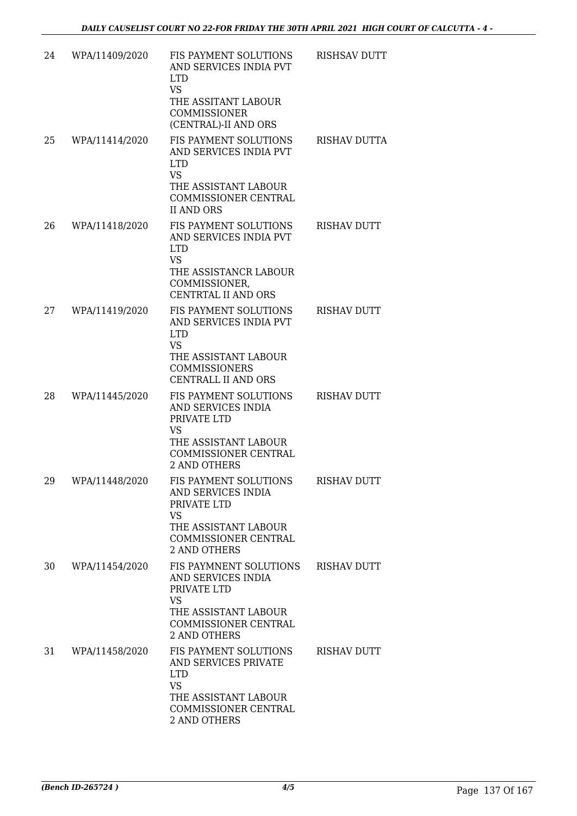| 24 | WPA/11409/2020 | FIS PAYMENT SOLUTIONS<br>AND SERVICES INDIA PVT<br><b>LTD</b><br><b>VS</b> | RISHSAV DUTT        |
|----|----------------|----------------------------------------------------------------------------|---------------------|
|    |                | THE ASSITANT LABOUR<br><b>COMMISSIONER</b><br>(CENTRAL)-II AND ORS         |                     |
| 25 | WPA/11414/2020 | FIS PAYMENT SOLUTIONS<br>AND SERVICES INDIA PVT<br><b>LTD</b><br><b>VS</b> | <b>RISHAV DUTTA</b> |
|    |                | THE ASSISTANT LABOUR<br>COMMISSIONER CENTRAL<br><b>II AND ORS</b>          |                     |
| 26 | WPA/11418/2020 | FIS PAYMENT SOLUTIONS<br>AND SERVICES INDIA PVT<br><b>LTD</b><br><b>VS</b> | <b>RISHAV DUTT</b>  |
|    |                | THE ASSISTANCR LABOUR<br>COMMISSIONER,<br>CENTRTAL II AND ORS              |                     |
| 27 | WPA/11419/2020 | FIS PAYMENT SOLUTIONS<br>AND SERVICES INDIA PVT<br><b>LTD</b><br><b>VS</b> | <b>RISHAV DUTT</b>  |
|    |                | THE ASSISTANT LABOUR<br><b>COMMISSIONERS</b><br><b>CENTRALL II AND ORS</b> |                     |
| 28 | WPA/11445/2020 | FIS PAYMENT SOLUTIONS<br>AND SERVICES INDIA<br>PRIVATE LTD<br><b>VS</b>    | <b>RISHAV DUTT</b>  |
|    |                | THE ASSISTANT LABOUR<br>COMMISSIONER CENTRAL<br><b>2 AND OTHERS</b>        |                     |
| 29 | WPA/11448/2020 | FIS PAYMENT SOLUTIONS<br>AND SERVICES INDIA<br>PRIVATE LTD<br><b>VS</b>    | <b>RISHAV DUTT</b>  |
|    |                | THE ASSISTANT LABOUR<br>COMMISSIONER CENTRAL<br>2 AND OTHERS               |                     |
| 30 | WPA/11454/2020 | FIS PAYMNENT SOLUTIONS<br>AND SERVICES INDIA<br>PRIVATE LTD<br><b>VS</b>   | <b>RISHAV DUTT</b>  |
|    |                | THE ASSISTANT LABOUR<br>COMMISSIONER CENTRAL<br>2 AND OTHERS               |                     |
| 31 | WPA/11458/2020 | FIS PAYMENT SOLUTIONS<br>AND SERVICES PRIVATE<br><b>LTD</b><br><b>VS</b>   | <b>RISHAV DUTT</b>  |
|    |                | THE ASSISTANT LABOUR<br>COMMISSIONER CENTRAL<br><b>2 AND OTHERS</b>        |                     |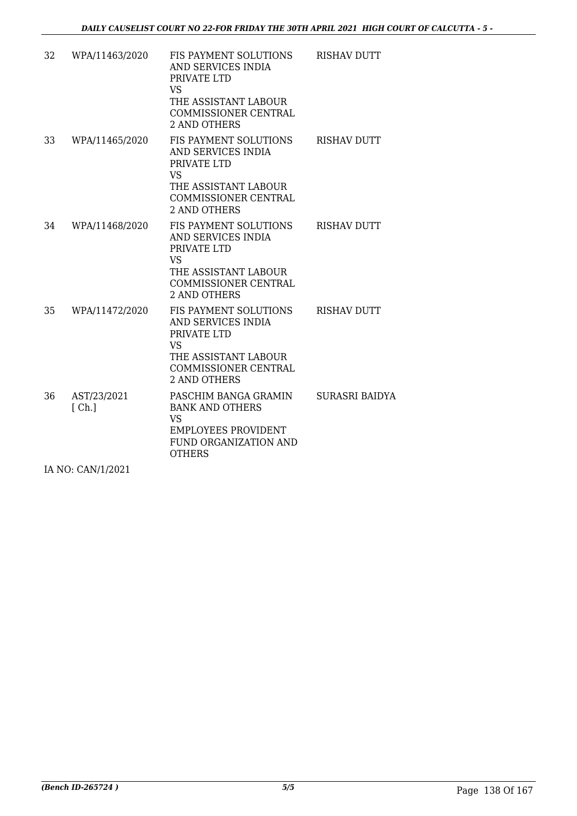| 32 | WPA/11463/2020       | FIS PAYMENT SOLUTIONS<br>AND SERVICES INDIA<br>PRIVATE LTD<br><b>VS</b><br>THE ASSISTANT LABOUR<br>COMMISSIONER CENTRAL<br><b>2 AND OTHERS</b>        | <b>RISHAV DUTT</b>    |
|----|----------------------|-------------------------------------------------------------------------------------------------------------------------------------------------------|-----------------------|
| 33 | WPA/11465/2020       | FIS PAYMENT SOLUTIONS<br>AND SERVICES INDIA<br>PRIVATE LTD<br><b>VS</b><br>THE ASSISTANT LABOUR<br><b>COMMISSIONER CENTRAL</b><br>2 AND OTHERS        | <b>RISHAV DUTT</b>    |
| 34 | WPA/11468/2020       | FIS PAYMENT SOLUTIONS<br>AND SERVICES INDIA<br>PRIVATE LTD<br><b>VS</b><br>THE ASSISTANT LABOUR<br>COMMISSIONER CENTRAL<br><b>2 AND OTHERS</b>        | <b>RISHAV DUTT</b>    |
| 35 | WPA/11472/2020       | FIS PAYMENT SOLUTIONS<br>AND SERVICES INDIA<br>PRIVATE LTD<br><b>VS</b><br>THE ASSISTANT LABOUR<br><b>COMMISSIONER CENTRAL</b><br><b>2 AND OTHERS</b> | <b>RISHAV DUTT</b>    |
| 36 | AST/23/2021<br>[Ch.] | PASCHIM BANGA GRAMIN<br><b>BANK AND OTHERS</b><br><b>VS</b><br><b>EMPLOYEES PROVIDENT</b><br>FUND ORGANIZATION AND<br><b>OTHERS</b>                   | <b>SURASRI BAIDYA</b> |

IA NO: CAN/1/2021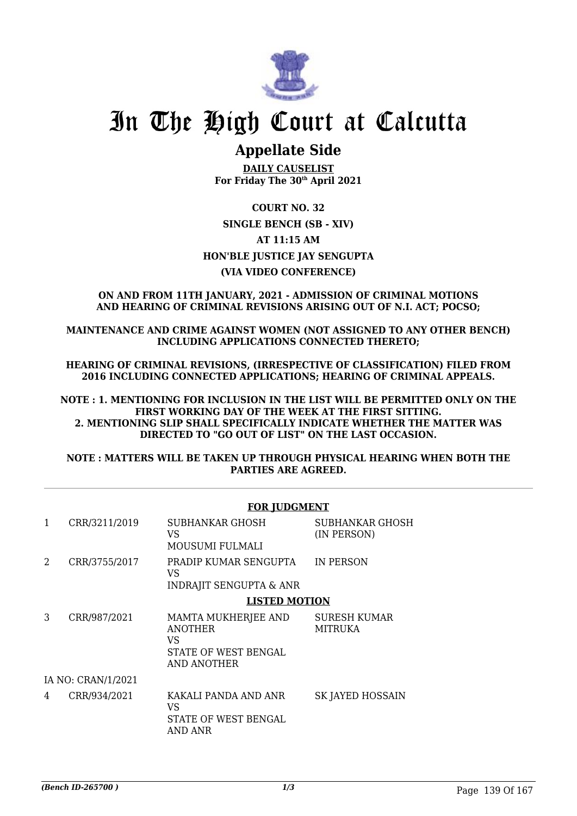

### **Appellate Side**

**DAILY CAUSELIST For Friday The 30th April 2021**

**COURT NO. 32 SINGLE BENCH (SB - XIV) AT 11:15 AM HON'BLE JUSTICE JAY SENGUPTA (VIA VIDEO CONFERENCE)**

**ON AND FROM 11TH JANUARY, 2021 - ADMISSION OF CRIMINAL MOTIONS AND HEARING OF CRIMINAL REVISIONS ARISING OUT OF N.I. ACT; POCSO;**

**MAINTENANCE AND CRIME AGAINST WOMEN (NOT ASSIGNED TO ANY OTHER BENCH) INCLUDING APPLICATIONS CONNECTED THERETO;**

**HEARING OF CRIMINAL REVISIONS, (IRRESPECTIVE OF CLASSIFICATION) FILED FROM 2016 INCLUDING CONNECTED APPLICATIONS; HEARING OF CRIMINAL APPEALS.**

**NOTE : 1. MENTIONING FOR INCLUSION IN THE LIST WILL BE PERMITTED ONLY ON THE FIRST WORKING DAY OF THE WEEK AT THE FIRST SITTING. 2. MENTIONING SLIP SHALL SPECIFICALLY INDICATE WHETHER THE MATTER WAS DIRECTED TO "GO OUT OF LIST" ON THE LAST OCCASION.**

**NOTE : MATTERS WILL BE TAKEN UP THROUGH PHYSICAL HEARING WHEN BOTH THE PARTIES ARE AGREED.**

|   | <b>FOR JUDGMENT</b> |                                                                                           |                                       |  |  |
|---|---------------------|-------------------------------------------------------------------------------------------|---------------------------------------|--|--|
| 1 | CRR/3211/2019       | SUBHANKAR GHOSH<br>VS.<br>MOUSUMI FULMALI                                                 | SUBHANKAR GHOSH<br>(IN PERSON)        |  |  |
| 2 | CRR/3755/2017       | PRADIP KUMAR SENGUPTA<br>VS.<br><b>INDRAJIT SENGUPTA &amp; ANR</b>                        | IN PERSON                             |  |  |
|   |                     | <b>LISTED MOTION</b>                                                                      |                                       |  |  |
| 3 | CRR/987/2021        | MAMTA MUKHERJEE AND<br><b>ANOTHER</b><br>VS<br>STATE OF WEST BENGAL<br><b>AND ANOTHER</b> | <b>SURESH KUMAR</b><br><b>MITRUKA</b> |  |  |
|   | IA NO: CRAN/1/2021  |                                                                                           |                                       |  |  |
| 4 | CRR/934/2021        | KAKALI PANDA AND ANR<br>VS<br>STATE OF WEST BENGAL<br>AND ANR                             | SK JAYED HOSSAIN                      |  |  |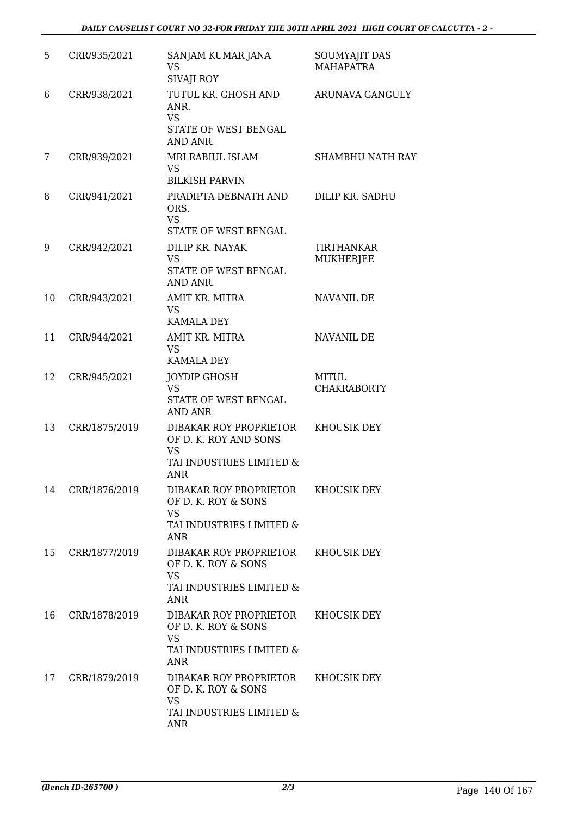| 5  | CRR/935/2021  | SANJAM KUMAR JANA<br><b>VS</b><br><b>SIVAJI ROY</b>                                                    | SOUMYAJIT DAS<br><b>MAHAPATRA</b> |
|----|---------------|--------------------------------------------------------------------------------------------------------|-----------------------------------|
| 6  | CRR/938/2021  | TUTUL KR. GHOSH AND<br>ANR.<br><b>VS</b><br>STATE OF WEST BENGAL<br>AND ANR.                           | ARUNAVA GANGULY                   |
| 7  | CRR/939/2021  | MRI RABIUL ISLAM<br><b>VS</b><br><b>BILKISH PARVIN</b>                                                 | <b>SHAMBHU NATH RAY</b>           |
| 8  | CRR/941/2021  | PRADIPTA DEBNATH AND<br>ORS.<br><b>VS</b><br>STATE OF WEST BENGAL                                      | DILIP KR. SADHU                   |
| 9  | CRR/942/2021  | DILIP KR. NAYAK<br><b>VS</b><br>STATE OF WEST BENGAL<br>AND ANR.                                       | TIRTHANKAR<br>MUKHERJEE           |
| 10 | CRR/943/2021  | AMIT KR. MITRA<br><b>VS</b><br><b>KAMALA DEY</b>                                                       | <b>NAVANIL DE</b>                 |
| 11 | CRR/944/2021  | AMIT KR. MITRA<br><b>VS</b><br><b>KAMALA DEY</b>                                                       | NAVANIL DE                        |
| 12 | CRR/945/2021  | <b>JOYDIP GHOSH</b><br><b>VS</b><br>STATE OF WEST BENGAL<br><b>AND ANR</b>                             | MITUL<br><b>CHAKRABORTY</b>       |
| 13 | CRR/1875/2019 | DIBAKAR ROY PROPRIETOR<br>OF D. K. ROY AND SONS<br><b>VS</b><br>TAI INDUSTRIES LIMITED &<br><b>ANR</b> | <b>KHOUSIK DEY</b>                |
| 14 | CRR/1876/2019 | DIBAKAR ROY PROPRIETOR<br>OF D. K. ROY & SONS<br><b>VS</b><br>TAI INDUSTRIES LIMITED &<br><b>ANR</b>   | <b>KHOUSIK DEY</b>                |
| 15 | CRR/1877/2019 | DIBAKAR ROY PROPRIETOR<br>OF D. K. ROY & SONS<br><b>VS</b><br>TAI INDUSTRIES LIMITED &<br><b>ANR</b>   | KHOUSIK DEY                       |
| 16 | CRR/1878/2019 | DIBAKAR ROY PROPRIETOR<br>OF D. K. ROY & SONS<br><b>VS</b><br>TAI INDUSTRIES LIMITED &<br><b>ANR</b>   | KHOUSIK DEY                       |
| 17 | CRR/1879/2019 | DIBAKAR ROY PROPRIETOR<br>OF D. K. ROY & SONS<br><b>VS</b><br>TAI INDUSTRIES LIMITED &<br><b>ANR</b>   | KHOUSIK DEY                       |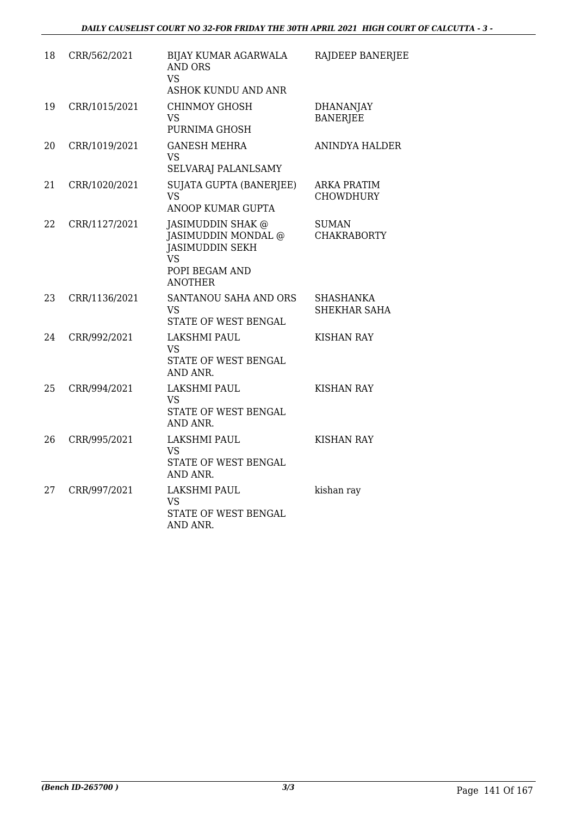| 18 | CRR/562/2021  | BIJAY KUMAR AGARWALA<br><b>AND ORS</b><br><b>VS</b><br><b>ASHOK KUNDU AND ANR</b>                                   | RAJDEEP BANERJEE                       |
|----|---------------|---------------------------------------------------------------------------------------------------------------------|----------------------------------------|
| 19 | CRR/1015/2021 | <b>CHINMOY GHOSH</b><br><b>VS</b><br>PURNIMA GHOSH                                                                  | <b>DHANANJAY</b><br><b>BANERJEE</b>    |
| 20 | CRR/1019/2021 | <b>GANESH MEHRA</b><br><b>VS</b><br>SELVARAJ PALANLSAMY                                                             | <b>ANINDYA HALDER</b>                  |
| 21 | CRR/1020/2021 | SUJATA GUPTA (BANERJEE)<br><b>VS</b><br>ANOOP KUMAR GUPTA                                                           | <b>ARKA PRATIM</b><br><b>CHOWDHURY</b> |
| 22 | CRR/1127/2021 | JASIMUDDIN SHAK @<br>JASIMUDDIN MONDAL @<br><b>JASIMUDDIN SEKH</b><br><b>VS</b><br>POPI BEGAM AND<br><b>ANOTHER</b> | <b>SUMAN</b><br><b>CHAKRABORTY</b>     |
| 23 | CRR/1136/2021 | SANTANOU SAHA AND ORS<br><b>VS</b><br>STATE OF WEST BENGAL                                                          | SHASHANKA<br>SHEKHAR SAHA              |
| 24 | CRR/992/2021  | <b>LAKSHMI PAUL</b><br>VS<br>STATE OF WEST BENGAL<br>AND ANR.                                                       | <b>KISHAN RAY</b>                      |
| 25 | CRR/994/2021  | <b>LAKSHMI PAUL</b><br><b>VS</b><br>STATE OF WEST BENGAL<br>AND ANR.                                                | <b>KISHAN RAY</b>                      |
| 26 | CRR/995/2021  | <b>LAKSHMI PAUL</b><br><b>VS</b><br>STATE OF WEST BENGAL<br>AND ANR.                                                | <b>KISHAN RAY</b>                      |
| 27 | CRR/997/2021  | LAKSHMI PAUL<br><b>VS</b><br>STATE OF WEST BENGAL<br>AND ANR.                                                       | kishan ray                             |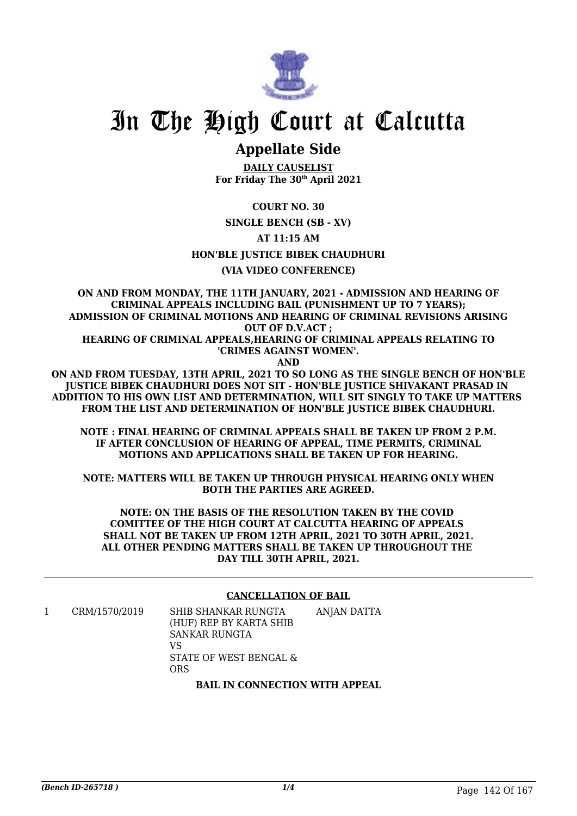

### **Appellate Side**

**DAILY CAUSELIST For Friday The 30th April 2021**

**COURT NO. 30**

**SINGLE BENCH (SB - XV)**

**AT 11:15 AM**

**HON'BLE JUSTICE BIBEK CHAUDHURI**

### **(VIA VIDEO CONFERENCE)**

**ON AND FROM MONDAY, THE 11TH JANUARY, 2021 - ADMISSION AND HEARING OF CRIMINAL APPEALS INCLUDING BAIL (PUNISHMENT UP TO 7 YEARS); ADMISSION OF CRIMINAL MOTIONS AND HEARING OF CRIMINAL REVISIONS ARISING OUT OF D.V.ACT ;**

**HEARING OF CRIMINAL APPEALS,HEARING OF CRIMINAL APPEALS RELATING TO 'CRIMES AGAINST WOMEN'.**

**AND**

**ON AND FROM TUESDAY, 13TH APRIL, 2021 TO SO LONG AS THE SINGLE BENCH OF HON'BLE JUSTICE BIBEK CHAUDHURI DOES NOT SIT - HON'BLE JUSTICE SHIVAKANT PRASAD IN ADDITION TO HIS OWN LIST AND DETERMINATION, WILL SIT SINGLY TO TAKE UP MATTERS FROM THE LIST AND DETERMINATION OF HON'BLE JUSTICE BIBEK CHAUDHURI.**

**NOTE : FINAL HEARING OF CRIMINAL APPEALS SHALL BE TAKEN UP FROM 2 P.M. IF AFTER CONCLUSION OF HEARING OF APPEAL, TIME PERMITS, CRIMINAL MOTIONS AND APPLICATIONS SHALL BE TAKEN UP FOR HEARING.**

**NOTE: MATTERS WILL BE TAKEN UP THROUGH PHYSICAL HEARING ONLY WHEN BOTH THE PARTIES ARE AGREED.**

**NOTE: ON THE BASIS OF THE RESOLUTION TAKEN BY THE COVID COMITTEE OF THE HIGH COURT AT CALCUTTA HEARING OF APPEALS SHALL NOT BE TAKEN UP FROM 12TH APRIL, 2021 TO 30TH APRIL, 2021. ALL OTHER PENDING MATTERS SHALL BE TAKEN UP THROUGHOUT THE DAY TILL 30TH APRIL, 2021.**

#### **CANCELLATION OF BAIL**

1 CRM/1570/2019 SHIB SHANKAR RUNGTA (HUF) REP BY KARTA SHIB SANKAR RUNGTA VS STATE OF WEST BENGAL & ORS ANJAN DATTA

### **BAIL IN CONNECTION WITH APPEAL**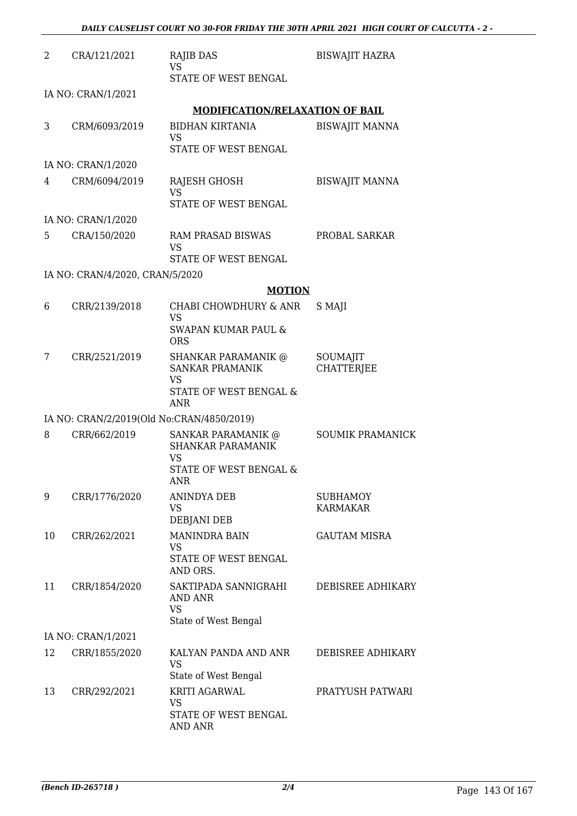| 2  | CRA/121/2021                    | RAJIB DAS<br><b>VS</b>                                                                                    | <b>BISWAJIT HAZRA</b>              |
|----|---------------------------------|-----------------------------------------------------------------------------------------------------------|------------------------------------|
|    |                                 | STATE OF WEST BENGAL                                                                                      |                                    |
|    | IA NO: CRAN/1/2021              |                                                                                                           |                                    |
|    |                                 | <b>MODIFICATION/RELAXATION OF BAIL</b>                                                                    |                                    |
| 3  | CRM/6093/2019                   | <b>BIDHAN KIRTANIA</b><br><b>VS</b><br>STATE OF WEST BENGAL                                               | <b>BISWAJIT MANNA</b>              |
|    | IA NO: CRAN/1/2020              |                                                                                                           |                                    |
| 4  | CRM/6094/2019                   | RAJESH GHOSH<br><b>VS</b>                                                                                 | <b>BISWAJIT MANNA</b>              |
|    |                                 | STATE OF WEST BENGAL                                                                                      |                                    |
|    | IA NO: CRAN/1/2020              |                                                                                                           |                                    |
| 5  | CRA/150/2020                    | <b>RAM PRASAD BISWAS</b><br><b>VS</b>                                                                     | PROBAL SARKAR                      |
|    |                                 | STATE OF WEST BENGAL                                                                                      |                                    |
|    | IA NO: CRAN/4/2020, CRAN/5/2020 |                                                                                                           |                                    |
|    |                                 | <b>MOTION</b>                                                                                             |                                    |
| 6  | CRR/2139/2018                   | CHABI CHOWDHURY & ANR<br><b>VS</b><br><b>SWAPAN KUMAR PAUL &amp;</b>                                      | S MAJI                             |
|    |                                 | <b>ORS</b>                                                                                                |                                    |
| 7  | CRR/2521/2019                   | <b>SHANKAR PARAMANIK @</b><br><b>SANKAR PRAMANIK</b><br><b>VS</b><br>STATE OF WEST BENGAL &<br><b>ANR</b> | SOUMAJIT<br><b>CHATTERJEE</b>      |
|    |                                 | IA NO: CRAN/2/2019(Old No:CRAN/4850/2019)                                                                 |                                    |
| 8  | CRR/662/2019                    | SANKAR PARAMANIK @<br>SHANKAR PARAMANIK<br>VS<br>STATE OF WEST BENGAL &<br>ANR                            | <b>SOUMIK PRAMANICK</b>            |
| 9  | CRR/1776/2020                   | <b>ANINDYA DEB</b><br><b>VS</b><br>DEBJANI DEB                                                            | <b>SUBHAMOY</b><br><b>KARMAKAR</b> |
| 10 | CRR/262/2021                    | <b>MANINDRA BAIN</b><br><b>VS</b><br><b>STATE OF WEST BENGAL</b><br>AND ORS.                              | <b>GAUTAM MISRA</b>                |
| 11 | CRR/1854/2020                   | SAKTIPADA SANNIGRAHI<br><b>AND ANR</b><br><b>VS</b><br>State of West Bengal                               | DEBISREE ADHIKARY                  |
|    | IA NO: CRAN/1/2021              |                                                                                                           |                                    |
| 12 | CRR/1855/2020                   | KALYAN PANDA AND ANR<br><b>VS</b>                                                                         | DEBISREE ADHIKARY                  |
|    |                                 | State of West Bengal                                                                                      |                                    |
| 13 | CRR/292/2021                    | KRITI AGARWAL<br><b>VS</b><br>STATE OF WEST BENGAL                                                        | PRATYUSH PATWARI                   |
|    |                                 | <b>AND ANR</b>                                                                                            |                                    |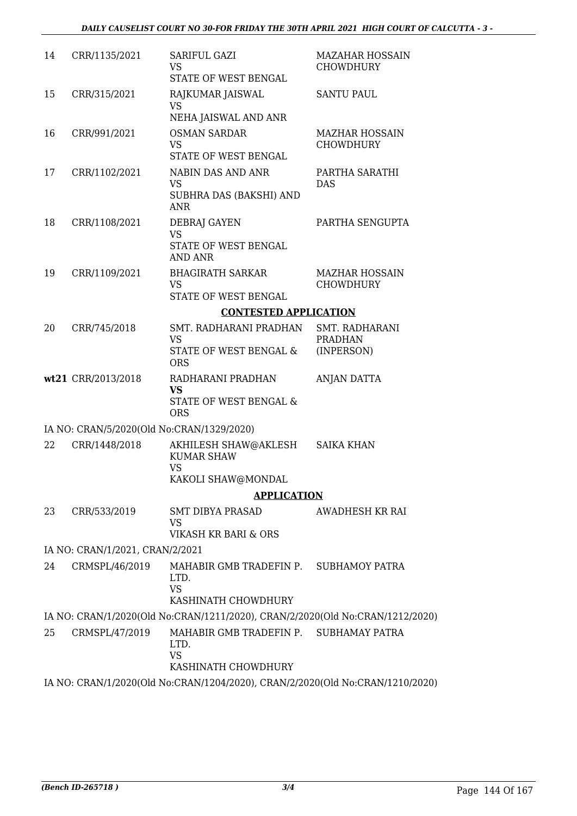| 14 | CRR/1135/2021                             | SARIFUL GAZI<br><b>VS</b>                                                          | <b>MAZAHAR HOSSAIN</b><br><b>CHOWDHURY</b> |
|----|-------------------------------------------|------------------------------------------------------------------------------------|--------------------------------------------|
|    |                                           | STATE OF WEST BENGAL                                                               |                                            |
| 15 | CRR/315/2021                              | RAJKUMAR JAISWAL<br><b>VS</b>                                                      | <b>SANTU PAUL</b>                          |
|    |                                           | NEHA JAISWAL AND ANR                                                               |                                            |
| 16 | CRR/991/2021                              | <b>OSMAN SARDAR</b><br><b>VS</b><br>STATE OF WEST BENGAL                           | <b>MAZHAR HOSSAIN</b><br><b>CHOWDHURY</b>  |
|    |                                           |                                                                                    |                                            |
| 17 | CRR/1102/2021                             | <b>NABIN DAS AND ANR</b><br><b>VS</b><br>SUBHRA DAS (BAKSHI) AND<br><b>ANR</b>     | PARTHA SARATHI<br><b>DAS</b>               |
| 18 | CRR/1108/2021                             | DEBRAJ GAYEN                                                                       | PARTHA SENGUPTA                            |
|    |                                           | <b>VS</b><br>STATE OF WEST BENGAL<br><b>AND ANR</b>                                |                                            |
| 19 | CRR/1109/2021                             | <b>BHAGIRATH SARKAR</b><br><b>VS</b>                                               | <b>MAZHAR HOSSAIN</b><br><b>CHOWDHURY</b>  |
|    |                                           | STATE OF WEST BENGAL                                                               |                                            |
|    |                                           | <b>CONTESTED APPLICATION</b>                                                       |                                            |
| 20 | CRR/745/2018                              | SMT. RADHARANI PRADHAN<br><b>VS</b>                                                | SMT. RADHARANI<br><b>PRADHAN</b>           |
|    |                                           | STATE OF WEST BENGAL &<br><b>ORS</b>                                               | (INPERSON)                                 |
|    | wt21 CRR/2013/2018                        | RADHARANI PRADHAN<br><b>VS</b>                                                     | ANJAN DATTA                                |
|    |                                           | STATE OF WEST BENGAL &<br><b>ORS</b>                                               |                                            |
|    | IA NO: CRAN/5/2020(Old No:CRAN/1329/2020) |                                                                                    |                                            |
| 22 | CRR/1448/2018                             | AKHILESH SHAW@AKLESH<br><b>KUMAR SHAW</b><br><b>VS</b>                             | <b>SAIKA KHAN</b>                          |
|    |                                           | KAKOLI SHAW@MONDAL                                                                 |                                            |
|    |                                           | <b>APPLICATION</b>                                                                 |                                            |
| 23 | CRR/533/2019                              | SMT DIBYA PRASAD<br><b>VS</b>                                                      | AWADHESH KR RAI                            |
|    |                                           | VIKASH KR BARI & ORS                                                               |                                            |
|    | IA NO: CRAN/1/2021, CRAN/2/2021           |                                                                                    |                                            |
| 24 | CRMSPL/46/2019                            | MAHABIR GMB TRADEFIN P. SUBHAMOY PATRA<br>LTD.<br><b>VS</b><br>KASHINATH CHOWDHURY |                                            |
|    |                                           |                                                                                    |                                            |
|    |                                           | IA NO: CRAN/1/2020(Old No:CRAN/1211/2020), CRAN/2/2020(Old No:CRAN/1212/2020)      |                                            |
| 25 | CRMSPL/47/2019                            | MAHABIR GMB TRADEFIN P. SUBHAMAY PATRA<br>LTD.<br><b>VS</b><br>KASHINATH CHOWDHURY |                                            |
|    |                                           | IA NO: CRAN/1/2020(Old No:CRAN/1204/2020), CRAN/2/2020(Old No:CRAN/1210/2020)      |                                            |
|    |                                           |                                                                                    |                                            |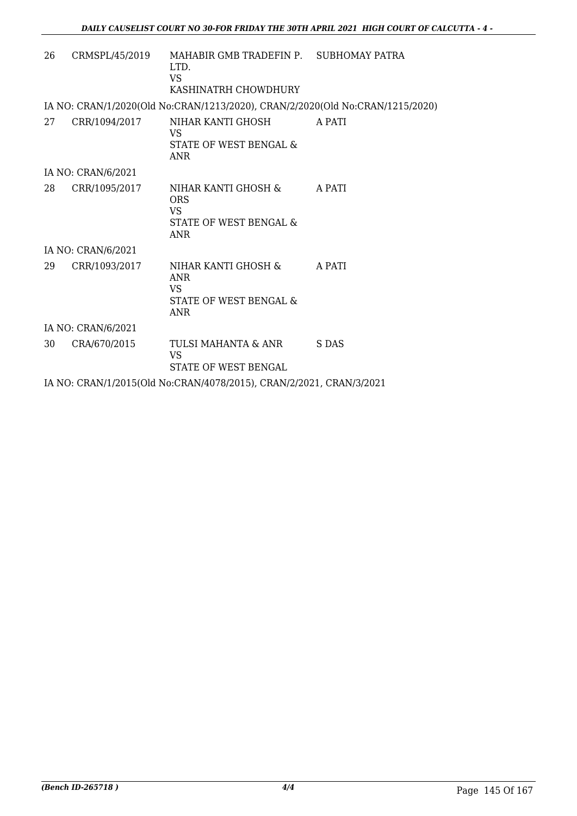| 26 | CRMSPL/45/2019     | MAHABIR GMB TRADEFIN P. SUBHOMAY PATRA<br>LTD.<br>VS.<br>KASHINATRH CHOWDHURY          |        |
|----|--------------------|----------------------------------------------------------------------------------------|--------|
|    |                    | IA NO: CRAN/1/2020(Old No:CRAN/1213/2020), CRAN/2/2020(Old No:CRAN/1215/2020)          |        |
| 27 | CRR/1094/2017      | NIHAR KANTI GHOSH<br>VS.<br>STATE OF WEST BENGAL &<br>ANR                              | A PATI |
|    | IA NO: CRAN/6/2021 |                                                                                        |        |
| 28 | CRR/1095/2017      | NIHAR KANTI GHOSH &<br><b>ORS</b><br><b>VS</b><br>STATE OF WEST BENGAL &<br><b>ANR</b> | A PATI |
|    | IA NO: CRAN/6/2021 |                                                                                        |        |
| 29 | CRR/1093/2017      | NIHAR KANTI GHOSH &<br><b>ANR</b><br>VS.<br>STATE OF WEST BENGAL &<br>ANR              | A PATI |
|    | IA NO: CRAN/6/2021 |                                                                                        |        |
| 30 | CRA/670/2015       | TULSI MAHANTA & ANR<br><b>VS</b><br>STATE OF WEST BENGAL                               | S DAS  |
|    |                    | IA NO: CRAN/1/2015(Old No:CRAN/4078/2015), CRAN/2/2021, CRAN/3/2021                    |        |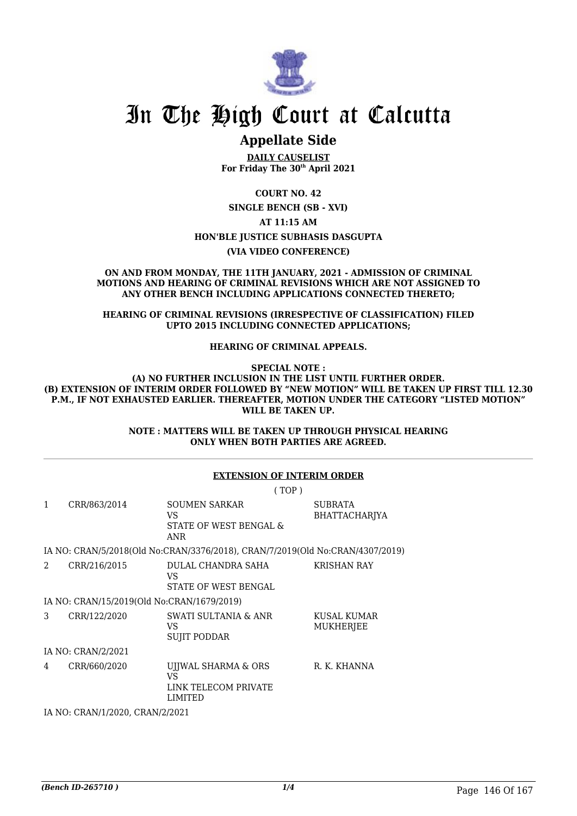

### **Appellate Side**

**DAILY CAUSELIST For Friday The 30th April 2021**

**COURT NO. 42 SINGLE BENCH (SB - XVI) AT 11:15 AM HON'BLE JUSTICE SUBHASIS DASGUPTA**

**(VIA VIDEO CONFERENCE)**

**ON AND FROM MONDAY, THE 11TH JANUARY, 2021 - ADMISSION OF CRIMINAL MOTIONS AND HEARING OF CRIMINAL REVISIONS WHICH ARE NOT ASSIGNED TO ANY OTHER BENCH INCLUDING APPLICATIONS CONNECTED THERETO;**

**HEARING OF CRIMINAL REVISIONS (IRRESPECTIVE OF CLASSIFICATION) FILED UPTO 2015 INCLUDING CONNECTED APPLICATIONS;**

**HEARING OF CRIMINAL APPEALS.**

**SPECIAL NOTE :**

**(A) NO FURTHER INCLUSION IN THE LIST UNTIL FURTHER ORDER. (B) EXTENSION OF INTERIM ORDER FOLLOWED BY "NEW MOTION" WILL BE TAKEN UP FIRST TILL 12.30 P.M., IF NOT EXHAUSTED EARLIER. THEREAFTER, MOTION UNDER THE CATEGORY "LISTED MOTION" WILL BE TAKEN UP.**

> **NOTE : MATTERS WILL BE TAKEN UP THROUGH PHYSICAL HEARING ONLY WHEN BOTH PARTIES ARE AGREED.**

### **EXTENSION OF INTERIM ORDER**

( TOP )

| 1 | CRR/863/2014                               | <b>SOUMEN SARKAR</b><br>VS<br>STATE OF WEST BENGAL &<br><b>ANR</b>            | <b>SUBRATA</b><br><b>BHATTACHARIYA</b> |
|---|--------------------------------------------|-------------------------------------------------------------------------------|----------------------------------------|
|   |                                            | IA NO: CRAN/5/2018(Old No:CRAN/3376/2018), CRAN/7/2019(Old No:CRAN/4307/2019) |                                        |
| 2 | CRR/216/2015                               | DULAL CHANDRA SAHA<br>VS<br>STATE OF WEST BENGAL                              | <b>KRISHAN RAY</b>                     |
|   | IA NO: CRAN/15/2019(Old No:CRAN/1679/2019) |                                                                               |                                        |
| 3 | CRR/122/2020                               | <b>SWATI SULTANIA &amp; ANR</b><br>VS.<br><b>SUJIT PODDAR</b>                 | KUSAL KUMAR<br>MUKHERJEE               |
|   | IA NO: CRAN/2/2021                         |                                                                               |                                        |
|   |                                            |                                                                               |                                        |

4 CRR/660/2020 UJJWAL SHARMA & ORS VS LINK TELECOM PRIVATE LIMITED R. K. KHANNA

IA NO: CRAN/1/2020, CRAN/2/2021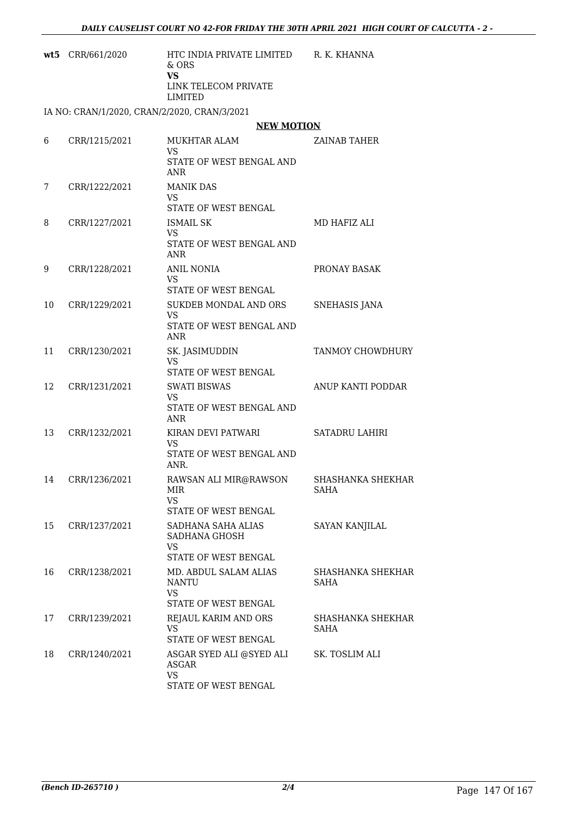| wt5 | CRR/661/2020  | HTC INDIA PRIVATE LIMITED<br>$&$ ORS<br><b>VS</b><br>LINK TELECOM PRIVATE<br>LIMITED | R. K. KHANNA                     |
|-----|---------------|--------------------------------------------------------------------------------------|----------------------------------|
|     |               | IA NO: CRAN/1/2020, CRAN/2/2020, CRAN/3/2021                                         |                                  |
|     |               | <b>NEW MOTION</b>                                                                    |                                  |
| 6   | CRR/1215/2021 | MUKHTAR ALAM                                                                         | ZAINAB TAHER                     |
|     |               | VS<br>STATE OF WEST BENGAL AND<br>ANR                                                |                                  |
| 7   | CRR/1222/2021 | <b>MANIK DAS</b><br>VS.<br>STATE OF WEST BENGAL                                      |                                  |
| 8   | CRR/1227/2021 | <b>ISMAIL SK</b><br>VS.<br>STATE OF WEST BENGAL AND                                  | MD HAFIZ ALI                     |
| 9   | CRR/1228/2021 | ANR<br><b>ANIL NONIA</b><br><b>VS</b><br>STATE OF WEST BENGAL                        | PRONAY BASAK                     |
| 10  | CRR/1229/2021 | SUKDEB MONDAL AND ORS<br><b>VS</b><br>STATE OF WEST BENGAL AND<br><b>ANR</b>         | <b>SNEHASIS JANA</b>             |
| 11  | CRR/1230/2021 | SK. JASIMUDDIN<br><b>VS</b><br>STATE OF WEST BENGAL                                  | TANMOY CHOWDHURY                 |
| 12  | CRR/1231/2021 | <b>SWATI BISWAS</b><br><b>VS</b><br>STATE OF WEST BENGAL AND<br>ANR                  | ANUP KANTI PODDAR                |
| 13  | CRR/1232/2021 | KIRAN DEVI PATWARI<br><b>VS</b><br>STATE OF WEST BENGAL AND<br>ANR.                  | <b>SATADRU LAHIRI</b>            |
| 14  | CRR/1236/2021 | RAWSAN ALI MIR@RAWSON<br>MIR<br><b>VS</b><br><b>STATE OF WEST BENGAL</b>             | SHASHANKA SHEKHAR<br><b>SAHA</b> |
| 15  | CRR/1237/2021 | SADHANA SAHA ALIAS<br>SADHANA GHOSH<br><b>VS</b><br><b>STATE OF WEST BENGAL</b>      | <b>SAYAN KANJILAL</b>            |
| 16  | CRR/1238/2021 | MD. ABDUL SALAM ALIAS<br><b>NANTU</b><br><b>VS</b><br>STATE OF WEST BENGAL           | SHASHANKA SHEKHAR<br><b>SAHA</b> |
| 17  | CRR/1239/2021 | REJAUL KARIM AND ORS<br>VS<br>STATE OF WEST BENGAL                                   | SHASHANKA SHEKHAR<br><b>SAHA</b> |
| 18  | CRR/1240/2021 | ASGAR SYED ALI @SYED ALI<br>ASGAR<br><b>VS</b><br>STATE OF WEST BENGAL               | SK. TOSLIM ALI                   |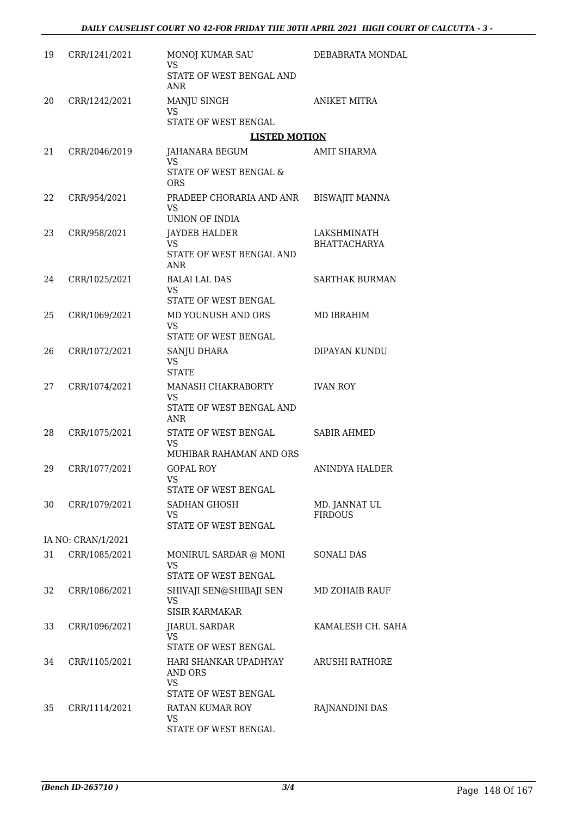| 19 | CRR/1241/2021      | <b>MONOJ KUMAR SAU</b><br><b>VS</b>                     | DEBABRATA MONDAL      |
|----|--------------------|---------------------------------------------------------|-----------------------|
|    |                    | STATE OF WEST BENGAL AND<br>ANR                         |                       |
| 20 | CRR/1242/2021      | MANJU SINGH<br><b>VS</b><br>STATE OF WEST BENGAL        | <b>ANIKET MITRA</b>   |
|    |                    | <b>LISTED MOTION</b>                                    |                       |
| 21 | CRR/2046/2019      | JAHANARA BEGUM                                          | <b>AMIT SHARMA</b>    |
|    |                    | <b>VS</b>                                               |                       |
|    |                    | STATE OF WEST BENGAL &<br><b>ORS</b>                    |                       |
| 22 | CRR/954/2021       | PRADEEP CHORARIA AND ANR<br><b>VS</b><br>UNION OF INDIA | <b>BISWAJIT MANNA</b> |
| 23 | CRR/958/2021       | JAYDEB HALDER                                           | LAKSHMINATH           |
|    |                    | <b>VS</b><br>STATE OF WEST BENGAL AND<br>ANR            | <b>BHATTACHARYA</b>   |
| 24 | CRR/1025/2021      | <b>BALAI LAL DAS</b>                                    | <b>SARTHAK BURMAN</b> |
|    |                    | VS.                                                     |                       |
|    |                    | STATE OF WEST BENGAL                                    |                       |
| 25 | CRR/1069/2021      | MD YOUNUSH AND ORS<br><b>VS</b>                         | MD IBRAHIM            |
|    |                    | STATE OF WEST BENGAL                                    |                       |
| 26 | CRR/1072/2021      | SANJU DHARA<br>VS.<br><b>STATE</b>                      | DIPAYAN KUNDU         |
| 27 | CRR/1074/2021      | MANASH CHAKRABORTY                                      | <b>IVAN ROY</b>       |
|    |                    | VS<br>STATE OF WEST BENGAL AND<br>ANR                   |                       |
| 28 | CRR/1075/2021      | STATE OF WEST BENGAL                                    | <b>SABIR AHMED</b>    |
|    |                    | <b>VS</b><br>MUHIBAR RAHAMAN AND ORS                    |                       |
| 29 | CRR/1077/2021      | <b>GOPAL ROY</b>                                        | ANINDYA HALDER        |
|    |                    | <b>VS</b><br>STATE OF WEST BENGAL                       |                       |
| 30 | CRR/1079/2021      | <b>SADHAN GHOSH</b>                                     | MD. JANNAT UL         |
|    |                    | VS                                                      | <b>FIRDOUS</b>        |
|    |                    | STATE OF WEST BENGAL                                    |                       |
|    | IA NO: CRAN/1/2021 |                                                         |                       |
| 31 | CRR/1085/2021      | MONIRUL SARDAR @ MONI<br>VS<br>STATE OF WEST BENGAL     | <b>SONALI DAS</b>     |
| 32 | CRR/1086/2021      | SHIVAJI SEN@SHIBAJI SEN                                 | MD ZOHAIB RAUF        |
|    |                    | VS<br><b>SISIR KARMAKAR</b>                             |                       |
| 33 | CRR/1096/2021      | <b>JIARUL SARDAR</b>                                    | KAMALESH CH. SAHA     |
|    |                    | VS<br>STATE OF WEST BENGAL                              |                       |
| 34 | CRR/1105/2021      | HARI SHANKAR UPADHYAY<br>AND ORS<br>VS                  | <b>ARUSHI RATHORE</b> |
|    |                    | STATE OF WEST BENGAL                                    |                       |
| 35 | CRR/1114/2021      | RATAN KUMAR ROY<br>VS                                   | RAJNANDINI DAS        |
|    |                    | STATE OF WEST BENGAL                                    |                       |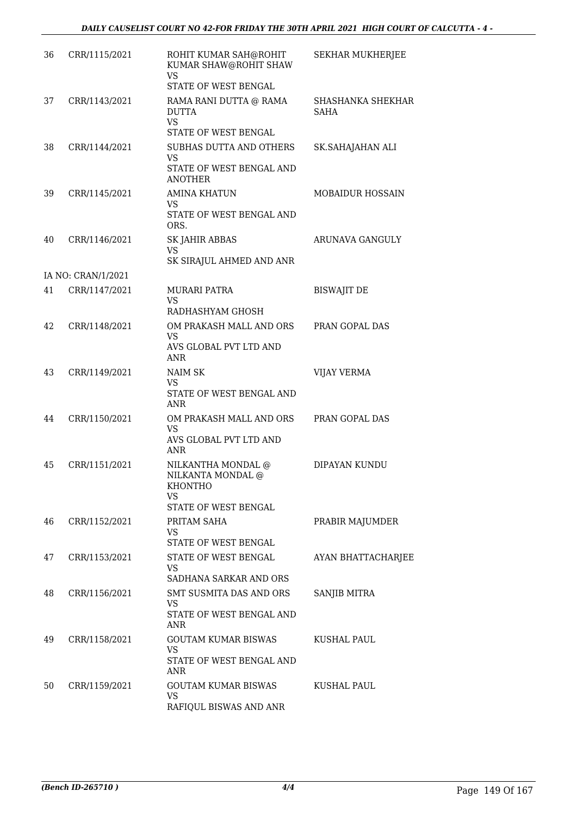| 36 | CRR/1115/2021      | ROHIT KUMAR SAH@ROHIT<br>KUMAR SHAW@ROHIT SHAW<br><b>VS</b><br>STATE OF WEST BENGAL            | SEKHAR MUKHERJEE          |
|----|--------------------|------------------------------------------------------------------------------------------------|---------------------------|
| 37 | CRR/1143/2021      | RAMA RANI DUTTA @ RAMA<br><b>DUTTA</b><br><b>VS</b><br>STATE OF WEST BENGAL                    | SHASHANKA SHEKHAR<br>SAHA |
| 38 | CRR/1144/2021      | SUBHAS DUTTA AND OTHERS<br><b>VS</b><br>STATE OF WEST BENGAL AND<br><b>ANOTHER</b>             | SK.SAHAJAHAN ALI          |
| 39 | CRR/1145/2021      | <b>AMINA KHATUN</b><br><b>VS</b><br>STATE OF WEST BENGAL AND<br>ORS.                           | MOBAIDUR HOSSAIN          |
| 40 | CRR/1146/2021      | <b>SK JAHIR ABBAS</b><br><b>VS</b><br>SK SIRAJUL AHMED AND ANR                                 | ARUNAVA GANGULY           |
|    | IA NO: CRAN/1/2021 |                                                                                                |                           |
| 41 | CRR/1147/2021      | <b>MURARI PATRA</b><br>VS.<br>RADHASHYAM GHOSH                                                 | <b>BISWAJIT DE</b>        |
| 42 | CRR/1148/2021      | OM PRAKASH MALL AND ORS<br><b>VS</b><br>AVS GLOBAL PVT LTD AND<br>ANR                          | PRAN GOPAL DAS            |
| 43 | CRR/1149/2021      | NAIM SK<br><b>VS</b><br>STATE OF WEST BENGAL AND<br>ANR                                        | <b>VIJAY VERMA</b>        |
| 44 | CRR/1150/2021      | OM PRAKASH MALL AND ORS<br><b>VS</b><br>AVS GLOBAL PVT LTD AND<br>ANR                          | PRAN GOPAL DAS            |
| 45 | CRR/1151/2021      | NILKANTHA MONDAL @<br>NILKANTA MONDAL @<br><b>KHONTHO</b><br>VS<br><b>STATE OF WEST BENGAL</b> | DIPAYAN KUNDU             |
| 46 | CRR/1152/2021      | PRITAM SAHA<br>VS.<br>STATE OF WEST BENGAL                                                     | PRABIR MAJUMDER           |
| 47 | CRR/1153/2021      | <b>STATE OF WEST BENGAL</b><br>VS.<br>SADHANA SARKAR AND ORS                                   | <b>AYAN BHATTACHARJEE</b> |
| 48 | CRR/1156/2021      | SMT SUSMITA DAS AND ORS<br><b>VS</b><br>STATE OF WEST BENGAL AND<br>ANR                        | <b>SANJIB MITRA</b>       |
| 49 | CRR/1158/2021      | <b>GOUTAM KUMAR BISWAS</b><br><b>VS</b><br>STATE OF WEST BENGAL AND<br>ANR                     | <b>KUSHAL PAUL</b>        |
| 50 | CRR/1159/2021      | <b>GOUTAM KUMAR BISWAS</b><br><b>VS</b><br>RAFIQUL BISWAS AND ANR                              | KUSHAL PAUL               |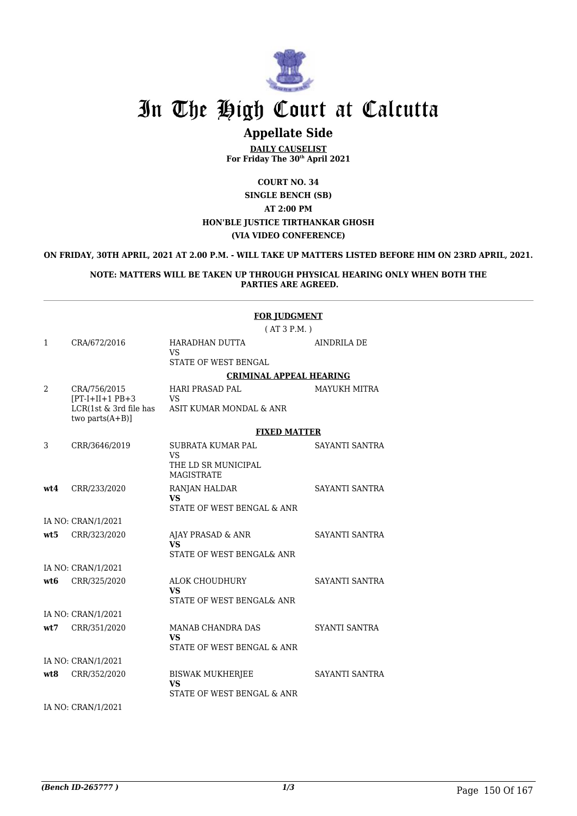

### **Appellate Side**

**DAILY CAUSELIST For Friday The 30th April 2021**

**COURT NO. 34 SINGLE BENCH (SB) AT 2:00 PM HON'BLE JUSTICE TIRTHANKAR GHOSH (VIA VIDEO CONFERENCE)**

#### **ON FRIDAY, 30TH APRIL, 2021 AT 2.00 P.M. - WILL TAKE UP MATTERS LISTED BEFORE HIM ON 23RD APRIL, 2021.**

#### **NOTE: MATTERS WILL BE TAKEN UP THROUGH PHYSICAL HEARING ONLY WHEN BOTH THE PARTIES ARE AGREED.**

|                 |                                               | <b>FOR JUDGMENT</b>                                                |                       |
|-----------------|-----------------------------------------------|--------------------------------------------------------------------|-----------------------|
|                 |                                               | (AT3P.M.)                                                          |                       |
| $\mathbf{1}$    | CRA/672/2016                                  | HARADHAN DUTTA<br><b>VS</b><br>STATE OF WEST BENGAL                | <b>AINDRILA DE</b>    |
|                 |                                               |                                                                    |                       |
|                 |                                               | <b>CRIMINAL APPEAL HEARING</b>                                     |                       |
| 2               | CRA/756/2015<br>$[PT-I+II+1$ $PB+3$           | <b>HARI PRASAD PAL</b><br><b>VS</b>                                | <b>MAYUKH MITRA</b>   |
|                 | LCR(1st & 3rd file has<br>two parts $(A+B)$ ] | ASIT KUMAR MONDAL & ANR                                            |                       |
|                 |                                               | <b>FIXED MATTER</b>                                                |                       |
| 3               | CRR/3646/2019                                 | <b>SUBRATA KUMAR PAL</b><br><b>VS</b>                              | SAYANTI SANTRA        |
|                 |                                               | THE LD SR MUNICIPAL<br><b>MAGISTRATE</b>                           |                       |
| wt4             | CRR/233/2020                                  | RANJAN HALDAR<br><b>VS</b><br>STATE OF WEST BENGAL & ANR           | SAYANTI SANTRA        |
|                 |                                               |                                                                    |                       |
|                 | IA NO: CRAN/1/2021                            |                                                                    |                       |
| wt.5            | CRR/323/2020                                  | AJAY PRASAD & ANR<br>VS.                                           | <b>SAYANTI SANTRA</b> |
|                 |                                               | STATE OF WEST BENGAL& ANR                                          |                       |
|                 | IA NO: CRAN/1/2021                            |                                                                    |                       |
| wt <sub>6</sub> | CRR/325/2020                                  | <b>ALOK CHOUDHURY</b><br>VS <sub>1</sub>                           | SAYANTI SANTRA        |
|                 |                                               | STATE OF WEST BENGAL& ANR                                          |                       |
|                 | IA NO: CRAN/1/2021                            |                                                                    |                       |
| wt7             | CRR/351/2020                                  | MANAB CHANDRA DAS<br><b>VS</b>                                     | SYANTI SANTRA         |
|                 |                                               | STATE OF WEST BENGAL & ANR                                         |                       |
|                 | IA NO: CRAN/1/2021                            |                                                                    |                       |
| wt8             | CRR/352/2020                                  | <b>BISWAK MUKHERJEE</b><br><b>VS</b><br>STATE OF WEST BENGAL & ANR | SAYANTI SANTRA        |

IA NO: CRAN/1/2021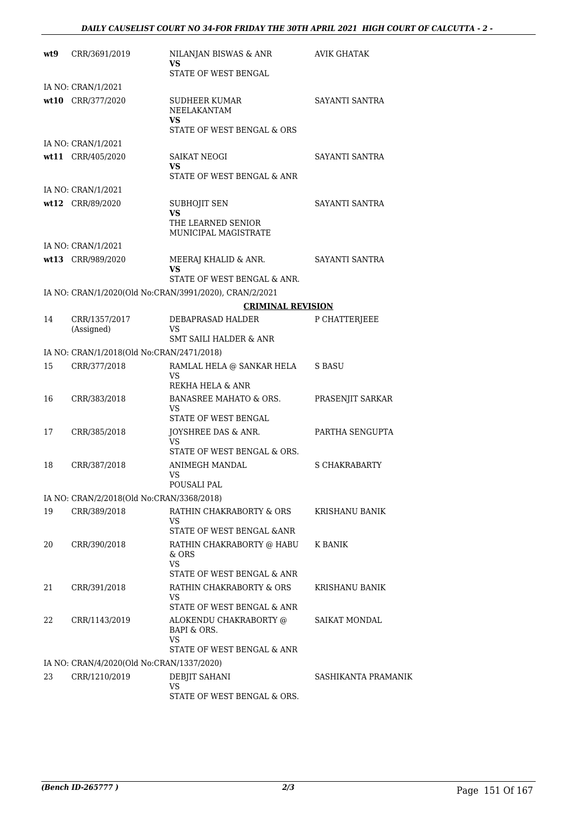| wt9 | CRR/3691/2019                             | NILANJAN BISWAS & ANR<br><b>VS</b><br>STATE OF WEST BENGAL                                              | <b>AVIK GHATAK</b>    |
|-----|-------------------------------------------|---------------------------------------------------------------------------------------------------------|-----------------------|
|     | IA NO: CRAN/1/2021                        |                                                                                                         |                       |
|     | wt10 CRR/377/2020                         | SUDHEER KUMAR<br>NEELAKANTAM<br>VS<br>STATE OF WEST BENGAL & ORS                                        | SAYANTI SANTRA        |
|     | IA NO: CRAN/1/2021                        |                                                                                                         |                       |
|     | wt11 CRR/405/2020                         | <b>SAIKAT NEOGI</b><br><b>VS</b><br>STATE OF WEST BENGAL & ANR                                          | SAYANTI SANTRA        |
|     | IA NO: CRAN/1/2021                        |                                                                                                         |                       |
|     | wt12 CRR/89/2020                          | <b>SUBHOJIT SEN</b><br><b>VS</b><br>THE LEARNED SENIOR<br>MUNICIPAL MAGISTRATE                          | SAYANTI SANTRA        |
|     | IA NO: CRAN/1/2021                        |                                                                                                         |                       |
|     | wt13 CRR/989/2020                         | MEERAJ KHALID & ANR.<br>VS<br>STATE OF WEST BENGAL & ANR.                                               | SAYANTI SANTRA        |
|     |                                           | IA NO: CRAN/1/2020(Old No:CRAN/3991/2020), CRAN/2/2021                                                  |                       |
|     |                                           | <b>CRIMINAL REVISION</b>                                                                                |                       |
| 14  | CRR/1357/2017<br>(Assigned)               | DEBAPRASAD HALDER<br>VS<br>SMT SAILI HALDER & ANR                                                       | P CHATTERJEEE         |
|     | IA NO: CRAN/1/2018(Old No:CRAN/2471/2018) |                                                                                                         |                       |
| 15  | CRR/377/2018                              | RAMLAL HELA @ SANKAR HELA<br>VS<br>REKHA HELA & ANR                                                     | S BASU                |
| 16  | CRR/383/2018                              | <b>BANASREE MAHATO &amp; ORS.</b><br>VS<br>STATE OF WEST BENGAL                                         | PRASENJIT SARKAR      |
| 17  | CRR/385/2018                              | JOYSHREE DAS & ANR.<br>VS<br>STATE OF WEST BENGAL & ORS.                                                | PARTHA SENGUPTA       |
| 18  | CRR/387/2018                              | <b>ANIMEGH MANDAL</b><br>VS<br>POUSALI PAL                                                              | S CHAKRABARTY         |
|     | IA NO: CRAN/2/2018(Old No:CRAN/3368/2018) |                                                                                                         |                       |
| 19  | CRR/389/2018                              | RATHIN CHAKRABORTY & ORS<br>VS<br>STATE OF WEST BENGAL &ANR                                             | <b>KRISHANU BANIK</b> |
| 20  | CRR/390/2018                              | RATHIN CHAKRABORTY @ HABU<br>& ORS<br><b>VS</b><br>STATE OF WEST BENGAL & ANR                           | <b>K BANIK</b>        |
| 21  | CRR/391/2018                              | RATHIN CHAKRABORTY & ORS<br>VS                                                                          | KRISHANU BANIK        |
| 22  | CRR/1143/2019                             | STATE OF WEST BENGAL & ANR<br>ALOKENDU CHAKRABORTY @<br>BAPI & ORS.<br>VS<br>STATE OF WEST BENGAL & ANR | SAIKAT MONDAL         |
|     | IA NO: CRAN/4/2020(Old No:CRAN/1337/2020) |                                                                                                         |                       |
| 23  | CRR/1210/2019                             | DEBJIT SAHANI<br><b>VS</b><br>STATE OF WEST BENGAL & ORS.                                               | SASHIKANTA PRAMANIK   |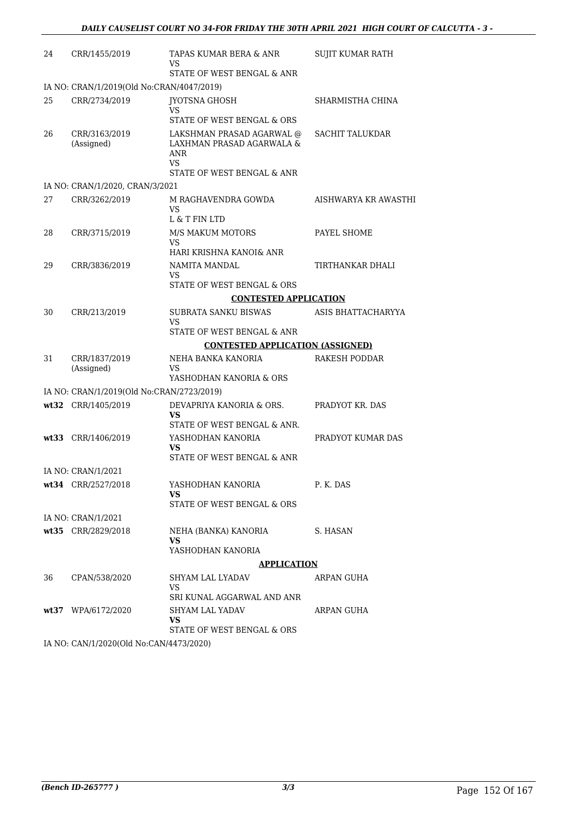| 24 | CRR/1455/2019                             | TAPAS KUMAR BERA & ANR<br>VS<br><b>STATE OF WEST BENGAL &amp; ANR</b>                                    | SUJIT KUMAR RATH       |
|----|-------------------------------------------|----------------------------------------------------------------------------------------------------------|------------------------|
|    | IA NO: CRAN/1/2019(Old No:CRAN/4047/2019) |                                                                                                          |                        |
| 25 | CRR/2734/2019                             | JYOTSNA GHOSH<br><b>VS</b><br>STATE OF WEST BENGAL & ORS                                                 | SHARMISTHA CHINA       |
| 26 | CRR/3163/2019<br>(Assigned)               | LAKSHMAN PRASAD AGARWAL @<br>LAXHMAN PRASAD AGARWALA &<br>ANR<br><b>VS</b><br>STATE OF WEST BENGAL & ANR | <b>SACHIT TALUKDAR</b> |
|    | IA NO: CRAN/1/2020, CRAN/3/2021           |                                                                                                          |                        |
| 27 | CRR/3262/2019                             | M RAGHAVENDRA GOWDA<br>VS<br>L & T FIN LTD                                                               | AISHWARYA KR AWASTHI   |
| 28 | CRR/3715/2019                             | <b>M/S MAKUM MOTORS</b><br>VS                                                                            | PAYEL SHOME            |
|    |                                           | HARI KRISHNA KANOI& ANR                                                                                  |                        |
| 29 | CRR/3836/2019                             | NAMITA MANDAL<br>VS                                                                                      | TIRTHANKAR DHALI       |
|    |                                           | STATE OF WEST BENGAL & ORS                                                                               |                        |
|    |                                           | <b>CONTESTED APPLICATION</b>                                                                             |                        |
| 30 | CRR/213/2019                              | SUBRATA SANKU BISWAS<br>VS                                                                               | ASIS BHATTACHARYYA     |
|    |                                           | STATE OF WEST BENGAL & ANR                                                                               |                        |
|    |                                           | <b>CONTESTED APPLICATION (ASSIGNED)</b>                                                                  |                        |
| 31 | CRR/1837/2019<br>(Assigned)               | NEHA BANKA KANORIA<br>VS                                                                                 | <b>RAKESH PODDAR</b>   |
|    |                                           | YASHODHAN KANORIA & ORS                                                                                  |                        |
|    | IA NO: CRAN/1/2019(Old No:CRAN/2723/2019) |                                                                                                          |                        |
|    | wt32 CRR/1405/2019                        | DEVAPRIYA KANORIA & ORS.<br>VS                                                                           | PRADYOT KR. DAS        |
|    |                                           | STATE OF WEST BENGAL & ANR.                                                                              |                        |
|    | wt33 CRR/1406/2019                        | YASHODHAN KANORIA<br>VS<br>STATE OF WEST BENGAL & ANR                                                    | PRADYOT KUMAR DAS      |
|    | IA NO: CRAN/1/2021                        |                                                                                                          |                        |
|    | wt34 CRR/2527/2018                        | YASHODHAN KANORIA<br>VS.                                                                                 | P. K. DAS              |
|    |                                           | STATE OF WEST BENGAL & ORS                                                                               |                        |
|    | IA NO: CRAN/1/2021                        |                                                                                                          |                        |
|    | wt35 CRR/2829/2018                        | NEHA (BANKA) KANORIA<br>VS.                                                                              | S. HASAN               |
|    |                                           | YASHODHAN KANORIA                                                                                        |                        |
|    |                                           | <b>APPLICATION</b>                                                                                       |                        |
| 36 | CPAN/538/2020                             | SHYAM LAL LYADAV<br>VS                                                                                   | ARPAN GUHA             |
|    |                                           | SRI KUNAL AGGARWAL AND ANR                                                                               |                        |
|    | wt37 WPA/6172/2020                        | SHYAM LAL YADAV<br><b>VS</b>                                                                             | ARPAN GUHA             |
|    |                                           | STATE OF WEST BENGAL & ORS                                                                               |                        |
|    | IA NO. CANI/1/2020(OId No.CANI/1473/2020) |                                                                                                          |                        |

IA NO: CAN/1/2020(Old No:CAN/4473/2020)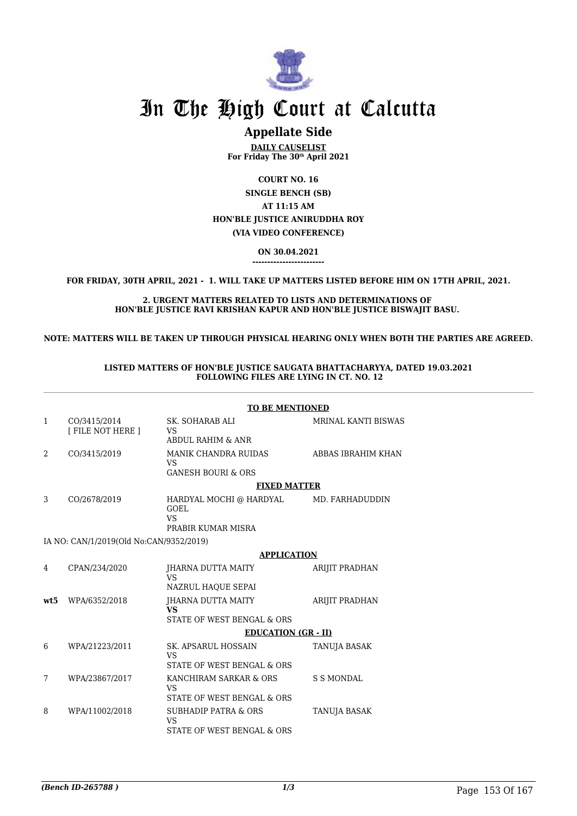

## **Appellate Side**

**DAILY CAUSELIST For Friday The 30th April 2021**

**COURT NO. 16 SINGLE BENCH (SB) AT 11:15 AM HON'BLE JUSTICE ANIRUDDHA ROY (VIA VIDEO CONFERENCE)**

> **ON 30.04.2021 ------------------------**

**FOR FRIDAY, 30TH APRIL, 2021 - 1. WILL TAKE UP MATTERS LISTED BEFORE HIM ON 17TH APRIL, 2021.**

**2. URGENT MATTERS RELATED TO LISTS AND DETERMINATIONS OF HON'BLE JUSTICE RAVI KRISHAN KAPUR AND HON'BLE JUSTICE BISWAJIT BASU.** 

**NOTE: MATTERS WILL BE TAKEN UP THROUGH PHYSICAL HEARING ONLY WHEN BOTH THE PARTIES ARE AGREED.**

### **LISTED MATTERS OF HON'BLE JUSTICE SAUGATA BHATTACHARYYA, DATED 19.03.2021 FOLLOWING FILES ARE LYING IN CT. NO. 12**

|      |                                         | <b>TO BE MENTIONED</b>                                                              |                            |  |
|------|-----------------------------------------|-------------------------------------------------------------------------------------|----------------------------|--|
| 1    | CO/3415/2014<br>[ FILE NOT HERE ]       | SK. SOHARAB ALI<br><b>VS</b><br><b>ABDUL RAHIM &amp; ANR</b>                        | <b>MRINAL KANTI BISWAS</b> |  |
| 2    | CO/3415/2019                            | <b>MANIK CHANDRA RUIDAS</b><br><b>VS</b><br><b>GANESH BOURI &amp; ORS</b>           | ABBAS IBRAHIM KHAN         |  |
|      |                                         | <b>FIXED MATTER</b>                                                                 |                            |  |
| 3    | CO/2678/2019                            | HARDYAL MOCHI @ HARDYAL<br><b>GOEL</b><br><b>VS</b><br>PRABIR KUMAR MISRA           | MD. FARHADUDDIN            |  |
|      | IA NO: CAN/1/2019(Old No:CAN/9352/2019) |                                                                                     |                            |  |
|      |                                         | <b>APPLICATION</b>                                                                  |                            |  |
| 4    | CPAN/234/2020                           | JHARNA DUTTA MAITY<br><b>VS</b>                                                     | <b>ARIJIT PRADHAN</b>      |  |
| wt.5 | WPA/6352/2018                           | NAZRUL HAQUE SEPAI<br>JHARNA DUTTA MAITY<br><b>VS</b><br>STATE OF WEST BENGAL & ORS | ARIJIT PRADHAN             |  |
|      |                                         | <b>EDUCATION (GR - II)</b>                                                          |                            |  |
| 6    | WPA/21223/2011                          | <b>SK. APSARUL HOSSAIN</b><br>VS                                                    | TANUJA BASAK               |  |
|      |                                         | STATE OF WEST BENGAL & ORS                                                          |                            |  |
| 7    | WPA/23867/2017                          | KANCHIRAM SARKAR & ORS<br><b>VS</b><br>STATE OF WEST BENGAL & ORS                   | <b>S S MONDAL</b>          |  |
| 8    | WPA/11002/2018                          | <b>SUBHADIP PATRA &amp; ORS</b><br>VS<br>STATE OF WEST BENGAL & ORS                 | TANUJA BASAK               |  |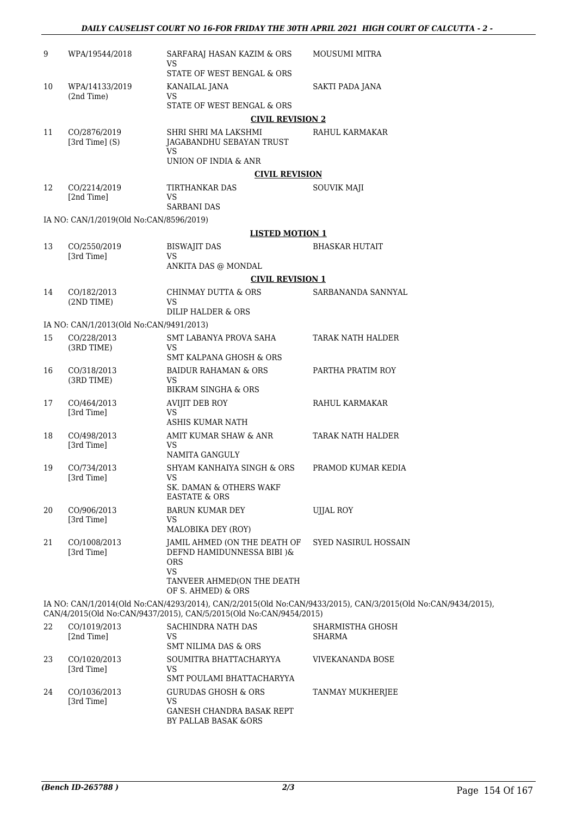| 9  | WPA/19544/2018                          | SARFARAJ HASAN KAZIM & ORS<br>VS<br>STATE OF WEST BENGAL & ORS                                                                            | MOUSUMI MITRA                                                                                                |
|----|-----------------------------------------|-------------------------------------------------------------------------------------------------------------------------------------------|--------------------------------------------------------------------------------------------------------------|
| 10 | WPA/14133/2019<br>(2nd Time)            | KANAILAL JANA<br>VS.                                                                                                                      | SAKTI PADA JANA                                                                                              |
|    |                                         | STATE OF WEST BENGAL & ORS                                                                                                                |                                                                                                              |
|    |                                         | <b>CIVIL REVISION 2</b>                                                                                                                   |                                                                                                              |
| 11 | CO/2876/2019<br>[3rd Time] (S)          | SHRI SHRI MA LAKSHMI<br>JAGABANDHU SEBAYAN TRUST<br>VS.                                                                                   | RAHUL KARMAKAR                                                                                               |
|    |                                         | UNION OF INDIA & ANR                                                                                                                      |                                                                                                              |
|    |                                         | <b>CIVIL REVISION</b>                                                                                                                     |                                                                                                              |
| 12 | CO/2214/2019<br>[2nd Time]              | TIRTHANKAR DAS<br><b>VS</b><br><b>SARBANI DAS</b>                                                                                         | <b>SOUVIK MAJI</b>                                                                                           |
|    | IA NO: CAN/1/2019(Old No:CAN/8596/2019) |                                                                                                                                           |                                                                                                              |
|    |                                         | <b>LISTED MOTION 1</b>                                                                                                                    |                                                                                                              |
| 13 | CO/2550/2019<br>[3rd Time]              | <b>BISWAJIT DAS</b><br>VS                                                                                                                 | <b>BHASKAR HUTAIT</b>                                                                                        |
|    |                                         | ANKITA DAS @ MONDAL                                                                                                                       |                                                                                                              |
|    |                                         | <b>CIVIL REVISION 1</b>                                                                                                                   |                                                                                                              |
| 14 | CO/182/2013<br>(2ND TIME)               | CHINMAY DUTTA & ORS<br><b>VS</b><br>DILIP HALDER & ORS                                                                                    | SARBANANDA SANNYAL                                                                                           |
|    | IA NO: CAN/1/2013(Old No:CAN/9491/2013) |                                                                                                                                           |                                                                                                              |
| 15 | CO/228/2013                             | SMT LABANYA PROVA SAHA                                                                                                                    | TARAK NATH HALDER                                                                                            |
|    | (3RD TIME)                              | <b>VS</b><br><b>SMT KALPANA GHOSH &amp; ORS</b>                                                                                           |                                                                                                              |
| 16 | CO/318/2013<br>(3RD TIME)               | <b>BAIDUR RAHAMAN &amp; ORS</b><br>VS.<br>BIKRAM SINGHA & ORS                                                                             | PARTHA PRATIM ROY                                                                                            |
| 17 | CO/464/2013<br>[3rd Time]               | AVIJIT DEB ROY<br><b>VS</b><br>ASHIS KUMAR NATH                                                                                           | RAHUL KARMAKAR                                                                                               |
| 18 | CO/498/2013<br>[3rd Time]               | AMIT KUMAR SHAW & ANR<br>VS.<br>NAMITA GANGULY                                                                                            | TARAK NATH HALDER                                                                                            |
| 19 | CO/734/2013                             | SHYAM KANHAIYA SINGH & ORS                                                                                                                | PRAMOD KUMAR KEDIA                                                                                           |
|    | [3rd Time]                              | <b>VS</b><br>SK. DAMAN & OTHERS WAKF<br><b>EASTATE &amp; ORS</b>                                                                          |                                                                                                              |
| 20 | CO/906/2013<br>[3rd Time]               | <b>BARUN KUMAR DEY</b><br>VS.<br>MALOBIKA DEY (ROY)                                                                                       | <b>UJJAL ROY</b>                                                                                             |
| 21 | CO/1008/2013<br>[3rd Time]              | JAMIL AHMED (ON THE DEATH OF<br>DEFND HAMIDUNNESSA BIBI )&<br><b>ORS</b><br><b>VS</b><br>TANVEER AHMED(ON THE DEATH<br>OF S. AHMED) & ORS | SYED NASIRUL HOSSAIN                                                                                         |
|    |                                         | CAN/4/2015(Old No:CAN/9437/2015), CAN/5/2015(Old No:CAN/9454/2015)                                                                        | IA NO: CAN/1/2014(Old No:CAN/4293/2014), CAN/2/2015(Old No:CAN/9433/2015), CAN/3/2015(Old No:CAN/9434/2015), |
| 22 | CO/1019/2013<br>[2nd Time]              | SACHINDRA NATH DAS<br>VS<br>SMT NILIMA DAS & ORS                                                                                          | SHARMISTHA GHOSH<br>SHARMA                                                                                   |

| 23 | CO/1020/2013<br>[3rd Time] | SOUMITRA BHATTACHARYYA<br>VS<br>SMT POULAMI BHATTACHARYYA                      | VIVEKANANDA BOSE |
|----|----------------------------|--------------------------------------------------------------------------------|------------------|
| 24 | CO/1036/2013<br>[3rd Time] | GURUDAS GHOSH & ORS<br>VS<br>GANESH CHANDRA BASAK REPT<br>BY PALLAB BASAK &ORS | TANMAY MUKHERJEE |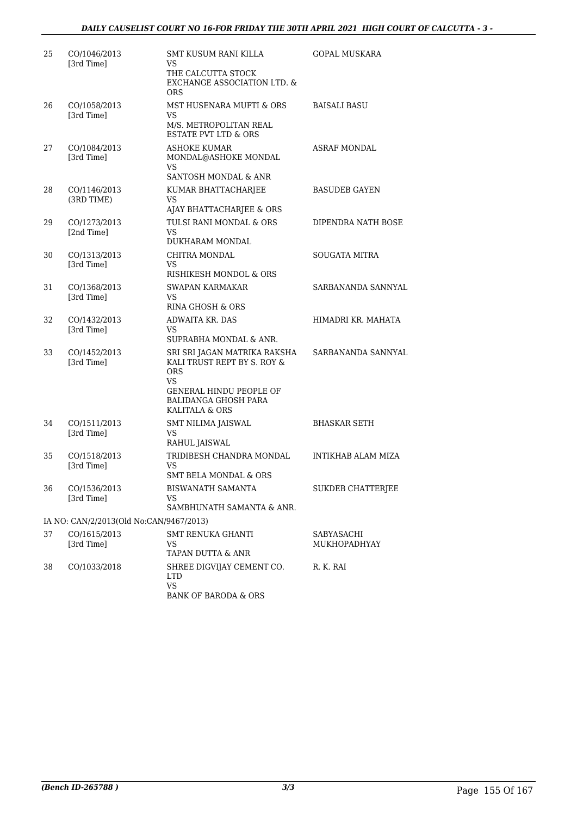| 25 | CO/1046/2013<br>[3rd Time]              | <b>SMT KUSUM RANI KILLA</b><br>VS.<br>THE CALCUTTA STOCK<br>EXCHANGE ASSOCIATION LTD. &<br><b>ORS</b>                                                        | <b>GOPAL MUSKARA</b>       |
|----|-----------------------------------------|--------------------------------------------------------------------------------------------------------------------------------------------------------------|----------------------------|
| 26 | CO/1058/2013<br>[3rd Time]              | MST HUSENARA MUFTI & ORS<br>VS<br>M/S. METROPOLITAN REAL<br>ESTATE PVT LTD & ORS                                                                             | <b>BAISALI BASU</b>        |
| 27 | CO/1084/2013<br>[3rd Time]              | <b>ASHOKE KUMAR</b><br>MONDAL@ASHOKE MONDAL<br><b>VS</b><br>SANTOSH MONDAL & ANR                                                                             | <b>ASRAF MONDAL</b>        |
| 28 | CO/1146/2013<br>(3RD TIME)              | KUMAR BHATTACHARJEE<br>VS<br>AJAY BHATTACHARJEE & ORS                                                                                                        | <b>BASUDEB GAYEN</b>       |
| 29 | CO/1273/2013<br>[2nd Time]              | TULSI RANI MONDAL & ORS<br>VS.<br>DUKHARAM MONDAL                                                                                                            | DIPENDRA NATH BOSE         |
| 30 | CO/1313/2013<br>[3rd Time]              | CHITRA MONDAL<br>VS<br>RISHIKESH MONDOL & ORS                                                                                                                | <b>SOUGATA MITRA</b>       |
| 31 | CO/1368/2013<br>[3rd Time]              | <b>SWAPAN KARMAKAR</b><br>VS.<br><b>RINA GHOSH &amp; ORS</b>                                                                                                 | SARBANANDA SANNYAL         |
| 32 | CO/1432/2013<br>[3rd Time]              | ADWAITA KR. DAS<br>VS<br>SUPRABHA MONDAL & ANR.                                                                                                              | HIMADRI KR. MAHATA         |
| 33 | CO/1452/2013<br>[3rd Time]              | SRI SRI JAGAN MATRIKA RAKSHA<br>KALI TRUST REPT BY S. ROY &<br><b>ORS</b><br>VS.<br>GENERAL HINDU PEOPLE OF<br><b>BALIDANGA GHOSH PARA</b><br>KALITALA & ORS | SARBANANDA SANNYAL         |
| 34 | CO/1511/2013<br>[3rd Time]              | SMT NILIMA JAISWAL<br><b>VS</b><br>RAHUL JAISWAL                                                                                                             | <b>BHASKAR SETH</b>        |
| 35 | CO/1518/2013<br>[3rd Time]              | TRIDIBESH CHANDRA MONDAL<br>VS<br><b>SMT BELA MONDAL &amp; ORS</b>                                                                                           | INTIKHAB ALAM MIZA         |
| 36 | CO/1536/2013<br>[3rd Time]              | <b>BISWANATH SAMANTA</b><br>VS<br>SAMBHUNATH SAMANTA & ANR.                                                                                                  | SUKDEB CHATTERJEE          |
|    | IA NO: CAN/2/2013(Old No:CAN/9467/2013) |                                                                                                                                                              |                            |
| 37 | CO/1615/2013<br>[3rd Time]              | <b>SMT RENUKA GHANTI</b><br>VS<br>TAPAN DUTTA & ANR                                                                                                          | SABYASACHI<br>MUKHOPADHYAY |
| 38 | CO/1033/2018                            | SHREE DIGVIJAY CEMENT CO.<br><b>LTD</b><br><b>VS</b><br><b>BANK OF BARODA &amp; ORS</b>                                                                      | R. K. RAI                  |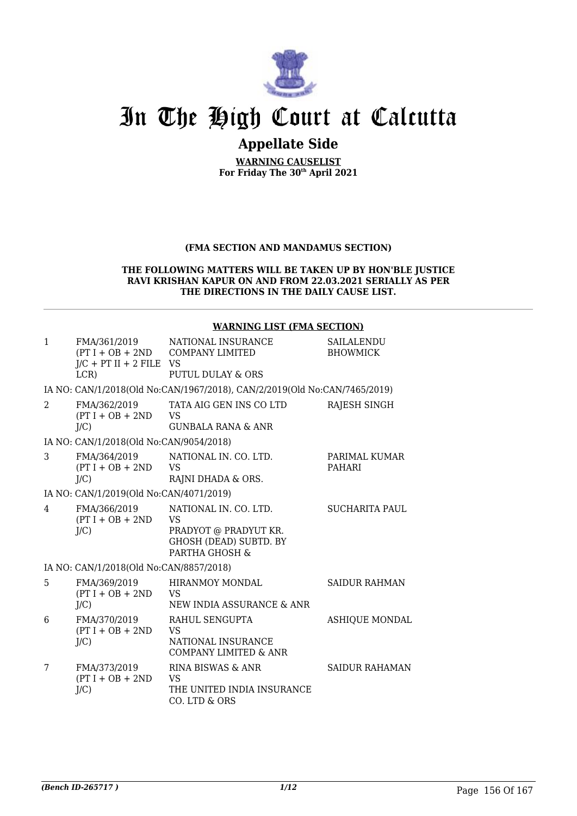

### **Appellate Side**

**WARNING CAUSELIST For Friday The 30th April 2021**

### **(FMA SECTION AND MANDAMUS SECTION)**

### **THE FOLLOWING MATTERS WILL BE TAKEN UP BY HON'BLE JUSTICE RAVI KRISHAN KAPUR ON AND FROM 22.03.2021 SERIALLY AS PER THE DIRECTIONS IN THE DAILY CAUSE LIST.**

### **WARNING LIST (FMA SECTION)**

| $\mathbf{1}$   | FMA/361/2019<br>$J/C$ + PT II + 2 FILE VS<br>LCR | NATIONAL INSURANCE<br>$(PT I + OB + 2ND$ COMPANY LIMITED<br>PUTUL DULAY & ORS                           | SAILALENDU<br><b>BHOWMICK</b>  |
|----------------|--------------------------------------------------|---------------------------------------------------------------------------------------------------------|--------------------------------|
|                |                                                  | IA NO: CAN/1/2018(Old No:CAN/1967/2018), CAN/2/2019(Old No:CAN/7465/2019)                               |                                |
| $\mathcal{L}$  | FMA/362/2019<br>$(PT I + OB + 2ND$<br>J/C        | TATA AIG GEN INS CO LTD<br><b>VS</b><br><b>GUNBALA RANA &amp; ANR</b>                                   | RAJESH SINGH                   |
|                | IA NO: CAN/1/2018(Old No:CAN/9054/2018)          |                                                                                                         |                                |
| 3              | FMA/364/2019<br>$(PT I + OB + 2ND$<br>$J/C$ )    | NATIONAL IN, CO. LTD.<br><b>VS</b><br>RAJNI DHADA & ORS.                                                | PARIMAL KUMAR<br><b>PAHARI</b> |
|                | IA NO: CAN/1/2019(Old No:CAN/4071/2019)          |                                                                                                         |                                |
| $\overline{4}$ | FMA/366/2019<br>$(PT I + OB + 2ND$<br>J/C        | NATIONAL IN. CO. LTD.<br>VS<br>PRADYOT @ PRADYUT KR.<br><b>GHOSH (DEAD) SUBTD. BY</b><br>PARTHA GHOSH & | <b>SUCHARITA PAUL</b>          |
|                | IA NO: CAN/1/2018(Old No:CAN/8857/2018)          |                                                                                                         |                                |
| 5              | FMA/369/2019<br>$(PT I + OB + 2ND$<br>J/C        | HIRANMOY MONDAL<br>VS<br>NEW INDIA ASSURANCE & ANR                                                      | <b>SAIDUR RAHMAN</b>           |
| 6              | FMA/370/2019<br>$(PT I + OB + 2ND$<br>$J/C$ )    | RAHUL SENGUPTA<br><b>VS</b><br>NATIONAL INSURANCE<br><b>COMPANY LIMITED &amp; ANR</b>                   | <b>ASHIQUE MONDAL</b>          |
| 7              | FMA/373/2019<br>$(PT I + OB + 2ND$<br>$J/C$ )    | RINA BISWAS & ANR<br>VS<br>THE UNITED INDIA INSURANCE<br>CO. LTD & ORS                                  | <b>SAIDUR RAHAMAN</b>          |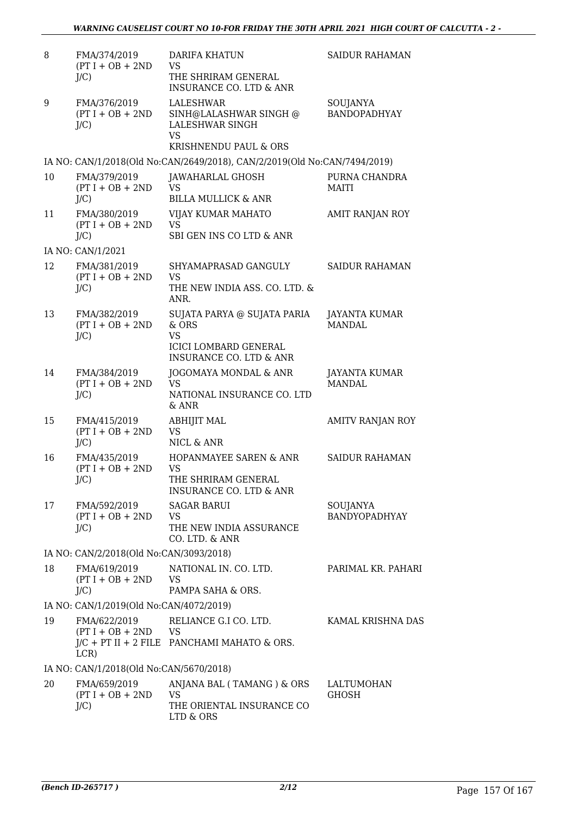| 8  | FMA/374/2019<br>$(PT I + OB + 2ND$<br>$J/C$ ) | <b>DARIFA KHATUN</b><br><b>VS</b><br>THE SHRIRAM GENERAL<br><b>INSURANCE CO. LTD &amp; ANR</b>                                    | <b>SAIDUR RAHAMAN</b>                 |
|----|-----------------------------------------------|-----------------------------------------------------------------------------------------------------------------------------------|---------------------------------------|
| 9  | FMA/376/2019<br>$(PT I + OB + 2ND$<br>$J/C$ ) | LALESHWAR<br>SINH@LALASHWAR SINGH @<br>LALESHWAR SINGH<br><b>VS</b><br>KRISHNENDU PAUL & ORS                                      | SOUJANYA<br><b>BANDOPADHYAY</b>       |
|    |                                               | IA NO: CAN/1/2018(Old No:CAN/2649/2018), CAN/2/2019(Old No:CAN/7494/2019)                                                         |                                       |
| 10 | FMA/379/2019<br>$(PT I + OB + 2ND$<br>$J/C$ ) | JAWAHARLAL GHOSH<br><b>VS</b><br><b>BILLA MULLICK &amp; ANR</b>                                                                   | PURNA CHANDRA<br><b>MAITI</b>         |
| 11 | FMA/380/2019<br>$(PT I + OB + 2ND$<br>$J/C$ ) | VIJAY KUMAR MAHATO<br><b>VS</b><br>SBI GEN INS CO LTD & ANR                                                                       | AMIT RANJAN ROY                       |
|    | IA NO: CAN/1/2021                             |                                                                                                                                   |                                       |
| 12 | FMA/381/2019<br>$(PT I + OB + 2ND$<br>$J/C$ ) | SHYAMAPRASAD GANGULY<br><b>VS</b><br>THE NEW INDIA ASS. CO. LTD. &                                                                | <b>SAIDUR RAHAMAN</b>                 |
| 13 | FMA/382/2019<br>$(PT I + OB + 2ND$<br>$J/C$ ) | ANR.<br>SUJATA PARYA @ SUJATA PARIA<br>$&$ ORS<br><b>VS</b><br><b>ICICI LOMBARD GENERAL</b><br><b>INSURANCE CO. LTD &amp; ANR</b> | <b>JAYANTA KUMAR</b><br><b>MANDAL</b> |
| 14 | FMA/384/2019<br>$(PT I + OB + 2ND$<br>$J/C$ ) | JOGOMAYA MONDAL & ANR<br><b>VS</b><br>NATIONAL INSURANCE CO. LTD<br>& ANR                                                         | <b>JAYANTA KUMAR</b><br><b>MANDAL</b> |
| 15 | FMA/415/2019<br>$(PT I + OB + 2ND$<br>$J/C$ ) | <b>ABHIJIT MAL</b><br><b>VS</b><br>NICL & ANR                                                                                     | AMITV RANJAN ROY                      |
| 16 | FMA/435/2019<br>$(PT I + OB + 2ND$<br>$J/C$ ) | <b>HOPANMAYEE SAREN &amp; ANR</b><br><b>VS</b><br>THE SHRIRAM GENERAL<br><b>INSURANCE CO. LTD &amp; ANR</b>                       | <b>SAIDUR RAHAMAN</b>                 |
| 17 | FMA/592/2019<br>$(PT I + OB + 2ND$<br>$J/C$ ) | <b>SAGAR BARUI</b><br><b>VS</b><br>THE NEW INDIA ASSURANCE<br>CO. LTD. & ANR                                                      | SOUJANYA<br><b>BANDYOPADHYAY</b>      |
|    | IA NO: CAN/2/2018(Old No:CAN/3093/2018)       |                                                                                                                                   |                                       |
| 18 | FMA/619/2019<br>$(PT I + OB + 2ND$<br>$J/C$ ) | NATIONAL IN. CO. LTD.<br><b>VS</b><br>PAMPA SAHA & ORS.                                                                           | PARIMAL KR. PAHARI                    |
|    | IA NO: CAN/1/2019(Old No:CAN/4072/2019)       |                                                                                                                                   |                                       |
| 19 | FMA/622/2019<br>$(PT I + OB + 2ND$ VS<br>LCR) | RELIANCE G.I CO. LTD.<br>$J/C$ + PT II + 2 FILE PANCHAMI MAHATO & ORS.                                                            | KAMAL KRISHNA DAS                     |
|    | IA NO: CAN/1/2018(Old No:CAN/5670/2018)       |                                                                                                                                   |                                       |
| 20 | FMA/659/2019<br>$(PT I + OB + 2ND$<br>$J/C$ ) | ANJANA BAL (TAMANG) & ORS<br><b>VS</b><br>THE ORIENTAL INSURANCE CO<br>LTD & ORS                                                  | LALTUMOHAN<br><b>GHOSH</b>            |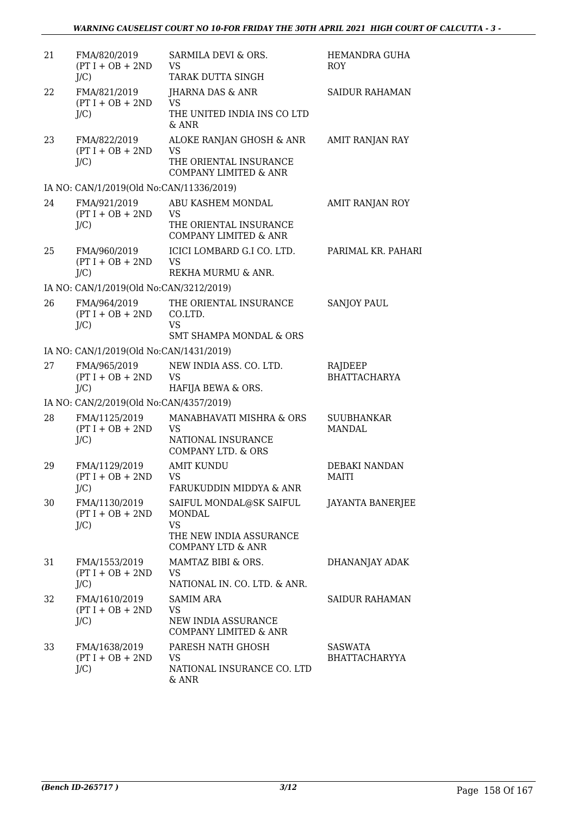| 21 | FMA/820/2019<br>$(PT I + OB + 2ND$<br>$J/C$ )  | SARMILA DEVI & ORS.<br><b>VS</b><br>TARAK DUTTA SINGH                                                     | HEMANDRA GUHA<br><b>ROY</b>        |
|----|------------------------------------------------|-----------------------------------------------------------------------------------------------------------|------------------------------------|
| 22 | FMA/821/2019<br>$(PT I + OB + 2ND$<br>$J/C$ )  | JHARNA DAS & ANR<br><b>VS</b><br>THE UNITED INDIA INS CO LTD<br>& ANR                                     | <b>SAIDUR RAHAMAN</b>              |
| 23 | FMA/822/2019<br>$(PT I + OB + 2ND$<br>$J/C$ )  | ALOKE RANJAN GHOSH & ANR<br><b>VS</b><br>THE ORIENTAL INSURANCE<br><b>COMPANY LIMITED &amp; ANR</b>       | AMIT RANJAN RAY                    |
|    | IA NO: CAN/1/2019(Old No:CAN/11336/2019)       |                                                                                                           |                                    |
| 24 | FMA/921/2019<br>$(PT I + OB + 2ND$<br>$J/C$ )  | ABU KASHEM MONDAL<br><b>VS</b><br>THE ORIENTAL INSURANCE<br><b>COMPANY LIMITED &amp; ANR</b>              | AMIT RANJAN ROY                    |
| 25 | FMA/960/2019<br>$(PT I + OB + 2ND$<br>$J/C$ )  | ICICI LOMBARD G.I CO. LTD.<br><b>VS</b><br>REKHA MURMU & ANR.                                             | PARIMAL KR. PAHARI                 |
|    | IA NO: CAN/1/2019(Old No:CAN/3212/2019)        |                                                                                                           |                                    |
| 26 | FMA/964/2019<br>$(PT I + OB + 2ND$<br>$J/C$ )  | THE ORIENTAL INSURANCE<br>CO.LTD.<br><b>VS</b>                                                            | <b>SANJOY PAUL</b>                 |
|    |                                                | <b>SMT SHAMPA MONDAL &amp; ORS</b>                                                                        |                                    |
|    | IA NO: CAN/1/2019(Old No:CAN/1431/2019)        |                                                                                                           |                                    |
| 27 | FMA/965/2019<br>$(PT I + OB + 2ND$<br>$J/C$ )  | NEW INDIA ASS. CO. LTD.<br><b>VS</b><br>HAFIJA BEWA & ORS.                                                | RAJDEEP<br><b>BHATTACHARYA</b>     |
|    | IA NO: CAN/2/2019(Old No:CAN/4357/2019)        |                                                                                                           |                                    |
| 28 | FMA/1125/2019<br>$(PT I + OB + 2ND$<br>$J/C$ ) | MANABHAVATI MISHRA & ORS<br><b>VS</b><br>NATIONAL INSURANCE<br>COMPANY LTD. & ORS                         | <b>SUUBHANKAR</b><br><b>MANDAL</b> |
| 29 | FMA/1129/2019<br>$(PT I + OB + 2ND$<br>$J/C$ ) | <b>AMIT KUNDU</b><br>VS<br>FARUKUDDIN MIDDYA & ANR                                                        | DEBAKI NANDAN<br>MAITI             |
| 30 | FMA/1130/2019<br>$(PT I + OB + 2ND$<br>$J/C$ ) | SAIFUL MONDAL@SK SAIFUL<br>MONDAL<br><b>VS</b><br>THE NEW INDIA ASSURANCE<br><b>COMPANY LTD &amp; ANR</b> | JAYANTA BANERJEE                   |
| 31 | FMA/1553/2019<br>$(PT I + OB + 2ND$<br>$J/C$ ) | MAMTAZ BIBI & ORS.<br>VS.<br>NATIONAL IN. CO. LTD. & ANR.                                                 | DHANANJAY ADAK                     |
| 32 | FMA/1610/2019<br>$(PT I + OB + 2ND$<br>$J/C$ ) | <b>SAMIM ARA</b><br><b>VS</b><br>NEW INDIA ASSURANCE<br>COMPANY LIMITED & ANR                             | <b>SAIDUR RAHAMAN</b>              |
| 33 | FMA/1638/2019<br>$(PT I + OB + 2ND$<br>$J/C$ ) | PARESH NATH GHOSH<br>VS.<br>NATIONAL INSURANCE CO. LTD<br>& ANR                                           | <b>SASWATA</b><br>BHATTACHARYYA    |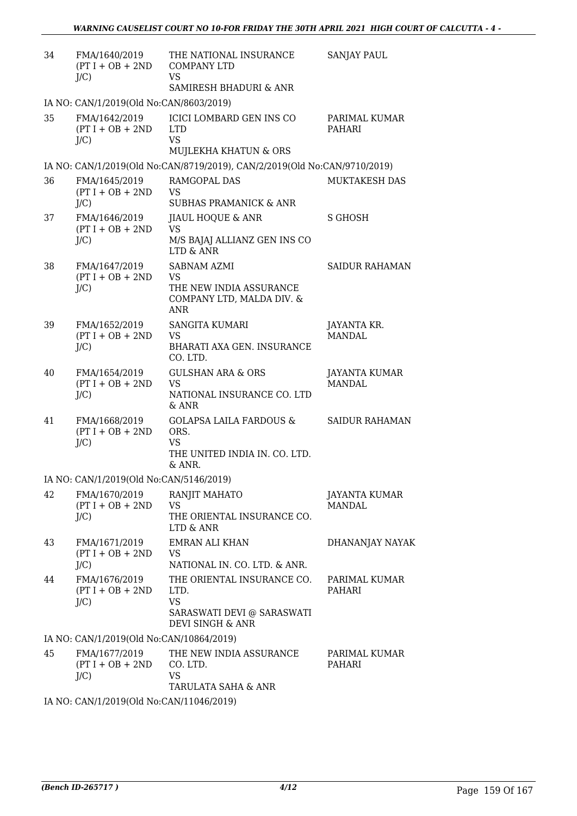| 34 | FMA/1640/2019<br>$(PT I + OB + 2ND$<br>$J/C$ ) | THE NATIONAL INSURANCE<br><b>COMPANY LTD</b><br><b>VS</b>                                                    | <b>SANJAY PAUL</b>             |
|----|------------------------------------------------|--------------------------------------------------------------------------------------------------------------|--------------------------------|
|    |                                                | SAMIRESH BHADURI & ANR                                                                                       |                                |
|    | IA NO: CAN/1/2019(Old No:CAN/8603/2019)        |                                                                                                              |                                |
| 35 | FMA/1642/2019<br>$(PT I + OB + 2ND$<br>$J/C$ ) | <b>ICICI LOMBARD GEN INS CO</b><br><b>LTD</b><br>VS.<br>MUJLEKHA KHATUN & ORS                                | PARIMAL KUMAR<br>PAHARI        |
|    |                                                | IA NO: CAN/1/2019(Old No:CAN/8719/2019), CAN/2/2019(Old No:CAN/9710/2019)                                    |                                |
| 36 | FMA/1645/2019                                  | RAMGOPAL DAS                                                                                                 | MUKTAKESH DAS                  |
|    | $(PT I + OB + 2ND$<br>$J/C$ )                  | <b>VS</b><br><b>SUBHAS PRAMANICK &amp; ANR</b>                                                               |                                |
| 37 | FMA/1646/2019                                  | JIAUL HOQUE & ANR                                                                                            | <b>S GHOSH</b>                 |
|    | $(PT I + OB + 2ND$<br>$J/C$ )                  | <b>VS</b><br>M/S BAJAJ ALLIANZ GEN INS CO<br>LTD & ANR                                                       |                                |
| 38 | FMA/1647/2019                                  | SABNAM AZMI                                                                                                  | <b>SAIDUR RAHAMAN</b>          |
|    | $(PT I + OB + 2ND$<br>$J/C$ )                  | <b>VS</b><br>THE NEW INDIA ASSURANCE<br>COMPANY LTD, MALDA DIV. &<br><b>ANR</b>                              |                                |
| 39 | FMA/1652/2019                                  | <b>SANGITA KUMARI</b>                                                                                        | JAYANTA KR.                    |
|    | $(PT I + OB + 2ND$<br>$J/C$ )                  | <b>VS</b><br>BHARATI AXA GEN. INSURANCE<br>CO. LTD.                                                          | <b>MANDAL</b>                  |
| 40 | FMA/1654/2019<br>$(PT I + OB + 2ND$<br>$J/C$ ) | <b>GULSHAN ARA &amp; ORS</b><br><b>VS</b><br>NATIONAL INSURANCE CO. LTD<br>$&$ ANR                           | JAYANTA KUMAR<br><b>MANDAL</b> |
| 41 | FMA/1668/2019<br>$(PT I + OB + 2ND$<br>$J/C$ ) | <b>GOLAPSA LAILA FARDOUS &amp;</b><br>ORS.<br><b>VS</b><br>THE UNITED INDIA IN. CO. LTD.<br>& ANR.           | <b>SAIDUR RAHAMAN</b>          |
|    | IA NO: CAN/1/2019(Old No:CAN/5146/2019)        |                                                                                                              |                                |
| 42 | FMA/1670/2019<br>$(PT I + OB + 2ND$<br>$J/C$ ) | RANJIT MAHATO<br>VS.<br>THE ORIENTAL INSURANCE CO.<br>LTD & ANR                                              | JAYANTA KUMAR<br><b>MANDAL</b> |
| 43 | FMA/1671/2019<br>$(PT I + OB + 2ND$<br>$J/C$ ) | <b>EMRAN ALI KHAN</b><br>VS.<br>NATIONAL IN. CO. LTD. & ANR.                                                 | DHANANJAY NAYAK                |
| 44 | FMA/1676/2019<br>$(PT I + OB + 2ND$<br>$J/C$ ) | THE ORIENTAL INSURANCE CO.<br>LTD.<br><b>VS</b><br>SARASWATI DEVI @ SARASWATI<br><b>DEVI SINGH &amp; ANR</b> | PARIMAL KUMAR<br>PAHARI        |
|    | IA NO: CAN/1/2019(Old No:CAN/10864/2019)       |                                                                                                              |                                |
| 45 | FMA/1677/2019<br>$(PT I + OB + 2ND$<br>$J/C$ ) | THE NEW INDIA ASSURANCE<br>CO. LTD.<br><b>VS</b><br>TARULATA SAHA & ANR                                      | PARIMAL KUMAR<br>PAHARI        |
|    | IA NO: CAN/1/2019(Old No:CAN/11046/2019)       |                                                                                                              |                                |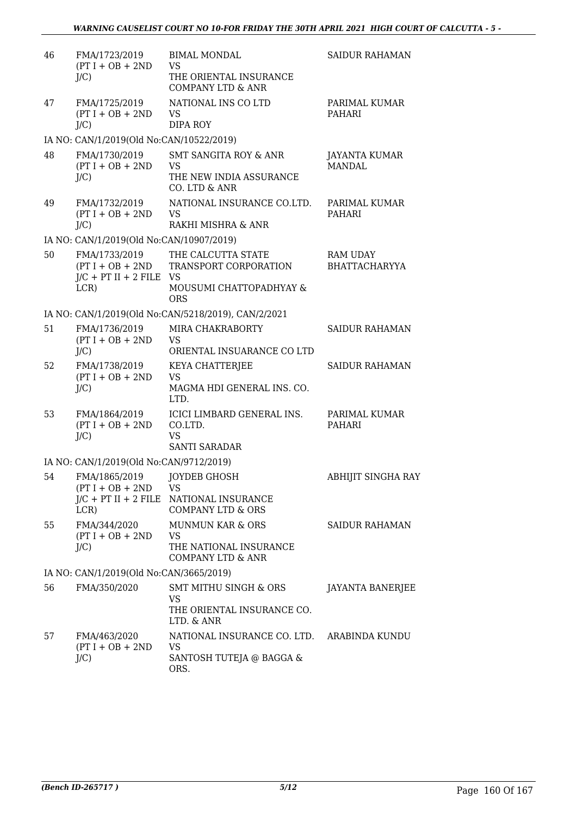| 46 | FMA/1723/2019<br>$(PT I + OB + 2ND$<br>$J/C$ )     | <b>BIMAL MONDAL</b><br><b>VS</b><br>THE ORIENTAL INSURANCE<br><b>COMPANY LTD &amp; ANR</b>            | <b>SAIDUR RAHAMAN</b>                   |
|----|----------------------------------------------------|-------------------------------------------------------------------------------------------------------|-----------------------------------------|
| 47 | FMA/1725/2019<br>$(PT I + OB + 2ND$<br>$J/C$ )     | NATIONAL INS CO LTD<br><b>VS</b><br><b>DIPA ROY</b>                                                   | PARIMAL KUMAR<br>PAHARI                 |
|    | IA NO: CAN/1/2019(Old No:CAN/10522/2019)           |                                                                                                       |                                         |
| 48 | FMA/1730/2019<br>$(PT I + OB + 2ND$<br>$J/C$ )     | SMT SANGITA ROY & ANR<br><b>VS</b><br>THE NEW INDIA ASSURANCE<br>CO. LTD & ANR                        | JAYANTA KUMAR<br><b>MANDAL</b>          |
| 49 | FMA/1732/2019<br>$(PT I + OB + 2ND$<br>$J/C$ )     | NATIONAL INSURANCE CO.LTD.<br><b>VS</b><br>RAKHI MISHRA & ANR                                         | PARIMAL KUMAR<br>PAHARI                 |
|    | IA NO: CAN/1/2019(Old No:CAN/10907/2019)           |                                                                                                       |                                         |
| 50 | FMA/1733/2019<br>$J/C$ + PT II + 2 FILE VS<br>LCR) | THE CALCUTTA STATE<br>(PT I + OB + 2ND TRANSPORT CORPORATION<br>MOUSUMI CHATTOPADHYAY &<br><b>ORS</b> | <b>RAM UDAY</b><br><b>BHATTACHARYYA</b> |
|    |                                                    | IA NO: CAN/1/2019(Old No:CAN/5218/2019), CAN/2/2021                                                   |                                         |
| 51 | FMA/1736/2019<br>$(PT I + OB + 2ND$<br>$J/C$ )     | MIRA CHAKRABORTY<br><b>VS</b><br>ORIENTAL INSUARANCE CO LTD                                           | <b>SAIDUR RAHAMAN</b>                   |
| 52 | FMA/1738/2019<br>$(PT I + OB + 2ND$<br>$J/C$ )     | KEYA CHATTERJEE<br><b>VS</b><br>MAGMA HDI GENERAL INS. CO.<br>LTD.                                    | <b>SAIDUR RAHAMAN</b>                   |
| 53 | FMA/1864/2019<br>$(PT I + OB + 2ND$<br>$J/C$ )     | ICICI LIMBARD GENERAL INS.<br>CO.LTD.<br><b>VS</b><br><b>SANTI SARADAR</b>                            | PARIMAL KUMAR<br>PAHARI                 |
|    | IA NO: CAN/1/2019(Old No:CAN/9712/2019)            |                                                                                                       |                                         |
| 54 | FMA/1865/2019<br>$(PT I + OB + 2ND$<br>LCR)        | JOYDEB GHOSH<br><b>VS</b><br>J/C + PT II + 2 FILE NATIONAL INSURANCE<br><b>COMPANY LTD &amp; ORS</b>  | ABHIJIT SINGHA RAY                      |
| 55 | FMA/344/2020<br>$(PT I + OB + 2ND$<br>$J/C$ )      | <b>MUNMUN KAR &amp; ORS</b><br><b>VS</b><br>THE NATIONAL INSURANCE<br><b>COMPANY LTD &amp; ANR</b>    | SAIDUR RAHAMAN                          |
|    | IA NO: CAN/1/2019(Old No:CAN/3665/2019)            |                                                                                                       |                                         |
| 56 | FMA/350/2020                                       | SMT MITHU SINGH & ORS<br><b>VS</b><br>THE ORIENTAL INSURANCE CO.<br>LTD. & ANR                        | JAYANTA BANERJEE                        |
| 57 | FMA/463/2020<br>$(PT I + OB + 2ND$<br>$J/C$ )      | NATIONAL INSURANCE CO. LTD. ARABINDA KUNDU<br><b>VS</b><br>SANTOSH TUTEJA @ BAGGA &<br>ORS.           |                                         |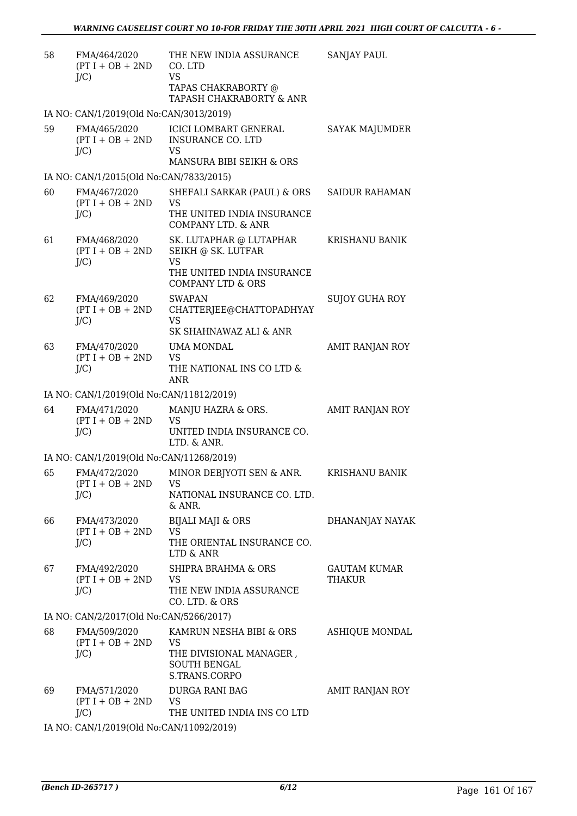| 58 | FMA/464/2020<br>$(PT I + OB + 2ND$<br>$J/C$ ) | THE NEW INDIA ASSURANCE<br>CO. LTD<br><b>VS</b><br>TAPAS CHAKRABORTY @                                  | <b>SANJAY PAUL</b>            |
|----|-----------------------------------------------|---------------------------------------------------------------------------------------------------------|-------------------------------|
|    |                                               | TAPASH CHAKRABORTY & ANR                                                                                |                               |
|    | IA NO: CAN/1/2019(Old No:CAN/3013/2019)       |                                                                                                         |                               |
| 59 | FMA/465/2020<br>$(PT I + OB + 2ND$<br>$J/C$ ) | <b>ICICI LOMBART GENERAL</b><br><b>INSURANCE CO. LTD</b><br>VS<br>MANSURA BIBI SEIKH & ORS              | SAYAK MAJUMDER                |
|    | IA NO: CAN/1/2015(Old No:CAN/7833/2015)       |                                                                                                         |                               |
| 60 | FMA/467/2020                                  | SHEFALI SARKAR (PAUL) & ORS                                                                             | <b>SAIDUR RAHAMAN</b>         |
|    | $(PT I + OB + 2ND$<br>$J/C$ )                 | <b>VS</b><br>THE UNITED INDIA INSURANCE<br><b>COMPANY LTD. &amp; ANR</b>                                |                               |
| 61 | FMA/468/2020<br>$(PT I + OB + 2ND$<br>$J/C$ ) | SK. LUTAPHAR @ LUTAPHAR<br>SEIKH @ SK. LUTFAR<br><b>VS</b>                                              | KRISHANU BANIK                |
|    |                                               | THE UNITED INDIA INSURANCE<br><b>COMPANY LTD &amp; ORS</b>                                              |                               |
| 62 | FMA/469/2020<br>$(PT I + OB + 2ND$<br>J/C     | <b>SWAPAN</b><br>CHATTERJEE@CHATTOPADHYAY<br><b>VS</b>                                                  | <b>SUJOY GUHA ROY</b>         |
|    |                                               | SK SHAHNAWAZ ALI & ANR                                                                                  |                               |
| 63 | FMA/470/2020                                  | UMA MONDAL                                                                                              | AMIT RANJAN ROY               |
|    | $(PT I + OB + 2ND$<br>$J/C$ )                 | <b>VS</b><br>THE NATIONAL INS CO LTD &<br><b>ANR</b>                                                    |                               |
|    | IA NO: CAN/1/2019(Old No:CAN/11812/2019)      |                                                                                                         |                               |
| 64 | FMA/471/2020<br>$(PT I + OB + 2ND$<br>$J/C$ ) | MANJU HAZRA & ORS.<br><b>VS</b><br>UNITED INDIA INSURANCE CO.<br>LTD. & ANR.                            | AMIT RANJAN ROY               |
|    | IA NO: CAN/1/2019(Old No:CAN/11268/2019)      |                                                                                                         |                               |
| 65 | FMA/472/2020<br>$(PT I + OB + 2ND$<br>$J/C$ ) | MINOR DEBJYOTI SEN & ANR.<br>VS<br>NATIONAL INSURANCE CO. LTD.                                          | KRISHANU BANIK                |
| 66 | FMA/473/2020                                  | & ANR.<br><b>BIJALI MAJI &amp; ORS</b>                                                                  | DHANANJAY NAYAK               |
|    | $(PT I + OB + 2ND$<br>J/C                     | <b>VS</b><br>THE ORIENTAL INSURANCE CO.<br>LTD & ANR                                                    |                               |
| 67 | FMA/492/2020<br>$(PT I + OB + 2ND$<br>$J/C$ ) | SHIPRA BRAHMA & ORS<br><b>VS</b><br>THE NEW INDIA ASSURANCE<br>CO. LTD. & ORS                           | <b>GAUTAM KUMAR</b><br>THAKUR |
|    | IA NO: CAN/2/2017(Old No:CAN/5266/2017)       |                                                                                                         |                               |
| 68 | FMA/509/2020<br>$(PT I + OB + 2ND$<br>$J/C$ ) | KAMRUN NESHA BIBI & ORS<br><b>VS</b><br>THE DIVISIONAL MANAGER,<br><b>SOUTH BENGAL</b><br>S.TRANS.CORPO | ASHIQUE MONDAL                |
| 69 | FMA/571/2020<br>$(PT I + OB + 2ND$<br>$J/C$ ) | DURGA RANI BAG<br><b>VS</b><br>THE UNITED INDIA INS CO LTD                                              | AMIT RANJAN ROY               |
|    | IA NO: CAN/1/2019(Old No:CAN/11092/2019)      |                                                                                                         |                               |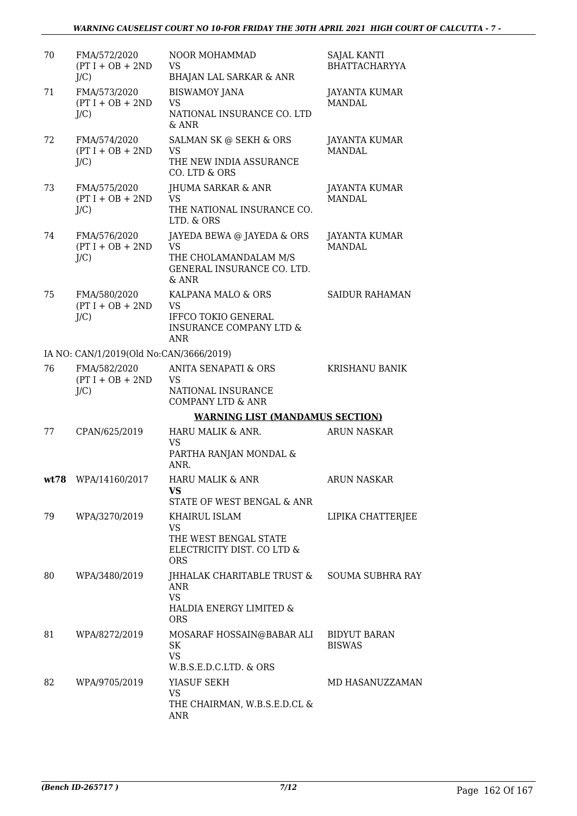| 70 | FMA/572/2020<br>$(PT I + OB + 2ND$<br>$J/C$ ) | NOOR MOHAMMAD<br><b>VS</b><br><b>BHAJAN LAL SARKAR &amp; ANR</b>                                                  | <b>SAJAL KANTI</b><br><b>BHATTACHARYYA</b> |
|----|-----------------------------------------------|-------------------------------------------------------------------------------------------------------------------|--------------------------------------------|
| 71 | FMA/573/2020<br>$(PT I + OB + 2ND$<br>$J/C$ ) | <b>BISWAMOY JANA</b><br><b>VS</b><br>NATIONAL INSURANCE CO. LTD<br>& ANR                                          | JAYANTA KUMAR<br><b>MANDAL</b>             |
| 72 | FMA/574/2020<br>$(PT I + OB + 2ND$<br>$J/C$ ) | SALMAN SK @ SEKH & ORS<br><b>VS</b><br>THE NEW INDIA ASSURANCE<br>CO. LTD & ORS                                   | JAYANTA KUMAR<br><b>MANDAL</b>             |
| 73 | FMA/575/2020<br>$(PT I + OB + 2ND$<br>$J/C$ ) | JHUMA SARKAR & ANR<br><b>VS</b><br>THE NATIONAL INSURANCE CO.<br>LTD. & ORS                                       | JAYANTA KUMAR<br><b>MANDAL</b>             |
| 74 | FMA/576/2020<br>$(PT I + OB + 2ND$<br>$J/C$ ) | JAYEDA BEWA @ JAYEDA & ORS<br><b>VS</b><br>THE CHOLAMANDALAM M/S<br>GENERAL INSURANCE CO. LTD.<br>$&$ ANR         | <b>JAYANTA KUMAR</b><br><b>MANDAL</b>      |
| 75 | FMA/580/2020<br>$(PT I + OB + 2ND$<br>$J/C$ ) | KALPANA MALO & ORS<br><b>VS</b><br><b>IFFCO TOKIO GENERAL</b><br><b>INSURANCE COMPANY LTD &amp;</b><br><b>ANR</b> | <b>SAIDUR RAHAMAN</b>                      |
|    | IA NO: CAN/1/2019(Old No:CAN/3666/2019)       |                                                                                                                   |                                            |
| 76 | FMA/582/2020<br>$(PT I + OB + 2ND$<br>$J/C$ ) | <b>ANITA SENAPATI &amp; ORS</b><br><b>VS</b><br>NATIONAL INSURANCE<br><b>COMPANY LTD &amp; ANR</b>                | <b>KRISHANU BANIK</b>                      |
|    |                                               | <b>WARNING LIST (MANDAMUS SECTION)</b>                                                                            |                                            |
| 77 | CPAN/625/2019                                 | HARU MALIK & ANR.<br><b>VS</b><br>PARTHA RANJAN MONDAL &<br>ANR.                                                  | <b>ARUN NASKAR</b>                         |
|    | wt78 WPA/14160/2017                           | HARU MALIK & ANR<br>VS<br>STATE OF WEST BENGAL & ANR                                                              | <b>ARUN NASKAR</b>                         |
| 79 | WPA/3270/2019                                 | KHAIRUL ISLAM<br><b>VS</b><br>THE WEST BENGAL STATE<br>ELECTRICITY DIST. CO LTD &<br><b>ORS</b>                   | LIPIKA CHATTERJEE                          |
| 80 | WPA/3480/2019                                 | JHHALAK CHARITABLE TRUST &<br>ANR<br><b>VS</b><br>HALDIA ENERGY LIMITED &<br><b>ORS</b>                           | <b>SOUMA SUBHRA RAY</b>                    |
| 81 | WPA/8272/2019                                 | MOSARAF HOSSAIN@BABAR ALI<br>SK<br><b>VS</b><br>W.B.S.E.D.C.LTD. & ORS                                            | <b>BIDYUT BARAN</b><br><b>BISWAS</b>       |
| 82 | WPA/9705/2019                                 | YIASUF SEKH<br><b>VS</b><br>THE CHAIRMAN, W.B.S.E.D.CL &<br>ANR                                                   | MD HASANUZZAMAN                            |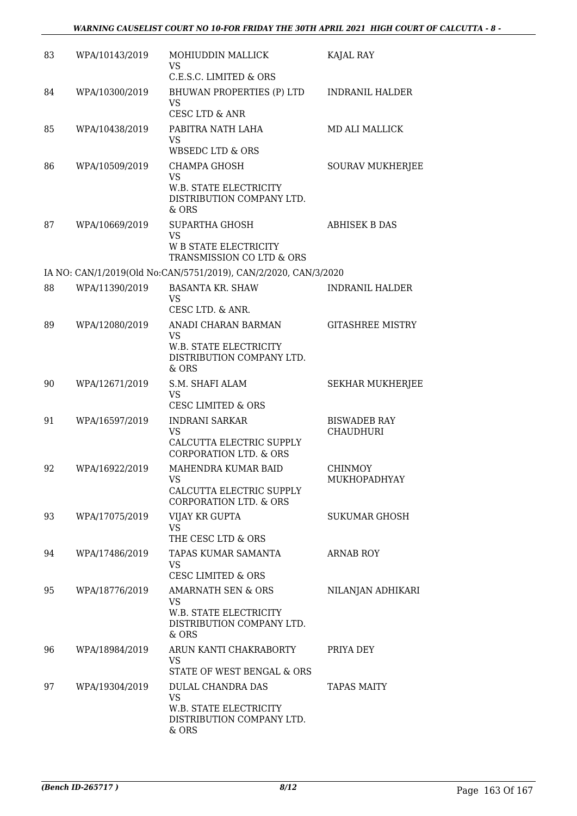| 83 | WPA/10143/2019 | MOHIUDDIN MALLICK<br>VS<br>C.E.S.C. LIMITED & ORS                                                   | KAJAL RAY                               |
|----|----------------|-----------------------------------------------------------------------------------------------------|-----------------------------------------|
| 84 | WPA/10300/2019 | <b>BHUWAN PROPERTIES (P) LTD</b><br><b>VS</b><br><b>CESC LTD &amp; ANR</b>                          | <b>INDRANIL HALDER</b>                  |
| 85 | WPA/10438/2019 | PABITRA NATH LAHA<br><b>VS</b><br><b>WBSEDC LTD &amp; ORS</b>                                       | <b>MD ALI MALLICK</b>                   |
| 86 | WPA/10509/2019 | <b>CHAMPA GHOSH</b><br><b>VS</b><br>W.B. STATE ELECTRICITY<br>DISTRIBUTION COMPANY LTD.<br>& ORS    | SOURAV MUKHERJEE                        |
| 87 | WPA/10669/2019 | SUPARTHA GHOSH<br><b>VS</b><br><b>W B STATE ELECTRICITY</b><br>TRANSMISSION CO LTD & ORS            | <b>ABHISEK B DAS</b>                    |
|    |                | IA NO: CAN/1/2019(Old No:CAN/5751/2019), CAN/2/2020, CAN/3/2020                                     |                                         |
| 88 | WPA/11390/2019 | <b>BASANTA KR. SHAW</b><br><b>VS</b><br>CESC LTD. & ANR.                                            | <b>INDRANIL HALDER</b>                  |
| 89 | WPA/12080/2019 | ANADI CHARAN BARMAN<br><b>VS</b><br>W.B. STATE ELECTRICITY<br>DISTRIBUTION COMPANY LTD.<br>& ORS    | <b>GITASHREE MISTRY</b>                 |
| 90 | WPA/12671/2019 | S.M. SHAFI ALAM<br>VS<br><b>CESC LIMITED &amp; ORS</b>                                              | <b>SEKHAR MUKHERJEE</b>                 |
| 91 | WPA/16597/2019 | <b>INDRANI SARKAR</b><br><b>VS</b><br>CALCUTTA ELECTRIC SUPPLY<br><b>CORPORATION LTD. &amp; ORS</b> | <b>BISWADEB RAY</b><br><b>CHAUDHURI</b> |
| 92 | WPA/16922/2019 | MAHENDRA KUMAR BAID<br>VS –<br>CALCUTTA ELECTRIC SUPPLY<br><b>CORPORATION LTD. &amp; ORS</b>        | <b>CHINMOY</b><br>MUKHOPADHYAY          |
| 93 | WPA/17075/2019 | VIJAY KR GUPTA<br><b>VS</b><br>THE CESC LTD & ORS                                                   | <b>SUKUMAR GHOSH</b>                    |
| 94 | WPA/17486/2019 | TAPAS KUMAR SAMANTA<br>VS.<br><b>CESC LIMITED &amp; ORS</b>                                         | <b>ARNAB ROY</b>                        |
| 95 | WPA/18776/2019 | AMARNATH SEN & ORS<br>VS.<br>W.B. STATE ELECTRICITY<br>DISTRIBUTION COMPANY LTD.<br>$&$ ORS         | NILANJAN ADHIKARI                       |
| 96 | WPA/18984/2019 | ARUN KANTI CHAKRABORTY<br>VS.<br>STATE OF WEST BENGAL & ORS                                         | PRIYA DEY                               |
| 97 | WPA/19304/2019 | DULAL CHANDRA DAS<br><b>VS</b><br>W.B. STATE ELECTRICITY<br>DISTRIBUTION COMPANY LTD.<br>& ORS      | <b>TAPAS MAITY</b>                      |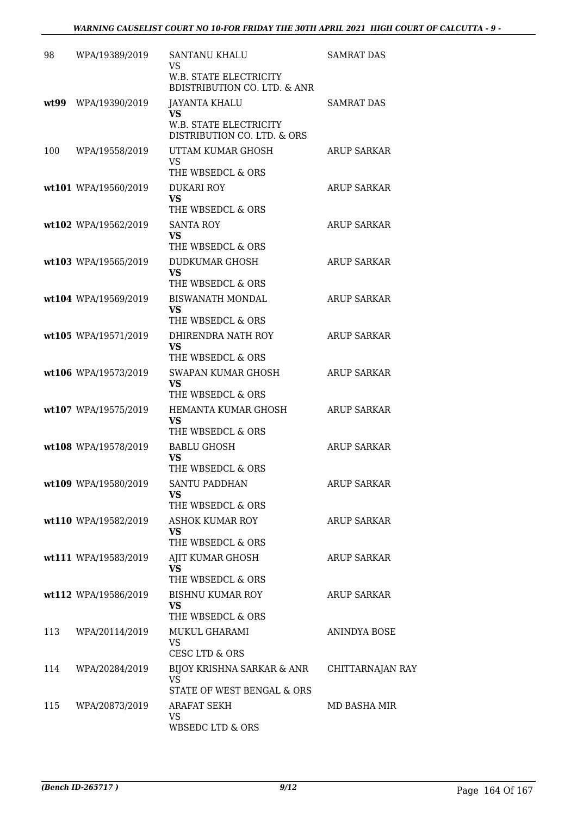| 98    | WPA/19389/2019       | SANTANU KHALU<br><b>VS</b>                                        | <b>SAMRAT DAS</b>  |
|-------|----------------------|-------------------------------------------------------------------|--------------------|
|       |                      | W.B. STATE ELECTRICITY<br><b>BDISTRIBUTION CO. LTD. &amp; ANR</b> |                    |
| wt.99 | WPA/19390/2019       | <b>JAYANTA KHALU</b><br>VS.                                       | <b>SAMRAT DAS</b>  |
|       |                      | W.B. STATE ELECTRICITY<br>DISTRIBUTION CO. LTD. & ORS             |                    |
| 100   | WPA/19558/2019       | UTTAM KUMAR GHOSH<br><b>VS</b>                                    | ARUP SARKAR        |
|       |                      | THE WBSEDCL & ORS                                                 |                    |
|       | wt101 WPA/19560/2019 | <b>DUKARI ROY</b><br><b>VS</b>                                    | <b>ARUP SARKAR</b> |
|       |                      | THE WBSEDCL & ORS                                                 |                    |
|       | wt102 WPA/19562/2019 | <b>SANTA ROY</b>                                                  | <b>ARUP SARKAR</b> |
|       |                      | <b>VS</b><br>THE WBSEDCL & ORS                                    |                    |
|       | wt103 WPA/19565/2019 | DUDKUMAR GHOSH                                                    | <b>ARUP SARKAR</b> |
|       |                      | VS<br>THE WBSEDCL & ORS                                           |                    |
|       | wt104 WPA/19569/2019 | <b>BISWANATH MONDAL</b>                                           | ARUP SARKAR        |
|       |                      | <b>VS</b><br>THE WBSEDCL & ORS                                    |                    |
|       | wt105 WPA/19571/2019 | DHIRENDRA NATH ROY                                                | <b>ARUP SARKAR</b> |
|       |                      | VS<br>THE WBSEDCL & ORS                                           |                    |
|       | wt106 WPA/19573/2019 | SWAPAN KUMAR GHOSH                                                | <b>ARUP SARKAR</b> |
|       |                      | VS<br>THE WBSEDCL & ORS                                           |                    |
|       | wt107 WPA/19575/2019 | HEMANTA KUMAR GHOSH                                               | <b>ARUP SARKAR</b> |
|       |                      | VS<br>THE WBSEDCL & ORS                                           |                    |
|       | wt108 WPA/19578/2019 | <b>BABLU GHOSH</b>                                                | <b>ARUP SARKAR</b> |
|       |                      | VS<br>THE WBSEDCL & ORS                                           |                    |
|       | wt109 WPA/19580/2019 | <b>SANTU PADDHAN</b>                                              | <b>ARUP SARKAR</b> |
|       |                      | VS<br>THE WBSEDCL & ORS                                           |                    |
|       | wt110 WPA/19582/2019 | <b>ASHOK KUMAR ROY</b>                                            | ARUP SARKAR        |
|       |                      | <b>VS</b><br>THE WBSEDCL & ORS                                    |                    |
|       | wt111 WPA/19583/2019 | AJIT KUMAR GHOSH                                                  | <b>ARUP SARKAR</b> |
|       |                      | VS<br>THE WBSEDCL & ORS                                           |                    |
|       | wt112 WPA/19586/2019 | <b>BISHNU KUMAR ROY</b>                                           | <b>ARUP SARKAR</b> |
|       |                      | <b>VS</b>                                                         |                    |
| 113   | WPA/20114/2019       | THE WBSEDCL & ORS<br>MUKUL GHARAMI                                | ANINDYA BOSE       |
|       |                      | <b>VS</b><br>CESC LTD & ORS                                       |                    |
| 114   | WPA/20284/2019       | BIJOY KRISHNA SARKAR & ANR                                        | CHITTARNAJAN RAY   |
|       |                      | VS<br>STATE OF WEST BENGAL & ORS                                  |                    |
| 115   | WPA/20873/2019       | ARAFAT SEKH                                                       | MD BASHA MIR       |
|       |                      | <b>VS</b><br><b>WBSEDC LTD &amp; ORS</b>                          |                    |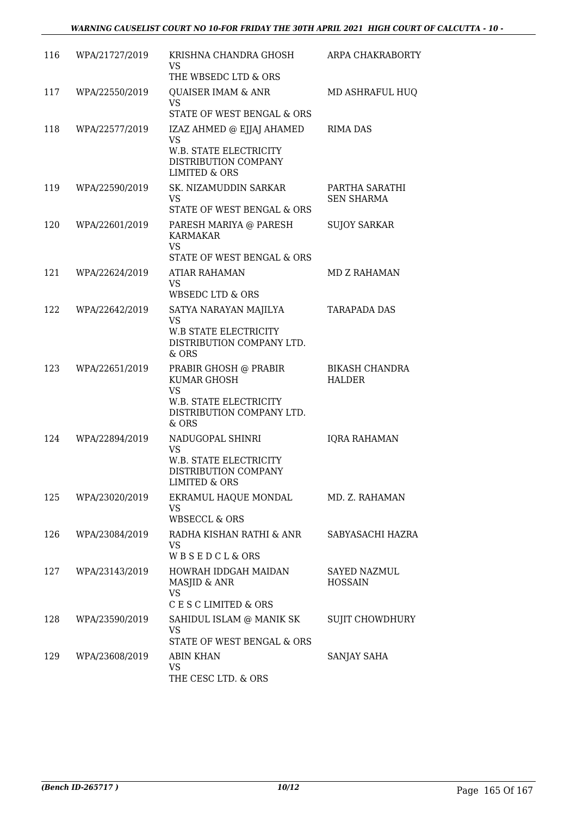| 116 | WPA/21727/2019 | KRISHNA CHANDRA GHOSH<br>VS.<br>THE WBSEDC LTD & ORS                                                              | ARPA CHAKRABORTY                       |
|-----|----------------|-------------------------------------------------------------------------------------------------------------------|----------------------------------------|
| 117 | WPA/22550/2019 | QUAISER IMAM & ANR<br><b>VS</b><br>STATE OF WEST BENGAL & ORS                                                     | MD ASHRAFUL HUQ                        |
| 118 | WPA/22577/2019 | IZAZ AHMED @ EJJAJ AHAMED<br><b>VS</b><br>W.B. STATE ELECTRICITY<br>DISTRIBUTION COMPANY<br>LIMITED & ORS         | <b>RIMA DAS</b>                        |
| 119 | WPA/22590/2019 | SK. NIZAMUDDIN SARKAR<br><b>VS</b><br>STATE OF WEST BENGAL & ORS                                                  | PARTHA SARATHI<br><b>SEN SHARMA</b>    |
| 120 | WPA/22601/2019 | PARESH MARIYA @ PARESH<br><b>KARMAKAR</b><br><b>VS</b><br>STATE OF WEST BENGAL & ORS                              | <b>SUJOY SARKAR</b>                    |
| 121 | WPA/22624/2019 | ATIAR RAHAMAN<br><b>VS</b><br>WBSEDC LTD & ORS                                                                    | MD Z RAHAMAN                           |
| 122 | WPA/22642/2019 | SATYA NARAYAN MAJILYA<br><b>VS</b><br><b>W.B STATE ELECTRICITY</b><br>DISTRIBUTION COMPANY LTD.<br>& ORS          | <b>TARAPADA DAS</b>                    |
| 123 | WPA/22651/2019 | PRABIR GHOSH @ PRABIR<br>KUMAR GHOSH<br><b>VS</b><br>W.B. STATE ELECTRICITY<br>DISTRIBUTION COMPANY LTD.<br>& ORS | <b>BIKASH CHANDRA</b><br><b>HALDER</b> |
| 124 | WPA/22894/2019 | NADUGOPAL SHINRI<br><b>VS</b><br>W.B. STATE ELECTRICITY<br>DISTRIBUTION COMPANY<br><b>LIMITED &amp; ORS</b>       | <b>IQRA RAHAMAN</b>                    |
| 125 | WPA/23020/2019 | EKRAMUL HAQUE MONDAL<br>VS<br>WBSECCL & ORS                                                                       | MD. Z. RAHAMAN                         |
| 126 | WPA/23084/2019 | RADHA KISHAN RATHI & ANR<br>VS.<br>WBSEDCL&ORS                                                                    | SABYASACHI HAZRA                       |
| 127 | WPA/23143/2019 | HOWRAH IDDGAH MAIDAN<br>MASJID & ANR<br><b>VS</b><br>C E S C LIMITED & ORS                                        | <b>SAYED NAZMUL</b><br><b>HOSSAIN</b>  |
| 128 | WPA/23590/2019 | SAHIDUL ISLAM @ MANIK SK<br><b>VS</b><br>STATE OF WEST BENGAL & ORS                                               | SUJIT CHOWDHURY                        |
| 129 | WPA/23608/2019 | ABIN KHAN<br><b>VS</b><br>THE CESC LTD. & ORS                                                                     | SANJAY SAHA                            |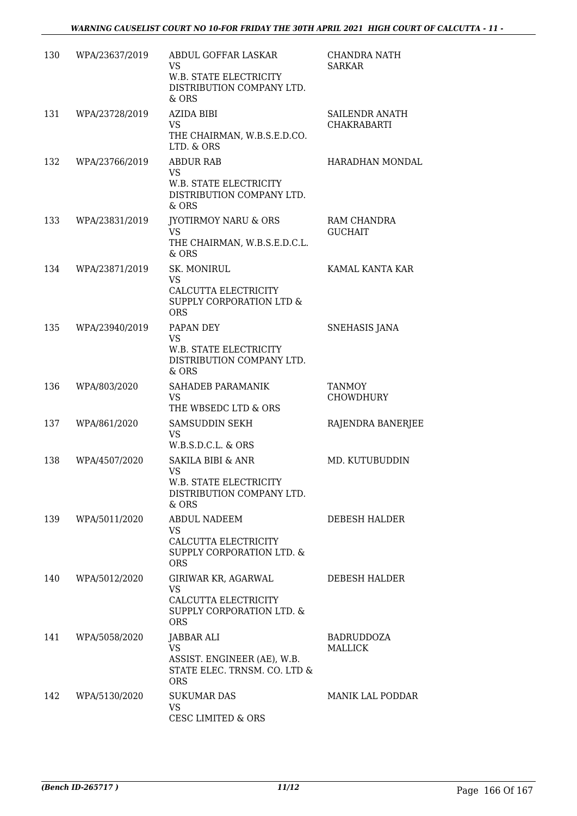| 130 | WPA/23637/2019 | ABDUL GOFFAR LASKAR<br>VS<br>W.B. STATE ELECTRICITY<br>DISTRIBUTION COMPANY LTD.<br>& ORS            | <b>CHANDRA NATH</b><br><b>SARKAR</b> |
|-----|----------------|------------------------------------------------------------------------------------------------------|--------------------------------------|
| 131 | WPA/23728/2019 | <b>AZIDA BIBI</b><br><b>VS</b><br>THE CHAIRMAN, W.B.S.E.D.CO.<br>LTD. & ORS                          | SAILENDR ANATH<br><b>CHAKRABARTI</b> |
| 132 | WPA/23766/2019 | <b>ABDUR RAB</b><br><b>VS</b><br>W.B. STATE ELECTRICITY<br>DISTRIBUTION COMPANY LTD.<br>& ORS        | HARADHAN MONDAL                      |
| 133 | WPA/23831/2019 | <b>JYOTIRMOY NARU &amp; ORS</b><br><b>VS</b><br>THE CHAIRMAN, W.B.S.E.D.C.L.<br>& ORS                | RAM CHANDRA<br><b>GUCHAIT</b>        |
| 134 | WPA/23871/2019 | SK. MONIRUL<br><b>VS</b><br>CALCUTTA ELECTRICITY<br>SUPPLY CORPORATION LTD &<br><b>ORS</b>           | KAMAL KANTA KAR                      |
| 135 | WPA/23940/2019 | PAPAN DEY<br><b>VS</b><br>W.B. STATE ELECTRICITY<br>DISTRIBUTION COMPANY LTD.<br>& ORS               | <b>SNEHASIS JANA</b>                 |
| 136 | WPA/803/2020   | SAHADEB PARAMANIK<br>VS<br>THE WBSEDC LTD & ORS                                                      | <b>TANMOY</b><br><b>CHOWDHURY</b>    |
| 137 | WPA/861/2020   | SAMSUDDIN SEKH<br><b>VS</b><br>W.B.S.D.C.L. & ORS                                                    | RAJENDRA BANERJEE                    |
| 138 | WPA/4507/2020  | <b>SAKILA BIBI &amp; ANR</b><br>VS<br>W.B. STATE ELECTRICITY<br>DISTRIBUTION COMPANY LTD.<br>& ORS   | MD. KUTUBUDDIN                       |
| 139 | WPA/5011/2020  | <b>ABDUL NADEEM</b><br>VS<br>CALCUTTA ELECTRICITY<br>SUPPLY CORPORATION LTD. &<br><b>ORS</b>         | DEBESH HALDER                        |
| 140 | WPA/5012/2020  | GIRIWAR KR, AGARWAL<br><b>VS</b><br>CALCUTTA ELECTRICITY<br>SUPPLY CORPORATION LTD. &<br><b>ORS</b>  | DEBESH HALDER                        |
| 141 | WPA/5058/2020  | JABBAR ALI<br><b>VS</b><br>ASSIST. ENGINEER (AE), W.B.<br>STATE ELEC. TRNSM. CO. LTD &<br><b>ORS</b> | BADRUDDOZA<br>MALLICK                |
| 142 | WPA/5130/2020  | <b>SUKUMAR DAS</b><br><b>VS</b><br><b>CESC LIMITED &amp; ORS</b>                                     | MANIK LAL PODDAR                     |